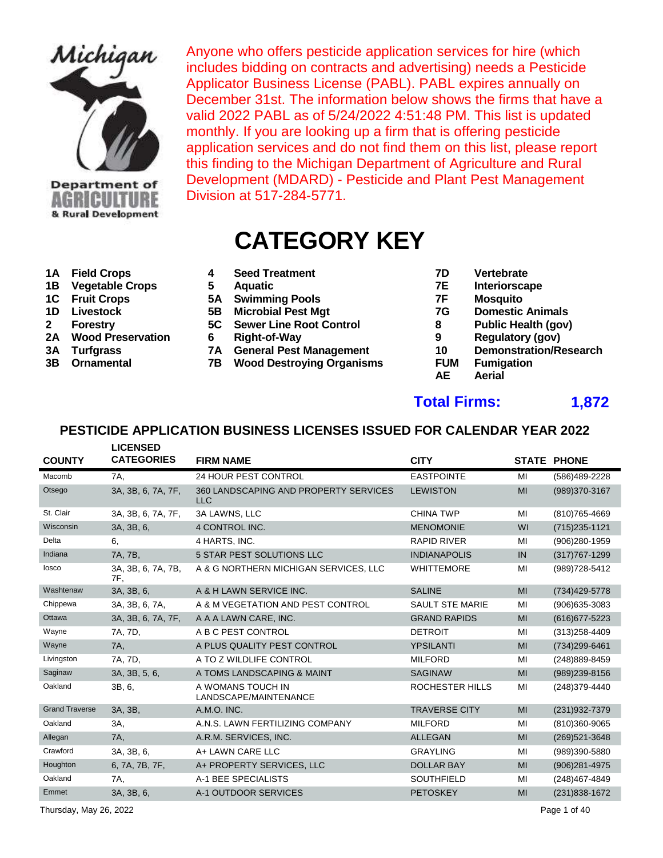

# & Rural Development

Anyone who offers pesticide application services for hire (which includes bidding on contracts and advertising) needs a Pesticide Applicator Business License (PABL). PABL expires annually on December 31st. The information below shows the firms that have a valid 2022 PABL as of 5/24/2022 4:51:48 PM. This list is updated monthly. If you are looking up a firm that is offering pesticide application services and do not find them on this list, please report this finding to the Michigan Department of Agriculture and Rural Development (MDARD) - Pesticide and Plant Pest Management Division at 517-284-5771.

# **CATEGORY KEY**

- 
- **1B Vegetable Crops 5 Aquatic 7E Interiorscape**
- 
- 
- 
- 
- 
- 
- **1A Field Crops 4 Seed Treatment 7D Vertebrate**
	-
- **1C Fruit Crops 5A Swimming Pools 7F Mosquito**
	-
- **2 Forestry 5C Sewer Line Root Control 8** 
	-
- **3A Turfgrass 10 7A General Pest Management 10**
- **3B Ornamental 7B Wood Destroying Organisms FUM Fumigation**
- 
- 
- 
- **1D** Livestock 5B Microbial Pest Mgt 7G Domestic Animals<br>
Forestry 5C Sewer Line Root Control 8 Public Health (gov)
	-
	-
- **2A Wood Preservation 6 Right-of-Way 9 Regulatory (gov)**
	-
	- **AE Aerial**

#### **Total Firms: 1,872**

|                       | <b>LICENSED</b>           |                                                     |                        |    |                    |
|-----------------------|---------------------------|-----------------------------------------------------|------------------------|----|--------------------|
| <b>COUNTY</b>         | <b>CATEGORIES</b>         | <b>FIRM NAME</b>                                    | <b>CITY</b>            |    | <b>STATE PHONE</b> |
| Macomb                | 7A.                       | 24 HOUR PEST CONTROL                                | <b>EASTPOINTE</b>      | MI | (586)489-2228      |
| Otsego                | 3A, 3B, 6, 7A, 7F,        | 360 LANDSCAPING AND PROPERTY SERVICES<br><b>LLC</b> | <b>LEWISTON</b>        | MI | (989)370-3167      |
| St. Clair             | 3A, 3B, 6, 7A, 7F,        | 3A LAWNS, LLC                                       | <b>CHINA TWP</b>       | MI | (810) 765-4669     |
| Wisconsin             | 3A, 3B, 6,                | 4 CONTROL INC.                                      | <b>MENOMONIE</b>       | WI | $(715)235 - 1121$  |
| Delta                 | 6.                        | 4 HARTS, INC.                                       | <b>RAPID RIVER</b>     | MI | (906)280-1959      |
| Indiana               | 7A, 7B,                   | 5 STAR PEST SOLUTIONS LLC                           | <b>INDIANAPOLIS</b>    | IN | $(317)767 - 1299$  |
| losco                 | 3A, 3B, 6, 7A, 7B,<br>7F. | A & G NORTHERN MICHIGAN SERVICES, LLC               | <b>WHITTEMORE</b>      | MI | (989) 728-5412     |
| Washtenaw             | 3A, 3B, 6,                | A & H LAWN SERVICE INC.                             | <b>SALINE</b>          | MI | (734) 429-5778     |
| Chippewa              | 3A, 3B, 6, 7A,            | A & M VEGETATION AND PEST CONTROL                   | <b>SAULT STE MARIE</b> | MI | $(906)635 - 3083$  |
| Ottawa                | 3A, 3B, 6, 7A, 7F,        | A A A LAWN CARE, INC.                               | <b>GRAND RAPIDS</b>    | MI | (616) 677-5223     |
| Wayne                 | 7A, 7D,                   | A B C PEST CONTROL                                  | <b>DETROIT</b>         | MI | (313) 258-4409     |
| Wayne                 | 7A,                       | A PLUS QUALITY PEST CONTROL                         | <b>YPSILANTI</b>       | MI | (734)299-6461      |
| Livingston            | 7A, 7D,                   | A TO Z WILDLIFE CONTROL                             | <b>MILFORD</b>         | MI | (248) 889-8459     |
| Saginaw               | 3A, 3B, 5, 6,             | A TOMS LANDSCAPING & MAINT                          | <b>SAGINAW</b>         | MI | (989)239-8156      |
| Oakland               | 3B, 6,                    | A WOMANS TOUCH IN<br>LANDSCAPE/MAINTENANCE          | ROCHESTER HILLS        | MI | (248) 379-4440     |
| <b>Grand Traverse</b> | 3A, 3B,                   | A.M.O. INC.                                         | <b>TRAVERSE CITY</b>   | MI | (231) 932-7379     |
| Oakland               | 3A,                       | A.N.S. LAWN FERTILIZING COMPANY                     | <b>MILFORD</b>         | MI | (810)360-9065      |
| Allegan               | 7A,                       | A.R.M. SERVICES, INC.                               | <b>ALLEGAN</b>         | MI | (269) 521-3648     |
| Crawford              | 3A, 3B, 6,                | A+ LAWN CARE LLC                                    | <b>GRAYLING</b>        | MI | (989)390-5880      |
| Houghton              | 6, 7A, 7B, 7F,            | A+ PROPERTY SERVICES, LLC                           | <b>DOLLAR BAY</b>      | MI | (906)281-4975      |
| Oakland               | 7A.                       | A-1 BEE SPECIALISTS                                 | <b>SOUTHFIELD</b>      | MI | (248)467-4849      |
| Emmet                 | 3A, 3B, 6,                | A-1 OUTDOOR SERVICES                                | <b>PETOSKEY</b>        | MI | (231) 838-1672     |
|                       |                           |                                                     |                        |    |                    |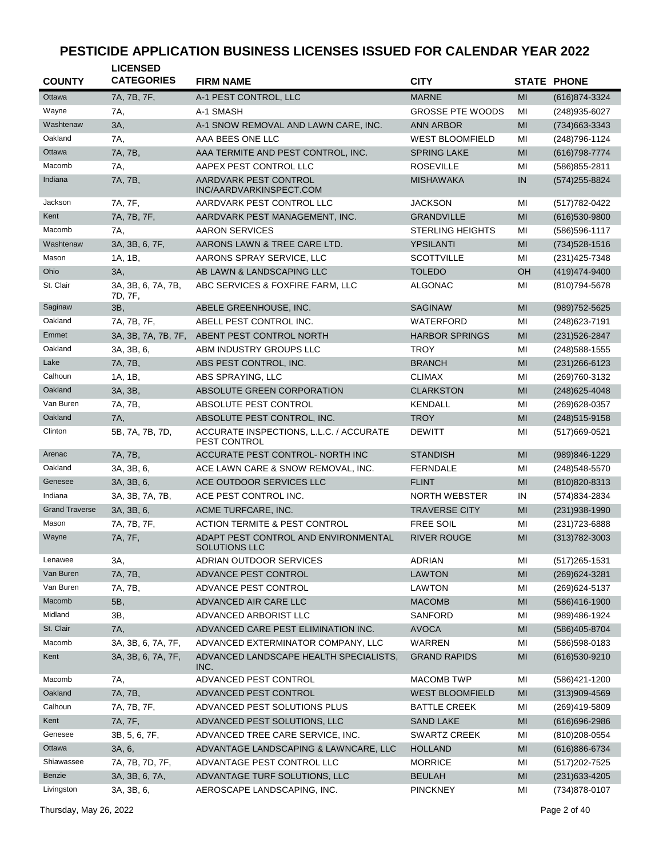| <b>COUNTY</b>         | <b>LICENSED</b><br><b>CATEGORIES</b> | <b>FIRM NAME</b>                                               | <b>CITY</b>             |                | <b>STATE PHONE</b> |
|-----------------------|--------------------------------------|----------------------------------------------------------------|-------------------------|----------------|--------------------|
| Ottawa                | 7A, 7B, 7F,                          | A-1 PEST CONTROL, LLC                                          | <b>MARNE</b>            | MI             | (616) 874-3324     |
| Wayne                 | 7A,                                  | A-1 SMASH                                                      | <b>GROSSE PTE WOODS</b> | MI             | (248) 935-6027     |
| Washtenaw             | 3A,                                  | A-1 SNOW REMOVAL AND LAWN CARE, INC.                           | <b>ANN ARBOR</b>        | MI             | (734) 663-3343     |
| Oakland               | 7A,                                  | AAA BEES ONE LLC                                               | <b>WEST BLOOMFIELD</b>  | MI             | (248) 796-1124     |
| Ottawa                | 7A, 7B,                              | AAA TERMITE AND PEST CONTROL, INC.                             | <b>SPRING LAKE</b>      | MI             | (616) 798-7774     |
| Macomb                | 7A,                                  | AAPEX PEST CONTROL LLC                                         | <b>ROSEVILLE</b>        | MI             | (586) 855-2811     |
| Indiana               | 7A, 7B,                              | AARDVARK PEST CONTROL<br>INC/AARDVARKINSPECT.COM               | <b>MISHAWAKA</b>        | IN             | (574) 255-8824     |
| Jackson               | 7A, 7F,                              | AARDVARK PEST CONTROL LLC                                      | <b>JACKSON</b>          | MI             | (517) 782-0422     |
| Kent                  | 7A, 7B, 7F,                          | AARDVARK PEST MANAGEMENT, INC.                                 | <b>GRANDVILLE</b>       | MI             | $(616)530-9800$    |
| Macomb                | 7A.                                  | <b>AARON SERVICES</b>                                          | <b>STERLING HEIGHTS</b> | MI             | (586) 596-1117     |
| Washtenaw             | 3A, 3B, 6, 7F,                       | AARONS LAWN & TREE CARE LTD.                                   | <b>YPSILANTI</b>        | MI             | $(734)528 - 1516$  |
| Mason                 | 1A, 1B,                              | AARONS SPRAY SERVICE, LLC                                      | <b>SCOTTVILLE</b>       | MI             | (231) 425-7348     |
| Ohio                  | 3A,                                  | AB LAWN & LANDSCAPING LLC                                      | <b>TOLEDO</b>           | OH             | (419) 474-9400     |
| St. Clair             | 3A, 3B, 6, 7A, 7B,<br>7D, 7F,        | ABC SERVICES & FOXFIRE FARM, LLC                               | ALGONAC                 | ΜI             | (810) 794-5678     |
| Saginaw               | 3B,                                  | ABELE GREENHOUSE, INC.                                         | <b>SAGINAW</b>          | MI             | (989) 752-5625     |
| Oakland               | 7A, 7B, 7F,                          | ABELL PEST CONTROL INC.                                        | WATERFORD               | МI             | (248) 623-7191     |
| Emmet                 | 3A, 3B, 7A, 7B, 7F,                  | ABENT PEST CONTROL NORTH                                       | <b>HARBOR SPRINGS</b>   | MI             | (231) 526-2847     |
| Oakland               | 3A, 3B, 6,                           | ABM INDUSTRY GROUPS LLC                                        | <b>TROY</b>             | MI             | (248) 588-1555     |
| Lake                  | 7A, 7B,                              | ABS PEST CONTROL, INC.                                         | <b>BRANCH</b>           | MI             | (231) 266-6123     |
| Calhoun               | 1A, 1B,                              | ABS SPRAYING, LLC                                              | <b>CLIMAX</b>           | MI             | (269)760-3132      |
| Oakland               | 3A, 3B,                              | ABSOLUTE GREEN CORPORATION                                     | <b>CLARKSTON</b>        | MI             | (248) 625-4048     |
| Van Buren             | 7A, 7B,                              | ABSOLUTE PEST CONTROL                                          | KENDALL                 | MI             | (269) 628-0357     |
| Oakland               | 7A,                                  | ABSOLUTE PEST CONTROL, INC.                                    | <b>TROY</b>             | MI             | (248) 515-9158     |
| Clinton               | 5B, 7A, 7B, 7D,                      | ACCURATE INSPECTIONS, L.L.C. / ACCURATE<br><b>PEST CONTROL</b> | <b>DEWITT</b>           | MI             | (517) 669-0521     |
| Arenac                | 7A, 7B,                              | ACCURATE PEST CONTROL- NORTH INC                               | <b>STANDISH</b>         | MI             | (989)846-1229      |
| Oakland               | 3A, 3B, 6,                           | ACE LAWN CARE & SNOW REMOVAL, INC.                             | <b>FERNDALE</b>         | MI             | $(248)548 - 5570$  |
| Genesee               | 3A, 3B, 6,                           | ACE OUTDOOR SERVICES LLC                                       | <b>FLINT</b>            | MI             | (810) 820-8313     |
| Indiana               | 3A, 3B, 7A, 7B,                      | ACE PEST CONTROL INC.                                          | <b>NORTH WEBSTER</b>    | IN             | (574) 834-2834     |
| <b>Grand Traverse</b> | 3A, 3B, 6,                           | ACME TURFCARE, INC.                                            | <b>TRAVERSE CITY</b>    | MI             | $(231)938-1990$    |
| Mason                 | 7A, 7B, 7F,                          | <b>ACTION TERMITE &amp; PEST CONTROL</b>                       | <b>FREE SOIL</b>        | MI             | (231) 723-6888     |
| Wayne                 | 7A, 7F,                              | ADAPT PEST CONTROL AND ENVIRONMENTAL<br>SOLUTIONS LLC          | <b>RIVER ROUGE</b>      | MI             | (313) 782-3003     |
| Lenawee               | 3A,                                  | ADRIAN OUTDOOR SERVICES                                        | <b>ADRIAN</b>           | MI             | (517) 265-1531     |
| Van Buren             | 7A, 7B,                              | ADVANCE PEST CONTROL                                           | <b>LAWTON</b>           | M <sub>l</sub> | (269) 624-3281     |
| Van Buren             | 7A, 7B,                              | ADVANCE PEST CONTROL                                           | <b>LAWTON</b>           | ΜI             | (269) 624-5137     |
| Macomb                | 5B,                                  | ADVANCED AIR CARE LLC                                          | <b>MACOMB</b>           | MI             | $(586)416-1900$    |
| Midland               | 3B,                                  | ADVANCED ARBORIST LLC                                          | SANFORD                 | MI             | (989)486-1924      |
| St. Clair             | 7A,                                  | ADVANCED CARE PEST ELIMINATION INC.                            | <b>AVOCA</b>            | M <sub>l</sub> | (586) 405-8704     |
| Macomb                | 3A, 3B, 6, 7A, 7F,                   | ADVANCED EXTERMINATOR COMPANY, LLC                             | WARREN                  | ΜI             | (586) 598-0183     |
| Kent                  | 3A, 3B, 6, 7A, 7F,                   | ADVANCED LANDSCAPE HEALTH SPECIALISTS,<br>INC.                 | <b>GRAND RAPIDS</b>     | MI             | (616) 530-9210     |
| Macomb                | 7A,                                  | ADVANCED PEST CONTROL                                          | MACOMB TWP              | ΜI             | (586)421-1200      |
| Oakland               | 7A, 7B,                              | ADVANCED PEST CONTROL                                          | <b>WEST BLOOMFIELD</b>  | M <sub>l</sub> | $(313)909 - 4569$  |
| Calhoun               | 7A, 7B, 7F,                          | ADVANCED PEST SOLUTIONS PLUS                                   | <b>BATTLE CREEK</b>     | MI             | (269)419-5809      |
| Kent                  | 7A, 7F,                              | ADVANCED PEST SOLUTIONS, LLC                                   | <b>SAND LAKE</b>        | MI             | $(616)696 - 2986$  |
| Genesee               | 3B, 5, 6, 7F,                        | ADVANCED TREE CARE SERVICE, INC.                               | <b>SWARTZ CREEK</b>     | MI             | (810) 208-0554     |
| Ottawa                | 3A, 6,                               | ADVANTAGE LANDSCAPING & LAWNCARE, LLC                          | <b>HOLLAND</b>          | MI             | (616) 886-6734     |
| Shiawassee            | 7A, 7B, 7D, 7F,                      | ADVANTAGE PEST CONTROL LLC                                     | <b>MORRICE</b>          | MI             | (517) 202-7525     |
| Benzie                | 3A, 3B, 6, 7A,                       | ADVANTAGE TURF SOLUTIONS, LLC                                  | <b>BEULAH</b>           | MI             | $(231)633 - 4205$  |
| Livingston            | 3A, 3B, 6,                           | AEROSCAPE LANDSCAPING, INC.                                    | <b>PINCKNEY</b>         | MI             | (734) 878-0107     |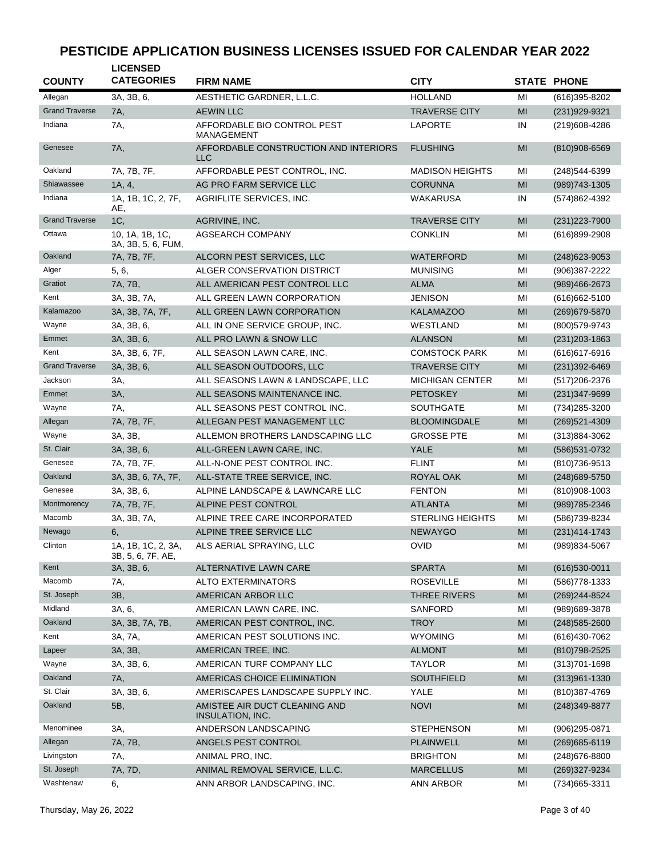| <b>COUNTY</b>         | <b>LICENSED</b><br><b>CATEGORIES</b>    | <b>FIRM NAME</b>                                  | <b>CITY</b>             |    | <b>STATE PHONE</b> |
|-----------------------|-----------------------------------------|---------------------------------------------------|-------------------------|----|--------------------|
| Allegan               | 3A, 3B, 6,                              | AESTHETIC GARDNER, L.L.C.                         | <b>HOLLAND</b>          | MI | (616)395-8202      |
| <b>Grand Traverse</b> | 7A,                                     | <b>AEWIN LLC</b>                                  | <b>TRAVERSE CITY</b>    | MI | (231) 929-9321     |
| Indiana               | 7A,                                     | AFFORDABLE BIO CONTROL PEST<br><b>MANAGEMENT</b>  | LAPORTE                 | IN | (219)608-4286      |
| Genesee               | 7A,                                     | AFFORDABLE CONSTRUCTION AND INTERIORS<br>LLC      | <b>FLUSHING</b>         | MI | (810)908-6569      |
| Oakland               | 7A, 7B, 7F,                             | AFFORDABLE PEST CONTROL, INC.                     | <b>MADISON HEIGHTS</b>  | MI | (248)544-6399      |
| Shiawassee            | 1A, 4,                                  | AG PRO FARM SERVICE LLC                           | <b>CORUNNA</b>          | MI | (989) 743-1305     |
| Indiana               | 1A, 1B, 1C, 2, 7F,<br>AE,               | AGRIFLITE SERVICES, INC.                          | WAKARUSA                | IN | (574)862-4392      |
| <b>Grand Traverse</b> | 1C,                                     | AGRIVINE, INC.                                    | <b>TRAVERSE CITY</b>    | MI | $(231)223 - 7900$  |
| Ottawa                | 10, 1A, 1B, 1C,<br>3A, 3B, 5, 6, FUM,   | <b>AGSEARCH COMPANY</b>                           | <b>CONKLIN</b>          | MI | (616)899-2908      |
| Oakland               | 7A, 7B, 7F,                             | ALCORN PEST SERVICES, LLC                         | <b>WATERFORD</b>        | MI | $(248)623 - 9053$  |
| Alger                 | 5, 6,                                   | ALGER CONSERVATION DISTRICT                       | <b>MUNISING</b>         | MI | (906)387-2222      |
| Gratiot               | 7A, 7B,                                 | ALL AMERICAN PEST CONTROL LLC                     | <b>ALMA</b>             | MI | (989)466-2673      |
| Kent                  | 3A, 3B, 7A,                             | ALL GREEN LAWN CORPORATION                        | <b>JENISON</b>          | MI | $(616)662 - 5100$  |
| Kalamazoo             | 3A, 3B, 7A, 7F,                         | ALL GREEN LAWN CORPORATION                        | <b>KALAMAZOO</b>        | MI | (269) 679-5870     |
| Wayne                 | 3A, 3B, 6,                              | ALL IN ONE SERVICE GROUP, INC.                    | WESTLAND                | MI | (800) 579-9743     |
| Emmet                 | 3A, 3B, 6,                              | ALL PRO LAWN & SNOW LLC                           | <b>ALANSON</b>          | MI | $(231)203 - 1863$  |
| Kent                  | 3A, 3B, 6, 7F,                          | ALL SEASON LAWN CARE, INC.                        | <b>COMSTOCK PARK</b>    | MI | $(616)617-6916$    |
| <b>Grand Traverse</b> | 3A, 3B, 6,                              | ALL SEASON OUTDOORS, LLC                          | <b>TRAVERSE CITY</b>    | MI | $(231)392 - 6469$  |
| Jackson               | 3A,                                     | ALL SEASONS LAWN & LANDSCAPE, LLC                 | <b>MICHIGAN CENTER</b>  | MI | (517) 206-2376     |
| Emmet                 | 3A,                                     | ALL SEASONS MAINTENANCE INC.                      | PETOSKEY                | MI | $(231)347 - 9699$  |
| Wayne                 | 7A,                                     | ALL SEASONS PEST CONTROL INC.                     | <b>SOUTHGATE</b>        | MI | (734) 285-3200     |
| Allegan               | 7A, 7B, 7F,                             | ALLEGAN PEST MANAGEMENT LLC                       | <b>BLOOMINGDALE</b>     | MI | (269) 521-4309     |
| Wayne                 | 3A, 3B,                                 | ALLEMON BROTHERS LANDSCAPING LLC                  | <b>GROSSE PTE</b>       | MI | (313)884-3062      |
| St. Clair             | 3A, 3B, 6,                              | ALL-GREEN LAWN CARE, INC.                         | <b>YALE</b>             | MI | (586) 531-0732     |
| Genesee               | 7A, 7B, 7F,                             | ALL-N-ONE PEST CONTROL INC.                       | <b>FLINT</b>            | MI | (810) 736-9513     |
| Oakland               | 3A, 3B, 6, 7A, 7F,                      | ALL-STATE TREE SERVICE, INC.                      | ROYAL OAK               | MI | (248) 689-5750     |
| Genesee               | 3A, 3B, 6,                              | ALPINE LANDSCAPE & LAWNCARE LLC                   | <b>FENTON</b>           | MI | (810)908-1003      |
| Montmorency           | 7A, 7B, 7F,                             | ALPINE PEST CONTROL                               | <b>ATLANTA</b>          | MI | (989) 785-2346     |
| Macomb                | 3A, 3B, 7A,                             | ALPINE TREE CARE INCORPORATED                     | <b>STERLING HEIGHTS</b> | MI | (586) 739-8234     |
| Newago                | 6,                                      | ALPINE TREE SERVICE LLC                           | <b>NEWAYGO</b>          | MI | $(231)414 - 1743$  |
| Clinton               | 1A, 1B, 1C, 2, 3A,<br>3B, 5, 6, 7F, AE, | ALS AERIAL SPRAYING, LLC                          | <b>OVID</b>             | MI | (989) 834-5067     |
| Kent                  | 3A, 3B, 6,                              | ALTERNATIVE LAWN CARE                             | <b>SPARTA</b>           | MI | $(616)530-0011$    |
| Macomb                | 7A,                                     | <b>ALTO EXTERMINATORS</b>                         | <b>ROSEVILLE</b>        | MI | (586) 778-1333     |
| St. Joseph            | 3B,                                     | AMERICAN ARBOR LLC                                | THREE RIVERS            | MI | (269) 244-8524     |
| Midland               | 3A, 6,                                  | AMERICAN LAWN CARE, INC.                          | SANFORD                 | MI | (989) 689-3878     |
| Oakland               | 3A, 3B, 7A, 7B,                         | AMERICAN PEST CONTROL, INC.                       | <b>TROY</b>             | MI | $(248)$ 585-2600   |
| Kent                  | 3A, 7A,                                 | AMERICAN PEST SOLUTIONS INC.                      | <b>WYOMING</b>          | MI | (616)430-7062      |
| Lapeer                | 3A, 3B,                                 | AMERICAN TREE, INC.                               | <b>ALMONT</b>           | MI | (810) 798-2525     |
| Wayne                 | 3A, 3B, 6,                              | AMERICAN TURF COMPANY LLC                         | <b>TAYLOR</b>           | MI | (313) 701-1698     |
| Oakland               | 7A,                                     | AMERICAS CHOICE ELIMINATION                       | SOUTHFIELD              | MI | $(313)961 - 1330$  |
| St. Clair             | 3A, 3B, 6,                              | AMERISCAPES LANDSCAPE SUPPLY INC.                 | YALE                    | MI | (810)387-4769      |
| Oakland               | 5B,                                     | AMISTEE AIR DUCT CLEANING AND<br>INSULATION, INC. | <b>NOVI</b>             | MI | (248) 349-8877     |
| Menominee             | 3A,                                     | ANDERSON LANDSCAPING                              | <b>STEPHENSON</b>       | MI | (906)295-0871      |
| Allegan               | 7A, 7B,                                 | ANGELS PEST CONTROL                               | <b>PLAINWELL</b>        | MI | (269) 685-6119     |
| Livingston            | 7A,                                     | ANIMAL PRO, INC.                                  | <b>BRIGHTON</b>         | MI | (248) 676-8800     |
| St. Joseph            | 7A, 7D,                                 | ANIMAL REMOVAL SERVICE, L.L.C.                    | <b>MARCELLUS</b>        | MI | (269)327-9234      |
| Washtenaw             | 6,                                      | ANN ARBOR LANDSCAPING, INC.                       | ANN ARBOR               | MI | (734) 665-3311     |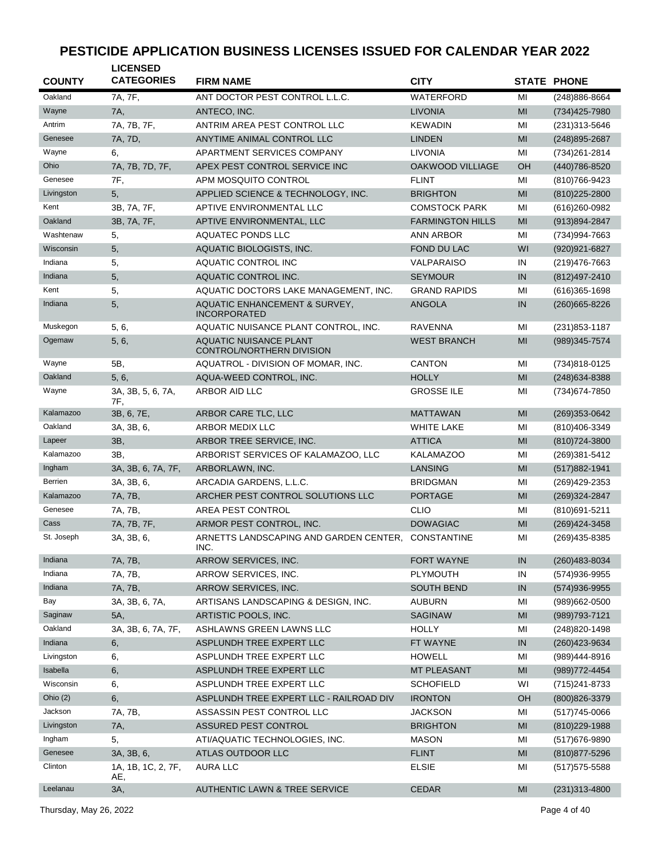| <b>COUNTY</b> | <b>LICENSED</b><br><b>CATEGORIES</b> | <b>FIRM NAME</b>                                           | <b>CITY</b>             |                | <b>STATE PHONE</b> |
|---------------|--------------------------------------|------------------------------------------------------------|-------------------------|----------------|--------------------|
| Oakland       | 7A, 7F,                              | ANT DOCTOR PEST CONTROL L.L.C.                             | <b>WATERFORD</b>        | MI             | (248) 886-8664     |
| Wayne         | 7A,                                  | ANTECO, INC.                                               | <b>LIVONIA</b>          | MI             | (734) 425-7980     |
| Antrim        | 7A, 7B, 7F,                          | ANTRIM AREA PEST CONTROL LLC                               | <b>KEWADIN</b>          | MI             | (231) 313-5646     |
| Genesee       | 7A, 7D,                              | ANYTIME ANIMAL CONTROL LLC                                 | <b>LINDEN</b>           | MI             | (248) 895-2687     |
| Wayne         | 6.                                   | APARTMENT SERVICES COMPANY                                 | LIVONIA                 | MI             | (734) 261-2814     |
| Ohio          | 7A, 7B, 7D, 7F,                      | APEX PEST CONTROL SERVICE INC                              | <b>OAKWOOD VILLIAGE</b> | OН             | (440) 786-8520     |
| Genesee       | 7F,                                  | APM MOSQUITO CONTROL                                       | <b>FLINT</b>            | MI             | (810) 766-9423     |
| Livingston    | 5,                                   | APPLIED SCIENCE & TECHNOLOGY, INC.                         | <b>BRIGHTON</b>         | MI             | $(810)225 - 2800$  |
| Kent          | 3B, 7A, 7F,                          | APTIVE ENVIRONMENTAL LLC                                   | <b>COMSTOCK PARK</b>    | MI             | $(616)260-0982$    |
| Oakland       | 3B, 7A, 7F,                          | APTIVE ENVIRONMENTAL, LLC                                  | <b>FARMINGTON HILLS</b> | MI             | (913)894-2847      |
| Washtenaw     | 5,                                   | <b>AQUATEC PONDS LLC</b>                                   | <b>ANN ARBOR</b>        | MI             | (734)994-7663      |
| Wisconsin     | 5,                                   | AQUATIC BIOLOGISTS, INC.                                   | FOND DU LAC             | WI             | (920) 921-6827     |
| Indiana       | 5,                                   | AQUATIC CONTROL INC                                        | VALPARAISO              | IN             | (219) 476-7663     |
| Indiana       | 5,                                   | AQUATIC CONTROL INC.                                       | <b>SEYMOUR</b>          | IN             | (812) 497-2410     |
| Kent          | 5,                                   | AQUATIC DOCTORS LAKE MANAGEMENT, INC.                      | <b>GRAND RAPIDS</b>     | MI             | $(616)365 - 1698$  |
| Indiana       | 5,                                   | AQUATIC ENHANCEMENT & SURVEY,                              | <b>ANGOLA</b>           | IN             | (260) 665-8226     |
|               |                                      | <b>INCORPORATED</b>                                        |                         |                |                    |
| Muskegon      | 5, 6,                                | AQUATIC NUISANCE PLANT CONTROL, INC.                       | <b>RAVENNA</b>          | MI             | $(231)853 - 1187$  |
| Ogemaw        | 5, 6,                                | <b>AQUATIC NUISANCE PLANT</b><br>CONTROL/NORTHERN DIVISION | <b>WEST BRANCH</b>      | MI             | (989)345-7574      |
| Wayne         | 5B,                                  | AQUATROL - DIVISION OF MOMAR. INC.                         | <b>CANTON</b>           | MI             | (734)818-0125      |
| Oakland       | 5, 6,                                | AQUA-WEED CONTROL, INC.                                    | <b>HOLLY</b>            | MI             | (248) 634-8388     |
| Wayne         | 3A, 3B, 5, 6, 7A,<br>7F.             | ARBOR AID LLC                                              | <b>GROSSE ILE</b>       | MI             | (734) 674-7850     |
| Kalamazoo     | 3B, 6, 7E,                           | ARBOR CARE TLC, LLC                                        | <b>MATTAWAN</b>         | MI             | (269)353-0642      |
| Oakland       | 3A, 3B, 6,                           | <b>ARBOR MEDIX LLC</b>                                     | <b>WHITE LAKE</b>       | MI             | (810)406-3349      |
| Lapeer        | 3B,                                  | ARBOR TREE SERVICE, INC.                                   | <b>ATTICA</b>           | MI             | (810) 724-3800     |
| Kalamazoo     | ЗΒ.                                  | ARBORIST SERVICES OF KALAMAZOO, LLC                        | <b>KALAMAZOO</b>        | MI             | (269)381-5412      |
| Ingham        | 3A, 3B, 6, 7A, 7F,                   | ARBORLAWN, INC.                                            | LANSING                 | MI             | (517) 882-1941     |
| Berrien       | 3A, 3B, 6,                           | ARCADIA GARDENS, L.L.C.                                    | <b>BRIDGMAN</b>         | MI             | (269) 429-2353     |
| Kalamazoo     | 7A, 7B,                              | ARCHER PEST CONTROL SOLUTIONS LLC                          | <b>PORTAGE</b>          | MI             | (269)324-2847      |
| Genesee       | 7A, 7B,                              | AREA PEST CONTROL                                          | <b>CLIO</b>             | MI             | (810) 691-5211     |
| Cass          | 7A, 7B, 7F,                          | ARMOR PEST CONTROL, INC.                                   | <b>DOWAGIAC</b>         | MI             | (269) 424-3458     |
| St. Joseph    | 3A, 3B, 6,                           | ARNETTS LANDSCAPING AND GARDEN CENTER,<br>ING.             | <b>CONSTANTINE</b>      | MI             | (269) 435-8385     |
| Indiana       | 7A, 7B,                              | ARROW SERVICES, INC.                                       | <b>FORT WAYNE</b>       | IN             | (260) 483-8034     |
| Indiana       | 7A, 7B,                              | ARROW SERVICES, INC.                                       | PLYMOUTH                | IN             | (574) 936-9955     |
| Indiana       | 7A, 7B,                              | ARROW SERVICES, INC.                                       | <b>SOUTH BEND</b>       | IN             | (574) 936-9955     |
| Bay           | 3A, 3B, 6, 7A,                       | ARTISANS LANDSCAPING & DESIGN, INC.                        | <b>AUBURN</b>           | MI             | (989)662-0500      |
| Saginaw       | 5A,                                  | ARTISTIC POOLS, INC.                                       | <b>SAGINAW</b>          | M <sub>l</sub> | (989) 793-7121     |
| Oakland       | 3A, 3B, 6, 7A, 7F,                   | ASHLAWNS GREEN LAWNS LLC                                   | <b>HOLLY</b>            | MI             | (248) 820-1498     |
| Indiana       | 6,                                   | ASPLUNDH TREE EXPERT LLC                                   | FT WAYNE                | IN             | (260) 423-9634     |
| Livingston    | 6,                                   | ASPLUNDH TREE EXPERT LLC                                   | <b>HOWELL</b>           | MI             | (989)444-8916      |
| Isabella      | 6,                                   | ASPLUNDH TREE EXPERT LLC                                   | <b>MT PLEASANT</b>      | M <sub>l</sub> | (989) 772-4454     |
| Wisconsin     | 6,                                   | ASPLUNDH TREE EXPERT LLC                                   | <b>SCHOFIELD</b>        | WI             | (715) 241-8733     |
| Ohio $(2)$    | 6,                                   | ASPLUNDH TREE EXPERT LLC - RAILROAD DIV                    | <b>IRONTON</b>          | OH             | (800) 826-3379     |
| Jackson       | 7A, 7B,                              | ASSASSIN PEST CONTROL LLC                                  | <b>JACKSON</b>          | MI             | $(517)745 - 0066$  |
| Livingston    | 7A,                                  | ASSURED PEST CONTROL                                       | <b>BRIGHTON</b>         | M <sub>l</sub> | $(810)229-1988$    |
| Ingham        | 5,                                   | ATI/AQUATIC TECHNOLOGIES, INC.                             | <b>MASON</b>            | MI             | (517) 676-9890     |
| Genesee       | 3A, 3B, 6,                           | ATLAS OUTDOOR LLC                                          | <b>FLINT</b>            | M <sub>l</sub> | (810) 877-5296     |
| Clinton       | 1A, 1B, 1C, 2, 7F,<br>AE,            | AURA LLC                                                   | <b>ELSIE</b>            | MI             | $(517)$ 575-5588   |
| Leelanau      | 3A,                                  | AUTHENTIC LAWN & TREE SERVICE                              | <b>CEDAR</b>            | MI             | $(231)313 - 4800$  |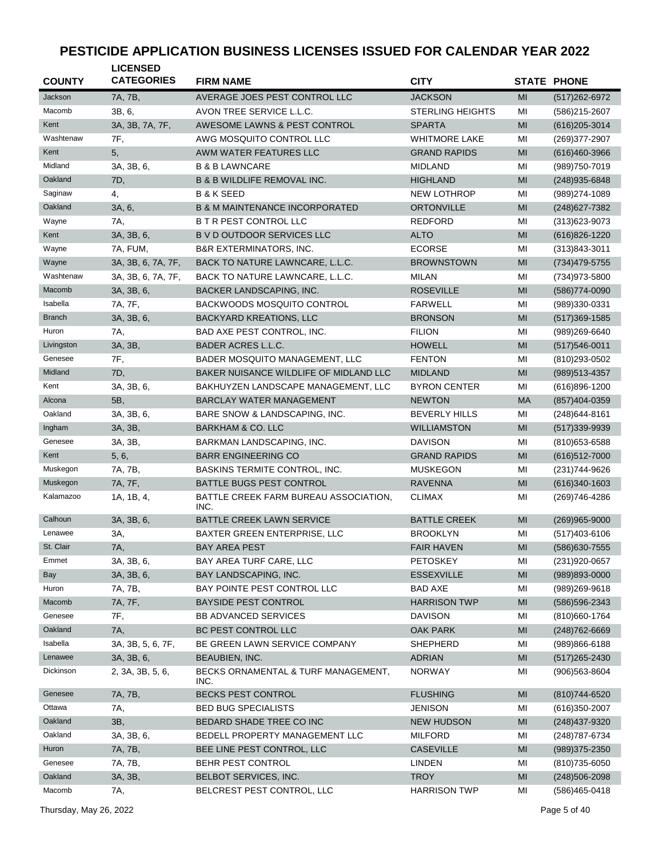| <b>COUNTY</b> | <b>LICENSED</b><br><b>CATEGORIES</b> | <b>FIRM NAME</b>                              | <b>CITY</b>             |                | <b>STATE PHONE</b> |
|---------------|--------------------------------------|-----------------------------------------------|-------------------------|----------------|--------------------|
| Jackson       | 7A, 7B,                              | AVERAGE JOES PEST CONTROL LLC                 | <b>JACKSON</b>          | MI             | (517) 262-6972     |
| Macomb        | 3B, 6,                               | AVON TREE SERVICE L.L.C.                      | <b>STERLING HEIGHTS</b> | MI             | (586)215-2607      |
| Kent          | 3A, 3B, 7A, 7F,                      | AWESOME LAWNS & PEST CONTROL                  | <b>SPARTA</b>           | MI             | $(616)$ 205-3014   |
| Washtenaw     | 7F,                                  | AWG MOSQUITO CONTROL LLC                      | <b>WHITMORE LAKE</b>    | MI             | (269)377-2907      |
| Kent          | 5,                                   | AWM WATER FEATURES LLC                        | <b>GRAND RAPIDS</b>     | MI             | $(616)460-3966$    |
| Midland       | 3A, 3B, 6,                           | <b>B &amp; B LAWNCARE</b>                     | <b>MIDLAND</b>          | MI             | (989) 750-7019     |
| Oakland       | 7D,                                  | <b>B &amp; B WILDLIFE REMOVAL INC.</b>        | <b>HIGHLAND</b>         | MI             | (248) 935-6848     |
| Saginaw       | 4,                                   | <b>B &amp; K SEED</b>                         | <b>NEW LOTHROP</b>      | MI             | (989) 274-1089     |
| Oakland       | 3A, 6,                               | <b>B &amp; M MAINTENANCE INCORPORATED</b>     | <b>ORTONVILLE</b>       | MI             | (248) 627-7382     |
| Wayne         | 7A,                                  | <b>B T R PEST CONTROL LLC</b>                 | <b>REDFORD</b>          | MI             | $(313)623 - 9073$  |
| Kent          | 3A, 3B, 6,                           | B V D OUTDOOR SERVICES LLC                    | <b>ALTO</b>             | MI             | $(616)826 - 1220$  |
| Wayne         |                                      |                                               | <b>ECORSE</b>           |                |                    |
| Wayne         | 7A, FUM,                             | <b>B&amp;R EXTERMINATORS, INC.</b>            |                         | MI             | $(313)843 - 3011$  |
|               | 3A, 3B, 6, 7A, 7F,                   | BACK TO NATURE LAWNCARE, L.L.C.               | <b>BROWNSTOWN</b>       | MI             | (734) 479-5755     |
| Washtenaw     | 3A, 3B, 6, 7A, 7F,                   | BACK TO NATURE LAWNCARE, L.L.C.               | <b>MILAN</b>            | MI             | (734) 973-5800     |
| Macomb        | 3A, 3B, 6,                           | BACKER LANDSCAPING, INC.                      | <b>ROSEVILLE</b>        | MI             | (586) 774-0090     |
| Isabella      | 7A, 7F,                              | <b>BACKWOODS MOSQUITO CONTROL</b>             | <b>FARWELL</b>          | MI             | (989)330-0331      |
| <b>Branch</b> | 3A, 3B, 6,                           | <b>BACKYARD KREATIONS, LLC</b>                | <b>BRONSON</b>          | MI             | $(517)369-1585$    |
| Huron         | 7A,                                  | BAD AXE PEST CONTROL, INC.                    | <b>FILION</b>           | MI             | (989)269-6640      |
| Livingston    | 3A, 3B,                              | <b>BADER ACRES L.L.C.</b>                     | <b>HOWELL</b>           | MI             | $(517)546 - 0011$  |
| Genesee       | 7F,                                  | BADER MOSQUITO MANAGEMENT, LLC                | <b>FENTON</b>           | MI             | (810) 293-0502     |
| Midland       | 7D,                                  | BAKER NUISANCE WILDLIFE OF MIDLAND LLC        | <b>MIDLAND</b>          | MI             | (989) 513-4357     |
| Kent          | 3A, 3B, 6,                           | BAKHUYZEN LANDSCAPE MANAGEMENT, LLC           | <b>BYRON CENTER</b>     | MI             | (616)896-1200      |
| Alcona        | 5B,                                  | BARCLAY WATER MANAGEMENT                      | <b>NEWTON</b>           | <b>MA</b>      | (857)404-0359      |
| Oakland       | 3A, 3B, 6,                           | BARE SNOW & LANDSCAPING, INC.                 | <b>BEVERLY HILLS</b>    | MI             | $(248)644 - 8161$  |
| Ingham        | 3A, 3B,                              | <b>BARKHAM &amp; CO. LLC</b>                  | <b>WILLIAMSTON</b>      | MI             | (517) 339-9939     |
| Genesee       | 3A, 3B,                              | BARKMAN LANDSCAPING, INC.                     | <b>DAVISON</b>          | MI             | (810) 653-6588     |
| Kent          | 5, 6,                                | <b>BARR ENGINEERING CO</b>                    | <b>GRAND RAPIDS</b>     | MI             | $(616)512-7000$    |
| Muskegon      | 7A, 7B,                              | BASKINS TERMITE CONTROL, INC.                 | <b>MUSKEGON</b>         | MI             | (231) 744-9626     |
| Muskegon      | 7A, 7F,                              | <b>BATTLE BUGS PEST CONTROL</b>               | <b>RAVENNA</b>          | MI             | $(616)340-1603$    |
| Kalamazoo     | 1A, 1B, 4,                           | BATTLE CREEK FARM BUREAU ASSOCIATION,<br>INC. | <b>CLIMAX</b>           | ΜI             | (269) 746-4286     |
| Calhoun       | 3A, 3B, 6,                           | BATTLE CREEK LAWN SERVICE                     | <b>BATTLE CREEK</b>     | MI             | (269)965-9000      |
| Lenawee       | ЗΑ,                                  | BAXTER GREEN ENTERPRISE, LLC                  | <b>BROOKLYN</b>         | MI             | $(517)403-6106$    |
| St. Clair     | 7A,                                  | <b>BAY AREA PEST</b>                          | <b>FAIR HAVEN</b>       | $\mathsf{MI}$  | (586) 630-7555     |
| Emmet         | 3A, 3B, 6,                           | BAY AREA TURF CARE, LLC                       | <b>PETOSKEY</b>         | MI             | (231) 920-0657     |
| <b>Bay</b>    | 3A, 3B, 6,                           | BAY LANDSCAPING, INC.                         | <b>ESSEXVILLE</b>       | MI             | (989)893-0000      |
| Huron         | 7A, 7B,                              | BAY POINTE PEST CONTROL LLC                   | <b>BAD AXE</b>          | MI             | (989)269-9618      |
| Macomb        | 7A, 7F,                              | <b>BAYSIDE PEST CONTROL</b>                   | <b>HARRISON TWP</b>     | M <sub>l</sub> | (586) 596-2343     |
| Genesee       | 7F,                                  | <b>BB ADVANCED SERVICES</b>                   | <b>DAVISON</b>          | MI             | (810)660-1764      |
| Oakland       | 7A,                                  | <b>BC PEST CONTROL LLC</b>                    | <b>OAK PARK</b>         | MI             | (248) 762-6669     |
| Isabella      | 3A, 3B, 5, 6, 7F,                    | BE GREEN LAWN SERVICE COMPANY                 | SHEPHERD                | MI             | (989)866-6188      |
| Lenawee       | 3A, 3B, 6,                           | <b>BEAUBIEN, INC.</b>                         | <b>ADRIAN</b>           | MI             | $(517)265 - 2430$  |
| Dickinson     | 2, 3A, 3B, 5, 6,                     | BECKS ORNAMENTAL & TURF MANAGEMENT,<br>INC.   | <b>NORWAY</b>           | ΜI             | $(906)563 - 8604$  |
| Genesee       | 7A, 7B,                              | BECKS PEST CONTROL                            | <b>FLUSHING</b>         | M <sub>l</sub> | (810) 744-6520     |
| Ottawa        | 7A,                                  | <b>BED BUG SPECIALISTS</b>                    | <b>JENISON</b>          | MI             | $(616)350-2007$    |
| Oakland       | 3B,                                  | BEDARD SHADE TREE CO INC                      | <b>NEW HUDSON</b>       | MI             | (248) 437-9320     |
| Oakland       | 3A, 3B, 6,                           | BEDELL PROPERTY MANAGEMENT LLC                | <b>MILFORD</b>          | ΜI             | (248) 787-6734     |
| Huron         | 7A, 7B,                              | BEE LINE PEST CONTROL, LLC                    | <b>CASEVILLE</b>        | MI             | $(989)375 - 2350$  |
| Genesee       | 7A, 7B,                              | BEHR PEST CONTROL                             | LINDEN                  | ΜI             | (810) 735-6050     |
| Oakland       | 3A, 3B,                              | BELBOT SERVICES, INC.                         | <b>TROY</b>             | MI             | $(248)506 - 2098$  |
| Macomb        | 7A,                                  | BELCREST PEST CONTROL, LLC                    | <b>HARRISON TWP</b>     | MI             | (586)465-0418      |
|               |                                      |                                               |                         |                |                    |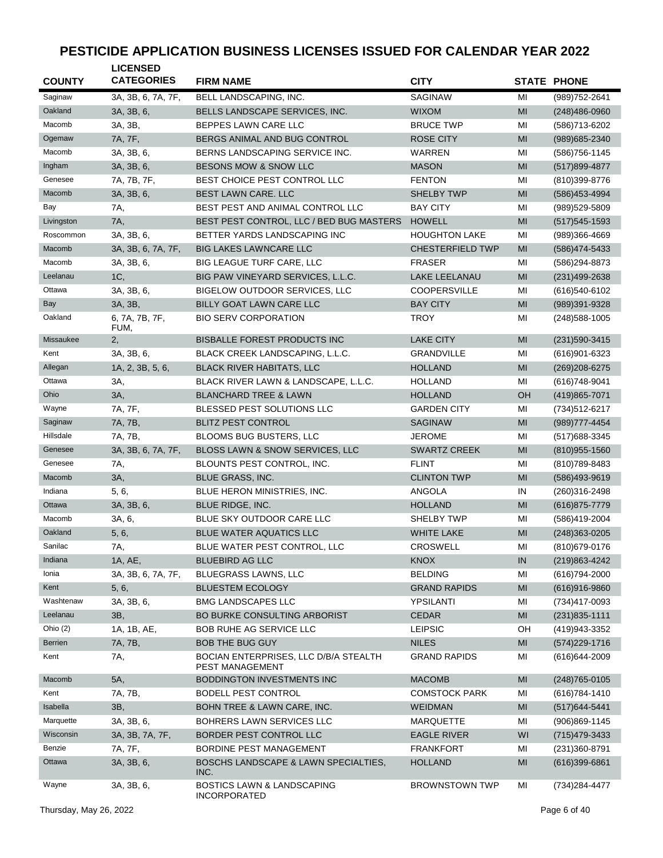| <b>COUNTY</b>    | <b>LICENSED</b><br><b>CATEGORIES</b> | <b>FIRM NAME</b>                                             | <b>CITY</b>             |                                                                                                                                                                 | <b>STATE PHONE</b> |
|------------------|--------------------------------------|--------------------------------------------------------------|-------------------------|-----------------------------------------------------------------------------------------------------------------------------------------------------------------|--------------------|
| Saginaw          | 3A, 3B, 6, 7A, 7F,                   | BELL LANDSCAPING, INC.                                       | <b>SAGINAW</b>          | MI                                                                                                                                                              | (989) 752-2641     |
| Oakland          | 3A, 3B, 6,                           | BELLS LANDSCAPE SERVICES, INC.                               | <b>WIXOM</b>            | MI                                                                                                                                                              | $(248)486-0960$    |
| Macomb           | 3A, 3B,                              | BEPPES LAWN CARE LLC                                         | <b>BRUCE TWP</b>        | MI                                                                                                                                                              | (586) 713-6202     |
| Ogemaw           | 7A, 7F,                              | BERGS ANIMAL AND BUG CONTROL                                 | <b>ROSE CITY</b>        | MI                                                                                                                                                              | (989) 685-2340     |
| Macomb           | 3A, 3B, 6,                           | BERNS LANDSCAPING SERVICE INC.                               | WARREN                  | MI                                                                                                                                                              | (586) 756-1145     |
| Ingham           | 3A, 3B, 6,                           | BESONS MOW & SNOW LLC                                        | <b>MASON</b>            | MI                                                                                                                                                              | (517) 899-4877     |
| Genesee          | 7A, 7B, 7F,                          | BEST CHOICE PEST CONTROL LLC                                 | <b>FENTON</b>           | MI                                                                                                                                                              | (810)399-8776      |
| Macomb           | 3A, 3B, 6,                           | BEST LAWN CARE. LLC                                          | <b>SHELBY TWP</b>       | MI                                                                                                                                                              | (586) 453-4994     |
| Bay              | 7A,                                  | BEST PEST AND ANIMAL CONTROL LLC                             | <b>BAY CITY</b>         | MI                                                                                                                                                              | (989)529-5809      |
| Livingston       | 7A,                                  | BEST PEST CONTROL, LLC / BED BUG MASTERS                     | <b>HOWELL</b>           | MI                                                                                                                                                              | $(517)545-1593$    |
| Roscommon        | 3A, 3B, 6,                           | BETTER YARDS LANDSCAPING INC                                 | <b>HOUGHTON LAKE</b>    | MI                                                                                                                                                              | $(989)366 - 4669$  |
| Macomb           | 3A, 3B, 6, 7A, 7F,                   | <b>BIG LAKES LAWNCARE LLC</b>                                | <b>CHESTERFIELD TWP</b> | MI                                                                                                                                                              | (586) 474-5433     |
| Macomb           | 3A, 3B, 6,                           | <b>BIG LEAGUE TURF CARE, LLC</b>                             | <b>FRASER</b>           | MI                                                                                                                                                              | (586)294-8873      |
| Leelanau         | 1C,                                  | BIG PAW VINEYARD SERVICES, L.L.C.                            | <b>LAKE LEELANAU</b>    | MI                                                                                                                                                              | $(231)499-2638$    |
| Ottawa           | 3A, 3B, 6,                           | <b>BIGELOW OUTDOOR SERVICES, LLC</b>                         | <b>COOPERSVILLE</b>     | MI                                                                                                                                                              | (616)540-6102      |
| <b>Bay</b>       | 3A, 3B,                              | BILLY GOAT LAWN CARE LLC                                     | <b>BAY CITY</b>         | MI                                                                                                                                                              | (989)391-9328      |
| Oakland          | 6, 7A, 7B, 7F,<br>FUM,               | <b>BIO SERV CORPORATION</b>                                  | <b>TROY</b>             | MI                                                                                                                                                              | (248) 588-1005     |
| <b>Missaukee</b> | 2,                                   | <b>BISBALLE FOREST PRODUCTS INC</b>                          | <b>LAKE CITY</b>        | MI                                                                                                                                                              | $(231)590-3415$    |
| Kent             | 3A, 3B, 6,                           | BLACK CREEK LANDSCAPING, L.L.C.                              | <b>GRANDVILLE</b>       | MI                                                                                                                                                              | (616)901-6323      |
| Allegan          | 1A, 2, 3B, 5, 6,                     | <b>BLACK RIVER HABITATS, LLC</b>                             | <b>HOLLAND</b>          | MI                                                                                                                                                              | $(269)208-6275$    |
| Ottawa           | 3A,                                  | BLACK RIVER LAWN & LANDSCAPE, L.L.C.                         | <b>HOLLAND</b>          | MI                                                                                                                                                              | $(616)748-9041$    |
| Ohio             | 3A,                                  | <b>BLANCHARD TREE &amp; LAWN</b>                             | <b>HOLLAND</b>          | OH                                                                                                                                                              | (419) 865-7071     |
| Wayne            | 7A, 7F,                              | BLESSED PEST SOLUTIONS LLC                                   | <b>GARDEN CITY</b>      | MI                                                                                                                                                              | (734) 512-6217     |
| Saginaw          | 7A, 7B,                              | <b>BLITZ PEST CONTROL</b>                                    | <b>SAGINAW</b>          | MI                                                                                                                                                              | (989) 777-4454     |
| Hillsdale        | 7A, 7B,                              | <b>BLOOMS BUG BUSTERS, LLC</b>                               | <b>JEROME</b>           | MI                                                                                                                                                              | (517) 688-3345     |
| Genesee          | 3A, 3B, 6, 7A, 7F,                   | BLOSS LAWN & SNOW SERVICES, LLC                              | <b>SWARTZ CREEK</b>     | MI                                                                                                                                                              | $(810)955 - 1560$  |
| Genesee          | 7A,                                  | BLOUNTS PEST CONTROL, INC.                                   | <b>FLINT</b>            | MI                                                                                                                                                              | (810) 789-8483     |
| Macomb           | 3A,                                  | <b>BLUE GRASS, INC.</b>                                      | <b>CLINTON TWP</b>      | MI                                                                                                                                                              | (586)493-9619      |
| Indiana          | 5, 6,                                | BLUE HERON MINISTRIES, INC.                                  | <b>ANGOLA</b>           | IN                                                                                                                                                              | (260)316-2498      |
| Ottawa           | 3A, 3B, 6,                           | BLUE RIDGE, INC.                                             | <b>HOLLAND</b>          | MI                                                                                                                                                              | (616) 875-7779     |
| Macomb           | 3A, 6,                               | BLUE SKY OUTDOOR CARE LLC                                    | <b>SHELBY TWP</b>       | MI                                                                                                                                                              | (586)419-2004      |
| Oakland          | 5, 6,                                | <b>BLUE WATER AQUATICS LLC</b>                               | <b>WHITE LAKE</b>       | MI                                                                                                                                                              | $(248)363-0205$    |
| Sanilac          | 7A,                                  | BLUE WATER PEST CONTROL, LLC                                 | CROSWELL                | $\mathsf{MI}% _{T}=\mathsf{M}_{T}\!\left( a,b\right) ,\ \mathsf{M}_{T}=\mathsf{M}_{T}\!\left( a,b\right) ,\ \mathsf{M}_{T}=\mathsf{M}_{T}\!\left( a,b\right) ,$ | (810) 679-0176     |
| Indiana          | 1A, AE,                              | <b>BLUEBIRD AG LLC</b>                                       | <b>KNOX</b>             | IN                                                                                                                                                              | (219) 863-4242     |
| Ionia            | 3A, 3B, 6, 7A, 7F,                   | BLUEGRASS LAWNS, LLC                                         | <b>BELDING</b>          | MI                                                                                                                                                              | (616) 794-2000     |
| Kent             | 5, 6,                                | <b>BLUESTEM ECOLOGY</b>                                      | <b>GRAND RAPIDS</b>     | MI                                                                                                                                                              | $(616)916 - 9860$  |
| Washtenaw        | 3A, 3B, 6,                           | <b>BMG LANDSCAPES LLC</b>                                    | YPSILANTI               | MI                                                                                                                                                              | (734)417-0093      |
| Leelanau         | 3B,                                  | BO BURKE CONSULTING ARBORIST                                 | <b>CEDAR</b>            | M <sub>l</sub>                                                                                                                                                  | $(231)835 - 1111$  |
| Ohio $(2)$       | 1A, 1B, AE,                          | BOB RUHE AG SERVICE LLC                                      | <b>LEIPSIC</b>          | OH                                                                                                                                                              | (419) 943-3352     |
| Berrien          | 7A, 7B,                              | <b>BOB THE BUG GUY</b>                                       | <b>NILES</b>            | MI                                                                                                                                                              | (574) 229-1716     |
| Kent             | 7A,                                  | BOCIAN ENTERPRISES, LLC D/B/A STEALTH<br>PEST MANAGEMENT     | <b>GRAND RAPIDS</b>     | MI                                                                                                                                                              | (616) 644-2009     |
| Macomb           | 5A,                                  | BODDINGTON INVESTMENTS INC                                   | <b>MACOMB</b>           | MI                                                                                                                                                              | $(248)765-0105$    |
| Kent             | 7A, 7B,                              | BODELL PEST CONTROL                                          | <b>COMSTOCK PARK</b>    | MI                                                                                                                                                              | $(616)784 - 1410$  |
| Isabella         | 3B,                                  | BOHN TREE & LAWN CARE, INC.                                  | <b>WEIDMAN</b>          | M <sub>l</sub>                                                                                                                                                  | $(517)644 - 5441$  |
| Marquette        | 3A, 3B, 6,                           | BOHRERS LAWN SERVICES LLC                                    | MARQUETTE               | MI                                                                                                                                                              | (906)869-1145      |
| Wisconsin        | 3A, 3B, 7A, 7F,                      | BORDER PEST CONTROL LLC                                      | <b>EAGLE RIVER</b>      | WI                                                                                                                                                              | (715) 479-3433     |
| Benzie           | 7A, 7F,                              | BORDINE PEST MANAGEMENT                                      | <b>FRANKFORT</b>        | MI                                                                                                                                                              | (231) 360-8791     |
| Ottawa           | 3A, 3B, 6,                           | BOSCHS LANDSCAPE & LAWN SPECIALTIES,<br>INC.                 | <b>HOLLAND</b>          | MI                                                                                                                                                              | $(616)399 - 6861$  |
| Wayne            | 3A, 3B, 6,                           | <b>BOSTICS LAWN &amp; LANDSCAPING</b><br><b>INCORPORATED</b> | <b>BROWNSTOWN TWP</b>   | MI                                                                                                                                                              | (734)284-4477      |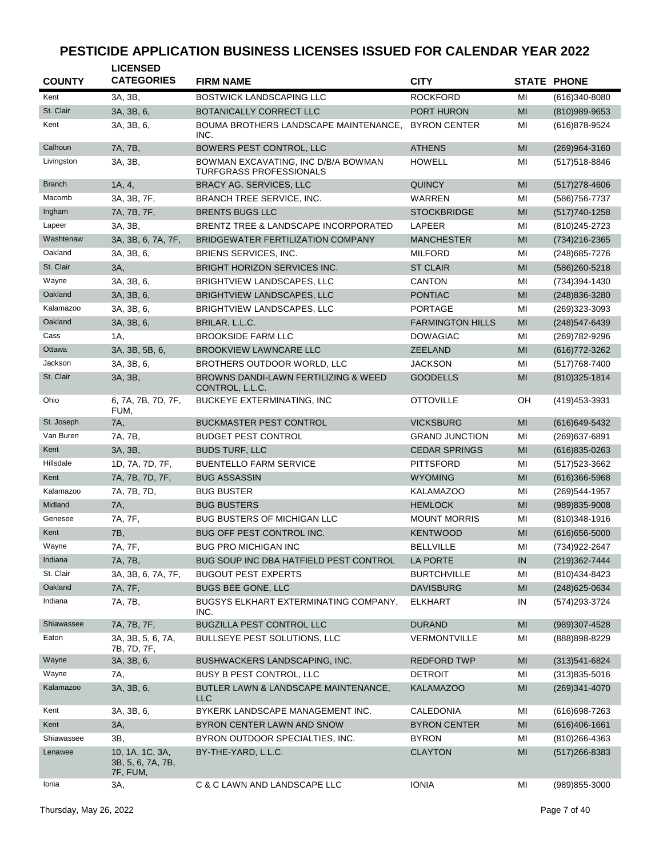| <b>COUNTY</b> | <b>LICENSED</b><br><b>CATEGORIES</b>             | <b>FIRM NAME</b>                                               | <b>CITY</b>             |    | <b>STATE PHONE</b> |
|---------------|--------------------------------------------------|----------------------------------------------------------------|-------------------------|----|--------------------|
| Kent          | 3A, 3B,                                          | <b>BOSTWICK LANDSCAPING LLC</b>                                | <b>ROCKFORD</b>         | MI | (616)340-8080      |
| St. Clair     | 3A, 3B, 6,                                       | BOTANICALLY CORRECT LLC                                        | <b>PORT HURON</b>       | MI | (810)989-9653      |
| Kent          | 3A, 3B, 6,                                       | BOUMA BROTHERS LANDSCAPE MAINTENANCE,<br>INC.                  | <b>BYRON CENTER</b>     | MI | (616)878-9524      |
| Calhoun       | 7A, 7B,                                          | BOWERS PEST CONTROL, LLC                                       | <b>ATHENS</b>           | MI | (269)964-3160      |
| Livingston    | 3A, 3B,                                          | BOWMAN EXCAVATING, INC D/B/A BOWMAN<br>TURFGRASS PROFESSIONALS | <b>HOWELL</b>           | MI | (517) 518-8846     |
| <b>Branch</b> | 1A, 4,                                           | <b>BRACY AG. SERVICES, LLC</b>                                 | <b>QUINCY</b>           | MI | $(517)278 - 4606$  |
| Macomb        | 3A, 3B, 7F,                                      | <b>BRANCH TREE SERVICE, INC.</b>                               | <b>WARREN</b>           | MI | (586) 756-7737     |
| Ingham        | 7A, 7B, 7F,                                      | <b>BRENTS BUGS LLC</b>                                         | <b>STOCKBRIDGE</b>      | MI | $(517)740-1258$    |
| Lapeer        | 3A, 3B,                                          | BRENTZ TREE & LANDSCAPE INCORPORATED                           | LAPEER                  | MI | (810) 245-2723     |
| Washtenaw     | 3A, 3B, 6, 7A, 7F,                               | BRIDGEWATER FERTILIZATION COMPANY                              | <b>MANCHESTER</b>       | MI | (734) 216-2365     |
| Oakland       | 3A, 3B, 6,                                       | <b>BRIENS SERVICES, INC.</b>                                   | <b>MILFORD</b>          | MI | (248) 685-7276     |
| St. Clair     | 3A,                                              | <b>BRIGHT HORIZON SERVICES INC.</b>                            | <b>ST CLAIR</b>         | MI | (586) 260-5218     |
| Wayne         | 3A, 3B, 6,                                       | BRIGHTVIEW LANDSCAPES, LLC                                     | <b>CANTON</b>           | MI | (734)394-1430      |
| Oakland       | 3A, 3B, 6,                                       | <b>BRIGHTVIEW LANDSCAPES, LLC</b>                              | <b>PONTIAC</b>          | MI | (248) 836-3280     |
| Kalamazoo     | 3A, 3B, 6,                                       | <b>BRIGHTVIEW LANDSCAPES, LLC</b>                              | <b>PORTAGE</b>          | MI | (269)323-3093      |
| Oakland       | 3A, 3B, 6,                                       | BRILAR, L.L.C.                                                 | <b>FARMINGTON HILLS</b> | MI | (248) 547-6439     |
| Cass          | 1A,                                              | <b>BROOKSIDE FARM LLC</b>                                      | <b>DOWAGIAC</b>         | MI | (269) 782-9296     |
| Ottawa        | 3A, 3B, 5B, 6,                                   | <b>BROOKVIEW LAWNCARE LLC</b>                                  | <b>ZEELAND</b>          | MI | (616) 772-3262     |
| Jackson       | 3A, 3B, 6,                                       | BROTHERS OUTDOOR WORLD, LLC                                    | <b>JACKSON</b>          | MI | (517) 768-7400     |
| St. Clair     | 3A, 3B,                                          | BROWNS DANDI-LAWN FERTILIZING & WEED<br>CONTROL, L.L.C.        | <b>GOODELLS</b>         | MI | (810) 325-1814     |
| Ohio          | 6, 7A, 7B, 7D, 7F,<br>FUM,                       | BUCKEYE EXTERMINATING, INC                                     | <b>OTTOVILLE</b>        | OH | (419) 453-3931     |
| St. Joseph    | 7A,                                              | <b>BUCKMASTER PEST CONTROL</b>                                 | <b>VICKSBURG</b>        | MI | (616) 649-5432     |
| Van Buren     | 7A, 7B,                                          | <b>BUDGET PEST CONTROL</b>                                     | <b>GRAND JUNCTION</b>   | MI | (269) 637-6891     |
| Kent          | 3A, 3B,                                          | <b>BUDS TURF, LLC</b>                                          | <b>CEDAR SPRINGS</b>    | MI | $(616)835 - 0263$  |
| Hillsdale     | 1D, 7A, 7D, 7F,                                  | <b>BUENTELLO FARM SERVICE</b>                                  | <b>PITTSFORD</b>        | MI | (517) 523-3662     |
| Kent          | 7A, 7B, 7D, 7F,                                  | <b>BUG ASSASSIN</b>                                            | <b>WYOMING</b>          | MI | $(616)366 - 5968$  |
| Kalamazoo     | 7A, 7B, 7D,                                      | <b>BUG BUSTER</b>                                              | <b>KALAMAZOO</b>        | MI | (269)544-1957      |
| Midland       | 7A,                                              | <b>BUG BUSTERS</b>                                             | <b>HEMLOCK</b>          | MI | (989)835-9008      |
| Genesee       | 7A, 7F,                                          | <b>BUG BUSTERS OF MICHIGAN LLC</b>                             | <b>MOUNT MORRIS</b>     | MI | $(810)348-1916$    |
| Kent          | 7B,                                              | BUG OFF PEST CONTROL INC.                                      | <b>KENTWOOD</b>         | MI | $(616)656 - 5000$  |
| Wayne         | 7A, 7F,                                          | <b>BUG PRO MICHIGAN INC</b>                                    | <b>BELLVILLE</b>        | MI | (734) 922-2647     |
| Indiana       | 7A, 7B,                                          | BUG SOUP INC DBA HATFIELD PEST CONTROL                         | LA PORTE                | IN | (219)362-7444      |
| St. Clair     | 3A, 3B, 6, 7A, 7F,                               | <b>BUGOUT PEST EXPERTS</b>                                     | <b>BURTCHVILLE</b>      | MI | (810) 434-8423     |
| Oakland       | 7A, 7F,                                          | <b>BUGS BEE GONE, LLC</b>                                      | <b>DAVISBURG</b>        | MI | (248) 625-0634     |
| Indiana       | 7A, 7B,                                          | BUGSYS ELKHART EXTERMINATING COMPANY,<br>INC.                  | <b>ELKHART</b>          | IN | (574) 293-3724     |
| Shiawassee    | 7A, 7B, 7F,                                      | BUGZILLA PEST CONTROL LLC                                      | <b>DURAND</b>           | MI | (989)307-4528      |
| Eaton         | 3A, 3B, 5, 6, 7A,<br>7B, 7D, 7F,                 | BULLSEYE PEST SOLUTIONS, LLC                                   | <b>VERMONTVILLE</b>     | MI | (888) 898-8229     |
| Wayne         | 3A, 3B, 6,                                       | BUSHWACKERS LANDSCAPING, INC.                                  | <b>REDFORD TWP</b>      | MI | $(313)541 - 6824$  |
| Wayne         | 7A,                                              | BUSY B PEST CONTROL, LLC                                       | <b>DETROIT</b>          | MI | $(313)835 - 5016$  |
| Kalamazoo     | 3A, 3B, 6,                                       | BUTLER LAWN & LANDSCAPE MAINTENANCE,<br>LLC                    | <b>KALAMAZOO</b>        | MI | (269)341-4070      |
| Kent          | 3A, 3B, 6,                                       | BYKERK LANDSCAPE MANAGEMENT INC.                               | CALEDONIA               | MI | (616) 698-7263     |
| Kent          | 3A,                                              | BYRON CENTER LAWN AND SNOW                                     | <b>BYRON CENTER</b>     | MI | $(616)406-1661$    |
| Shiawassee    | 3B,                                              | BYRON OUTDOOR SPECIALTIES, INC.                                | <b>BYRON</b>            | MI | $(810)266 - 4363$  |
| Lenawee       | 10, 1A, 1C, 3A,<br>3B, 5, 6, 7A, 7B,<br>7F, FUM, | BY-THE-YARD, L.L.C.                                            | <b>CLAYTON</b>          | MI | $(517)266 - 8383$  |
| Ionia         | 3A,                                              | C & C LAWN AND LANDSCAPE LLC                                   | <b>IONIA</b>            | MI | (989) 855-3000     |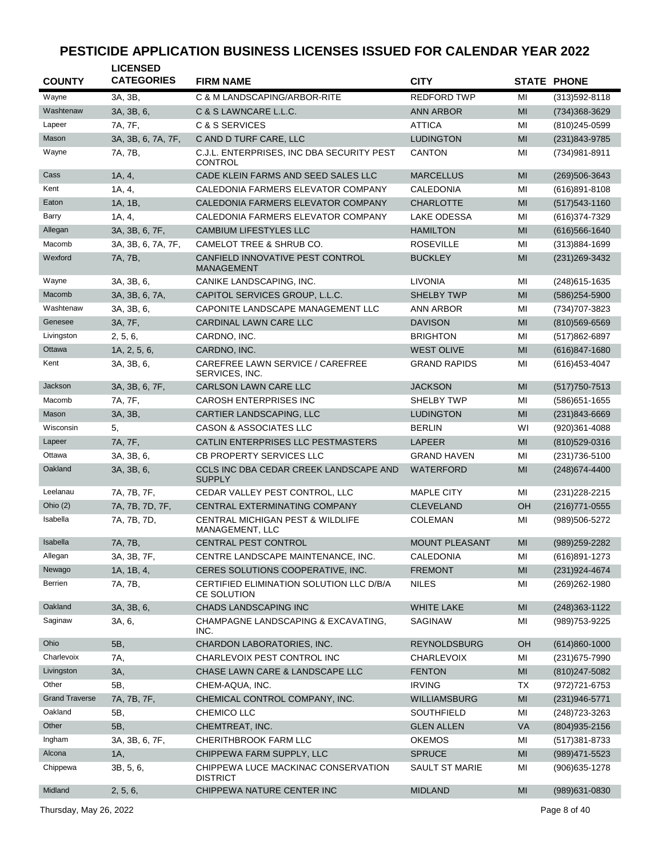| <b>COUNTY</b>         | <b>LICENSED</b><br><b>CATEGORIES</b> | <b>FIRM NAME</b>                                               | <b>CITY</b>           |                | <b>STATE PHONE</b> |
|-----------------------|--------------------------------------|----------------------------------------------------------------|-----------------------|----------------|--------------------|
| Wayne                 | 3A, 3B,                              | C & M LANDSCAPING/ARBOR-RITE                                   | <b>REDFORD TWP</b>    | MI             | (313) 592-8118     |
| Washtenaw             | 3A, 3B, 6,                           | C & S LAWNCARE L.L.C.                                          | <b>ANN ARBOR</b>      | MI             | (734) 368-3629     |
| Lapeer                | 7A, 7F,                              | C & S SERVICES                                                 | <b>ATTICA</b>         | MI             | (810) 245-0599     |
| Mason                 | 3A, 3B, 6, 7A, 7F,                   | C AND D TURF CARE, LLC                                         | <b>LUDINGTON</b>      | MI             | (231)843-9785      |
| Wayne                 | 7A, 7B,                              | C.J.L. ENTERPRISES, INC DBA SECURITY PEST<br>CONTROL           | <b>CANTON</b>         | MI             | (734) 981-8911     |
| Cass                  | 1A, 4,                               | CADE KLEIN FARMS AND SEED SALES LLC                            | <b>MARCELLUS</b>      | MI             | (269) 506-3643     |
| Kent                  | 1A, 4,                               | CALEDONIA FARMERS ELEVATOR COMPANY                             | CALEDONIA             | MI             | $(616)891 - 8108$  |
| Eaton                 | 1A, 1B,                              | CALEDONIA FARMERS ELEVATOR COMPANY                             | <b>CHARLOTTE</b>      | MI             | $(517)543 - 1160$  |
| Barry                 | 1A, 4,                               | CALEDONIA FARMERS ELEVATOR COMPANY                             | LAKE ODESSA           | MI             | (616) 374-7329     |
| Allegan               | 3A, 3B, 6, 7F,                       | <b>CAMBIUM LIFESTYLES LLC</b>                                  | <b>HAMILTON</b>       | MI             | $(616)566 - 1640$  |
| Macomb                | 3A, 3B, 6, 7A, 7F,                   | CAMELOT TREE & SHRUB CO.                                       | <b>ROSEVILLE</b>      | MI             | $(313)884 - 1699$  |
| Wexford               | 7A, 7B,                              | CANFIELD INNOVATIVE PEST CONTROL<br><b>MANAGEMENT</b>          | <b>BUCKLEY</b>        | MI             | (231) 269-3432     |
| Wayne                 | 3A, 3B, 6,                           | CANIKE LANDSCAPING, INC.                                       | <b>LIVONIA</b>        | MI             | (248) 615-1635     |
| Macomb                | 3A, 3B, 6, 7A,                       | CAPITOL SERVICES GROUP, L.L.C.                                 | <b>SHELBY TWP</b>     | MI             | (586)254-5900      |
| Washtenaw             | 3A, 3B, 6,                           | CAPONITE LANDSCAPE MANAGEMENT LLC                              | <b>ANN ARBOR</b>      | MI             | (734) 707-3823     |
| Genesee               | 3A, 7F,                              | CARDINAL LAWN CARE LLC                                         | <b>DAVISON</b>        | MI             | $(810)569 - 6569$  |
| Livingston            | 2, 5, 6,                             | CARDNO, INC.                                                   | <b>BRIGHTON</b>       | MI             | (517)862-6897      |
| Ottawa                | 1A, 2, 5, 6,                         | CARDNO, INC.                                                   | <b>WEST OLIVE</b>     | MI             | $(616)847 - 1680$  |
| Kent                  | 3A, 3B, 6,                           | CAREFREE LAWN SERVICE / CAREFREE<br>SERVICES, INC.             | <b>GRAND RAPIDS</b>   | MI             | (616) 453-4047     |
| Jackson               | 3A, 3B, 6, 7F,                       | <b>CARLSON LAWN CARE LLC</b>                                   | <b>JACKSON</b>        | MI             | $(517)750 - 7513$  |
| Macomb                | 7A, 7F,                              | <b>CAROSH ENTERPRISES INC</b>                                  | SHELBY TWP            | MI             | $(586)$ 651-1655   |
| Mason                 | 3A, 3B,                              | CARTIER LANDSCAPING, LLC                                       | <b>LUDINGTON</b>      | MI             | $(231)843 - 6669$  |
| Wisconsin             | 5,                                   | <b>CASON &amp; ASSOCIATES LLC</b>                              | <b>BERLIN</b>         | WI             | (920)361-4088      |
| Lapeer                | 7A, 7F,                              | CATLIN ENTERPRISES LLC PESTMASTERS                             | <b>LAPEER</b>         | MI             | (810)529-0316      |
| Ottawa                | 3A, 3B, 6,                           | CB PROPERTY SERVICES LLC                                       | <b>GRAND HAVEN</b>    | MI             | (231) 736-5100     |
| Oakland               | 3A, 3B, 6,                           | <b>CCLS INC DBA CEDAR CREEK LANDSCAPE AND</b><br><b>SUPPLY</b> | <b>WATERFORD</b>      | MI             | $(248)674 - 4400$  |
| Leelanau              | 7A, 7B, 7F,                          | CEDAR VALLEY PEST CONTROL, LLC                                 | <b>MAPLE CITY</b>     | MI             | $(231)228 - 2215$  |
| Ohio $(2)$            | 7A, 7B, 7D, 7F,                      | CENTRAL EXTERMINATING COMPANY                                  | <b>CLEVELAND</b>      | OH             | (216) 771-0555     |
| Isabella              | 7A, 7B, 7D,                          | CENTRAL MICHIGAN PEST & WILDLIFE<br>MANAGEMENT, LLC            | <b>COLEMAN</b>        | MI             | (989)506-5272      |
| Isabella              | 7A, 7B,                              | CENTRAL PEST CONTROL                                           | <b>MOUNT PLEASANT</b> | МI             | $(989)259 - 2282$  |
| Allegan               | 3A, 3B, 7F,                          | CENTRE LANDSCAPE MAINTENANCE, INC.                             | CALEDONIA             | MI             | (616)891-1273      |
| Newago                | 1A, 1B, 4,                           | CERES SOLUTIONS COOPERATIVE, INC.                              | <b>FREMONT</b>        | M <sub>l</sub> | $(231)924 - 4674$  |
| Berrien               | 7A, 7B,                              | CERTIFIED ELIMINATION SOLUTION LLC D/B/A<br>CE SOLUTION        | <b>NILES</b>          | MI             | (269) 262-1980     |
| Oakland               | 3A, 3B, 6,                           | CHADS LANDSCAPING INC                                          | <b>WHITE LAKE</b>     | MI             | (248) 363-1122     |
| Saginaw               | 3A, 6,                               | CHAMPAGNE LANDSCAPING & EXCAVATING,<br>INC.                    | SAGINAW               | MI             | (989) 753-9225     |
| Ohio                  | 5B,                                  | CHARDON LABORATORIES, INC.                                     | <b>REYNOLDSBURG</b>   | OH             | $(614)860 - 1000$  |
| Charlevoix            | 7A,                                  | CHARLEVOIX PEST CONTROL INC                                    | <b>CHARLEVOIX</b>     | MI             | $(231)675 - 7990$  |
| Livingston            | 3A,                                  | CHASE LAWN CARE & LANDSCAPE LLC                                | <b>FENTON</b>         | M <sub>l</sub> | (810) 247-5082     |
| Other                 | 5B,                                  | CHEM-AQUA, INC.                                                | <b>IRVING</b>         | TX             | (972) 721-6753     |
| <b>Grand Traverse</b> | 7A, 7B, 7F,                          | CHEMICAL CONTROL COMPANY, INC.                                 | <b>WILLIAMSBURG</b>   | MI             | $(231)946 - 5771$  |
| Oakland               | 5B,                                  | CHEMICO LLC                                                    | SOUTHFIELD            | MI             | (248) 723-3263     |
| Other                 | 5B,                                  | CHEMTREAT, INC.                                                | <b>GLEN ALLEN</b>     | <b>VA</b>      | $(804)935 - 2156$  |
| Ingham                | 3A, 3B, 6, 7F,                       | CHERITHBROOK FARM LLC                                          | <b>OKEMOS</b>         | MI             | (517) 381-8733     |
| Alcona                | 1A,                                  | CHIPPEWA FARM SUPPLY, LLC                                      | <b>SPRUCE</b>         | MI             | (989) 471-5523     |
| Chippewa              | 3B, 5, 6,                            | CHIPPEWA LUCE MACKINAC CONSERVATION<br><b>DISTRICT</b>         | <b>SAULT ST MARIE</b> | MI             | $(906)635 - 1278$  |
| Midland               | 2, 5, 6,                             | CHIPPEWA NATURE CENTER INC                                     | <b>MIDLAND</b>        | MI             | (989) 631-0830     |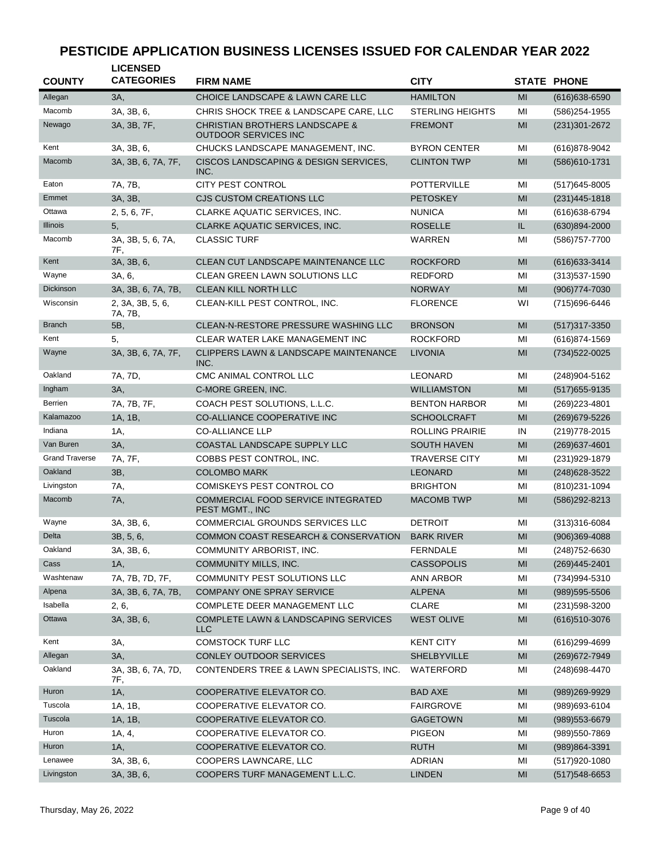| <b>COUNTY</b>         | <b>LICENSED</b><br><b>CATEGORIES</b> | <b>FIRM NAME</b>                                                         | <b>CITY</b>             |                | <b>STATE PHONE</b> |
|-----------------------|--------------------------------------|--------------------------------------------------------------------------|-------------------------|----------------|--------------------|
| Allegan               | 3A,                                  | CHOICE LANDSCAPE & LAWN CARE LLC                                         | <b>HAMILTON</b>         | MI             | $(616)638 - 6590$  |
| Macomb                | 3A, 3B, 6,                           | CHRIS SHOCK TREE & LANDSCAPE CARE, LLC                                   | <b>STERLING HEIGHTS</b> | MI             | (586)254-1955      |
| Newago                | 3A, 3B, 7F,                          | <b>CHRISTIAN BROTHERS LANDSCAPE &amp;</b><br><b>OUTDOOR SERVICES INC</b> | <b>FREMONT</b>          | MI             | (231) 301-2672     |
| Kent                  | 3A, 3B, 6,                           | CHUCKS LANDSCAPE MANAGEMENT, INC.                                        | <b>BYRON CENTER</b>     | MI             | (616) 878-9042     |
| Macomb                | 3A, 3B, 6, 7A, 7F,                   | CISCOS LANDSCAPING & DESIGN SERVICES,<br>INC.                            | <b>CLINTON TWP</b>      | MI             | (586)610-1731      |
| Eaton                 | 7A, 7B,                              | <b>CITY PEST CONTROL</b>                                                 | <b>POTTERVILLE</b>      | MI             | $(517)645 - 8005$  |
| Emmet                 | 3A, 3B,                              | <b>CJS CUSTOM CREATIONS LLC</b>                                          | <b>PETOSKEY</b>         | MI             | $(231)445 - 1818$  |
| Ottawa                | 2, 5, 6, 7F,                         | CLARKE AQUATIC SERVICES, INC.                                            | <b>NUNICA</b>           | MI             | (616) 638-6794     |
| <b>Illinois</b>       | 5,                                   | CLARKE AQUATIC SERVICES, INC.                                            | <b>ROSELLE</b>          | IL.            | (630)894-2000      |
| Macomb                | 3A, 3B, 5, 6, 7A,<br>7F,             | <b>CLASSIC TURF</b>                                                      | WARREN                  | MI             | (586) 757-7700     |
| Kent                  | 3A, 3B, 6,                           | CLEAN CUT LANDSCAPE MAINTENANCE LLC                                      | <b>ROCKFORD</b>         | MI             | $(616)633-3414$    |
| Wayne                 | 3A, 6,                               | <b>CLEAN GREEN LAWN SOLUTIONS LLC</b>                                    | <b>REDFORD</b>          | MI             | $(313)537 - 1590$  |
| Dickinson             | 3A, 3B, 6, 7A, 7B,                   | CLEAN KILL NORTH LLC                                                     | <b>NORWAY</b>           | MI             | (906) 774-7030     |
| Wisconsin             | 2, 3A, 3B, 5, 6,<br>7A, 7B,          | CLEAN-KILL PEST CONTROL, INC.                                            | <b>FLORENCE</b>         | WI             | (715) 696-6446     |
| <b>Branch</b>         | 5B,                                  | CLEAN-N-RESTORE PRESSURE WASHING LLC                                     | <b>BRONSON</b>          | MI             | $(517)317 - 3350$  |
| Kent                  | 5,                                   | <b>CLEAR WATER LAKE MANAGEMENT INC</b>                                   | <b>ROCKFORD</b>         | MI             | (616) 874-1569     |
| Wayne                 | 3A, 3B, 6, 7A, 7F,                   | CLIPPERS LAWN & LANDSCAPE MAINTENANCE<br>INC.                            | <b>LIVONIA</b>          | MI             | (734) 522-0025     |
| Oakland               | 7A, 7D,                              | CMC ANIMAL CONTROL LLC                                                   | LEONARD                 | MI             | (248) 904-5162     |
| Ingham                | 3A,                                  | C-MORE GREEN, INC.                                                       | <b>WILLIAMSTON</b>      | MI             | (517) 655-9135     |
| <b>Berrien</b>        | 7A, 7B, 7F,                          | COACH PEST SOLUTIONS, L.L.C.                                             | <b>BENTON HARBOR</b>    | MI             | (269) 223-4801     |
| Kalamazoo             | 1A, 1B,                              | <b>CO-ALLIANCE COOPERATIVE INC</b>                                       | <b>SCHOOLCRAFT</b>      | MI             | (269) 679-5226     |
| Indiana               | 1A,                                  | <b>CO-ALLIANCE LLP</b>                                                   | <b>ROLLING PRAIRIE</b>  | IN             | (219) 778-2015     |
| Van Buren             | 3A,                                  | COASTAL LANDSCAPE SUPPLY LLC                                             | <b>SOUTH HAVEN</b>      | MI             | (269) 637-4601     |
| <b>Grand Traverse</b> | 7A, 7F,                              | COBBS PEST CONTROL, INC.                                                 | <b>TRAVERSE CITY</b>    | MI             | (231) 929-1879     |
| Oakland               | 3B,                                  | <b>COLOMBO MARK</b>                                                      | <b>LEONARD</b>          | MI             | $(248)628 - 3522$  |
| Livingston            | 7A,                                  | <b>COMISKEYS PEST CONTROL CO</b>                                         | <b>BRIGHTON</b>         | MI             | (810)231-1094      |
| Macomb                | 7A,                                  | COMMERCIAL FOOD SERVICE INTEGRATED<br>PEST MGMT., INC                    | <b>MACOMB TWP</b>       | MI             | (586)292-8213      |
| Wayne                 | 3A, 3B, 6,                           | <b>COMMERCIAL GROUNDS SERVICES LLC</b>                                   | <b>DETROIT</b>          | MI             | $(313)316 - 6084$  |
| Delta                 | 3B, 5, 6,                            | COMMON COAST RESEARCH & CONSERVATION                                     | <b>BARK RIVER</b>       | MI             | $(906)369 - 4088$  |
| Oakland               | 3A, 3B, 6,                           | COMMUNITY ARBORIST, INC.                                                 | <b>FERNDALE</b>         | MI             | (248) 752-6630     |
| Cass                  | 1A,                                  | COMMUNITY MILLS, INC.                                                    | <b>CASSOPOLIS</b>       | M <sub>l</sub> | $(269)445 - 2401$  |
| Washtenaw             | 7A, 7B, 7D, 7F,                      | COMMUNITY PEST SOLUTIONS LLC                                             | <b>ANN ARBOR</b>        | MI             | (734) 994-5310     |
| Alpena                | 3A, 3B, 6, 7A, 7B,                   | <b>COMPANY ONE SPRAY SERVICE</b>                                         | <b>ALPENA</b>           | MI             | $(989)595 - 5506$  |
| Isabella              | 2, 6,                                | COMPLETE DEER MANAGEMENT LLC                                             | <b>CLARE</b>            | MI             | (231) 598-3200     |
| Ottawa                | 3A, 3B, 6,                           | COMPLETE LAWN & LANDSCAPING SERVICES<br><b>LLC</b>                       | <b>WEST OLIVE</b>       | MI             | (616) 510-3076     |
| Kent                  | 3A,                                  | <b>COMSTOCK TURF LLC</b>                                                 | <b>KENT CITY</b>        | MI             | (616) 299-4699     |
| Allegan               | 3A,                                  | CONLEY OUTDOOR SERVICES                                                  | SHELBYVILLE             | MI             | (269) 672-7949     |
| Oakland               | 3A, 3B, 6, 7A, 7D,<br>7F,            | CONTENDERS TREE & LAWN SPECIALISTS, INC.                                 | WATERFORD               | MI             | (248) 698-4470     |
| Huron                 | 1A,                                  | COOPERATIVE ELEVATOR CO.                                                 | <b>BAD AXE</b>          | MI             | (989) 269-9929     |
| Tuscola               | 1A, 1B,                              | COOPERATIVE ELEVATOR CO.                                                 | <b>FAIRGROVE</b>        | MI             | (989)693-6104      |
| Tuscola               | 1A, 1B,                              | COOPERATIVE ELEVATOR CO.                                                 | <b>GAGETOWN</b>         | M <sub>l</sub> | (989) 553-6679     |
| Huron                 | 1A, 4,                               | COOPERATIVE ELEVATOR CO.                                                 | <b>PIGEON</b>           | MI             | (989) 550-7869     |
| Huron                 | 1A,                                  | COOPERATIVE ELEVATOR CO.                                                 | <b>RUTH</b>             | MI             | (989)864-3391      |
| Lenawee               | 3A, 3B, 6,                           | COOPERS LAWNCARE, LLC                                                    | <b>ADRIAN</b>           | MI             | (517) 920-1080     |
| Livingston            | 3A, 3B, 6,                           | COOPERS TURF MANAGEMENT L.L.C.                                           | <b>LINDEN</b>           | MI             | $(517)548-6653$    |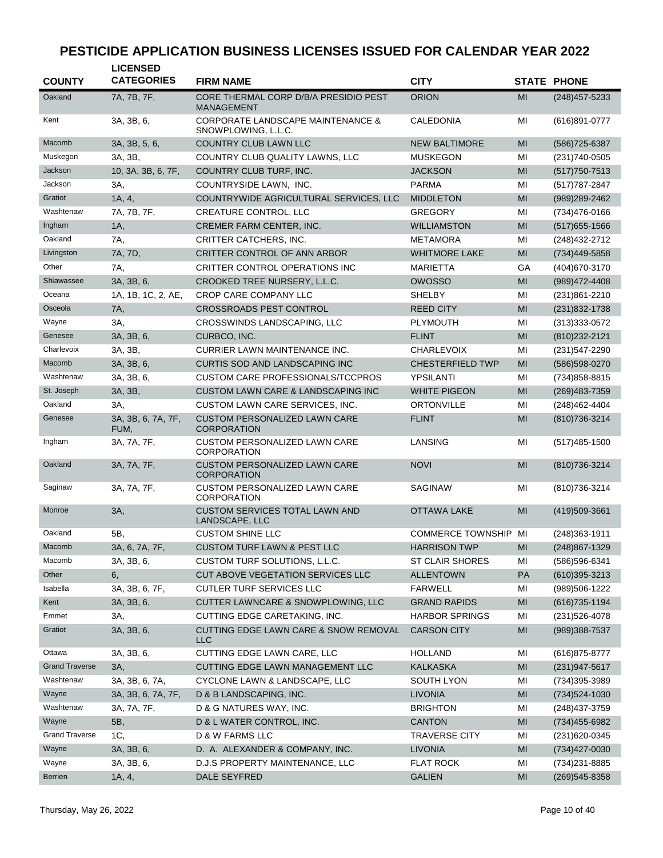| <b>COUNTY</b>         | <b>LICENSED</b><br><b>CATEGORIES</b> | <b>FIRM NAME</b>                                                    | <b>CITY</b>                 |                | <b>STATE PHONE</b> |
|-----------------------|--------------------------------------|---------------------------------------------------------------------|-----------------------------|----------------|--------------------|
| Oakland               | 7A, 7B, 7F,                          | CORE THERMAL CORP D/B/A PRESIDIO PEST<br><b>MANAGEMENT</b>          | <b>ORION</b>                | MI             | $(248)457 - 5233$  |
| Kent                  | 3A, 3B, 6,                           | <b>CORPORATE LANDSCAPE MAINTENANCE &amp;</b><br>SNOWPLOWING, L.L.C. | CALEDONIA                   | MI             | (616)891-0777      |
| Macomb                | 3A, 3B, 5, 6,                        | <b>COUNTRY CLUB LAWN LLC</b>                                        | <b>NEW BALTIMORE</b>        | MI             | (586) 725-6387     |
| Muskegon              | 3A, 3B,                              | COUNTRY CLUB QUALITY LAWNS, LLC                                     | <b>MUSKEGON</b>             | MI             | (231) 740-0505     |
| Jackson               | 10, 3A, 3B, 6, 7F,                   | COUNTRY CLUB TURF, INC.                                             | JACKSON                     | MI             | $(517)750 - 7513$  |
| Jackson               | ЗΑ.                                  | COUNTRYSIDE LAWN, INC.                                              | <b>PARMA</b>                | MI             | (517) 787-2847     |
| Gratiot               | 1A, 4,                               | COUNTRYWIDE AGRICULTURAL SERVICES, LLC                              | <b>MIDDLETON</b>            | MI             | (989) 289-2462     |
| Washtenaw             | 7A, 7B, 7F,                          | <b>CREATURE CONTROL, LLC</b>                                        | <b>GREGORY</b>              | MI             | (734)476-0166      |
| Ingham                | 1A,                                  | CREMER FARM CENTER, INC.                                            | <b>WILLIAMSTON</b>          | MI             | $(517)655 - 1566$  |
| Oakland               | 7A,                                  | CRITTER CATCHERS, INC.                                              | <b>METAMORA</b>             | MI             | (248) 432-2712     |
| Livingston            | 7A, 7D,                              | CRITTER CONTROL OF ANN ARBOR                                        | <b>WHITMORE LAKE</b>        | MI             | (734)449-5858      |
| Other                 | 7A,                                  | CRITTER CONTROL OPERATIONS INC                                      | MARIETTA                    | GА             | (404) 670-3170     |
| Shiawassee            | 3A, 3B, 6,                           | CROOKED TREE NURSERY, L.L.C.                                        | <b>OWOSSO</b>               | MI             | (989) 472-4408     |
| Oceana                | 1A, 1B, 1C, 2, AE,                   | CROP CARE COMPANY LLC                                               | <b>SHELBY</b>               | MI             | $(231)861 - 2210$  |
| Osceola               | 7A,                                  | <b>CROSSROADS PEST CONTROL</b>                                      | <b>REED CITY</b>            | MI             | (231) 832-1738     |
| Wayne                 | 3A,                                  | CROSSWINDS LANDSCAPING, LLC                                         | PLYMOUTH                    | MI             | (313) 333-0572     |
| Genesee               | 3A, 3B, 6,                           | CURBCO, INC.                                                        | <b>FLINT</b>                | MI             | (810) 232-2121     |
| Charlevoix            | 3A, 3B,                              | CURRIER LAWN MAINTENANCE INC.                                       | <b>CHARLEVOIX</b>           | MI             | (231) 547-2290     |
| Macomb                | 3A, 3B, 6,                           | <b>CURTIS SOD AND LANDSCAPING INC</b>                               | <b>CHESTERFIELD TWP</b>     | MI             | (586) 598-0270     |
| Washtenaw             | 3A, 3B, 6,                           | <b>CUSTOM CARE PROFESSIONALS/TCCPROS</b>                            | YPSILANTI                   | MI             | (734) 858-8815     |
| St. Joseph            | 3A, 3B,                              | CUSTOM LAWN CARE & LANDSCAPING INC                                  | <b>WHITE PIGEON</b>         | MI             | (269) 483-7359     |
| Oakland               | 3A.                                  | CUSTOM LAWN CARE SERVICES, INC.                                     | <b>ORTONVILLE</b>           | MI             | (248) 462-4404     |
| Genesee               | 3A, 3B, 6, 7A, 7F,<br>FUM,           | <b>CUSTOM PERSONALIZED LAWN CARE</b><br><b>CORPORATION</b>          | <b>FLINT</b>                | MI             | (810) 736-3214     |
| Ingham                | 3A, 7A, 7F,                          | <b>CUSTOM PERSONALIZED LAWN CARE</b><br><b>CORPORATION</b>          | LANSING                     | MI             | $(517)485 - 1500$  |
| Oakland               | 3A, 7A, 7F,                          | <b>CUSTOM PERSONALIZED LAWN CARE</b><br><b>CORPORATION</b>          | <b>NOVI</b>                 | MI             | (810) 736-3214     |
| Saginaw               | 3A, 7A, 7F,                          | <b>CUSTOM PERSONALIZED LAWN CARE</b><br><b>CORPORATION</b>          | SAGINAW                     | MI             | (810) 736-3214     |
| Monroe                | 3A,                                  | <b>CUSTOM SERVICES TOTAL LAWN AND</b><br>LANDSCAPE, LLC             | OTTAWA LAKE                 | MI             | (419)509-3661      |
| Oakland               | 5B,                                  | <b>CUSTOM SHINE LLC</b>                                             | <b>COMMERCE TOWNSHIP MI</b> |                | (248) 363-1911     |
| Macomb                | 3A, 6, 7A, 7F,                       | <b>CUSTOM TURF LAWN &amp; PEST LLC</b>                              | <b>HARRISON TWP</b>         | $\mathsf{MI}$  | (248) 867-1329     |
| Macomb                | 3A, 3B, 6,                           | CUSTOM TURF SOLUTIONS, L.L.C.                                       | ST CLAIR SHORES             | MI             | (586) 596-6341     |
| Other                 | 6,                                   | CUT ABOVE VEGETATION SERVICES LLC                                   | <b>ALLENTOWN</b>            | PA             | $(610)395 - 3213$  |
| Isabella              | 3A, 3B, 6, 7F,                       | <b>CUTLER TURF SERVICES LLC</b>                                     | <b>FARWELL</b>              | MI             | (989)506-1222      |
| Kent                  | 3A, 3B, 6,                           | CUTTER LAWNCARE & SNOWPLOWING, LLC                                  | <b>GRAND RAPIDS</b>         | MI             | $(616)735 - 1194$  |
| Emmet                 | 3A,                                  | CUTTING EDGE CARETAKING, INC.                                       | <b>HARBOR SPRINGS</b>       | MI             | (231) 526-4078     |
| Gratiot               | 3A, 3B, 6,                           | <b>CUTTING EDGE LAWN CARE &amp; SNOW REMOVAL</b><br><b>LLC</b>      | <b>CARSON CITY</b>          | MI             | (989)388-7537      |
| Ottawa                | 3A, 3B, 6,                           | CUTTING EDGE LAWN CARE, LLC                                         | <b>HOLLAND</b>              | MI             | (616) 875-8777     |
| <b>Grand Traverse</b> | 3A,                                  | CUTTING EDGE LAWN MANAGEMENT LLC                                    | <b>KALKASKA</b>             | MI             | $(231)947 - 5617$  |
| Washtenaw             | 3A, 3B, 6, 7A,                       | CYCLONE LAWN & LANDSCAPE, LLC                                       | <b>SOUTH LYON</b>           | MI             | (734)395-3989      |
| Wayne                 | 3A, 3B, 6, 7A, 7F,                   | D & B LANDSCAPING, INC.                                             | <b>LIVONIA</b>              | M <sub>l</sub> | (734) 524-1030     |
| Washtenaw             | 3A, 7A, 7F,                          | D & G NATURES WAY, INC.                                             | <b>BRIGHTON</b>             | MI             | (248) 437-3759     |
| Wayne                 | 5B,                                  | D & L WATER CONTROL, INC.                                           | <b>CANTON</b>               | MI             | (734) 455-6982     |
| <b>Grand Traverse</b> | 1C,                                  | D & W FARMS LLC                                                     | <b>TRAVERSE CITY</b>        | MI             | (231) 620-0345     |
| Wayne                 | 3A, 3B, 6,                           | D. A. ALEXANDER & COMPANY, INC.                                     | LIVONIA                     | MI             | (734) 427-0030     |
| Wayne                 | 3A, 3B, 6,                           | D.J.S PROPERTY MAINTENANCE, LLC                                     | <b>FLAT ROCK</b>            | ΜI             | (734) 231-8885     |
| Berrien               | 1A, 4,                               | DALE SEYFRED                                                        | <b>GALIEN</b>               | MI             | (269)545-8358      |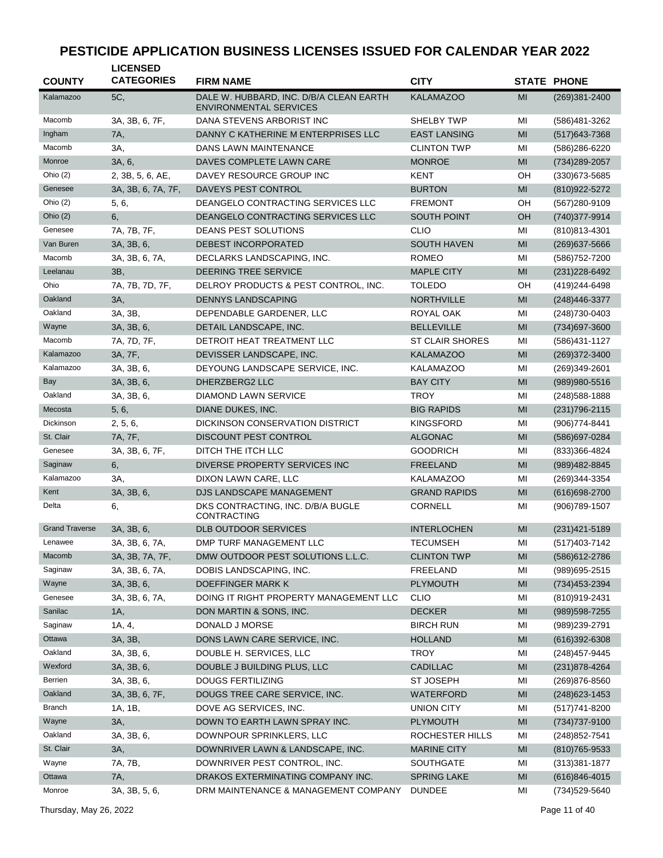| <b>COUNTY</b>         | <b>LICENSED</b><br><b>CATEGORIES</b> | <b>FIRM NAME</b>                                                         | <b>CITY</b>            |    | <b>STATE PHONE</b> |
|-----------------------|--------------------------------------|--------------------------------------------------------------------------|------------------------|----|--------------------|
| Kalamazoo             | 5C,                                  | DALE W. HUBBARD, INC. D/B/A CLEAN EARTH<br><b>ENVIRONMENTAL SERVICES</b> | <b>KALAMAZOO</b>       | MI | (269)381-2400      |
| Macomb                | 3A, 3B, 6, 7F,                       | DANA STEVENS ARBORIST INC                                                | SHELBY TWP             | МI | (586)481-3262      |
| Ingham                | 7A,                                  | DANNY C KATHERINE M ENTERPRISES LLC                                      | <b>EAST LANSING</b>    | MI | $(517)643 - 7368$  |
| Macomb                | 3A,                                  | DANS LAWN MAINTENANCE                                                    | <b>CLINTON TWP</b>     | MI | (586)286-6220      |
| Monroe                | 3A, 6,                               | DAVES COMPLETE LAWN CARE                                                 | <b>MONROE</b>          | MI | (734) 289-2057     |
| Ohio (2)              | 2, 3B, 5, 6, AE,                     | DAVEY RESOURCE GROUP INC                                                 | KENT                   | OН | (330) 673-5685     |
| Genesee               | 3A, 3B, 6, 7A, 7F,                   | DAVEYS PEST CONTROL                                                      | <b>BURTON</b>          | MI | (810) 922-5272     |
| Ohio $(2)$            | 5, 6,                                | DEANGELO CONTRACTING SERVICES LLC                                        | <b>FREMONT</b>         | OН | (567)280-9109      |
| Ohio $(2)$            | 6,                                   | DEANGELO CONTRACTING SERVICES LLC                                        | <b>SOUTH POINT</b>     | OH | (740)377-9914      |
| Genesee               | 7A, 7B, 7F,                          | <b>DEANS PEST SOLUTIONS</b>                                              | <b>CLIO</b>            | MI | $(810)813 - 4301$  |
| Van Buren             | 3A, 3B, 6,                           | DEBEST INCORPORATED                                                      | <b>SOUTH HAVEN</b>     | MI | $(269)$ 637-5666   |
| Macomb                | 3A, 3B, 6, 7A,                       | DECLARKS LANDSCAPING, INC.                                               | <b>ROMEO</b>           | MI | (586) 752-7200     |
| Leelanau              | 3B,                                  | DEERING TREE SERVICE                                                     | <b>MAPLE CITY</b>      | MI | (231) 228-6492     |
| Ohio                  | 7A, 7B, 7D, 7F,                      | DELROY PRODUCTS & PEST CONTROL, INC.                                     | <b>TOLEDO</b>          | OН | (419) 244-6498     |
| Oakland               | 3A,                                  | <b>DENNYS LANDSCAPING</b>                                                | <b>NORTHVILLE</b>      | MI | (248) 446-3377     |
| Oakland               | 3A, 3B,                              | DEPENDABLE GARDENER, LLC                                                 | <b>ROYAL OAK</b>       | MI | (248) 730-0403     |
| Wayne                 | 3A, 3B, 6,                           | DETAIL LANDSCAPE, INC.                                                   | <b>BELLEVILLE</b>      | MI | (734) 697-3600     |
| Macomb                | 7A, 7D, 7F,                          | DETROIT HEAT TREATMENT LLC                                               | <b>ST CLAIR SHORES</b> | MI | (586) 431-1127     |
| Kalamazoo             | 3A, 7F,                              | DEVISSER LANDSCAPE, INC.                                                 | <b>KALAMAZOO</b>       | MI | (269) 372-3400     |
| Kalamazoo             | 3A, 3B, 6,                           | DEYOUNG LANDSCAPE SERVICE, INC.                                          | <b>KALAMAZOO</b>       | MI | (269)349-2601      |
| Bay                   | 3A, 3B, 6,                           | DHERZBERG2 LLC                                                           | <b>BAY CITY</b>        | MI | (989) 980-5516     |
| Oakland               | 3A, 3B, 6,                           | DIAMOND LAWN SERVICE                                                     | TROY                   | MI | (248) 588-1888     |
| Mecosta               | 5, 6,                                | DIANE DUKES, INC.                                                        | <b>BIG RAPIDS</b>      | MI | $(231)796 - 2115$  |
| Dickinson             | 2, 5, 6,                             | DICKINSON CONSERVATION DISTRICT                                          | KINGSFORD              | MI | $(906)774-8441$    |
| St. Clair             | 7A, 7F,                              | DISCOUNT PEST CONTROL                                                    | <b>ALGONAC</b>         | MI | (586) 697-0284     |
| Genesee               | 3A, 3B, 6, 7F,                       | DITCH THE ITCH LLC                                                       | <b>GOODRICH</b>        | MI | (833)366-4824      |
| Saginaw               | 6,                                   | DIVERSE PROPERTY SERVICES INC                                            | FREELAND               | MI | (989)482-8845      |
| Kalamazoo             | 3A,                                  | DIXON LAWN CARE, LLC                                                     | <b>KALAMAZOO</b>       | MI | (269)344-3354      |
| Kent                  | 3A, 3B, 6,                           | DJS LANDSCAPE MANAGEMENT                                                 | <b>GRAND RAPIDS</b>    | MI | (616) 698-2700     |
| Delta                 | 6,                                   | DKS CONTRACTING, INC. D/B/A BUGLE<br>CONTRACTING                         | <b>CORNELL</b>         | MI | $(906)789-1507$    |
| <b>Grand Traverse</b> | 3A, 3B, 6,                           | <b>DLB OUTDOOR SERVICES</b>                                              | <b>INTERLOCHEN</b>     | MI | $(231)421 - 5189$  |
| Lenawee               | 3A, 3B, 6, 7A,                       | DMP TURF MANAGEMENT LLC                                                  | <b>TECUMSEH</b>        | ΜI | (517) 403-7142     |
| Macomb                | 3A, 3B, 7A, 7F,                      | DMW OUTDOOR PEST SOLUTIONS L.L.C.                                        | <b>CLINTON TWP</b>     | MI | (586) 612-2786     |
| Saginaw               | 3A, 3B, 6, 7A,                       | DOBIS LANDSCAPING, INC.                                                  | FREELAND               | MI | (989) 695-2515     |
| Wayne                 | 3A, 3B, 6,                           | DOEFFINGER MARK K                                                        | <b>PLYMOUTH</b>        | MI | (734) 453-2394     |
| Genesee               | 3A, 3B, 6, 7A,                       | DOING IT RIGHT PROPERTY MANAGEMENT LLC                                   | <b>CLIO</b>            | ΜI | (810)919-2431      |
| Sanilac               | 1A,                                  | DON MARTIN & SONS, INC.                                                  | <b>DECKER</b>          | MI | (989) 598-7255     |
| Saginaw               | 1A, 4,                               | DONALD J MORSE                                                           | <b>BIRCH RUN</b>       | MI | (989)239-2791      |
| Ottawa                | 3A, 3B,                              | DONS LAWN CARE SERVICE, INC.                                             | <b>HOLLAND</b>         | MI | $(616)392-6308$    |
| Oakland               | 3A, 3B, 6,                           | DOUBLE H. SERVICES, LLC                                                  | <b>TROY</b>            | MI | (248) 457-9445     |
| Wexford               | 3A, 3B, 6,                           | DOUBLE J BUILDING PLUS, LLC                                              | CADILLAC               | MI | (231) 878-4264     |
| Berrien               | 3A, 3B, 6,                           | <b>DOUGS FERTILIZING</b>                                                 | <b>ST JOSEPH</b>       | ΜI | (269) 876-8560     |
| Oakland               | 3A, 3B, 6, 7F,                       | DOUGS TREE CARE SERVICE, INC.                                            | <b>WATERFORD</b>       | MI | $(248)623 - 1453$  |
| <b>Branch</b>         | 1A, 1B,                              | DOVE AG SERVICES, INC.                                                   | UNION CITY             | ΜI | (517) 741-8200     |
| Wayne                 | 3A,                                  | DOWN TO EARTH LAWN SPRAY INC.                                            | <b>PLYMOUTH</b>        | MI | (734) 737-9100     |
| Oakland               | 3A, 3B, 6,                           | DOWNPOUR SPRINKLERS, LLC                                                 | ROCHESTER HILLS        | ΜI | (248) 852-7541     |
| St. Clair             | 3A,                                  | DOWNRIVER LAWN & LANDSCAPE, INC.                                         | <b>MARINE CITY</b>     | MI | (810) 765-9533     |
| Wayne                 | 7A, 7B,                              | DOWNRIVER PEST CONTROL, INC.                                             | SOUTHGATE              | MI | $(313)381 - 1877$  |
| Ottawa                | 7A,                                  | DRAKOS EXTERMINATING COMPANY INC.                                        | <b>SPRING LAKE</b>     | MI | $(616)846 - 4015$  |
| Monroe                | 3A, 3B, 5, 6,                        | DRM MAINTENANCE & MANAGEMENT COMPANY                                     | <b>DUNDEE</b>          | MI | (734) 529-5640     |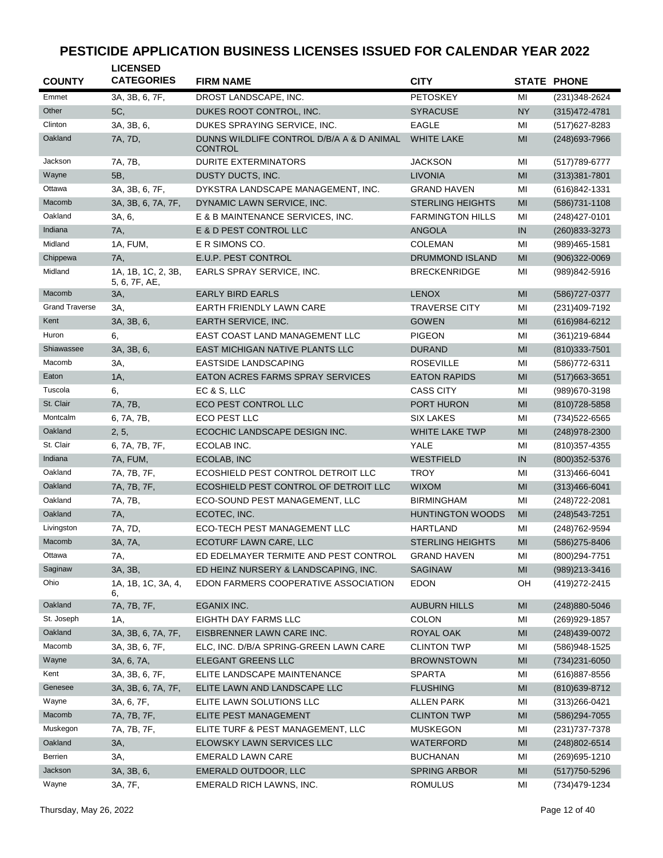| <b>COUNTY</b>         | <b>LICENSED</b><br><b>CATEGORIES</b> | <b>FIRM NAME</b>                                            | <b>CITY</b>             |                | <b>STATE PHONE</b> |
|-----------------------|--------------------------------------|-------------------------------------------------------------|-------------------------|----------------|--------------------|
| Emmet                 | 3A, 3B, 6, 7F,                       | DROST LANDSCAPE, INC.                                       | <b>PETOSKEY</b>         | MI             | (231) 348-2624     |
| Other                 | 5C,                                  | DUKES ROOT CONTROL, INC.                                    | <b>SYRACUSE</b>         | <b>NY</b>      | $(315)472 - 4781$  |
| Clinton               | 3A, 3B, 6,                           | DUKES SPRAYING SERVICE, INC.                                | <b>EAGLE</b>            | MI             | $(517)627 - 8283$  |
| Oakland               | 7A, 7D,                              | DUNNS WILDLIFE CONTROL D/B/A A & D ANIMAL<br><b>CONTROL</b> | <b>WHITE LAKE</b>       | MI             | (248) 693-7966     |
| Jackson               | 7A, 7B,                              | <b>DURITE EXTERMINATORS</b>                                 | <b>JACKSON</b>          | MI             | (517) 789-6777     |
| Wayne                 | 5B,                                  | DUSTY DUCTS, INC.                                           | <b>LIVONIA</b>          | MI             | $(313)381 - 7801$  |
| Ottawa                | 3A, 3B, 6, 7F,                       | DYKSTRA LANDSCAPE MANAGEMENT, INC.                          | <b>GRAND HAVEN</b>      | MI             | (616)842-1331      |
| Macomb                | 3A, 3B, 6, 7A, 7F,                   | DYNAMIC LAWN SERVICE, INC.                                  | <b>STERLING HEIGHTS</b> | MI             | $(586)731 - 1108$  |
| Oakland               | 3A, 6,                               | E & B MAINTENANCE SERVICES, INC.                            | <b>FARMINGTON HILLS</b> | MI             | (248) 427-0101     |
| Indiana               | 7A,                                  | E & D PEST CONTROL LLC                                      | <b>ANGOLA</b>           | IN             | (260) 833-3273     |
| Midland               | 1A, FUM,                             | E R SIMONS CO.                                              | <b>COLEMAN</b>          | MI             | $(989)465 - 1581$  |
| Chippewa              | 7A,                                  | E.U.P. PEST CONTROL                                         | <b>DRUMMOND ISLAND</b>  | MI             | $(906)322 - 0069$  |
| Midland               | 1A, 1B, 1C, 2, 3B,<br>5, 6, 7F, AE,  | EARLS SPRAY SERVICE, INC.                                   | <b>BRECKENRIDGE</b>     | MI             | (989)842-5916      |
| Macomb                | 3A,                                  | <b>EARLY BIRD EARLS</b>                                     | <b>LENOX</b>            | MI             | (586) 727-0377     |
| <b>Grand Traverse</b> | 3A,                                  | EARTH FRIENDLY LAWN CARE                                    | <b>TRAVERSE CITY</b>    | MI             | (231)409-7192      |
| Kent                  | 3A, 3B, 6,                           | EARTH SERVICE, INC.                                         | <b>GOWEN</b>            | MI             | $(616)984-6212$    |
| Huron                 | 6.                                   | EAST COAST LAND MANAGEMENT LLC                              | <b>PIGEON</b>           | MI             | (361) 219-6844     |
| Shiawassee            | 3A, 3B, 6,                           | EAST MICHIGAN NATIVE PLANTS LLC                             | <b>DURAND</b>           | MI             | $(810)333 - 7501$  |
| Macomb                | 3A,                                  | <b>EASTSIDE LANDSCAPING</b>                                 | <b>ROSEVILLE</b>        | MI             | (586) 772-6311     |
| Eaton                 | 1A,                                  | EATON ACRES FARMS SPRAY SERVICES                            | <b>EATON RAPIDS</b>     | MI             | $(517)663 - 3651$  |
| Tuscola               | 6,                                   | EC & S, LLC                                                 | <b>CASS CITY</b>        | MI             | (989) 670-3198     |
| St. Clair             | 7A, 7B,                              | ECO PEST CONTROL LLC                                        | <b>PORT HURON</b>       | MI             | (810) 728-5858     |
| Montcalm              | 6, 7A, 7B,                           | ECO PEST LLC                                                | <b>SIX LAKES</b>        | MI             | (734) 522-6565     |
| Oakland               | 2, 5,                                | ECOCHIC LANDSCAPE DESIGN INC.                               | WHITE LAKE TWP          | MI             | (248) 978-2300     |
| St. Clair             | 6, 7A, 7B, 7F,                       | ECOLAB INC.                                                 | YALE                    | MI             | $(810)357 - 4355$  |
| Indiana               | 7A, FUM,                             | ECOLAB, INC                                                 | <b>WESTFIELD</b>        | IN             | (800) 352-5376     |
| Oakland               | 7A, 7B, 7F,                          | ECOSHIELD PEST CONTROL DETROIT LLC                          | <b>TROY</b>             | MI             | $(313)466 - 6041$  |
| Oakland               | 7A, 7B, 7F,                          | ECOSHIELD PEST CONTROL OF DETROIT LLC                       | <b>WIXOM</b>            | MI             | $(313)466 - 6041$  |
| Oakland               | 7A, 7B,                              | ECO-SOUND PEST MANAGEMENT, LLC                              | <b>BIRMINGHAM</b>       | MI             | (248) 722-2081     |
| Oakland               | 7A,                                  | ECOTEC, INC.                                                | <b>HUNTINGTON WOODS</b> | MI             | (248) 543-7251     |
| Livingston            | 7A, 7D,                              | ECO-TECH PEST MANAGEMENT LLC                                | <b>HARTLAND</b>         | MI             | (248) 762-9594     |
| Macomb                | 3A, 7A,                              | ECOTURF LAWN CARE, LLC                                      | <b>STERLING HEIGHTS</b> | MI             | (586) 275-8406     |
| Ottawa                | 7A,                                  | ED EDELMAYER TERMITE AND PEST CONTROL                       | GRAND HAVEN             | ΜI             | (800) 294-7751     |
| Saginaw               | 3A, 3B,                              | ED HEINZ NURSERY & LANDSCAPING, INC.                        | <b>SAGINAW</b>          | M <sub>l</sub> | (989)213-3416      |
| Ohio                  | 1A, 1B, 1C, 3A, 4,<br>6,             | EDON FARMERS COOPERATIVE ASSOCIATION                        | <b>EDON</b>             | OH             | (419) 272-2415     |
| Oakland               | 7A, 7B, 7F,                          | EGANIX INC.                                                 | <b>AUBURN HILLS</b>     | MI             | (248) 880-5046     |
| St. Joseph            | 1A,                                  | EIGHTH DAY FARMS LLC                                        | <b>COLON</b>            | MI             | (269) 929-1857     |
| Oakland               | 3A, 3B, 6, 7A, 7F,                   | EISBRENNER LAWN CARE INC.                                   | ROYAL OAK               | MI             | (248)439-0072      |
| Macomb                | 3A, 3B, 6, 7F,                       | ELC, INC. D/B/A SPRING-GREEN LAWN CARE                      | <b>CLINTON TWP</b>      | MI             | (586)948-1525      |
| Wayne                 | 3A, 6, 7A,                           | ELEGANT GREENS LLC                                          | <b>BROWNSTOWN</b>       | M <sub>l</sub> | $(734)231 - 6050$  |
| Kent                  | 3A, 3B, 6, 7F,                       | ELITE LANDSCAPE MAINTENANCE                                 | <b>SPARTA</b>           | MI             | (616) 887-8556     |
| Genesee               | 3A, 3B, 6, 7A, 7F,                   | ELITE LAWN AND LANDSCAPE LLC                                | <b>FLUSHING</b>         | M <sub>l</sub> | $(810)639-8712$    |
| Wayne                 | 3A, 6, 7F,                           | ELITE LAWN SOLUTIONS LLC                                    | ALLEN PARK              | ΜI             | $(313)266 - 0421$  |
| Macomb                | 7A, 7B, 7F,                          | ELITE PEST MANAGEMENT                                       | <b>CLINTON TWP</b>      | MI             | (586)294-7055      |
| Muskegon              | 7A, 7B, 7F,                          | ELITE TURF & PEST MANAGEMENT, LLC                           | <b>MUSKEGON</b>         | MI             | (231) 737-7378     |
| Oakland               | 3A,                                  | ELOWSKY LAWN SERVICES LLC                                   | WATERFORD               | M <sub>l</sub> | $(248)802 - 6514$  |
| Berrien               | 3A,                                  | <b>EMERALD LAWN CARE</b>                                    | <b>BUCHANAN</b>         | ΜI             | (269) 695-1210     |
| Jackson               | 3A, 3B, 6,                           | EMERALD OUTDOOR, LLC                                        | SPRING ARBOR            | MI             | $(517)750 - 5296$  |
| Wayne                 | 3A, 7F,                              | EMERALD RICH LAWNS, INC.                                    | <b>ROMULUS</b>          | MI             | (734) 479-1234     |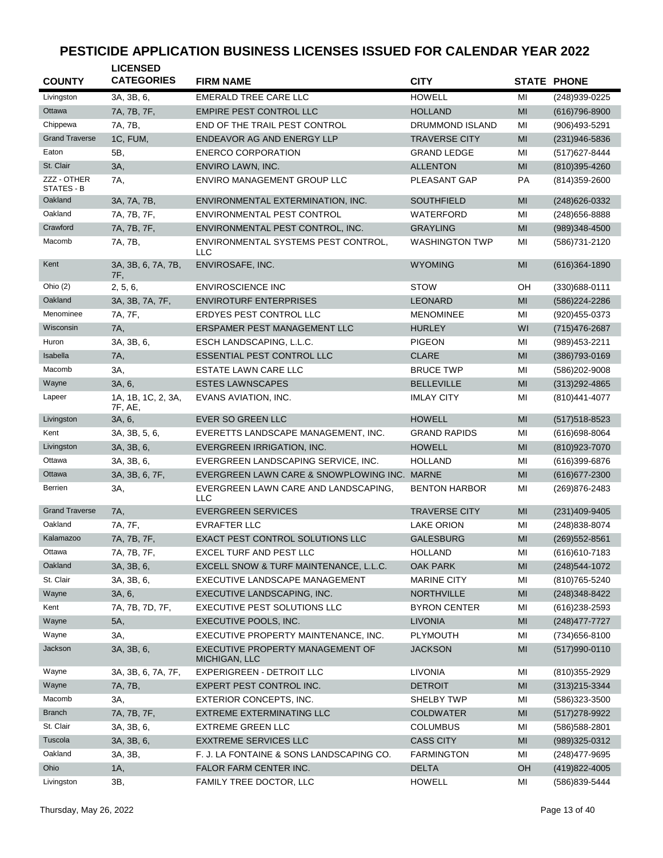| <b>COUNTY</b>             | <b>LICENSED</b><br><b>CATEGORIES</b> | <b>FIRM NAME</b>                                   | <b>CITY</b>            |                | <b>STATE PHONE</b> |
|---------------------------|--------------------------------------|----------------------------------------------------|------------------------|----------------|--------------------|
| Livingston                | 3A, 3B, 6,                           | <b>EMERALD TREE CARE LLC</b>                       | <b>HOWELL</b>          | MI             | (248)939-0225      |
| Ottawa                    | 7A, 7B, 7F,                          | EMPIRE PEST CONTROL LLC                            | <b>HOLLAND</b>         | MI             | $(616)796-8900$    |
| Chippewa                  | 7A, 7B,                              | END OF THE TRAIL PEST CONTROL                      | <b>DRUMMOND ISLAND</b> | MI             | (906)493-5291      |
| <b>Grand Traverse</b>     | 1C, FUM,                             | ENDEAVOR AG AND ENERGY LLP                         | <b>TRAVERSE CITY</b>   | MI             | $(231)946 - 5836$  |
| Eaton                     | 5B,                                  | <b>ENERCO CORPORATION</b>                          | <b>GRAND LEDGE</b>     | MI             | (517) 627-8444     |
| St. Clair                 | 3A,                                  | ENVIRO LAWN, INC.                                  | <b>ALLENTON</b>        | M <sub>l</sub> | $(810)395 - 4260$  |
| ZZZ - OTHER<br>STATES - B | 7A,                                  | ENVIRO MANAGEMENT GROUP LLC                        | PLEASANT GAP           | <b>PA</b>      | (814) 359-2600     |
| Oakland                   | 3A, 7A, 7B,                          | ENVIRONMENTAL EXTERMINATION, INC.                  | <b>SOUTHFIELD</b>      | MI             | (248) 626-0332     |
| Oakland                   | 7A, 7B, 7F,                          | ENVIRONMENTAL PEST CONTROL                         | WATERFORD              | MI             | (248) 656-8888     |
| Crawford                  | 7A, 7B, 7F,                          | ENVIRONMENTAL PEST CONTROL, INC.                   | <b>GRAYLING</b>        | MI             | (989)348-4500      |
| Macomb                    | 7A, 7B,                              | ENVIRONMENTAL SYSTEMS PEST CONTROL,<br>LLC         | <b>WASHINGTON TWP</b>  | MI             | (586) 731-2120     |
| Kent                      | 3A, 3B, 6, 7A, 7B,<br>7F,            | ENVIROSAFE, INC.                                   | <b>WYOMING</b>         | MI             | $(616)364 - 1890$  |
| Ohio (2)                  | 2, 5, 6,                             | <b>ENVIROSCIENCE INC</b>                           | <b>STOW</b>            | OH             | $(330)688 - 0111$  |
| Oakland                   | 3A, 3B, 7A, 7F,                      | <b>ENVIROTURF ENTERPRISES</b>                      | <b>LEONARD</b>         | MI             | (586) 224-2286     |
| Menominee                 | 7A, 7F,                              | ERDYES PEST CONTROL LLC                            | <b>MENOMINEE</b>       | MI             | (920)455-0373      |
| Wisconsin                 | 7A,                                  | ERSPAMER PEST MANAGEMENT LLC                       | <b>HURLEY</b>          | WI             | (715) 476-2687     |
| Huron                     | 3A, 3B, 6,                           | ESCH LANDSCAPING, L.L.C.                           | <b>PIGEON</b>          | MI             | (989) 453-2211     |
| Isabella                  | 7A,                                  | <b>ESSENTIAL PEST CONTROL LLC</b>                  | <b>CLARE</b>           | MI             | $(386)793-0169$    |
| Macomb                    | 3A,                                  | ESTATE LAWN CARE LLC                               | <b>BRUCE TWP</b>       | MI             | (586) 202-9008     |
| Wayne                     | 3A, 6,                               | <b>ESTES LAWNSCAPES</b>                            | <b>BELLEVILLE</b>      | MI             | $(313)292 - 4865$  |
| Lapeer                    | 1A, 1B, 1C, 2, 3A,<br>7F, AE,        | EVANS AVIATION, INC.                               | <b>IMLAY CITY</b>      | MI             | (810) 441-4077     |
| Livingston                | 3A, 6,                               | <b>EVER SO GREEN LLC</b>                           | <b>HOWELL</b>          | MI             | $(517)518 - 8523$  |
| Kent                      | 3A, 3B, 5, 6,                        | EVERETTS LANDSCAPE MANAGEMENT, INC.                | <b>GRAND RAPIDS</b>    | MI             | $(616)698-8064$    |
| Livingston                | 3A, 3B, 6,                           | EVERGREEN IRRIGATION, INC.                         | <b>HOWELL</b>          | MI             | (810) 923-7070     |
| Ottawa                    | 3A, 3B, 6,                           | EVERGREEN LANDSCAPING SERVICE, INC.                | <b>HOLLAND</b>         | MI             | (616)399-6876      |
| Ottawa                    | 3A, 3B, 6, 7F,                       | EVERGREEN LAWN CARE & SNOWPLOWING INC. MARNE       |                        | MI             | (616) 677-2300     |
| Berrien                   | ЗΑ,                                  | EVERGREEN LAWN CARE AND LANDSCAPING,<br><b>LLC</b> | <b>BENTON HARBOR</b>   | MI             | (269) 876-2483     |
| <b>Grand Traverse</b>     | 7A,                                  | <b>EVERGREEN SERVICES</b>                          | <b>TRAVERSE CITY</b>   | MI             | $(231)409-9405$    |
| Oakland                   | 7A, 7F,                              | <b>EVRAFTER LLC</b>                                | <b>LAKE ORION</b>      | MI             | (248) 838-8074     |
| Kalamazoo                 | 7A, 7B, 7F,                          | <b>EXACT PEST CONTROL SOLUTIONS LLC</b>            | <b>GALESBURG</b>       | MI             | (269) 552-8561     |
| Ottawa                    | 7A, 7B, 7F,                          | EXCEL TURF AND PEST LLC                            | <b>HOLLAND</b>         | MI             | $(616)610 - 7183$  |
| Oakland                   | 3A, 3B, 6,                           | EXCELL SNOW & TURF MAINTENANCE, L.L.C.             | <b>OAK PARK</b>        | MI             | (248) 544-1072     |
| St. Clair                 | 3A, 3B, 6,                           | EXECUTIVE LANDSCAPE MANAGEMENT                     | <b>MARINE CITY</b>     | MI             | (810) 765-5240     |
| Wayne                     | 3A, 6,                               | EXECUTIVE LANDSCAPING, INC.                        | <b>NORTHVILLE</b>      | MI             | $(248)348 - 8422$  |
| Kent                      | 7A, 7B, 7D, 7F,                      | EXECUTIVE PEST SOLUTIONS LLC                       | <b>BYRON CENTER</b>    | MI             | $(616)$ 238-2593   |
| Wayne                     | 5A,                                  | EXECUTIVE POOLS, INC.                              | <b>LIVONIA</b>         | MI             | $(248)477 - 7727$  |
| Wayne                     | 3A,                                  | EXECUTIVE PROPERTY MAINTENANCE, INC.               | PLYMOUTH               | MI             | (734) 656-8100     |
| Jackson                   | 3A, 3B, 6,                           | EXECUTIVE PROPERTY MANAGEMENT OF<br>MICHIGAN, LLC  | <b>JACKSON</b>         | MI             | $(517)990 - 0110$  |
| Wayne                     | 3A, 3B, 6, 7A, 7F,                   | EXPERIGREEN - DETROIT LLC                          | <b>LIVONIA</b>         | MI             | (810) 355-2929     |
| Wayne                     | 7A, 7B,                              | EXPERT PEST CONTROL INC.                           | <b>DETROIT</b>         | MI             | $(313)215-3344$    |
| Macomb                    | 3A,                                  | EXTERIOR CONCEPTS, INC.                            | SHELBY TWP             | MI             | (586) 323-3500     |
| <b>Branch</b>             | 7A, 7B, 7F,                          | EXTREME EXTERMINATING LLC                          | <b>COLDWATER</b>       | MI             | $(517)278-9922$    |
| St. Clair                 | 3A, 3B, 6,                           | <b>EXTREME GREEN LLC</b>                           | <b>COLUMBUS</b>        | MI             | (586) 588-2801     |
| Tuscola                   | 3A, 3B, 6,                           | <b>EXXTREME SERVICES LLC</b>                       | <b>CASS CITY</b>       | MI             | (989)325-0312      |
| Oakland                   | 3A, 3B,                              | F. J. LA FONTAINE & SONS LANDSCAPING CO.           | <b>FARMINGTON</b>      | MI             | (248) 477-9695     |
| Ohio                      | 1A,                                  | FALOR FARM CENTER INC.                             | <b>DELTA</b>           | OH             | (419) 822-4005     |
| Livingston                | 3B,                                  | FAMILY TREE DOCTOR, LLC                            | <b>HOWELL</b>          | MI             | (586)839-5444      |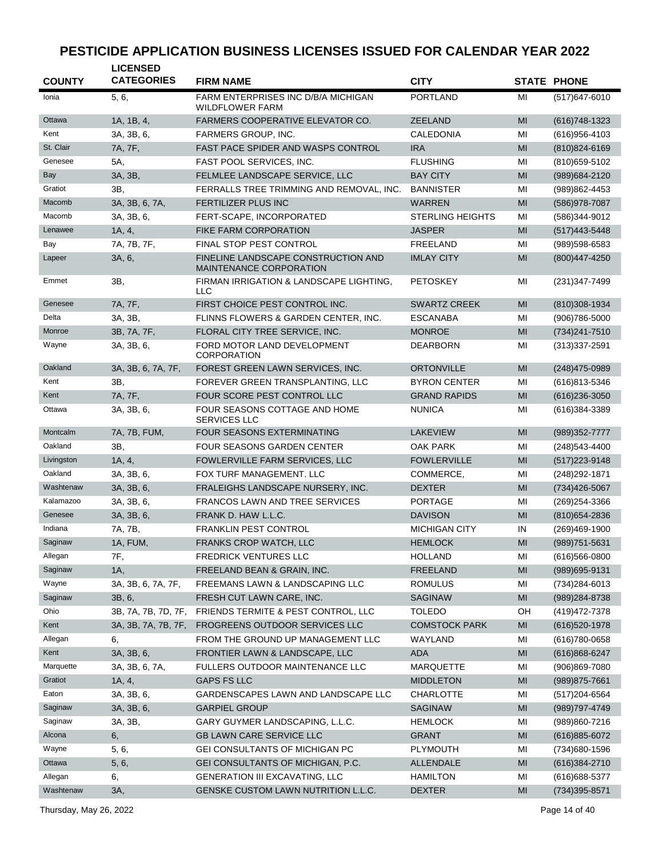| <b>COUNTY</b> | <b>LICENSED</b><br><b>CATEGORIES</b> | <b>FIRM NAME</b>                                                      | <b>CITY</b>             |    | <b>STATE PHONE</b> |
|---------------|--------------------------------------|-----------------------------------------------------------------------|-------------------------|----|--------------------|
| Ionia         | 5, 6,                                | FARM ENTERPRISES INC D/B/A MICHIGAN<br><b>WILDFLOWER FARM</b>         | <b>PORTLAND</b>         | МI | $(517)647 - 6010$  |
| Ottawa        | 1A, 1B, 4,                           | <b>FARMERS COOPERATIVE ELEVATOR CO.</b>                               | <b>ZEELAND</b>          | MI | (616) 748 - 1323   |
| Kent          | 3A, 3B, 6,                           | FARMERS GROUP, INC.                                                   | CALEDONIA               | MI | (616) 956-4103     |
| St. Clair     | 7A, 7F,                              | <b>FAST PACE SPIDER AND WASPS CONTROL</b>                             | <b>IRA</b>              | MI | $(810)824 - 6169$  |
| Genesee       | 5A,                                  | FAST POOL SERVICES, INC.                                              | <b>FLUSHING</b>         | MI | (810) 659-5102     |
| Bay           | 3A, 3B,                              | FELMLEE LANDSCAPE SERVICE, LLC                                        | <b>BAY CITY</b>         | MI | (989) 684-2120     |
| Gratiot       | 3B,                                  | FERRALLS TREE TRIMMING AND REMOVAL, INC.                              | <b>BANNISTER</b>        | MI | (989)862-4453      |
| Macomb        | 3A, 3B, 6, 7A,                       | <b>FERTILIZER PLUS INC</b>                                            | <b>WARREN</b>           | MI | (586) 978-7087     |
| Macomb        | 3A, 3B, 6,                           | FERT-SCAPE, INCORPORATED                                              | <b>STERLING HEIGHTS</b> | MI | (586)344-9012      |
| Lenawee       | 1A, 4,                               | <b>FIKE FARM CORPORATION</b>                                          | <b>JASPER</b>           | MI | $(517)443 - 5448$  |
| Bay           | 7A, 7B, 7F,                          | FINAL STOP PEST CONTROL                                               | FREELAND                | MI | (989)598-6583      |
| Lapeer        | 3A, 6,                               | FINELINE LANDSCAPE CONSTRUCTION AND<br><b>MAINTENANCE CORPORATION</b> | <b>IMLAY CITY</b>       | MI | (800) 447-4250     |
| Emmet         | ЗΒ.                                  | FIRMAN IRRIGATION & LANDSCAPE LIGHTING,<br><b>LLC</b>                 | <b>PETOSKEY</b>         | MI | (231)347-7499      |
| Genesee       | 7A, 7F,                              | FIRST CHOICE PEST CONTROL INC.                                        | <b>SWARTZ CREEK</b>     | MI | (810)308-1934      |
| Delta         | 3A, 3B,                              | FLINNS FLOWERS & GARDEN CENTER, INC.                                  | <b>ESCANABA</b>         | MI | $(906)786 - 5000$  |
| Monroe        | 3B, 7A, 7F,                          | FLORAL CITY TREE SERVICE, INC.                                        | <b>MONROE</b>           | MI | (734) 241-7510     |
| Wayne         | 3A, 3B, 6,                           | FORD MOTOR LAND DEVELOPMENT<br><b>CORPORATION</b>                     | <b>DEARBORN</b>         | MI | $(313)337 - 2591$  |
| Oakland       | 3A, 3B, 6, 7A, 7F,                   | FOREST GREEN LAWN SERVICES, INC.                                      | <b>ORTONVILLE</b>       | MI | (248) 475-0989     |
| Kent          | 3B,                                  | FOREVER GREEN TRANSPLANTING, LLC                                      | <b>BYRON CENTER</b>     | MI | (616)813-5346      |
| Kent          | 7A, 7F,                              | FOUR SCORE PEST CONTROL LLC                                           | <b>GRAND RAPIDS</b>     | MI | $(616)$ 236-3050   |
| Ottawa        | 3A, 3B, 6,                           | FOUR SEASONS COTTAGE AND HOME<br><b>SERVICES LLC</b>                  | <b>NUNICA</b>           | MI | (616)384-3389      |
| Montcalm      | 7A, 7B, FUM,                         | <b>FOUR SEASONS EXTERMINATING</b>                                     | <b>LAKEVIEW</b>         | MI | (989) 352-7777     |
| Oakland       | 3B,                                  | <b>FOUR SEASONS GARDEN CENTER</b>                                     | <b>OAK PARK</b>         | MI | (248) 543-4400     |
| Livingston    | 1A, 4,                               | FOWLERVILLE FARM SERVICES, LLC                                        | <b>FOWLERVILLE</b>      | MI | $(517)223 - 9148$  |
| Oakland       | 3A, 3B, 6,                           | FOX TURF MANAGEMENT. LLC                                              | COMMERCE,               | MI | (248) 292-1871     |
| Washtenaw     | 3A, 3B, 6,                           | FRALEIGHS LANDSCAPE NURSERY, INC.                                     | <b>DEXTER</b>           | MI | (734) 426-5067     |
| Kalamazoo     | 3A, 3B, 6,                           | <b>FRANCOS LAWN AND TREE SERVICES</b>                                 | <b>PORTAGE</b>          | MI | (269) 254-3366     |
| Genesee       | 3A, 3B, 6,                           | FRANK D. HAW L.L.C.                                                   | <b>DAVISON</b>          | MI | (810) 654-2836     |
| Indiana       | 7A, 7B,                              | <b>FRANKLIN PEST CONTROL</b>                                          | <b>MICHIGAN CITY</b>    | IN | (269)469-1900      |
| Saginaw       | 1A, FUM,                             | <b>FRANKS CROP WATCH, LLC</b>                                         | <b>HEMLOCK</b>          | MI | (989) 751-5631     |
| Allegan       | 7F,                                  | <b>FREDRICK VENTURES LLC</b>                                          | <b>HOLLAND</b>          | MI | $(616)566 - 0800$  |
| Saginaw       | 1A,                                  | FREELAND BEAN & GRAIN, INC.                                           | <b>FREELAND</b>         | MI | (989) 695-9131     |
| Wayne         | 3A, 3B, 6, 7A, 7F,                   | FREEMANS LAWN & LANDSCAPING LLC                                       | <b>ROMULUS</b>          | MI | (734)284-6013      |
| Saginaw       | 3B, 6,                               | FRESH CUT LAWN CARE, INC.                                             | <b>SAGINAW</b>          | MI | (989) 284-8738     |
| Ohio          | 3B, 7A, 7B, 7D, 7F,                  | FRIENDS TERMITE & PEST CONTROL, LLC                                   | <b>TOLEDO</b>           | OH | (419) 472-7378     |
| Kent          | 3A, 3B, 7A, 7B, 7F,                  | FROGREENS OUTDOOR SERVICES LLC                                        | <b>COMSTOCK PARK</b>    | MI | (616) 520-1978     |
| Allegan       | 6,                                   | FROM THE GROUND UP MANAGEMENT LLC                                     | WAYLAND                 | MI | $(616)780-0658$    |
| Kent          | 3A, 3B, 6,                           | FRONTIER LAWN & LANDSCAPE, LLC                                        | <b>ADA</b>              | MI | $(616)868 - 6247$  |
| Marquette     | 3A, 3B, 6, 7A,                       | FULLERS OUTDOOR MAINTENANCE LLC                                       | <b>MARQUETTE</b>        | MI | $(906)869 - 7080$  |
| Gratiot       | 1A, 4,                               | <b>GAPS FS LLC</b>                                                    | <b>MIDDLETON</b>        | MI | $(989)875 - 7661$  |
| Eaton         | 3A, 3B, 6,                           | GARDENSCAPES LAWN AND LANDSCAPE LLC                                   | CHARLOTTE               | MI | (517) 204-6564     |
| Saginaw       | 3A, 3B, 6,                           | <b>GARPIEL GROUP</b>                                                  | <b>SAGINAW</b>          | MI | (989) 797-4749     |
| Saginaw       | 3A, 3B,                              | GARY GUYMER LANDSCAPING, L.L.C.                                       | <b>HEMLOCK</b>          | MI | (989)860-7216      |
| Alcona        | 6,                                   | <b>GB LAWN CARE SERVICE LLC</b>                                       | <b>GRANT</b>            | MI | $(616)885 - 6072$  |
| Wayne         | 5, 6,                                | GEI CONSULTANTS OF MICHIGAN PC                                        | PLYMOUTH                | MI | (734) 680-1596     |
| Ottawa        | 5, 6,                                | GEI CONSULTANTS OF MICHIGAN, P.C.                                     | <b>ALLENDALE</b>        | MI | (616) 384-2710     |
| Allegan       | 6,                                   | <b>GENERATION III EXCAVATING, LLC</b>                                 | <b>HAMILTON</b>         | MI | (616) 688-5377     |
| Washtenaw     | 3A,                                  | GENSKE CUSTOM LAWN NUTRITION L.L.C.                                   | <b>DEXTER</b>           | MI | (734) 395-8571     |

Thursday, May 26, 2022 Page 14 of 40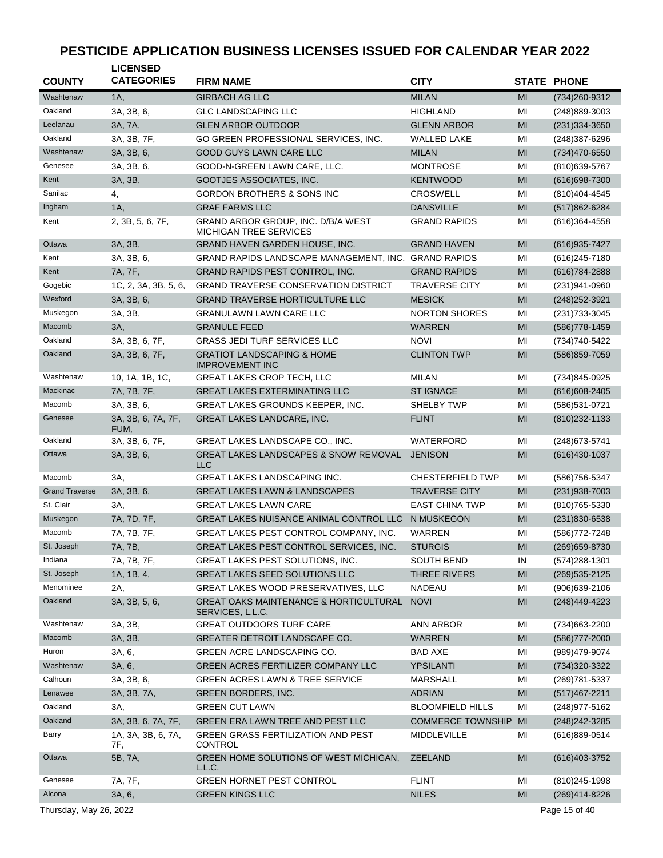| <b>COUNTY</b>          | <b>LICENSED</b><br><b>CATEGORIES</b> | <b>FIRM NAME</b>                                                      | <b>CITY</b>              |    | <b>STATE PHONE</b> |
|------------------------|--------------------------------------|-----------------------------------------------------------------------|--------------------------|----|--------------------|
| Washtenaw              | 1A,                                  | <b>GIRBACH AG LLC</b>                                                 | <b>MILAN</b>             | MI | (734) 260-9312     |
| Oakland                | 3A, 3B, 6,                           | <b>GLC LANDSCAPING LLC</b>                                            | <b>HIGHLAND</b>          | MI | (248)889-3003      |
| Leelanau               | 3A, 7A,                              | <b>GLEN ARBOR OUTDOOR</b>                                             | <b>GLENN ARBOR</b>       | MI | $(231)334 - 3650$  |
| Oakland                | 3A, 3B, 7F,                          | GO GREEN PROFESSIONAL SERVICES, INC.                                  | <b>WALLED LAKE</b>       | MI | (248) 387-6296     |
| Washtenaw              | 3A, 3B, 6,                           | <b>GOOD GUYS LAWN CARE LLC</b>                                        | <b>MILAN</b>             | MI | (734)470-6550      |
| Genesee                | 3A, 3B, 6,                           | GOOD-N-GREEN LAWN CARE, LLC.                                          | <b>MONTROSE</b>          | MI | (810) 639-5767     |
| Kent                   | 3A, 3B,                              | GOOTJES ASSOCIATES, INC.                                              | <b>KENTWOOD</b>          | MI | (616) 698-7300     |
| Sanilac                | 4,                                   | <b>GORDON BROTHERS &amp; SONS INC</b>                                 | <b>CROSWELL</b>          | MI | (810) 404-4545     |
| Ingham                 | 1A,                                  | <b>GRAF FARMS LLC</b>                                                 | <b>DANSVILLE</b>         | MI | (517)862-6284      |
| Kent                   | 2, 3B, 5, 6, 7F,                     | GRAND ARBOR GROUP, INC. D/B/A WEST<br>MICHIGAN TREE SERVICES          | <b>GRAND RAPIDS</b>      | MI | (616)364-4558      |
| Ottawa                 | 3A, 3B,                              | GRAND HAVEN GARDEN HOUSE, INC.                                        | <b>GRAND HAVEN</b>       | MI | (616) 935-7427     |
| Kent                   | 3A, 3B, 6,                           | GRAND RAPIDS LANDSCAPE MANAGEMENT, INC.                               | <b>GRAND RAPIDS</b>      | MI | (616) 245-7180     |
| Kent                   | 7A, 7F,                              | GRAND RAPIDS PEST CONTROL, INC.                                       | <b>GRAND RAPIDS</b>      | MI | (616) 784-2888     |
| Gogebic                | 1C, 2, 3A, 3B, 5, 6,                 | <b>GRAND TRAVERSE CONSERVATION DISTRICT</b>                           | <b>TRAVERSE CITY</b>     | MI | (231)941-0960      |
| Wexford                | 3A, 3B, 6,                           | <b>GRAND TRAVERSE HORTICULTURE LLC</b>                                | <b>MESICK</b>            | MI | (248) 252-3921     |
| Muskegon               | 3A, 3B,                              | <b>GRANULAWN LAWN CARE LLC</b>                                        | <b>NORTON SHORES</b>     | MI | (231) 733-3045     |
| Macomb                 | 3A,                                  | <b>GRANULE FEED</b>                                                   | <b>WARREN</b>            | MI | (586) 778-1459     |
| Oakland                | 3A, 3B, 6, 7F,                       | <b>GRASS JEDI TURF SERVICES LLC</b>                                   | <b>NOVI</b>              | MI | (734)740-5422      |
| Oakland                | 3A, 3B, 6, 7F,                       | <b>GRATIOT LANDSCAPING &amp; HOME</b><br><b>IMPROVEMENT INC</b>       | <b>CLINTON TWP</b>       | MI | (586) 859-7059     |
| Washtenaw              | 10, 1A, 1B, 1C,                      | <b>GREAT LAKES CROP TECH, LLC</b>                                     | <b>MILAN</b>             | ΜI | (734)845-0925      |
| Mackinac               | 7A, 7B, 7F,                          | <b>GREAT LAKES EXTERMINATING LLC</b>                                  | <b>ST IGNACE</b>         | MI | $(616)608 - 2405$  |
| Macomb                 | 3A, 3B, 6,                           | GREAT LAKES GROUNDS KEEPER, INC.                                      | SHELBY TWP               | MI | (586) 531-0721     |
| Genesee                | 3A, 3B, 6, 7A, 7F,<br>FUM,           | <b>GREAT LAKES LANDCARE, INC.</b>                                     | <b>FLINT</b>             | MI | $(810)$ 232-1133   |
| Oakland                | 3A, 3B, 6, 7F,                       | GREAT LAKES LANDSCAPE CO., INC.                                       | WATERFORD                | MI | (248) 673-5741     |
| Ottawa                 | 3A, 3B, 6,                           | <b>GREAT LAKES LANDSCAPES &amp; SNOW REMOVAL</b><br><b>LLC</b>        | <b>JENISON</b>           | MI | (616) 430-1037     |
| Macomb                 | 3A,                                  | <b>GREAT LAKES LANDSCAPING INC.</b>                                   | <b>CHESTERFIELD TWP</b>  | МI | (586) 756-5347     |
| <b>Grand Traverse</b>  | 3A, 3B, 6,                           | <b>GREAT LAKES LAWN &amp; LANDSCAPES</b>                              | <b>TRAVERSE CITY</b>     | MI | $(231)938-7003$    |
| St. Clair              | 3A.                                  | <b>GREAT LAKES LAWN CARE</b>                                          | <b>EAST CHINA TWP</b>    | MI | (810) 765-5330     |
| Muskegon               | 7A, 7D, 7F,                          | GREAT LAKES NUISANCE ANIMAL CONTROL LLC                               | N MUSKEGON               | MI | (231)830-6538      |
| Macomb                 | 7A, 7B, 7F,                          | GREAT LAKES PEST CONTROL COMPANY, INC.                                | WARREN                   | MI | (586) 772-7248     |
| St. Joseph             | 7A, 7B,                              | GREAT LAKES PEST CONTROL SERVICES, INC.                               | <b>STURGIS</b>           | MI | (269) 659-8730     |
| Indiana                | 7A, 7B, 7F,                          | GREAT LAKES PEST SOLUTIONS, INC.                                      | SOUTH BEND               | IN | (574) 288-1301     |
| St. Joseph             | 1A, 1B, 4,                           | <b>GREAT LAKES SEED SOLUTIONS LLC</b>                                 | THREE RIVERS             | MI | (269) 535-2125     |
| Menominee              | 2A,                                  | GREAT LAKES WOOD PRESERVATIVES, LLC                                   | <b>NADEAU</b>            | ΜI | $(906)639-2106$    |
| Oakland                | 3A, 3B, 5, 6,                        | <b>GREAT OAKS MAINTENANCE &amp; HORTICULTURAL</b><br>SERVICES, L.L.C. | <b>NOVI</b>              | MI | (248)449-4223      |
| Washtenaw              | 3A, 3B,                              | GREAT OUTDOORS TURF CARE                                              | <b>ANN ARBOR</b>         | ΜI | (734) 663-2200     |
| Macomb                 | 3A, 3B,                              | GREATER DETROIT LANDSCAPE CO.                                         | <b>WARREN</b>            | MI | $(586)777 - 2000$  |
| Huron                  | 3A, 6,                               | GREEN ACRE LANDSCAPING CO.                                            | BAD AXE                  | MI | (989)479-9074      |
| Washtenaw              | 3A, 6,                               | GREEN ACRES FERTILIZER COMPANY LLC                                    | YPSILANTI                | MI | (734) 320-3322     |
| Calhoun                | 3A, 3B, 6,                           | <b>GREEN ACRES LAWN &amp; TREE SERVICE</b>                            | <b>MARSHALL</b>          | ΜI | (269) 781-5337     |
| Lenawee                | 3A, 3B, 7A,                          | GREEN BORDERS, INC.                                                   | <b>ADRIAN</b>            | MI | $(517)467 - 2211$  |
| Oakland                | 3A,                                  | <b>GREEN CUT LAWN</b>                                                 | <b>BLOOMFIELD HILLS</b>  | MI | (248) 977-5162     |
| Oakland                | 3A, 3B, 6, 7A, 7F,                   | GREEN ERA LAWN TREE AND PEST LLC                                      | <b>COMMERCE TOWNSHIP</b> | MI | (248) 242-3285     |
| Barry                  | 1A, 3A, 3B, 6, 7A,<br>7F,            | <b>GREEN GRASS FERTILIZATION AND PEST</b><br><b>CONTROL</b>           | MIDDLEVILLE              | ΜI | (616)889-0514      |
| Ottawa                 | 5B, 7A,                              | GREEN HOME SOLUTIONS OF WEST MICHIGAN,<br>L.L.C.                      | <b>ZEELAND</b>           | MI | $(616)403-3752$    |
| Genesee                | 7A, 7F,                              | GREEN HORNET PEST CONTROL                                             | <b>FLINT</b>             | ΜI | (810) 245-1998     |
| Alcona                 | 3A, 6,                               | <b>GREEN KINGS LLC</b>                                                | <b>NILES</b>             | MI | (269)414-8226      |
| Thursday, May 26, 2022 |                                      |                                                                       |                          |    | Page 15 of 40      |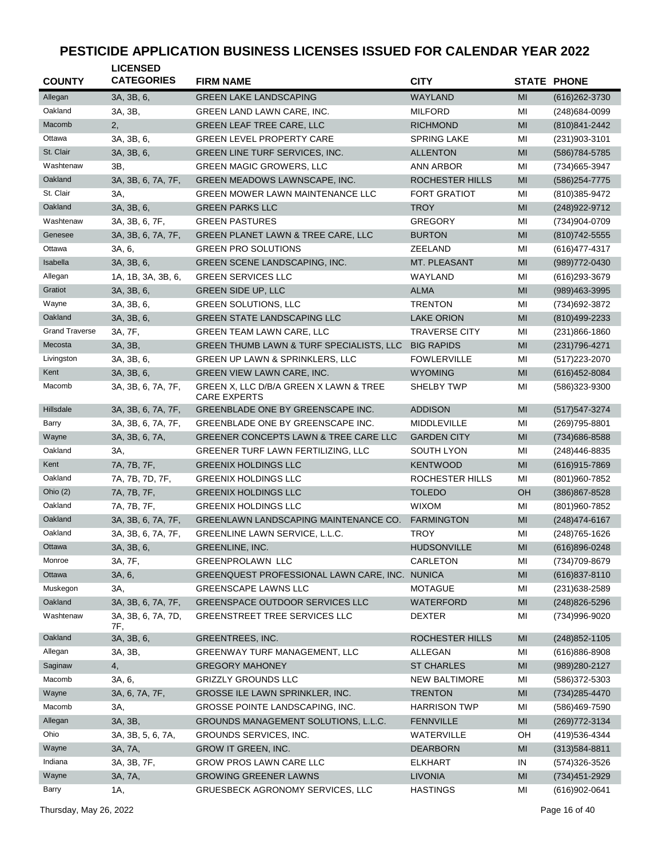| <b>COUNTY</b>         | <b>LICENSED</b><br><b>CATEGORIES</b> | <b>FIRM NAME</b>                                              | <b>CITY</b>          |                | <b>STATE PHONE</b> |
|-----------------------|--------------------------------------|---------------------------------------------------------------|----------------------|----------------|--------------------|
| Allegan               | 3A, 3B, 6,                           | <b>GREEN LAKE LANDSCAPING</b>                                 | <b>WAYLAND</b>       | MI             | $(616)262-3730$    |
| Oakland               | 3A, 3B,                              | GREEN LAND LAWN CARE, INC.                                    | <b>MILFORD</b>       | MI             | (248) 684-0099     |
| Macomb                | 2,                                   | <b>GREEN LEAF TREE CARE, LLC</b>                              | <b>RICHMOND</b>      | MI             | (810) 841-2442     |
| Ottawa                | 3A, 3B, 6,                           | <b>GREEN LEVEL PROPERTY CARE</b>                              | <b>SPRING LAKE</b>   | MI             | $(231)903 - 3101$  |
| St. Clair             | 3A, 3B, 6,                           | GREEN LINE TURF SERVICES, INC.                                | <b>ALLENTON</b>      | MI             | (586) 784-5785     |
| Washtenaw             | 3B,                                  | <b>GREEN MAGIC GROWERS, LLC</b>                               | ANN ARBOR            | MI             | (734) 665-3947     |
| Oakland               | 3A, 3B, 6, 7A, 7F,                   | GREEN MEADOWS LAWNSCAPE, INC.                                 | ROCHESTER HILLS      | MI             | (586) 254-7775     |
| St. Clair             | 3A,                                  | <b>GREEN MOWER LAWN MAINTENANCE LLC</b>                       | <b>FORT GRATIOT</b>  | MI             | (810)385-9472      |
| Oakland               | 3A, 3B, 6,                           | <b>GREEN PARKS LLC</b>                                        | <b>TROY</b>          | MI             | (248) 922-9712     |
| Washtenaw             | 3A, 3B, 6, 7F,                       | <b>GREEN PASTURES</b>                                         | <b>GREGORY</b>       | MI             | (734)904-0709      |
| Genesee               | 3A, 3B, 6, 7A, 7F,                   | GREEN PLANET LAWN & TREE CARE, LLC                            | <b>BURTON</b>        | MI             | (810) 742-5555     |
| Ottawa                | 3A, 6,                               | <b>GREEN PRO SOLUTIONS</b>                                    | ZEELAND              | MI             | (616) 477-4317     |
| Isabella              | 3A, 3B, 6,                           | GREEN SCENE LANDSCAPING, INC.                                 | MT. PLEASANT         | MI             | (989) 772-0430     |
| Allegan               | 1A, 1B, 3A, 3B, 6,                   | <b>GREEN SERVICES LLC</b>                                     | WAYLAND              | ΜI             | (616) 293-3679     |
| Gratiot               | 3A, 3B, 6,                           | <b>GREEN SIDE UP, LLC</b>                                     | <b>ALMA</b>          | MI             | (989)463-3995      |
| Wayne                 | 3A, 3B, 6,                           | <b>GREEN SOLUTIONS, LLC</b>                                   | <b>TRENTON</b>       | MI             | (734) 692-3872     |
| Oakland               | 3A, 3B, 6,                           | <b>GREEN STATE LANDSCAPING LLC</b>                            | <b>LAKE ORION</b>    | MI             | $(810)499 - 2233$  |
| <b>Grand Traverse</b> | 3A, 7F,                              | GREEN TEAM LAWN CARE, LLC                                     | <b>TRAVERSE CITY</b> | MI             | $(231)866 - 1860$  |
| Mecosta               | 3A, 3B,                              | GREEN THUMB LAWN & TURF SPECIALISTS, LLC                      | <b>BIG RAPIDS</b>    | MI             | (231) 796-4271     |
| Livingston            | 3A, 3B, 6,                           | GREEN UP LAWN & SPRINKLERS, LLC                               | <b>FOWLERVILLE</b>   | MI             | (517) 223-2070     |
| Kent                  | 3A, 3B, 6,                           | GREEN VIEW LAWN CARE, INC.                                    | <b>WYOMING</b>       | M <sub>l</sub> | (616) 452-8084     |
| Macomb                | 3A, 3B, 6, 7A, 7F,                   | GREEN X, LLC D/B/A GREEN X LAWN & TREE<br><b>CARE EXPERTS</b> | SHELBY TWP           | ΜI             | (586) 323-9300     |
| Hillsdale             | 3A, 3B, 6, 7A, 7F,                   | GREENBLADE ONE BY GREENSCAPE INC.                             | <b>ADDISON</b>       | MI             | (517) 547-3274     |
| Barry                 | 3A, 3B, 6, 7A, 7F,                   | GREENBLADE ONE BY GREENSCAPE INC.                             | MIDDLEVILLE          | ΜI             | (269) 795-8801     |
| Wayne                 | 3A, 3B, 6, 7A,                       | GREENER CONCEPTS LAWN & TREE CARE LLC                         | <b>GARDEN CITY</b>   | MI             | (734) 686-8588     |
| Oakland               | 3A,                                  | GREENER TURF LAWN FERTILIZING, LLC                            | SOUTH LYON           | MI             | (248)446-8835      |
| Kent                  | 7A, 7B, 7F,                          | <b>GREENIX HOLDINGS LLC</b>                                   | <b>KENTWOOD</b>      | MI             | $(616)915 - 7869$  |
| Oakland               | 7A, 7B, 7D, 7F,                      | <b>GREENIX HOLDINGS LLC</b>                                   | ROCHESTER HILLS      | MI             | (801) 960-7852     |
| Ohio $(2)$            | 7A, 7B, 7F,                          | <b>GREENIX HOLDINGS LLC</b>                                   | <b>TOLEDO</b>        | OH             | (386) 867-8528     |
| Oakland               | 7A, 7B, 7F,                          | <b>GREENIX HOLDINGS LLC</b>                                   | <b>WIXOM</b>         | MI             | (801) 960-7852     |
| Oakland               | 3A, 3B, 6, 7A, 7F,                   | <b>GREENLAWN LANDSCAPING MAINTENANCE CO.</b>                  | <b>FARMINGTON</b>    | MI             | (248) 474-6167     |
| Oakland               | 3A, 3B, 6, 7A, 7F,                   | GREENLINE LAWN SERVICE, L.L.C.                                | <b>TROY</b>          | MI             | (248) 765-1626     |
| Ottawa                | 3A, 3B, 6,                           | GREENLINE, INC.                                               | HUDSONVILLE          | $\mathsf{MI}$  | (616)896-0248      |
| Monroe                | 3A, 7F,                              | <b>GREENPROLAWN LLC</b>                                       | CARLETON             | MI             | (734) 709-8679     |
| Ottawa                | 3A, 6,                               | GREENQUEST PROFESSIONAL LAWN CARE, INC. NUNICA                |                      | MI             | $(616)837 - 8110$  |
| Muskegon              | 3A,                                  | GREENSCAPE LAWNS LLC                                          | <b>MOTAGUE</b>       | MI             | (231) 638-2589     |
| Oakland               | 3A, 3B, 6, 7A, 7F,                   | <b>GREENSPACE OUTDOOR SERVICES LLC</b>                        | WATERFORD            | M <sub>l</sub> | $(248)826 - 5296$  |
| Washtenaw             | 3A, 3B, 6, 7A, 7D,<br>7F,            | GREENSTREET TREE SERVICES LLC                                 | <b>DEXTER</b>        | ΜI             | (734)996-9020      |
| Oakland               | 3A, 3B, 6,                           | <b>GREENTREES, INC.</b>                                       | ROCHESTER HILLS      | MI             | $(248)852 - 1105$  |
| Allegan               | 3A, 3B,                              | <b>GREENWAY TURF MANAGEMENT, LLC</b>                          | ALLEGAN              | MI             | $(616)886 - 8908$  |
| Saginaw               | 4,                                   | <b>GREGORY MAHONEY</b>                                        | <b>ST CHARLES</b>    | MI             | (989) 280-2127     |
| Macomb                | 3A, 6,                               | <b>GRIZZLY GROUNDS LLC</b>                                    | <b>NEW BALTIMORE</b> | MI             | (586) 372-5303     |
| Wayne                 | 3A, 6, 7A, 7F,                       | GROSSE ILE LAWN SPRINKLER, INC.                               | <b>TRENTON</b>       | M <sub>l</sub> | (734) 285-4470     |
| Macomb                | 3A,                                  | GROSSE POINTE LANDSCAPING, INC.                               | <b>HARRISON TWP</b>  | MI             | (586)469-7590      |
| Allegan               | 3A, 3B,                              | GROUNDS MANAGEMENT SOLUTIONS, L.L.C.                          | <b>FENNVILLE</b>     | MI             | (269) 772-3134     |
| Ohio                  | 3A, 3B, 5, 6, 7A,                    | GROUNDS SERVICES, INC.                                        | WATERVILLE           | OH             | (419) 536-4344     |
| Wayne                 | 3A, 7A,                              | GROW IT GREEN, INC.                                           | <b>DEARBORN</b>      | MI             | $(313)584 - 8811$  |
| Indiana               | 3A, 3B, 7F,                          | GROW PROS LAWN CARE LLC                                       | <b>ELKHART</b>       | IN             | (574) 326-3526     |
| Wayne                 | 3A, 7A,                              | <b>GROWING GREENER LAWNS</b>                                  | <b>LIVONIA</b>       | MI             | (734) 451-2929     |
| Barry                 | 1A,                                  | <b>GRUESBECK AGRONOMY SERVICES, LLC</b>                       | <b>HASTINGS</b>      | MI             | (616) 902-0641     |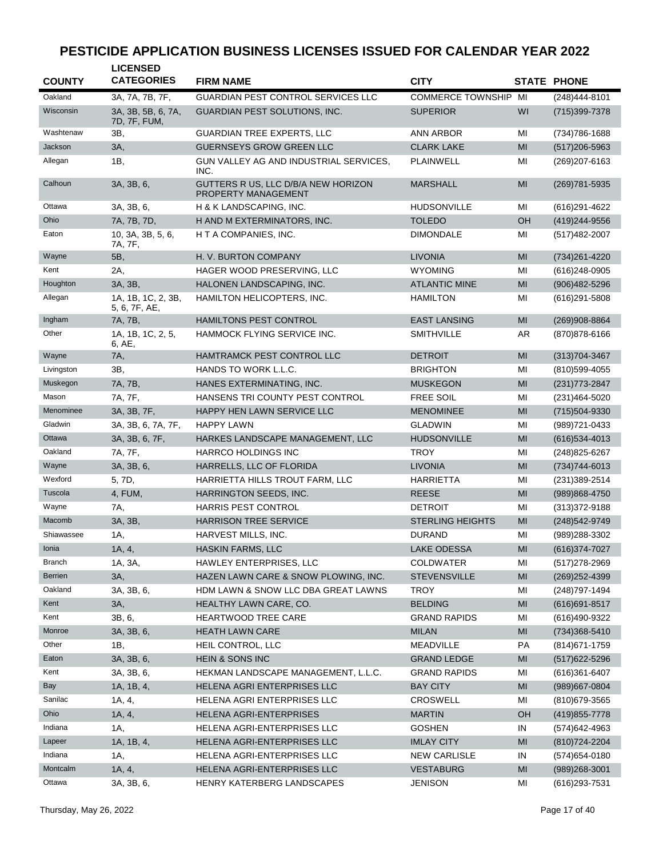| Oakland<br>3A, 7A, 7B, 7F,<br><b>GUARDIAN PEST CONTROL SERVICES LLC</b><br><b>COMMERCE TOWNSHIP MI</b><br>(248)444-8101<br>Wisconsin<br><b>GUARDIAN PEST SOLUTIONS, INC.</b><br>WI<br>3A, 3B, 5B, 6, 7A,<br><b>SUPERIOR</b><br>(715)399-7378<br>7D, 7F, FUM,<br>Washtenaw<br>ЗΒ.<br><b>GUARDIAN TREE EXPERTS, LLC</b><br><b>ANN ARBOR</b><br>ΜI<br>(734) 786-1688<br>Jackson<br>3A,<br><b>GUERNSEYS GROW GREEN LLC</b><br><b>CLARK LAKE</b><br>MI<br>$(517)206 - 5963$<br>Allegan<br>1B,<br>GUN VALLEY AG AND INDUSTRIAL SERVICES,<br>PLAINWELL<br>MI<br>(269) 207-6163<br>INC.<br>Calhoun<br>3A, 3B, 6,<br>GUTTERS R US, LLC D/B/A NEW HORIZON<br><b>MARSHALL</b><br>MI<br>(269) 781-5935<br>PROPERTY MANAGEMENT<br>Ottawa<br>3A, 3B, 6,<br>H & K LANDSCAPING, INC.<br><b>HUDSONVILLE</b><br>MI<br>(616) 291-4622<br>7A, 7B, 7D,<br>H AND M EXTERMINATORS, INC.<br><b>TOLEDO</b><br>OH<br>Ohio<br>(419) 244-9556<br>10, 3A, 3B, 5, 6,<br>H T A COMPANIES, INC.<br><b>DIMONDALE</b><br>Eaton<br>ΜI<br>(517) 482-2007<br>7A, 7F,<br>Wayne<br>5B,<br>H. V. BURTON COMPANY<br><b>LIVONIA</b><br>MI<br>(734) 261-4220<br>Kent<br>2A,<br>HAGER WOOD PRESERVING, LLC<br><b>WYOMING</b><br>MI<br>$(616)$ 248-0905<br>Houghton<br>3A, 3B,<br>MI<br>HALONEN LANDSCAPING, INC.<br><b>ATLANTIC MINE</b><br>(906)482-5296<br>Allegan<br>1A, 1B, 1C, 2, 3B,<br>HAMILTON HELICOPTERS, INC.<br><b>HAMILTON</b><br>MI<br>$(616)291 - 5808$<br>5, 6, 7F, AE,<br>Ingham<br>7A, 7B,<br><b>HAMILTONS PEST CONTROL</b><br><b>EAST LANSING</b><br>MI<br>(269)908-8864<br>Other<br>1A, 1B, 1C, 2, 5,<br>HAMMOCK FLYING SERVICE INC.<br>SMITHVILLE<br>AR<br>(870) 878-6166<br>6, AE,<br>Wayne<br>7A,<br>HAMTRAMCK PEST CONTROL LLC<br><b>DETROIT</b><br>MI<br>$(313)704 - 3467$<br>HANDS TO WORK L.L.C.<br>Livingston<br>3B,<br><b>BRIGHTON</b><br>MI<br>(810) 599-4055<br>Muskegon<br>7A, 7B,<br>HANES EXTERMINATING, INC.<br><b>MUSKEGON</b><br>MI<br>$(231)773 - 2847$<br>Mason<br>7A, 7F,<br>HANSENS TRI COUNTY PEST CONTROL<br><b>FREE SOIL</b><br>MI<br>$(231)464 - 5020$<br>Menominee<br>3A, 3B, 7F,<br>HAPPY HEN LAWN SERVICE LLC<br><b>MENOMINEE</b><br>MI<br>(715)504-9330<br>Gladwin<br>3A, 3B, 6, 7A, 7F,<br><b>HAPPY LAWN</b><br><b>GLADWIN</b><br>MI<br>(989) 721-0433<br>Ottawa<br>3A, 3B, 6, 7F,<br>HARKES LANDSCAPE MANAGEMENT, LLC<br><b>HUDSONVILLE</b><br>MI<br>$(616)$ 534-4013<br>Oakland<br>HARRCO HOLDINGS INC<br><b>TROY</b><br>7A, 7F,<br>MI<br>$(248)825 - 6267$<br>Wayne<br>3A, 3B, 6,<br>HARRELLS, LLC OF FLORIDA<br><b>LIVONIA</b><br>MI<br>$(734)744-6013$<br>Wexford<br>5, 7D,<br>HARRIETTA HILLS TROUT FARM, LLC<br><b>HARRIETTA</b><br>MI<br>(231) 389-2514<br>Tuscola<br>4, FUM,<br>HARRINGTON SEEDS, INC.<br><b>REESE</b><br>MI<br>(989)868-4750<br>Wayne<br>7A,<br>HARRIS PEST CONTROL<br><b>DETROIT</b><br>MI<br>(313) 372-9188<br>Macomb<br>3A, 3B,<br><b>HARRISON TREE SERVICE</b><br><b>STERLING HEIGHTS</b><br>MI<br>(248) 542-9749<br>Shiawassee<br>HARVEST MILLS, INC.<br><b>DURAND</b><br>MI<br>(989) 288-3302<br>1A,<br><b>HASKIN FARMS, LLC</b><br><b>LAKE ODESSA</b><br>Ionia<br>1A, 4,<br>MI<br>$(616)374-7027$<br><b>Branch</b><br>1A, 3A,<br>HAWLEY ENTERPRISES, LLC<br><b>COLDWATER</b><br>ΜI<br>(517) 278-2969<br>Berrien<br>HAZEN LAWN CARE & SNOW PLOWING, INC.<br>M <sub>l</sub><br>3A,<br><b>STEVENSVILLE</b><br>$(269)252 - 4399$<br>Oakland<br>HDM LAWN & SNOW LLC DBA GREAT LAWNS<br>3A, 3B, 6,<br><b>TROY</b><br>ΜI<br>(248) 797-1494<br><b>BELDING</b><br>M <sub>l</sub><br>Kent<br>3A,<br>HEALTHY LAWN CARE, CO.<br>$(616)691 - 8517$<br>Kent<br>3B, 6,<br>HEARTWOOD TREE CARE<br><b>GRAND RAPIDS</b><br>MI<br>(616)490-9322<br>Monroe<br>$\mathsf{MI}$<br>3A, 3B, 6,<br><b>HEATH LAWN CARE</b><br><b>MILAN</b><br>$(734)368 - 5410$<br>Other<br>1B,<br>HEIL CONTROL, LLC<br>MEADVILLE<br>PA<br>(814) 671-1759<br>Eaton<br>3A, 3B, 6,<br><b>HEIN &amp; SONS INC</b><br><b>GRAND LEDGE</b><br>MI<br>$(517)622 - 5296$<br>Kent<br>3A, 3B, 6,<br>HEKMAN LANDSCAPE MANAGEMENT, L.L.C.<br><b>GRAND RAPIDS</b><br>ΜI<br>$(616)361-6407$<br>Bay<br>1A, 1B, 4,<br><b>BAY CITY</b><br>MI<br>HELENA AGRI ENTERPRISES LLC<br>(989) 667-0804<br>Sanilac<br>1A, 4,<br>HELENA AGRI ENTERPRISES LLC<br>CROSWELL<br>ΜI<br>(810) 679-3565<br>Ohio<br>1A, 4,<br>OH<br>HELENA AGRI-ENTERPRISES<br><b>MARTIN</b><br>(419) 855-7778<br>Indiana<br>HELENA AGRI-ENTERPRISES LLC<br><b>GOSHEN</b><br>1A,<br>IN<br>(574) 642-4963<br>1A, 1B, 4,<br>Lapeer<br>HELENA AGRI-ENTERPRISES LLC<br>MI<br><b>IMLAY CITY</b><br>(810) 724-2204<br>Indiana<br>1A,<br>HELENA AGRI-ENTERPRISES LLC<br><b>NEW CARLISLE</b><br>IN<br>(574) 654-0180<br>Montcalm<br>1A, 4,<br><b>VESTABURG</b><br>M <sub>l</sub><br>HELENA AGRI-ENTERPRISES LLC<br>$(989)268 - 3001$<br>Ottawa | <b>COUNTY</b> | <b>LICENSED</b><br><b>CATEGORIES</b> | <b>FIRM NAME</b>           | <b>CITY</b>    |    | <b>STATE PHONE</b> |
|-------------------------------------------------------------------------------------------------------------------------------------------------------------------------------------------------------------------------------------------------------------------------------------------------------------------------------------------------------------------------------------------------------------------------------------------------------------------------------------------------------------------------------------------------------------------------------------------------------------------------------------------------------------------------------------------------------------------------------------------------------------------------------------------------------------------------------------------------------------------------------------------------------------------------------------------------------------------------------------------------------------------------------------------------------------------------------------------------------------------------------------------------------------------------------------------------------------------------------------------------------------------------------------------------------------------------------------------------------------------------------------------------------------------------------------------------------------------------------------------------------------------------------------------------------------------------------------------------------------------------------------------------------------------------------------------------------------------------------------------------------------------------------------------------------------------------------------------------------------------------------------------------------------------------------------------------------------------------------------------------------------------------------------------------------------------------------------------------------------------------------------------------------------------------------------------------------------------------------------------------------------------------------------------------------------------------------------------------------------------------------------------------------------------------------------------------------------------------------------------------------------------------------------------------------------------------------------------------------------------------------------------------------------------------------------------------------------------------------------------------------------------------------------------------------------------------------------------------------------------------------------------------------------------------------------------------------------------------------------------------------------------------------------------------------------------------------------------------------------------------------------------------------------------------------------------------------------------------------------------------------------------------------------------------------------------------------------------------------------------------------------------------------------------------------------------------------------------------------------------------------------------------------------------------------------------------------------------------------------------------------------------------------------------------------------------------------------------------------------------------------------------------------------------------------------------------------------------------------------------------------------------------------------------------------------------------------------------------------------------------------------------------------------------------------------------------------------------------------------------------------------------------------------------------------------------------------------------------------------------------------------------------------------------------------------------------------------------------------------------------------------------------------------------------------------------------------------------------------------------------------------------------------------------------------------------------------------------------------------------------------------------------------------------------------------------------------------------------------------------------------------------------------|---------------|--------------------------------------|----------------------------|----------------|----|--------------------|
|                                                                                                                                                                                                                                                                                                                                                                                                                                                                                                                                                                                                                                                                                                                                                                                                                                                                                                                                                                                                                                                                                                                                                                                                                                                                                                                                                                                                                                                                                                                                                                                                                                                                                                                                                                                                                                                                                                                                                                                                                                                                                                                                                                                                                                                                                                                                                                                                                                                                                                                                                                                                                                                                                                                                                                                                                                                                                                                                                                                                                                                                                                                                                                                                                                                                                                                                                                                                                                                                                                                                                                                                                                                                                                                                                                                                                                                                                                                                                                                                                                                                                                                                                                                                                                                                                                                                                                                                                                                                                                                                                                                                                                                                                                                                                                               |               |                                      |                            |                |    |                    |
|                                                                                                                                                                                                                                                                                                                                                                                                                                                                                                                                                                                                                                                                                                                                                                                                                                                                                                                                                                                                                                                                                                                                                                                                                                                                                                                                                                                                                                                                                                                                                                                                                                                                                                                                                                                                                                                                                                                                                                                                                                                                                                                                                                                                                                                                                                                                                                                                                                                                                                                                                                                                                                                                                                                                                                                                                                                                                                                                                                                                                                                                                                                                                                                                                                                                                                                                                                                                                                                                                                                                                                                                                                                                                                                                                                                                                                                                                                                                                                                                                                                                                                                                                                                                                                                                                                                                                                                                                                                                                                                                                                                                                                                                                                                                                                               |               |                                      |                            |                |    |                    |
|                                                                                                                                                                                                                                                                                                                                                                                                                                                                                                                                                                                                                                                                                                                                                                                                                                                                                                                                                                                                                                                                                                                                                                                                                                                                                                                                                                                                                                                                                                                                                                                                                                                                                                                                                                                                                                                                                                                                                                                                                                                                                                                                                                                                                                                                                                                                                                                                                                                                                                                                                                                                                                                                                                                                                                                                                                                                                                                                                                                                                                                                                                                                                                                                                                                                                                                                                                                                                                                                                                                                                                                                                                                                                                                                                                                                                                                                                                                                                                                                                                                                                                                                                                                                                                                                                                                                                                                                                                                                                                                                                                                                                                                                                                                                                                               |               |                                      |                            |                |    |                    |
|                                                                                                                                                                                                                                                                                                                                                                                                                                                                                                                                                                                                                                                                                                                                                                                                                                                                                                                                                                                                                                                                                                                                                                                                                                                                                                                                                                                                                                                                                                                                                                                                                                                                                                                                                                                                                                                                                                                                                                                                                                                                                                                                                                                                                                                                                                                                                                                                                                                                                                                                                                                                                                                                                                                                                                                                                                                                                                                                                                                                                                                                                                                                                                                                                                                                                                                                                                                                                                                                                                                                                                                                                                                                                                                                                                                                                                                                                                                                                                                                                                                                                                                                                                                                                                                                                                                                                                                                                                                                                                                                                                                                                                                                                                                                                                               |               |                                      |                            |                |    |                    |
|                                                                                                                                                                                                                                                                                                                                                                                                                                                                                                                                                                                                                                                                                                                                                                                                                                                                                                                                                                                                                                                                                                                                                                                                                                                                                                                                                                                                                                                                                                                                                                                                                                                                                                                                                                                                                                                                                                                                                                                                                                                                                                                                                                                                                                                                                                                                                                                                                                                                                                                                                                                                                                                                                                                                                                                                                                                                                                                                                                                                                                                                                                                                                                                                                                                                                                                                                                                                                                                                                                                                                                                                                                                                                                                                                                                                                                                                                                                                                                                                                                                                                                                                                                                                                                                                                                                                                                                                                                                                                                                                                                                                                                                                                                                                                                               |               |                                      |                            |                |    |                    |
|                                                                                                                                                                                                                                                                                                                                                                                                                                                                                                                                                                                                                                                                                                                                                                                                                                                                                                                                                                                                                                                                                                                                                                                                                                                                                                                                                                                                                                                                                                                                                                                                                                                                                                                                                                                                                                                                                                                                                                                                                                                                                                                                                                                                                                                                                                                                                                                                                                                                                                                                                                                                                                                                                                                                                                                                                                                                                                                                                                                                                                                                                                                                                                                                                                                                                                                                                                                                                                                                                                                                                                                                                                                                                                                                                                                                                                                                                                                                                                                                                                                                                                                                                                                                                                                                                                                                                                                                                                                                                                                                                                                                                                                                                                                                                                               |               |                                      |                            |                |    |                    |
|                                                                                                                                                                                                                                                                                                                                                                                                                                                                                                                                                                                                                                                                                                                                                                                                                                                                                                                                                                                                                                                                                                                                                                                                                                                                                                                                                                                                                                                                                                                                                                                                                                                                                                                                                                                                                                                                                                                                                                                                                                                                                                                                                                                                                                                                                                                                                                                                                                                                                                                                                                                                                                                                                                                                                                                                                                                                                                                                                                                                                                                                                                                                                                                                                                                                                                                                                                                                                                                                                                                                                                                                                                                                                                                                                                                                                                                                                                                                                                                                                                                                                                                                                                                                                                                                                                                                                                                                                                                                                                                                                                                                                                                                                                                                                                               |               |                                      |                            |                |    |                    |
|                                                                                                                                                                                                                                                                                                                                                                                                                                                                                                                                                                                                                                                                                                                                                                                                                                                                                                                                                                                                                                                                                                                                                                                                                                                                                                                                                                                                                                                                                                                                                                                                                                                                                                                                                                                                                                                                                                                                                                                                                                                                                                                                                                                                                                                                                                                                                                                                                                                                                                                                                                                                                                                                                                                                                                                                                                                                                                                                                                                                                                                                                                                                                                                                                                                                                                                                                                                                                                                                                                                                                                                                                                                                                                                                                                                                                                                                                                                                                                                                                                                                                                                                                                                                                                                                                                                                                                                                                                                                                                                                                                                                                                                                                                                                                                               |               |                                      |                            |                |    |                    |
|                                                                                                                                                                                                                                                                                                                                                                                                                                                                                                                                                                                                                                                                                                                                                                                                                                                                                                                                                                                                                                                                                                                                                                                                                                                                                                                                                                                                                                                                                                                                                                                                                                                                                                                                                                                                                                                                                                                                                                                                                                                                                                                                                                                                                                                                                                                                                                                                                                                                                                                                                                                                                                                                                                                                                                                                                                                                                                                                                                                                                                                                                                                                                                                                                                                                                                                                                                                                                                                                                                                                                                                                                                                                                                                                                                                                                                                                                                                                                                                                                                                                                                                                                                                                                                                                                                                                                                                                                                                                                                                                                                                                                                                                                                                                                                               |               |                                      |                            |                |    |                    |
|                                                                                                                                                                                                                                                                                                                                                                                                                                                                                                                                                                                                                                                                                                                                                                                                                                                                                                                                                                                                                                                                                                                                                                                                                                                                                                                                                                                                                                                                                                                                                                                                                                                                                                                                                                                                                                                                                                                                                                                                                                                                                                                                                                                                                                                                                                                                                                                                                                                                                                                                                                                                                                                                                                                                                                                                                                                                                                                                                                                                                                                                                                                                                                                                                                                                                                                                                                                                                                                                                                                                                                                                                                                                                                                                                                                                                                                                                                                                                                                                                                                                                                                                                                                                                                                                                                                                                                                                                                                                                                                                                                                                                                                                                                                                                                               |               |                                      |                            |                |    |                    |
|                                                                                                                                                                                                                                                                                                                                                                                                                                                                                                                                                                                                                                                                                                                                                                                                                                                                                                                                                                                                                                                                                                                                                                                                                                                                                                                                                                                                                                                                                                                                                                                                                                                                                                                                                                                                                                                                                                                                                                                                                                                                                                                                                                                                                                                                                                                                                                                                                                                                                                                                                                                                                                                                                                                                                                                                                                                                                                                                                                                                                                                                                                                                                                                                                                                                                                                                                                                                                                                                                                                                                                                                                                                                                                                                                                                                                                                                                                                                                                                                                                                                                                                                                                                                                                                                                                                                                                                                                                                                                                                                                                                                                                                                                                                                                                               |               |                                      |                            |                |    |                    |
|                                                                                                                                                                                                                                                                                                                                                                                                                                                                                                                                                                                                                                                                                                                                                                                                                                                                                                                                                                                                                                                                                                                                                                                                                                                                                                                                                                                                                                                                                                                                                                                                                                                                                                                                                                                                                                                                                                                                                                                                                                                                                                                                                                                                                                                                                                                                                                                                                                                                                                                                                                                                                                                                                                                                                                                                                                                                                                                                                                                                                                                                                                                                                                                                                                                                                                                                                                                                                                                                                                                                                                                                                                                                                                                                                                                                                                                                                                                                                                                                                                                                                                                                                                                                                                                                                                                                                                                                                                                                                                                                                                                                                                                                                                                                                                               |               |                                      |                            |                |    |                    |
|                                                                                                                                                                                                                                                                                                                                                                                                                                                                                                                                                                                                                                                                                                                                                                                                                                                                                                                                                                                                                                                                                                                                                                                                                                                                                                                                                                                                                                                                                                                                                                                                                                                                                                                                                                                                                                                                                                                                                                                                                                                                                                                                                                                                                                                                                                                                                                                                                                                                                                                                                                                                                                                                                                                                                                                                                                                                                                                                                                                                                                                                                                                                                                                                                                                                                                                                                                                                                                                                                                                                                                                                                                                                                                                                                                                                                                                                                                                                                                                                                                                                                                                                                                                                                                                                                                                                                                                                                                                                                                                                                                                                                                                                                                                                                                               |               |                                      |                            |                |    |                    |
|                                                                                                                                                                                                                                                                                                                                                                                                                                                                                                                                                                                                                                                                                                                                                                                                                                                                                                                                                                                                                                                                                                                                                                                                                                                                                                                                                                                                                                                                                                                                                                                                                                                                                                                                                                                                                                                                                                                                                                                                                                                                                                                                                                                                                                                                                                                                                                                                                                                                                                                                                                                                                                                                                                                                                                                                                                                                                                                                                                                                                                                                                                                                                                                                                                                                                                                                                                                                                                                                                                                                                                                                                                                                                                                                                                                                                                                                                                                                                                                                                                                                                                                                                                                                                                                                                                                                                                                                                                                                                                                                                                                                                                                                                                                                                                               |               |                                      |                            |                |    |                    |
|                                                                                                                                                                                                                                                                                                                                                                                                                                                                                                                                                                                                                                                                                                                                                                                                                                                                                                                                                                                                                                                                                                                                                                                                                                                                                                                                                                                                                                                                                                                                                                                                                                                                                                                                                                                                                                                                                                                                                                                                                                                                                                                                                                                                                                                                                                                                                                                                                                                                                                                                                                                                                                                                                                                                                                                                                                                                                                                                                                                                                                                                                                                                                                                                                                                                                                                                                                                                                                                                                                                                                                                                                                                                                                                                                                                                                                                                                                                                                                                                                                                                                                                                                                                                                                                                                                                                                                                                                                                                                                                                                                                                                                                                                                                                                                               |               |                                      |                            |                |    |                    |
|                                                                                                                                                                                                                                                                                                                                                                                                                                                                                                                                                                                                                                                                                                                                                                                                                                                                                                                                                                                                                                                                                                                                                                                                                                                                                                                                                                                                                                                                                                                                                                                                                                                                                                                                                                                                                                                                                                                                                                                                                                                                                                                                                                                                                                                                                                                                                                                                                                                                                                                                                                                                                                                                                                                                                                                                                                                                                                                                                                                                                                                                                                                                                                                                                                                                                                                                                                                                                                                                                                                                                                                                                                                                                                                                                                                                                                                                                                                                                                                                                                                                                                                                                                                                                                                                                                                                                                                                                                                                                                                                                                                                                                                                                                                                                                               |               |                                      |                            |                |    |                    |
|                                                                                                                                                                                                                                                                                                                                                                                                                                                                                                                                                                                                                                                                                                                                                                                                                                                                                                                                                                                                                                                                                                                                                                                                                                                                                                                                                                                                                                                                                                                                                                                                                                                                                                                                                                                                                                                                                                                                                                                                                                                                                                                                                                                                                                                                                                                                                                                                                                                                                                                                                                                                                                                                                                                                                                                                                                                                                                                                                                                                                                                                                                                                                                                                                                                                                                                                                                                                                                                                                                                                                                                                                                                                                                                                                                                                                                                                                                                                                                                                                                                                                                                                                                                                                                                                                                                                                                                                                                                                                                                                                                                                                                                                                                                                                                               |               |                                      |                            |                |    |                    |
|                                                                                                                                                                                                                                                                                                                                                                                                                                                                                                                                                                                                                                                                                                                                                                                                                                                                                                                                                                                                                                                                                                                                                                                                                                                                                                                                                                                                                                                                                                                                                                                                                                                                                                                                                                                                                                                                                                                                                                                                                                                                                                                                                                                                                                                                                                                                                                                                                                                                                                                                                                                                                                                                                                                                                                                                                                                                                                                                                                                                                                                                                                                                                                                                                                                                                                                                                                                                                                                                                                                                                                                                                                                                                                                                                                                                                                                                                                                                                                                                                                                                                                                                                                                                                                                                                                                                                                                                                                                                                                                                                                                                                                                                                                                                                                               |               |                                      |                            |                |    |                    |
|                                                                                                                                                                                                                                                                                                                                                                                                                                                                                                                                                                                                                                                                                                                                                                                                                                                                                                                                                                                                                                                                                                                                                                                                                                                                                                                                                                                                                                                                                                                                                                                                                                                                                                                                                                                                                                                                                                                                                                                                                                                                                                                                                                                                                                                                                                                                                                                                                                                                                                                                                                                                                                                                                                                                                                                                                                                                                                                                                                                                                                                                                                                                                                                                                                                                                                                                                                                                                                                                                                                                                                                                                                                                                                                                                                                                                                                                                                                                                                                                                                                                                                                                                                                                                                                                                                                                                                                                                                                                                                                                                                                                                                                                                                                                                                               |               |                                      |                            |                |    |                    |
|                                                                                                                                                                                                                                                                                                                                                                                                                                                                                                                                                                                                                                                                                                                                                                                                                                                                                                                                                                                                                                                                                                                                                                                                                                                                                                                                                                                                                                                                                                                                                                                                                                                                                                                                                                                                                                                                                                                                                                                                                                                                                                                                                                                                                                                                                                                                                                                                                                                                                                                                                                                                                                                                                                                                                                                                                                                                                                                                                                                                                                                                                                                                                                                                                                                                                                                                                                                                                                                                                                                                                                                                                                                                                                                                                                                                                                                                                                                                                                                                                                                                                                                                                                                                                                                                                                                                                                                                                                                                                                                                                                                                                                                                                                                                                                               |               |                                      |                            |                |    |                    |
|                                                                                                                                                                                                                                                                                                                                                                                                                                                                                                                                                                                                                                                                                                                                                                                                                                                                                                                                                                                                                                                                                                                                                                                                                                                                                                                                                                                                                                                                                                                                                                                                                                                                                                                                                                                                                                                                                                                                                                                                                                                                                                                                                                                                                                                                                                                                                                                                                                                                                                                                                                                                                                                                                                                                                                                                                                                                                                                                                                                                                                                                                                                                                                                                                                                                                                                                                                                                                                                                                                                                                                                                                                                                                                                                                                                                                                                                                                                                                                                                                                                                                                                                                                                                                                                                                                                                                                                                                                                                                                                                                                                                                                                                                                                                                                               |               |                                      |                            |                |    |                    |
|                                                                                                                                                                                                                                                                                                                                                                                                                                                                                                                                                                                                                                                                                                                                                                                                                                                                                                                                                                                                                                                                                                                                                                                                                                                                                                                                                                                                                                                                                                                                                                                                                                                                                                                                                                                                                                                                                                                                                                                                                                                                                                                                                                                                                                                                                                                                                                                                                                                                                                                                                                                                                                                                                                                                                                                                                                                                                                                                                                                                                                                                                                                                                                                                                                                                                                                                                                                                                                                                                                                                                                                                                                                                                                                                                                                                                                                                                                                                                                                                                                                                                                                                                                                                                                                                                                                                                                                                                                                                                                                                                                                                                                                                                                                                                                               |               |                                      |                            |                |    |                    |
|                                                                                                                                                                                                                                                                                                                                                                                                                                                                                                                                                                                                                                                                                                                                                                                                                                                                                                                                                                                                                                                                                                                                                                                                                                                                                                                                                                                                                                                                                                                                                                                                                                                                                                                                                                                                                                                                                                                                                                                                                                                                                                                                                                                                                                                                                                                                                                                                                                                                                                                                                                                                                                                                                                                                                                                                                                                                                                                                                                                                                                                                                                                                                                                                                                                                                                                                                                                                                                                                                                                                                                                                                                                                                                                                                                                                                                                                                                                                                                                                                                                                                                                                                                                                                                                                                                                                                                                                                                                                                                                                                                                                                                                                                                                                                                               |               |                                      |                            |                |    |                    |
|                                                                                                                                                                                                                                                                                                                                                                                                                                                                                                                                                                                                                                                                                                                                                                                                                                                                                                                                                                                                                                                                                                                                                                                                                                                                                                                                                                                                                                                                                                                                                                                                                                                                                                                                                                                                                                                                                                                                                                                                                                                                                                                                                                                                                                                                                                                                                                                                                                                                                                                                                                                                                                                                                                                                                                                                                                                                                                                                                                                                                                                                                                                                                                                                                                                                                                                                                                                                                                                                                                                                                                                                                                                                                                                                                                                                                                                                                                                                                                                                                                                                                                                                                                                                                                                                                                                                                                                                                                                                                                                                                                                                                                                                                                                                                                               |               |                                      |                            |                |    |                    |
|                                                                                                                                                                                                                                                                                                                                                                                                                                                                                                                                                                                                                                                                                                                                                                                                                                                                                                                                                                                                                                                                                                                                                                                                                                                                                                                                                                                                                                                                                                                                                                                                                                                                                                                                                                                                                                                                                                                                                                                                                                                                                                                                                                                                                                                                                                                                                                                                                                                                                                                                                                                                                                                                                                                                                                                                                                                                                                                                                                                                                                                                                                                                                                                                                                                                                                                                                                                                                                                                                                                                                                                                                                                                                                                                                                                                                                                                                                                                                                                                                                                                                                                                                                                                                                                                                                                                                                                                                                                                                                                                                                                                                                                                                                                                                                               |               |                                      |                            |                |    |                    |
|                                                                                                                                                                                                                                                                                                                                                                                                                                                                                                                                                                                                                                                                                                                                                                                                                                                                                                                                                                                                                                                                                                                                                                                                                                                                                                                                                                                                                                                                                                                                                                                                                                                                                                                                                                                                                                                                                                                                                                                                                                                                                                                                                                                                                                                                                                                                                                                                                                                                                                                                                                                                                                                                                                                                                                                                                                                                                                                                                                                                                                                                                                                                                                                                                                                                                                                                                                                                                                                                                                                                                                                                                                                                                                                                                                                                                                                                                                                                                                                                                                                                                                                                                                                                                                                                                                                                                                                                                                                                                                                                                                                                                                                                                                                                                                               |               |                                      |                            |                |    |                    |
|                                                                                                                                                                                                                                                                                                                                                                                                                                                                                                                                                                                                                                                                                                                                                                                                                                                                                                                                                                                                                                                                                                                                                                                                                                                                                                                                                                                                                                                                                                                                                                                                                                                                                                                                                                                                                                                                                                                                                                                                                                                                                                                                                                                                                                                                                                                                                                                                                                                                                                                                                                                                                                                                                                                                                                                                                                                                                                                                                                                                                                                                                                                                                                                                                                                                                                                                                                                                                                                                                                                                                                                                                                                                                                                                                                                                                                                                                                                                                                                                                                                                                                                                                                                                                                                                                                                                                                                                                                                                                                                                                                                                                                                                                                                                                                               |               |                                      |                            |                |    |                    |
|                                                                                                                                                                                                                                                                                                                                                                                                                                                                                                                                                                                                                                                                                                                                                                                                                                                                                                                                                                                                                                                                                                                                                                                                                                                                                                                                                                                                                                                                                                                                                                                                                                                                                                                                                                                                                                                                                                                                                                                                                                                                                                                                                                                                                                                                                                                                                                                                                                                                                                                                                                                                                                                                                                                                                                                                                                                                                                                                                                                                                                                                                                                                                                                                                                                                                                                                                                                                                                                                                                                                                                                                                                                                                                                                                                                                                                                                                                                                                                                                                                                                                                                                                                                                                                                                                                                                                                                                                                                                                                                                                                                                                                                                                                                                                                               |               |                                      |                            |                |    |                    |
|                                                                                                                                                                                                                                                                                                                                                                                                                                                                                                                                                                                                                                                                                                                                                                                                                                                                                                                                                                                                                                                                                                                                                                                                                                                                                                                                                                                                                                                                                                                                                                                                                                                                                                                                                                                                                                                                                                                                                                                                                                                                                                                                                                                                                                                                                                                                                                                                                                                                                                                                                                                                                                                                                                                                                                                                                                                                                                                                                                                                                                                                                                                                                                                                                                                                                                                                                                                                                                                                                                                                                                                                                                                                                                                                                                                                                                                                                                                                                                                                                                                                                                                                                                                                                                                                                                                                                                                                                                                                                                                                                                                                                                                                                                                                                                               |               |                                      |                            |                |    |                    |
|                                                                                                                                                                                                                                                                                                                                                                                                                                                                                                                                                                                                                                                                                                                                                                                                                                                                                                                                                                                                                                                                                                                                                                                                                                                                                                                                                                                                                                                                                                                                                                                                                                                                                                                                                                                                                                                                                                                                                                                                                                                                                                                                                                                                                                                                                                                                                                                                                                                                                                                                                                                                                                                                                                                                                                                                                                                                                                                                                                                                                                                                                                                                                                                                                                                                                                                                                                                                                                                                                                                                                                                                                                                                                                                                                                                                                                                                                                                                                                                                                                                                                                                                                                                                                                                                                                                                                                                                                                                                                                                                                                                                                                                                                                                                                                               |               |                                      |                            |                |    |                    |
|                                                                                                                                                                                                                                                                                                                                                                                                                                                                                                                                                                                                                                                                                                                                                                                                                                                                                                                                                                                                                                                                                                                                                                                                                                                                                                                                                                                                                                                                                                                                                                                                                                                                                                                                                                                                                                                                                                                                                                                                                                                                                                                                                                                                                                                                                                                                                                                                                                                                                                                                                                                                                                                                                                                                                                                                                                                                                                                                                                                                                                                                                                                                                                                                                                                                                                                                                                                                                                                                                                                                                                                                                                                                                                                                                                                                                                                                                                                                                                                                                                                                                                                                                                                                                                                                                                                                                                                                                                                                                                                                                                                                                                                                                                                                                                               |               |                                      |                            |                |    |                    |
|                                                                                                                                                                                                                                                                                                                                                                                                                                                                                                                                                                                                                                                                                                                                                                                                                                                                                                                                                                                                                                                                                                                                                                                                                                                                                                                                                                                                                                                                                                                                                                                                                                                                                                                                                                                                                                                                                                                                                                                                                                                                                                                                                                                                                                                                                                                                                                                                                                                                                                                                                                                                                                                                                                                                                                                                                                                                                                                                                                                                                                                                                                                                                                                                                                                                                                                                                                                                                                                                                                                                                                                                                                                                                                                                                                                                                                                                                                                                                                                                                                                                                                                                                                                                                                                                                                                                                                                                                                                                                                                                                                                                                                                                                                                                                                               |               |                                      |                            |                |    |                    |
|                                                                                                                                                                                                                                                                                                                                                                                                                                                                                                                                                                                                                                                                                                                                                                                                                                                                                                                                                                                                                                                                                                                                                                                                                                                                                                                                                                                                                                                                                                                                                                                                                                                                                                                                                                                                                                                                                                                                                                                                                                                                                                                                                                                                                                                                                                                                                                                                                                                                                                                                                                                                                                                                                                                                                                                                                                                                                                                                                                                                                                                                                                                                                                                                                                                                                                                                                                                                                                                                                                                                                                                                                                                                                                                                                                                                                                                                                                                                                                                                                                                                                                                                                                                                                                                                                                                                                                                                                                                                                                                                                                                                                                                                                                                                                                               |               |                                      |                            |                |    |                    |
|                                                                                                                                                                                                                                                                                                                                                                                                                                                                                                                                                                                                                                                                                                                                                                                                                                                                                                                                                                                                                                                                                                                                                                                                                                                                                                                                                                                                                                                                                                                                                                                                                                                                                                                                                                                                                                                                                                                                                                                                                                                                                                                                                                                                                                                                                                                                                                                                                                                                                                                                                                                                                                                                                                                                                                                                                                                                                                                                                                                                                                                                                                                                                                                                                                                                                                                                                                                                                                                                                                                                                                                                                                                                                                                                                                                                                                                                                                                                                                                                                                                                                                                                                                                                                                                                                                                                                                                                                                                                                                                                                                                                                                                                                                                                                                               |               |                                      |                            |                |    |                    |
|                                                                                                                                                                                                                                                                                                                                                                                                                                                                                                                                                                                                                                                                                                                                                                                                                                                                                                                                                                                                                                                                                                                                                                                                                                                                                                                                                                                                                                                                                                                                                                                                                                                                                                                                                                                                                                                                                                                                                                                                                                                                                                                                                                                                                                                                                                                                                                                                                                                                                                                                                                                                                                                                                                                                                                                                                                                                                                                                                                                                                                                                                                                                                                                                                                                                                                                                                                                                                                                                                                                                                                                                                                                                                                                                                                                                                                                                                                                                                                                                                                                                                                                                                                                                                                                                                                                                                                                                                                                                                                                                                                                                                                                                                                                                                                               |               |                                      |                            |                |    |                    |
|                                                                                                                                                                                                                                                                                                                                                                                                                                                                                                                                                                                                                                                                                                                                                                                                                                                                                                                                                                                                                                                                                                                                                                                                                                                                                                                                                                                                                                                                                                                                                                                                                                                                                                                                                                                                                                                                                                                                                                                                                                                                                                                                                                                                                                                                                                                                                                                                                                                                                                                                                                                                                                                                                                                                                                                                                                                                                                                                                                                                                                                                                                                                                                                                                                                                                                                                                                                                                                                                                                                                                                                                                                                                                                                                                                                                                                                                                                                                                                                                                                                                                                                                                                                                                                                                                                                                                                                                                                                                                                                                                                                                                                                                                                                                                                               |               |                                      |                            |                |    |                    |
|                                                                                                                                                                                                                                                                                                                                                                                                                                                                                                                                                                                                                                                                                                                                                                                                                                                                                                                                                                                                                                                                                                                                                                                                                                                                                                                                                                                                                                                                                                                                                                                                                                                                                                                                                                                                                                                                                                                                                                                                                                                                                                                                                                                                                                                                                                                                                                                                                                                                                                                                                                                                                                                                                                                                                                                                                                                                                                                                                                                                                                                                                                                                                                                                                                                                                                                                                                                                                                                                                                                                                                                                                                                                                                                                                                                                                                                                                                                                                                                                                                                                                                                                                                                                                                                                                                                                                                                                                                                                                                                                                                                                                                                                                                                                                                               |               |                                      |                            |                |    |                    |
|                                                                                                                                                                                                                                                                                                                                                                                                                                                                                                                                                                                                                                                                                                                                                                                                                                                                                                                                                                                                                                                                                                                                                                                                                                                                                                                                                                                                                                                                                                                                                                                                                                                                                                                                                                                                                                                                                                                                                                                                                                                                                                                                                                                                                                                                                                                                                                                                                                                                                                                                                                                                                                                                                                                                                                                                                                                                                                                                                                                                                                                                                                                                                                                                                                                                                                                                                                                                                                                                                                                                                                                                                                                                                                                                                                                                                                                                                                                                                                                                                                                                                                                                                                                                                                                                                                                                                                                                                                                                                                                                                                                                                                                                                                                                                                               |               |                                      |                            |                |    |                    |
|                                                                                                                                                                                                                                                                                                                                                                                                                                                                                                                                                                                                                                                                                                                                                                                                                                                                                                                                                                                                                                                                                                                                                                                                                                                                                                                                                                                                                                                                                                                                                                                                                                                                                                                                                                                                                                                                                                                                                                                                                                                                                                                                                                                                                                                                                                                                                                                                                                                                                                                                                                                                                                                                                                                                                                                                                                                                                                                                                                                                                                                                                                                                                                                                                                                                                                                                                                                                                                                                                                                                                                                                                                                                                                                                                                                                                                                                                                                                                                                                                                                                                                                                                                                                                                                                                                                                                                                                                                                                                                                                                                                                                                                                                                                                                                               |               |                                      |                            |                |    |                    |
|                                                                                                                                                                                                                                                                                                                                                                                                                                                                                                                                                                                                                                                                                                                                                                                                                                                                                                                                                                                                                                                                                                                                                                                                                                                                                                                                                                                                                                                                                                                                                                                                                                                                                                                                                                                                                                                                                                                                                                                                                                                                                                                                                                                                                                                                                                                                                                                                                                                                                                                                                                                                                                                                                                                                                                                                                                                                                                                                                                                                                                                                                                                                                                                                                                                                                                                                                                                                                                                                                                                                                                                                                                                                                                                                                                                                                                                                                                                                                                                                                                                                                                                                                                                                                                                                                                                                                                                                                                                                                                                                                                                                                                                                                                                                                                               |               |                                      |                            |                |    |                    |
|                                                                                                                                                                                                                                                                                                                                                                                                                                                                                                                                                                                                                                                                                                                                                                                                                                                                                                                                                                                                                                                                                                                                                                                                                                                                                                                                                                                                                                                                                                                                                                                                                                                                                                                                                                                                                                                                                                                                                                                                                                                                                                                                                                                                                                                                                                                                                                                                                                                                                                                                                                                                                                                                                                                                                                                                                                                                                                                                                                                                                                                                                                                                                                                                                                                                                                                                                                                                                                                                                                                                                                                                                                                                                                                                                                                                                                                                                                                                                                                                                                                                                                                                                                                                                                                                                                                                                                                                                                                                                                                                                                                                                                                                                                                                                                               |               |                                      |                            |                |    |                    |
|                                                                                                                                                                                                                                                                                                                                                                                                                                                                                                                                                                                                                                                                                                                                                                                                                                                                                                                                                                                                                                                                                                                                                                                                                                                                                                                                                                                                                                                                                                                                                                                                                                                                                                                                                                                                                                                                                                                                                                                                                                                                                                                                                                                                                                                                                                                                                                                                                                                                                                                                                                                                                                                                                                                                                                                                                                                                                                                                                                                                                                                                                                                                                                                                                                                                                                                                                                                                                                                                                                                                                                                                                                                                                                                                                                                                                                                                                                                                                                                                                                                                                                                                                                                                                                                                                                                                                                                                                                                                                                                                                                                                                                                                                                                                                                               |               |                                      |                            |                |    |                    |
|                                                                                                                                                                                                                                                                                                                                                                                                                                                                                                                                                                                                                                                                                                                                                                                                                                                                                                                                                                                                                                                                                                                                                                                                                                                                                                                                                                                                                                                                                                                                                                                                                                                                                                                                                                                                                                                                                                                                                                                                                                                                                                                                                                                                                                                                                                                                                                                                                                                                                                                                                                                                                                                                                                                                                                                                                                                                                                                                                                                                                                                                                                                                                                                                                                                                                                                                                                                                                                                                                                                                                                                                                                                                                                                                                                                                                                                                                                                                                                                                                                                                                                                                                                                                                                                                                                                                                                                                                                                                                                                                                                                                                                                                                                                                                                               |               |                                      |                            |                |    |                    |
|                                                                                                                                                                                                                                                                                                                                                                                                                                                                                                                                                                                                                                                                                                                                                                                                                                                                                                                                                                                                                                                                                                                                                                                                                                                                                                                                                                                                                                                                                                                                                                                                                                                                                                                                                                                                                                                                                                                                                                                                                                                                                                                                                                                                                                                                                                                                                                                                                                                                                                                                                                                                                                                                                                                                                                                                                                                                                                                                                                                                                                                                                                                                                                                                                                                                                                                                                                                                                                                                                                                                                                                                                                                                                                                                                                                                                                                                                                                                                                                                                                                                                                                                                                                                                                                                                                                                                                                                                                                                                                                                                                                                                                                                                                                                                                               |               |                                      |                            |                |    |                    |
|                                                                                                                                                                                                                                                                                                                                                                                                                                                                                                                                                                                                                                                                                                                                                                                                                                                                                                                                                                                                                                                                                                                                                                                                                                                                                                                                                                                                                                                                                                                                                                                                                                                                                                                                                                                                                                                                                                                                                                                                                                                                                                                                                                                                                                                                                                                                                                                                                                                                                                                                                                                                                                                                                                                                                                                                                                                                                                                                                                                                                                                                                                                                                                                                                                                                                                                                                                                                                                                                                                                                                                                                                                                                                                                                                                                                                                                                                                                                                                                                                                                                                                                                                                                                                                                                                                                                                                                                                                                                                                                                                                                                                                                                                                                                                                               |               |                                      |                            |                |    |                    |
|                                                                                                                                                                                                                                                                                                                                                                                                                                                                                                                                                                                                                                                                                                                                                                                                                                                                                                                                                                                                                                                                                                                                                                                                                                                                                                                                                                                                                                                                                                                                                                                                                                                                                                                                                                                                                                                                                                                                                                                                                                                                                                                                                                                                                                                                                                                                                                                                                                                                                                                                                                                                                                                                                                                                                                                                                                                                                                                                                                                                                                                                                                                                                                                                                                                                                                                                                                                                                                                                                                                                                                                                                                                                                                                                                                                                                                                                                                                                                                                                                                                                                                                                                                                                                                                                                                                                                                                                                                                                                                                                                                                                                                                                                                                                                                               |               | 3A, 3B, 6,                           | HENRY KATERBERG LANDSCAPES | <b>JENISON</b> | MI | (616) 293-7531     |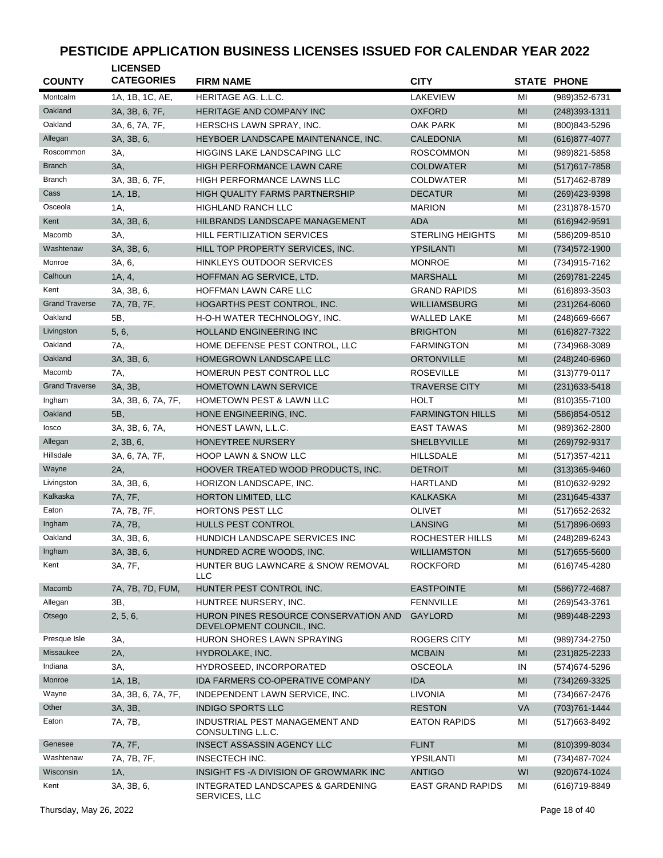| <b>COUNTY</b>         | <b>LICENSED</b><br><b>CATEGORIES</b> | <b>FIRM NAME</b>                                                   | <b>CITY</b>              |                | <b>STATE PHONE</b> |
|-----------------------|--------------------------------------|--------------------------------------------------------------------|--------------------------|----------------|--------------------|
| Montcalm              | 1A, 1B, 1C, AE,                      | <b>HERITAGE AG. L.L.C.</b>                                         | <b>LAKEVIEW</b>          | MI             | (989)352-6731      |
| Oakland               | 3A, 3B, 6, 7F,                       | HERITAGE AND COMPANY INC                                           | <b>OXFORD</b>            | MI             | $(248)393 - 1311$  |
| Oakland               | 3A, 6, 7A, 7F,                       | HERSCHS LAWN SPRAY, INC.                                           | <b>OAK PARK</b>          | MI             | (800) 843-5296     |
| Allegan               | 3A, 3B, 6,                           | HEYBOER LANDSCAPE MAINTENANCE, INC.                                | <b>CALEDONIA</b>         | MI             | (616) 877-4077     |
| Roscommon             | 3A,                                  | <b>HIGGINS LAKE LANDSCAPING LLC</b>                                | <b>ROSCOMMON</b>         | MI             | (989) 821-5858     |
| <b>Branch</b>         | 3A,                                  | <b>HIGH PERFORMANCE LAWN CARE</b>                                  | <b>COLDWATER</b>         | MI             | $(517)617 - 7858$  |
| <b>Branch</b>         | 3A, 3B, 6, 7F,                       | <b>HIGH PERFORMANCE LAWNS LLC</b>                                  | <b>COLDWATER</b>         | MI             | (517) 462-8789     |
| Cass                  | 1A, 1B,                              | HIGH QUALITY FARMS PARTNERSHIP                                     | <b>DECATUR</b>           | MI             | (269) 423-9398     |
| Osceola               | 1A,                                  | <b>HIGHLAND RANCH LLC</b>                                          | <b>MARION</b>            | MI             | (231) 878-1570     |
| Kent                  | 3A, 3B, 6,                           | HILBRANDS LANDSCAPE MANAGEMENT                                     | <b>ADA</b>               | MI             | (616) 942-9591     |
| Macomb                | 3A,                                  | <b>HILL FERTILIZATION SERVICES</b>                                 | <b>STERLING HEIGHTS</b>  | MI             | (586)209-8510      |
| Washtenaw             | 3A, 3B, 6,                           | HILL TOP PROPERTY SERVICES, INC.                                   | <b>YPSILANTI</b>         | MI             | (734) 572-1900     |
| Monroe                | 3A, 6,                               | HINKLEYS OUTDOOR SERVICES                                          | <b>MONROE</b>            | MI             | (734) 915-7162     |
| Calhoun               | 1A, 4,                               | HOFFMAN AG SERVICE, LTD.                                           | <b>MARSHALL</b>          | MI             | (269) 781-2245     |
| Kent                  | 3A, 3B, 6,                           | HOFFMAN LAWN CARE LLC                                              | <b>GRAND RAPIDS</b>      | MI             | (616)893-3503      |
| <b>Grand Traverse</b> | 7A, 7B, 7F,                          | HOGARTHS PEST CONTROL, INC.                                        | <b>WILLIAMSBURG</b>      | MI             | $(231)264 - 6060$  |
| Oakland               | 5B,                                  | H-O-H WATER TECHNOLOGY, INC.                                       | <b>WALLED LAKE</b>       | MI             | (248) 669-6667     |
| Livingston            | 5, 6,                                | <b>HOLLAND ENGINEERING INC</b>                                     | <b>BRIGHTON</b>          | MI             | (616) 827-7322     |
| Oakland               | 7A,                                  | HOME DEFENSE PEST CONTROL, LLC                                     | <b>FARMINGTON</b>        | MI             | (734)968-3089      |
| Oakland               | 3A, 3B, 6,                           | HOMEGROWN LANDSCAPE LLC                                            | <b>ORTONVILLE</b>        | MI             | $(248)240 - 6960$  |
| Macomb                | 7A,                                  | HOMERUN PEST CONTROL LLC                                           | <b>ROSEVILLE</b>         | MI             | $(313)779 - 0117$  |
| <b>Grand Traverse</b> | 3A, 3B,                              | <b>HOMETOWN LAWN SERVICE</b>                                       | <b>TRAVERSE CITY</b>     | MI             | $(231)633 - 5418$  |
| Ingham                | 3A, 3B, 6, 7A, 7F,                   | HOMETOWN PEST & LAWN LLC                                           | <b>HOLT</b>              | MI             | $(810)355 - 7100$  |
| Oakland               | 5B,                                  | HONE ENGINEERING, INC.                                             | <b>FARMINGTON HILLS</b>  | MI             | (586) 854-0512     |
| losco                 | 3A, 3B, 6, 7A,                       | HONEST LAWN, L.L.C.                                                | <b>EAST TAWAS</b>        | MI             | (989)362-2800      |
| Allegan               | 2, 3B, 6,                            | HONEYTREE NURSERY                                                  | <b>SHELBYVILLE</b>       | MI             | (269) 792-9317     |
| Hillsdale             | 3A, 6, 7A, 7F,                       | <b>HOOP LAWN &amp; SNOW LLC</b>                                    | <b>HILLSDALE</b>         | MI             | $(517)357 - 4211$  |
| Wayne                 | 2A,                                  | HOOVER TREATED WOOD PRODUCTS, INC.                                 | <b>DETROIT</b>           | MI             | $(313)365 - 9460$  |
| Livingston            | 3A, 3B, 6,                           | HORIZON LANDSCAPE, INC.                                            | <b>HARTLAND</b>          | MI             | (810) 632-9292     |
| Kalkaska              | 7A, 7F,                              | HORTON LIMITED, LLC                                                | <b>KALKASKA</b>          | MI             | $(231)645 - 4337$  |
| Eaton                 | 7A, 7B, 7F,                          | <b>HORTONS PEST LLC</b>                                            | <b>OLIVET</b>            | MI             | (517) 652-2632     |
| Ingham                | 7A, 7B,                              | HULLS PEST CONTROL                                                 | <b>LANSING</b>           | MI             | $(517)896-0693$    |
| Oakland               | 3A, 3B, 6,                           | HUNDICH LANDSCAPE SERVICES INC                                     | ROCHESTER HILLS          | MI             | (248) 289-6243     |
| Ingham                | 3A, 3B, 6,                           | HUNDRED ACRE WOODS, INC.                                           | <b>WILLIAMSTON</b>       | MI             | $(517)655 - 5600$  |
| Kent                  | 3A, 7F,                              | HUNTER BUG LAWNCARE & SNOW REMOVAL<br>LLC                          | <b>ROCKFORD</b>          | MI             | (616) 745-4280     |
| Macomb                | 7A, 7B, 7D, FUM,                     | HUNTER PEST CONTROL INC.                                           | <b>EASTPOINTE</b>        | MI             | (586) 772-4687     |
| Allegan               | 3B,                                  | HUNTREE NURSERY, INC.                                              | <b>FENNVILLE</b>         | MI             | (269) 543-3761     |
| Otsego                | 2, 5, 6,                             | HURON PINES RESOURCE CONSERVATION AND<br>DEVELOPMENT COUNCIL, INC. | GAYLORD                  | MI             | (989)448-2293      |
| Presque Isle          | 3A,                                  | HURON SHORES LAWN SPRAYING                                         | <b>ROGERS CITY</b>       | ΜI             | (989) 734-2750     |
| Missaukee             | 2A,                                  | HYDROLAKE, INC.                                                    | <b>MCBAIN</b>            | MI             | (231) 825-2233     |
| Indiana               | 3A,                                  | HYDROSEED, INCORPORATED                                            | <b>OSCEOLA</b>           | IN             | (574) 674-5296     |
| Monroe                | 1A, 1B,                              | IDA FARMERS CO-OPERATIVE COMPANY                                   | <b>IDA</b>               | M <sub>l</sub> | (734) 269-3325     |
| Wayne                 | 3A, 3B, 6, 7A, 7F,                   | INDEPENDENT LAWN SERVICE, INC.                                     | <b>LIVONIA</b>           | MI             | (734) 667-2476     |
| Other                 | 3A, 3B,                              | <b>INDIGO SPORTS LLC</b>                                           | <b>RESTON</b>            | <b>VA</b>      | (703) 761-1444     |
| Eaton                 | 7A, 7B,                              | INDUSTRIAL PEST MANAGEMENT AND<br>CONSULTING L.L.C.                | <b>EATON RAPIDS</b>      | ΜI             | (517) 663-8492     |
| Genesee               | 7A, 7F,                              | INSECT ASSASSIN AGENCY LLC                                         | <b>FLINT</b>             | MI             | (810)399-8034      |
| Washtenaw             | 7A, 7B, 7F,                          | INSECTECH INC.                                                     | YPSILANTI                | MI             | (734) 487-7024     |
| Wisconsin             | 1A,                                  | INSIGHT FS - A DIVISION OF GROWMARK INC                            | <b>ANTIGO</b>            | WI             | (920) 674-1024     |
| Kent                  | 3A, 3B, 6,                           | INTEGRATED LANDSCAPES & GARDENING<br>SERVICES, LLC                 | <b>EAST GRAND RAPIDS</b> | ΜI             | (616) 719-8849     |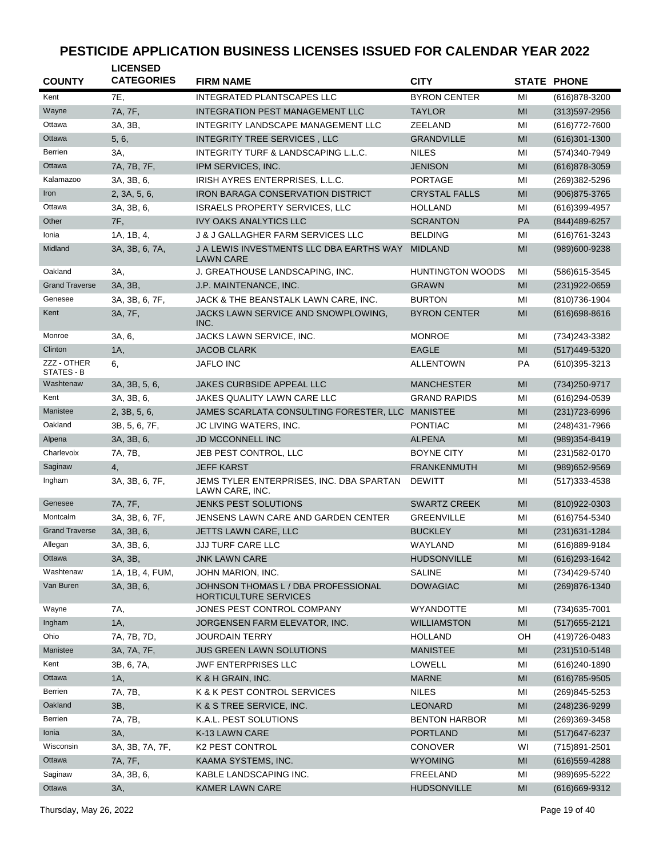| <b>COUNTY</b>             | <b>LICENSED</b><br><b>CATEGORIES</b> | <b>FIRM NAME</b>                                             | <b>CITY</b>             |                | <b>STATE PHONE</b>                |
|---------------------------|--------------------------------------|--------------------------------------------------------------|-------------------------|----------------|-----------------------------------|
| Kent                      | <b>7E.</b>                           | <b>INTEGRATED PLANTSCAPES LLC</b>                            | <b>BYRON CENTER</b>     | MI             | (616) 878-3200                    |
| Wayne                     | 7A, 7F,                              | INTEGRATION PEST MANAGEMENT LLC                              | <b>TAYLOR</b>           | MI             | $(313)597 - 2956$                 |
| Ottawa                    | 3A, 3B,                              | INTEGRITY LANDSCAPE MANAGEMENT LLC                           | <b>ZEELAND</b>          | MI             | (616) 772-7600                    |
| Ottawa                    | 5, 6,                                | INTEGRITY TREE SERVICES, LLC                                 | <b>GRANDVILLE</b>       | MI             | $(616)301 - 1300$                 |
| Berrien                   | 3A,                                  | INTEGRITY TURF & LANDSCAPING L.L.C.                          | <b>NILES</b>            | MI             | (574)340-7949                     |
| Ottawa                    | 7A, 7B, 7F,                          | IPM SERVICES, INC.                                           | <b>JENISON</b>          | MI             | $(616)878 - 3059$                 |
| Kalamazoo                 | 3A, 3B, 6,                           | IRISH AYRES ENTERPRISES, L.L.C.                              | <b>PORTAGE</b>          | MI             | (269)382-5296                     |
| Iron                      | 2, 3A, 5, 6,                         | IRON BARAGA CONSERVATION DISTRICT                            | <b>CRYSTAL FALLS</b>    | MI             | (906) 875-3765                    |
| Ottawa                    | 3A, 3B, 6,                           | <b>ISRAELS PROPERTY SERVICES, LLC</b>                        | <b>HOLLAND</b>          | MI             | (616)399-4957                     |
| Other                     | 7F,                                  | <b>IVY OAKS ANALYTICS LLC</b>                                | <b>SCRANTON</b>         | PA             | (844) 489-6257                    |
| Ionia                     | 1A, 1B, 4,                           | <b>J &amp; J GALLAGHER FARM SERVICES LLC</b>                 | <b>BELDING</b>          | MI             | (616) 761-3243                    |
| Midland                   | 3A, 3B, 6, 7A,                       | J A LEWIS INVESTMENTS LLC DBA EARTHS WAY                     | <b>MIDLAND</b>          | MI             | (989)600-9238                     |
|                           |                                      | <b>LAWN CARE</b>                                             |                         |                |                                   |
| Oakland                   | 3A,                                  | J. GREATHOUSE LANDSCAPING, INC.                              | <b>HUNTINGTON WOODS</b> | MI             | (586) 615-3545                    |
| <b>Grand Traverse</b>     | 3A, 3B,                              | J.P. MAINTENANCE, INC.                                       | <b>GRAWN</b>            | MI             | (231) 922-0659                    |
| Genesee                   | 3A, 3B, 6, 7F,                       | JACK & THE BEANSTALK LAWN CARE, INC.                         | <b>BURTON</b>           | MI             | (810) 736-1904                    |
| Kent                      | 3A, 7F,                              | JACKS LAWN SERVICE AND SNOWPLOWING,<br>INC.                  | <b>BYRON CENTER</b>     | MI             | $(616)698 - 8616$                 |
| Monroe                    | 3A, 6,                               | JACKS LAWN SERVICE, INC.                                     | <b>MONROE</b>           | MI             | (734) 243-3382                    |
| Clinton                   | 1A,                                  | <b>JACOB CLARK</b>                                           | <b>EAGLE</b>            | MI             | (517)449-5320                     |
| ZZZ - OTHER<br>STATES - B | 6,                                   | <b>JAFLO INC</b>                                             | <b>ALLENTOWN</b>        | PA             | (610)395-3213                     |
| Washtenaw                 | 3A, 3B, 5, 6,                        | <b>JAKES CURBSIDE APPEAL LLC</b>                             | <b>MANCHESTER</b>       | MI             | (734) 250-9717                    |
| Kent                      | 3A, 3B, 6,                           | JAKES QUALITY LAWN CARE LLC                                  | <b>GRAND RAPIDS</b>     | MI             | (616)294-0539                     |
| Manistee                  | 2, 3B, 5, 6,                         | JAMES SCARLATA CONSULTING FORESTER, LLC MANISTEE             |                         | MI             | $(231)723 - 6996$                 |
| Oakland                   | 3B, 5, 6, 7F,                        | JC LIVING WATERS, INC.                                       | <b>PONTIAC</b>          | MI             | (248) 431-7966                    |
| Alpena                    | 3A, 3B, 6,                           | JD MCCONNELL INC                                             | <b>ALPENA</b>           | MI             | (989) 354-8419                    |
| Charlevoix                | 7A, 7B,                              | JEB PEST CONTROL, LLC                                        | <b>BOYNE CITY</b>       | MI             | (231) 582-0170                    |
| Saginaw                   | 4.                                   | <b>JEFF KARST</b>                                            | <b>FRANKENMUTH</b>      | MI             | (989) 652-9569                    |
| Ingham                    | 3A, 3B, 6, 7F,                       | JEMS TYLER ENTERPRISES, INC. DBA SPARTAN<br>LAWN CARE, INC.  | <b>DEWITT</b>           | MI             | $(517)333 - 4538$                 |
| Genesee                   | 7A, 7F,                              | <b>JENKS PEST SOLUTIONS</b>                                  | <b>SWARTZ CREEK</b>     | MI             | (810)922-0303                     |
| Montcalm                  | 3A, 3B, 6, 7F,                       | JENSENS LAWN CARE AND GARDEN CENTER                          | <b>GREENVILLE</b>       | MI             | (616) 754-5340                    |
| <b>Grand Traverse</b>     | 3A, 3B, 6,                           | JETTS LAWN CARE, LLC                                         | <b>BUCKLEY</b>          | MI             | (231) 631-1284                    |
| Allegan                   | 3A, 3B, 6,                           | <b>JJJ TURF CARE LLC</b>                                     | WAYLAND                 | MI             | (616)889-9184                     |
| Ottawa                    | 3A, 3B,                              | <b>JNK LAWN CARE</b>                                         | <b>HUDSONVILLE</b>      | MI             | (616) 293-1642                    |
| Washtenaw                 | 1A, 1B, 4, FUM,                      | JOHN MARION, INC.                                            | <b>SALINE</b>           | MI             | (734)429-5740                     |
| Van Buren                 | 3A, 3B, 6,                           | JOHNSON THOMAS L / DBA PROFESSIONAL<br>HORTICULTURE SERVICES | <b>DOWAGIAC</b>         | MI             | (269) 876-1340                    |
| Wayne                     | 7A,                                  | JONES PEST CONTROL COMPANY                                   | <b>WYANDOTTE</b>        | MI             | (734) 635-7001                    |
| Ingham                    | 1A,                                  | JORGENSEN FARM ELEVATOR, INC.                                | <b>WILLIAMSTON</b>      | M <sub>l</sub> | $(517)655 - 2121$                 |
| Ohio                      | 7A, 7B, 7D,                          | JOURDAIN TERRY                                               | HOLLAND                 | OH             | (419) 726-0483                    |
| Manistee                  | 3A, 7A, 7F,                          | <b>JUS GREEN LAWN SOLUTIONS</b>                              | <b>MANISTEE</b>         | MI             | $(231)510-5148$                   |
| Kent                      | 3B, 6, 7A,                           | <b>JWF ENTERPRISES LLC</b>                                   | <b>LOWELL</b>           | MI             | $(616)240-1890$                   |
| Ottawa                    | 1A,                                  | K & H GRAIN, INC.                                            | <b>MARNE</b>            | MI             | $(616)785 - 9505$                 |
| Berrien                   | 7A, 7B,                              | K & K PEST CONTROL SERVICES                                  | <b>NILES</b>            | MI             | (269)845-5253                     |
| Oakland                   | 3B,                                  | K & S TREE SERVICE, INC.                                     | <b>LEONARD</b>          | MI             | (248) 236-9299                    |
| Berrien                   | 7A, 7B,                              | K.A.L. PEST SOLUTIONS                                        | <b>BENTON HARBOR</b>    | MI             |                                   |
| Ionia                     | 3A,                                  | K-13 LAWN CARE                                               | <b>PORTLAND</b>         | M <sub>l</sub> | (269)369-3458                     |
| Wisconsin                 | 3A, 3B, 7A, 7F,                      | <b>K2 PEST CONTROL</b>                                       | <b>CONOVER</b>          | WI             | (517) 647-6237                    |
| Ottawa                    | 7A, 7F,                              | KAAMA SYSTEMS, INC.                                          | <b>WYOMING</b>          | MI             | (715)891-2501<br>$(616)$ 559-4288 |
| Saginaw                   |                                      |                                                              |                         |                |                                   |
| Ottawa                    | 3A, 3B, 6,                           | KABLE LANDSCAPING INC.<br><b>KAMER LAWN CARE</b>             | FREELAND                | MI<br>MI       | (989) 695-5222                    |
|                           | 3A,                                  |                                                              | <b>HUDSONVILLE</b>      |                | (616) 669-9312                    |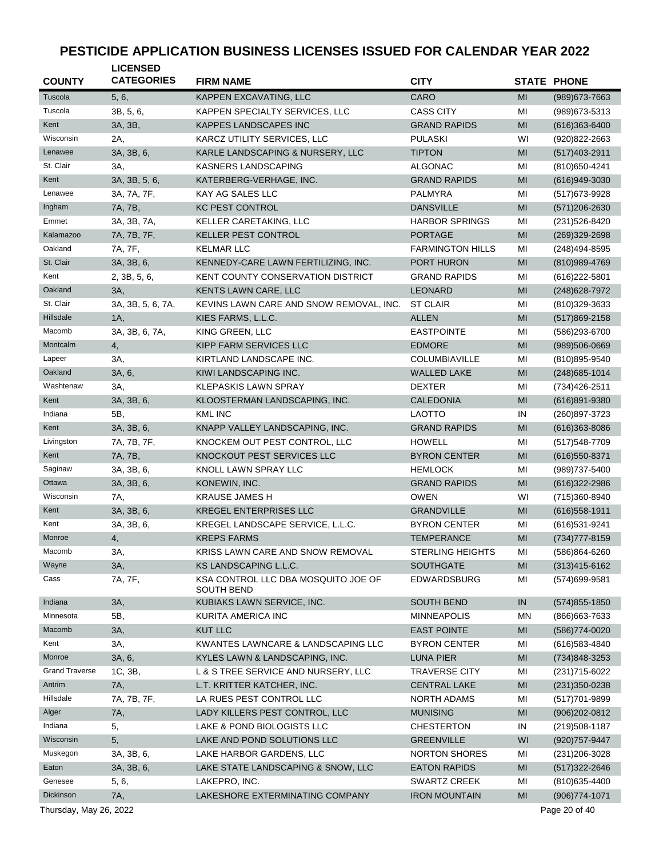| <b>COUNTY</b>          | <b>LICENSED</b><br><b>CATEGORIES</b> | <b>FIRM NAME</b>                                         | <b>CITY</b>             |           | <b>STATE PHONE</b> |
|------------------------|--------------------------------------|----------------------------------------------------------|-------------------------|-----------|--------------------|
| Tuscola                | 5, 6,                                | KAPPEN EXCAVATING, LLC                                   | CARO                    | MI        | (989) 673-7663     |
| Tuscola                | 3B, 5, 6,                            | KAPPEN SPECIALTY SERVICES, LLC                           | <b>CASS CITY</b>        | MI        | (989) 673-5313     |
| Kent                   | 3A, 3B,                              | <b>KAPPES LANDSCAPES INC</b>                             | <b>GRAND RAPIDS</b>     | MI        | $(616)363-6400$    |
| Wisconsin              | 2A,                                  | KARCZ UTILITY SERVICES, LLC                              | <b>PULASKI</b>          | WI        | (920) 822-2663     |
| Lenawee                | 3A, 3B, 6,                           | KARLE LANDSCAPING & NURSERY, LLC                         | <b>TIPTON</b>           | MI        | (517) 403-2911     |
| St. Clair              | 3A,                                  | <b>KASNERS LANDSCAPING</b>                               | <b>ALGONAC</b>          | MI        | (810) 650-4241     |
| Kent                   | 3A, 3B, 5, 6,                        | KATERBERG-VERHAGE, INC.                                  | <b>GRAND RAPIDS</b>     | MI        | $(616)949-3030$    |
| Lenawee                | 3A, 7A, 7F,                          | KAY AG SALES LLC                                         | <b>PALMYRA</b>          | MI        | (517) 673-9928     |
| Ingham                 | 7A, 7B,                              | <b>KC PEST CONTROL</b>                                   | <b>DANSVILLE</b>        | MI        | (571) 206-2630     |
| Emmet                  | 3A, 3B, 7A,                          | KELLER CARETAKING, LLC                                   | <b>HARBOR SPRINGS</b>   | MI        | (231) 526-8420     |
| Kalamazoo              | 7A, 7B, 7F,                          | KELLER PEST CONTROL                                      | <b>PORTAGE</b>          | MI        | (269)329-2698      |
| Oakland                | 7A, 7F,                              | <b>KELMAR LLC</b>                                        | <b>FARMINGTON HILLS</b> | MI        | (248) 494-8595     |
| St. Clair              | 3A, 3B, 6,                           | KENNEDY-CARE LAWN FERTILIZING, INC.                      | PORT HURON              | MI        | (810) 989-4769     |
| Kent                   | 2, 3B, 5, 6,                         | <b>KENT COUNTY CONSERVATION DISTRICT</b>                 | <b>GRAND RAPIDS</b>     | MI        | $(616)222 - 5801$  |
| Oakland                | 3A,                                  | KENTS LAWN CARE, LLC                                     | <b>LEONARD</b>          | MI        | (248) 628-7972     |
| St. Clair              | 3A, 3B, 5, 6, 7A,                    | KEVINS LAWN CARE AND SNOW REMOVAL, INC.                  | <b>ST CLAIR</b>         | MI        | (810) 329-3633     |
| Hillsdale              | 1A,                                  | KIES FARMS, L.L.C.                                       | <b>ALLEN</b>            | MI        | (517)869-2158      |
| Macomb                 | 3A, 3B, 6, 7A,                       | KING GREEN, LLC                                          | <b>EASTPOINTE</b>       | MI        | (586)293-6700      |
| Montcalm               | 4,                                   | <b>KIPP FARM SERVICES LLC</b>                            | <b>EDMORE</b>           | MI        | $(989)506-0669$    |
| Lapeer                 | 3A,                                  | KIRTLAND LANDSCAPE INC.                                  | COLUMBIAVILLE           | MI        | (810) 895-9540     |
| Oakland                | 3A, 6,                               | KIWI LANDSCAPING INC.                                    | <b>WALLED LAKE</b>      | MI        | $(248)$ 685-1014   |
| Washtenaw              | ЗΑ,                                  | <b>KLEPASKIS LAWN SPRAY</b>                              | <b>DEXTER</b>           | MI        | (734) 426-2511     |
| Kent                   | 3A, 3B, 6,                           | KLOOSTERMAN LANDSCAPING, INC.                            | <b>CALEDONIA</b>        | MI        | $(616)891 - 9380$  |
| Indiana                | 5B,                                  | <b>KML INC</b>                                           | <b>LAOTTO</b>           | IN        | (260)897-3723      |
| Kent                   | 3A, 3B, 6,                           | KNAPP VALLEY LANDSCAPING, INC.                           | <b>GRAND RAPIDS</b>     | MI        | $(616)363 - 8086$  |
| Livingston             | 7A, 7B, 7F,                          | KNOCKEM OUT PEST CONTROL, LLC                            | <b>HOWELL</b>           | MI        | (517) 548-7709     |
| Kent                   | 7A, 7B,                              | KNOCKOUT PEST SERVICES LLC                               | <b>BYRON CENTER</b>     | MI        | $(616)550 - 8371$  |
| Saginaw                | 3A, 3B, 6,                           | KNOLL LAWN SPRAY LLC                                     | <b>HEMLOCK</b>          | MI        | (989) 737-5400     |
| Ottawa                 | 3A, 3B, 6,                           | KONEWIN, INC.                                            | <b>GRAND RAPIDS</b>     | MI        | $(616)322 - 2986$  |
| Wisconsin              | 7A,                                  | <b>KRAUSE JAMES H</b>                                    | <b>OWEN</b>             | WI        | (715)360-8940      |
| Kent                   | 3A, 3B, 6,                           | <b>KREGEL ENTERPRISES LLC</b>                            | <b>GRANDVILLE</b>       | MI        | $(616)$ 558-1911   |
| Kent                   | 3A, 3B, 6,                           | KREGEL LANDSCAPE SERVICE, L.L.C.                         | <b>BYRON CENTER</b>     | MI        | (616) 531-9241     |
| Monroe                 | 4,                                   | <b>KREPS FARMS</b>                                       | <b>TEMPERANCE</b>       | MI        | (734) 777-8159     |
| Macomb                 | 3A,                                  | KRISS LAWN CARE AND SNOW REMOVAL                         | <b>STERLING HEIGHTS</b> | MI        | (586)864-6260      |
| Wayne                  | 3A,                                  | KS LANDSCAPING L.L.C.                                    | SOUTHGATE               | MI        | $(313)415 - 6162$  |
| Cass                   | 7A, 7F,                              | KSA CONTROL LLC DBA MOSQUITO JOE OF<br><b>SOUTH BEND</b> | EDWARDSBURG             | MI        | (574) 699-9581     |
| Indiana                | 3A,                                  | KUBIAKS LAWN SERVICE, INC.                               | <b>SOUTH BEND</b>       | IN        | $(574)855 - 1850$  |
| Minnesota              | 5B,                                  | KURITA AMERICA INC                                       | <b>MINNEAPOLIS</b>      | <b>MN</b> | (866) 663-7633     |
| Macomb                 | 3A,                                  | <b>KUT LLC</b>                                           | <b>EAST POINTE</b>      | MI        | (586) 774-0020     |
| Kent                   | ЗΑ,                                  | KWANTES LAWNCARE & LANDSCAPING LLC                       | <b>BYRON CENTER</b>     | MI        | (616) 583-4840     |
| Monroe                 | 3A, 6,                               | KYLES LAWN & LANDSCAPING, INC.                           | LUNA PIER               | MI        | (734)848-3253      |
| <b>Grand Traverse</b>  | 1C, 3B,                              | L & S TREE SERVICE AND NURSERY, LLC                      | <b>TRAVERSE CITY</b>    | MI        | (231) 715-6022     |
| Antrim                 | 7A,                                  | L.T. KRITTER KATCHER, INC.                               | <b>CENTRAL LAKE</b>     | MI        | (231) 350-0238     |
| Hillsdale              | 7A, 7B, 7F,                          | LA RUES PEST CONTROL LLC                                 | <b>NORTH ADAMS</b>      | MI        | (517) 701-9899     |
| Alger                  | 7A,                                  | LADY KILLERS PEST CONTROL, LLC                           | <b>MUNISING</b>         | MI        | $(906)202 - 0812$  |
| Indiana                | 5,                                   | LAKE & POND BIOLOGISTS LLC                               | <b>CHESTERTON</b>       | IN        | (219) 508-1187     |
| Wisconsin              | 5,                                   | LAKE AND POND SOLUTIONS LLC                              | <b>GREENVILLE</b>       | WI        | (920) 757-9447     |
| Muskegon               | 3A, 3B, 6,                           | LAKE HARBOR GARDENS, LLC                                 | <b>NORTON SHORES</b>    | MI        | (231) 206-3028     |
| Eaton                  | 3A, 3B, 6,                           | LAKE STATE LANDSCAPING & SNOW, LLC                       | <b>EATON RAPIDS</b>     | MI        | $(517)322 - 2646$  |
| Genesee                | 5, 6,                                | LAKEPRO, INC.                                            | <b>SWARTZ CREEK</b>     | MI        | (810) 635-4400     |
| Dickinson              | 7A,                                  | LAKESHORE EXTERMINATING COMPANY                          | <b>IRON MOUNTAIN</b>    | MI        | (906) 774-1071     |
| Thursday, May 26, 2022 |                                      |                                                          |                         |           | Page 20 of 40      |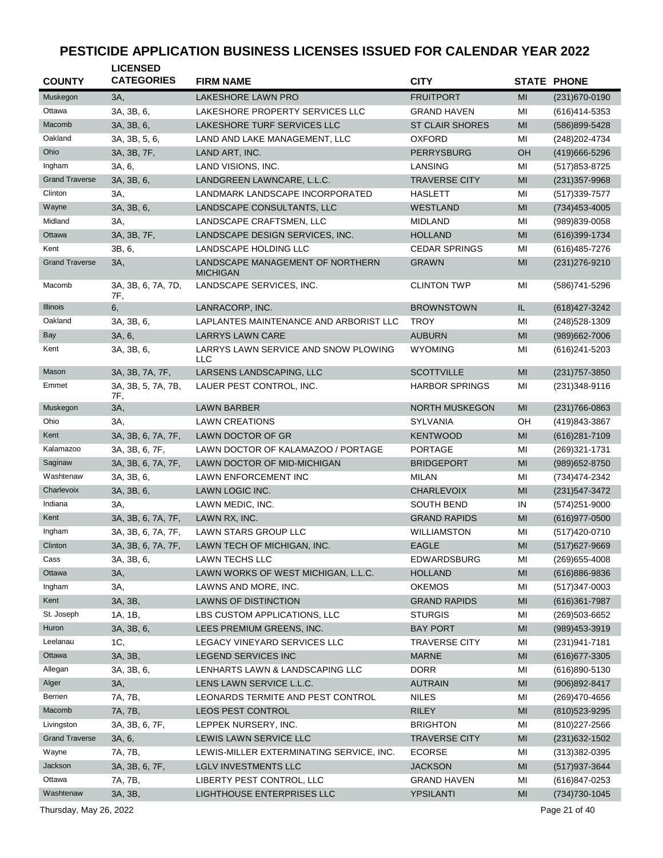| <b>COUNTY</b>         | <b>LICENSED</b><br><b>CATEGORIES</b> | <b>FIRM NAME</b>                                   | <b>CITY</b>            |    | <b>STATE PHONE</b> |
|-----------------------|--------------------------------------|----------------------------------------------------|------------------------|----|--------------------|
| Muskegon              | 3A,                                  | <b>LAKESHORE LAWN PRO</b>                          | <b>FRUITPORT</b>       | MI | (231) 670-0190     |
| Ottawa                | 3A, 3B, 6,                           | LAKESHORE PROPERTY SERVICES LLC                    | <b>GRAND HAVEN</b>     | MI | (616)414-5353      |
| Macomb                | 3A, 3B, 6,                           | LAKESHORE TURF SERVICES LLC                        | <b>ST CLAIR SHORES</b> | MI | (586)899-5428      |
| Oakland               | 3A, 3B, 5, 6,                        | LAND AND LAKE MANAGEMENT, LLC                      | <b>OXFORD</b>          | MI | (248) 202-4734     |
| Ohio                  | 3A, 3B, 7F,                          | LAND ART, INC.                                     | <b>PERRYSBURG</b>      | OН | (419) 666-5296     |
| Ingham                | 3A, 6,                               | LAND VISIONS, INC.                                 | LANSING                | MI | (517) 853-8725     |
| <b>Grand Traverse</b> | 3A, 3B, 6,                           | LANDGREEN LAWNCARE, L.L.C.                         | <b>TRAVERSE CITY</b>   | MI | (231) 357-9968     |
| Clinton               | 3A,                                  | LANDMARK LANDSCAPE INCORPORATED                    | <b>HASLETT</b>         | MI | (517) 339-7577     |
| Wayne                 | 3A, 3B, 6,                           | LANDSCAPE CONSULTANTS, LLC                         | <b>WESTLAND</b>        | MI | $(734)453 - 4005$  |
| Midland               | 3A,                                  | LANDSCAPE CRAFTSMEN, LLC                           | <b>MIDLAND</b>         | MI | (989)839-0058      |
| Ottawa                | 3A, 3B, 7F,                          | LANDSCAPE DESIGN SERVICES, INC.                    | <b>HOLLAND</b>         | MI | (616) 399-1734     |
| Kent                  | 3B, 6,                               | LANDSCAPE HOLDING LLC                              | <b>CEDAR SPRINGS</b>   | MI | (616) 485-7276     |
| <b>Grand Traverse</b> | 3A,                                  | LANDSCAPE MANAGEMENT OF NORTHERN                   | <b>GRAWN</b>           | MI | (231) 276-9210     |
|                       |                                      | <b>MICHIGAN</b>                                    |                        |    |                    |
| Macomb                | 3A, 3B, 6, 7A, 7D,<br>7F,            | LANDSCAPE SERVICES, INC.                           | <b>CLINTON TWP</b>     | MI | (586) 741-5296     |
| Illinois              | 6,                                   | LANRACORP, INC.                                    | <b>BROWNSTOWN</b>      | IL | (618) 427-3242     |
| Oakland               | 3A, 3B, 6,                           | LAPLANTES MAINTENANCE AND ARBORIST LLC             | <b>TROY</b>            | MI | (248) 528-1309     |
| <b>Bay</b>            | 3A, 6,                               | <b>LARRYS LAWN CARE</b>                            | <b>AUBURN</b>          | MI | (989) 662-7006     |
| Kent                  | 3A, 3B, 6,                           | LARRYS LAWN SERVICE AND SNOW PLOWING<br><b>LLC</b> | <b>WYOMING</b>         | MI | (616) 241-5203     |
| Mason                 | 3A, 3B, 7A, 7F,                      | LARSENS LANDSCAPING, LLC                           | <b>SCOTTVILLE</b>      | MI | $(231)757 - 3850$  |
| Emmet                 | 3A, 3B, 5, 7A, 7B,<br>7F,            | LAUER PEST CONTROL, INC.                           | <b>HARBOR SPRINGS</b>  | MI | $(231)348-9116$    |
| Muskegon              | 3A,                                  | <b>LAWN BARBER</b>                                 | <b>NORTH MUSKEGON</b>  | MI | $(231)766 - 0863$  |
| Ohio                  | 3A.                                  | <b>LAWN CREATIONS</b>                              | <b>SYLVANIA</b>        | OH | (419) 843-3867     |
| Kent                  | 3A, 3B, 6, 7A, 7F,                   | LAWN DOCTOR OF GR                                  | <b>KENTWOOD</b>        | MI | $(616)281 - 7109$  |
| Kalamazoo             | 3A, 3B, 6, 7F,                       | LAWN DOCTOR OF KALAMAZOO / PORTAGE                 | <b>PORTAGE</b>         | MI | (269) 321-1731     |
| Saginaw               | 3A, 3B, 6, 7A, 7F,                   | LAWN DOCTOR OF MID-MICHIGAN                        | <b>BRIDGEPORT</b>      | MI | (989) 652-8750     |
| Washtenaw             | 3A, 3B, 6,                           | LAWN ENFORCEMENT INC                               | <b>MILAN</b>           | MI | (734)474-2342      |
| Charlevoix            | 3A, 3B, 6,                           | LAWN LOGIC INC.                                    | <b>CHARLEVOIX</b>      | MI | (231) 547-3472     |
| Indiana               | 3A.                                  | LAWN MEDIC, INC.                                   | <b>SOUTH BEND</b>      | IN | (574) 251-9000     |
| Kent                  | 3A, 3B, 6, 7A, 7F,                   | LAWN RX, INC.                                      | <b>GRAND RAPIDS</b>    | MI | $(616)977 - 0500$  |
| Ingham                | 3A, 3B, 6, 7A, 7F,                   | <b>LAWN STARS GROUP LLC</b>                        | <b>WILLIAMSTON</b>     | MI | (517)420-0710      |
| Clinton               | 3A, 3B, 6, 7A, 7F,                   | LAWN TECH OF MICHIGAN, INC.                        | EAGLE                  | MI | (517) 627-9669     |
| Cass                  | 3A, 3B, 6,                           | LAWN TECHS LLC                                     | EDWARDSBURG            | MI | $(269)655 - 4008$  |
| Ottawa                | 3A,                                  | LAWN WORKS OF WEST MICHIGAN, L.L.C.                | <b>HOLLAND</b>         | MI | $(616)886 - 9836$  |
| Ingham                | 3A,                                  | LAWNS AND MORE, INC.                               | <b>OKEMOS</b>          | MI | $(517)347 - 0003$  |
| Kent                  | 3A, 3B,                              | <b>LAWNS OF DISTINCTION</b>                        | <b>GRAND RAPIDS</b>    | MI | $(616)361 - 7987$  |
| St. Joseph            | 1A, 1B,                              | LBS CUSTOM APPLICATIONS, LLC                       | <b>STURGIS</b>         | MI | (269)503-6652      |
| Huron                 | 3A, 3B, 6,                           | LEES PREMIUM GREENS, INC.                          | <b>BAY PORT</b>        | MI | (989) 453-3919     |
| Leelanau              | 1C,                                  | LEGACY VINEYARD SERVICES LLC                       | <b>TRAVERSE CITY</b>   | MI | $(231)941 - 7181$  |
| Ottawa                | 3A, 3B,                              | LEGEND SERVICES INC                                | <b>MARNE</b>           | MI | (616) 677-3305     |
| Allegan               | 3A, 3B, 6,                           | LENHARTS LAWN & LANDSCAPING LLC                    | <b>DORR</b>            | MI | (616)890-5130      |
| Alger                 |                                      | LENS LAWN SERVICE L.L.C.                           | <b>AUTRAIN</b>         | MI | (906)892-8417      |
| Berrien               | 3A,                                  |                                                    |                        |    |                    |
|                       | 7A, 7B,                              | LEONARDS TERMITE AND PEST CONTROL                  | <b>NILES</b>           | MI | (269)470-4656      |
| Macomb                | 7A, 7B,                              | LEOS PEST CONTROL                                  | <b>RILEY</b>           | MI | (810) 523-9295     |
| Livingston            | 3A, 3B, 6, 7F,                       | LEPPEK NURSERY, INC.                               | <b>BRIGHTON</b>        | MI | (810) 227-2566     |
| <b>Grand Traverse</b> | 3A, 6,                               | LEWIS LAWN SERVICE LLC                             | <b>TRAVERSE CITY</b>   | MI | $(231)632 - 1502$  |
| Wayne                 | 7A, 7B,                              | LEWIS-MILLER EXTERMINATING SERVICE, INC.           | <b>ECORSE</b>          | MI | (313) 382-0395     |
| Jackson               | 3A, 3B, 6, 7F,                       | <b>LGLV INVESTMENTS LLC</b>                        | <b>JACKSON</b>         | MI | (517) 937-3644     |
| Ottawa                | 7A, 7B,                              | LIBERTY PEST CONTROL, LLC                          | <b>GRAND HAVEN</b>     | MI | (616)847-0253      |
| Washtenaw             | 3A, 3B,                              | LIGHTHOUSE ENTERPRISES LLC                         | YPSILANTI              | MI | (734) 730-1045     |

Thursday, May 26, 2022 2001 2012 2013 2022 2013 2022 2014 2022 2014 2022 2014 2022 2014 2022 2015 2022 2016 2022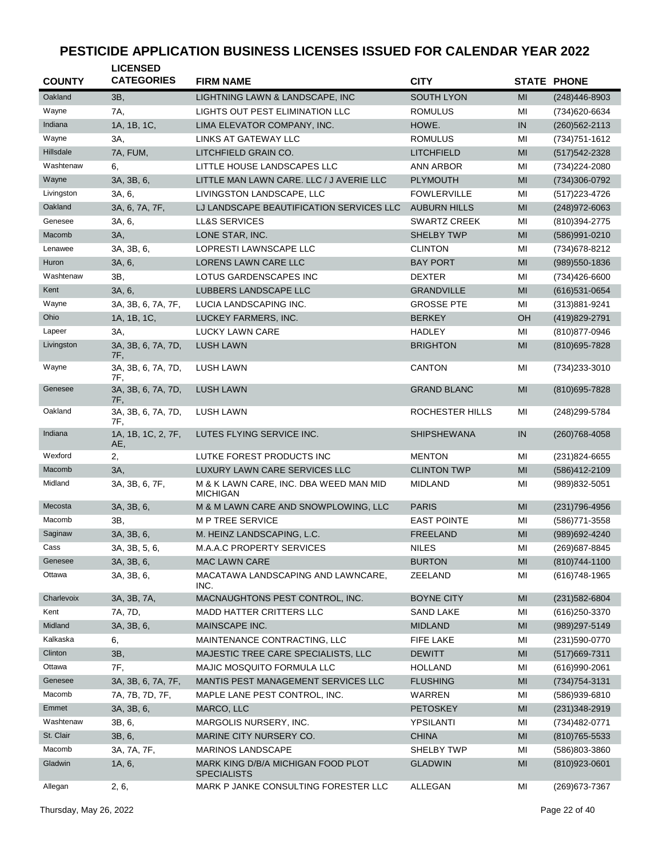| <b>COUNTY</b> | <b>LICENSED</b><br><b>CATEGORIES</b> | <b>FIRM NAME</b>                                          | <b>CITY</b>         |                | <b>STATE PHONE</b> |
|---------------|--------------------------------------|-----------------------------------------------------------|---------------------|----------------|--------------------|
| Oakland       | 3B,                                  | LIGHTNING LAWN & LANDSCAPE, INC                           | <b>SOUTH LYON</b>   | MI             | (248)446-8903      |
| Wayne         | 7A,                                  | LIGHTS OUT PEST ELIMINATION LLC                           | <b>ROMULUS</b>      | MI             | (734)620-6634      |
| Indiana       | 1A, 1B, 1C,                          | LIMA ELEVATOR COMPANY, INC.                               | HOWE.               | IN             | $(260)562 - 2113$  |
| Wayne         | 3A,                                  | LINKS AT GATEWAY LLC                                      | <b>ROMULUS</b>      | MI             | (734) 751-1612     |
| Hillsdale     | 7A, FUM,                             | LITCHFIELD GRAIN CO.                                      | <b>LITCHFIELD</b>   | MI             | (517) 542-2328     |
| Washtenaw     | 6,                                   | LITTLE HOUSE LANDSCAPES LLC                               | ANN ARBOR           | MI             | (734) 224-2080     |
| Wayne         | 3A, 3B, 6,                           | LITTLE MAN LAWN CARE. LLC / J AVERIE LLC                  | <b>PLYMOUTH</b>     | MI             | (734)306-0792      |
| Livingston    | 3A, 6,                               | LIVINGSTON LANDSCAPE, LLC                                 | <b>FOWLERVILLE</b>  | MI             | (517) 223-4726     |
| Oakland       | 3A, 6, 7A, 7F,                       | LJ LANDSCAPE BEAUTIFICATION SERVICES LLC                  | <b>AUBURN HILLS</b> | MI             | (248) 972-6063     |
| Genesee       | 3A, 6,                               | <b>LL&amp;S SERVICES</b>                                  | <b>SWARTZ CREEK</b> | MI             | (810) 394-2775     |
| Macomb        | 3A,                                  | LONE STAR, INC.                                           | <b>SHELBY TWP</b>   | MI             | (586)991-0210      |
| Lenawee       | 3A, 3B, 6,                           | LOPRESTI LAWNSCAPE LLC                                    | <b>CLINTON</b>      | MI             | (734) 678-8212     |
| Huron         | 3A, 6,                               | LORENS LAWN CARE LLC                                      | <b>BAY PORT</b>     | MI             | $(989)550 - 1836$  |
| Washtenaw     | 3B,                                  | LOTUS GARDENSCAPES INC                                    | <b>DEXTER</b>       | MI             | (734)426-6600      |
| Kent          | 3A, 6,                               | LUBBERS LANDSCAPE LLC                                     | <b>GRANDVILLE</b>   | MI             | $(616)$ 531-0654   |
| Wayne         | 3A, 3B, 6, 7A, 7F,                   | LUCIA LANDSCAPING INC.                                    | <b>GROSSE PTE</b>   | MI             | (313)881-9241      |
| Ohio          | 1A, 1B, 1C,                          | LUCKEY FARMERS, INC.                                      | <b>BERKEY</b>       | OH             | (419)829-2791      |
| Lapeer        | 3A,                                  | <b>LUCKY LAWN CARE</b>                                    | <b>HADLEY</b>       | MI             | (810) 877-0946     |
| Livingston    | 3A, 3B, 6, 7A, 7D,                   | <b>LUSH LAWN</b>                                          | <b>BRIGHTON</b>     | M <sub>l</sub> | (810) 695-7828     |
| Wayne         | 7F.<br>3A, 3B, 6, 7A, 7D,            | <b>LUSH LAWN</b>                                          | <b>CANTON</b>       | ΜI             | (734) 233-3010     |
| Genesee       | 7F,<br>3A, 3B, 6, 7A, 7D,<br>7F,     | <b>LUSH LAWN</b>                                          | <b>GRAND BLANC</b>  | MI             | (810) 695-7828     |
| Oakland       | 3A, 3B, 6, 7A, 7D,<br>7F,            | <b>LUSH LAWN</b>                                          | ROCHESTER HILLS     | MI             | (248) 299-5784     |
| Indiana       | 1A, 1B, 1C, 2, 7F,<br>AE,            | LUTES FLYING SERVICE INC.                                 | <b>SHIPSHEWANA</b>  | IN             | $(260)768 - 4058$  |
| Wexford       | 2,                                   | LUTKE FOREST PRODUCTS INC                                 | <b>MENTON</b>       | MI             | $(231)824 - 6655$  |
| Macomb        | 3A,                                  | LUXURY LAWN CARE SERVICES LLC                             | <b>CLINTON TWP</b>  | MI             | (586)412-2109      |
| Midland       | 3A, 3B, 6, 7F,                       | M & K LAWN CARE, INC. DBA WEED MAN MID<br><b>MICHIGAN</b> | <b>MIDLAND</b>      | ΜI             | (989) 832-5051     |
| Mecosta       | 3A, 3B, 6,                           | M & M LAWN CARE AND SNOWPLOWING, LLC                      | <b>PARIS</b>        | MI             | (231) 796-4956     |
| Macomb        | 3B,                                  | <b>MP TREE SERVICE</b>                                    | <b>EAST POINTE</b>  | MI             | (586) 771-3558     |
| Saginaw       | 3A, 3B, 6,                           | M. HEINZ LANDSCAPING, L.C.                                | <b>FREELAND</b>     | MI             | (989) 692-4240     |
| Cass          | 3A, 3B, 5, 6,                        | M.A.A.C PROPERTY SERVICES                                 | <b>NILES</b>        | MI             | (269) 687-8845     |
| Genesee       | 3A, 3B, 6,                           | <b>MAC LAWN CARE</b>                                      | <b>BURTON</b>       | MI             | $(810)744 - 1100$  |
| Ottawa        | 3A, 3B, 6,                           | MACATAWA LANDSCAPING AND LAWNCARE,<br>INC.                | ZEELAND             | ΜI             | (616) 748-1965     |
| Charlevoix    | 3A, 3B, 7A,                          | MACNAUGHTONS PEST CONTROL, INC.                           | <b>BOYNE CITY</b>   | MI             | $(231)582 - 6804$  |
| Kent          | 7A, 7D,                              | <b>MADD HATTER CRITTERS LLC</b>                           | <b>SAND LAKE</b>    | MI             | (616) 250-3370     |
| Midland       | 3A, 3B, 6,                           | MAINSCAPE INC.                                            | <b>MIDLAND</b>      | MI             | (989) 297-5149     |
| Kalkaska      | 6,                                   | MAINTENANCE CONTRACTING, LLC                              | FIFE LAKE           | ΜI             | (231) 590-0770     |
| Clinton       | 3B,                                  | MAJESTIC TREE CARE SPECIALISTS, LLC                       | <b>DEWITT</b>       | MI             | $(517)669-7311$    |
| Ottawa        | 7F,                                  | MAJIC MOSQUITO FORMULA LLC                                | <b>HOLLAND</b>      | ΜI             | $(616)990 - 2061$  |
| Genesee       | 3A, 3B, 6, 7A, 7F,                   | MANTIS PEST MANAGEMENT SERVICES LLC                       | <b>FLUSHING</b>     | MI             | $(734)754 - 3131$  |
| Macomb        | 7A, 7B, 7D, 7F,                      | MAPLE LANE PEST CONTROL, INC.                             | WARREN              | ΜI             | (586)939-6810      |
| Emmet         | 3A, 3B, 6,                           | MARCO, LLC                                                | <b>PETOSKEY</b>     | MI             | $(231)348-2919$    |
| Washtenaw     | 3B, 6,                               | MARGOLIS NURSERY, INC.                                    | YPSILANTI           | ΜI             | (734)482-0771      |
| St. Clair     | 3B, 6,                               | MARINE CITY NURSERY CO.                                   | <b>CHINA</b>        | MI             | $(810)765 - 5533$  |
| Macomb        | 3A, 7A, 7F,                          | <b>MARINOS LANDSCAPE</b>                                  | SHELBY TWP          | ΜI             | (586)803-3860      |
| Gladwin       | 1A, 6,                               | MARK KING D/B/A MICHIGAN FOOD PLOT<br><b>SPECIALISTS</b>  | <b>GLADWIN</b>      | MI             | $(810)923 - 0601$  |
| Allegan       | 2, 6,                                | MARK P JANKE CONSULTING FORESTER LLC                      | ALLEGAN             | MI             | (269) 673-7367     |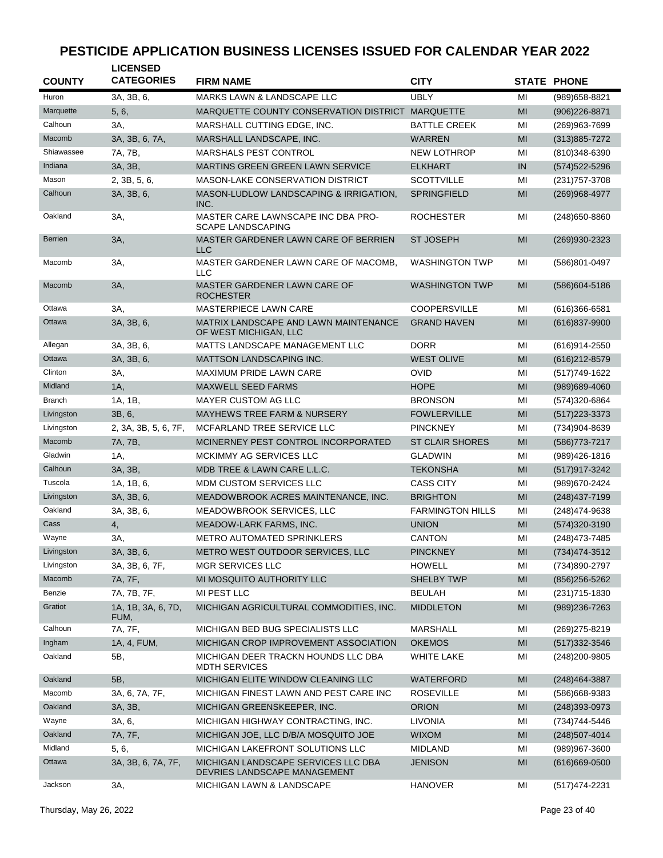| <b>COUNTY</b>  | <b>LICENSED</b><br><b>CATEGORIES</b> | <b>FIRM NAME</b>                                                    | <b>CITY</b>             |                | <b>STATE PHONE</b> |
|----------------|--------------------------------------|---------------------------------------------------------------------|-------------------------|----------------|--------------------|
| Huron          | 3A, 3B, 6,                           | <b>MARKS LAWN &amp; LANDSCAPE LLC</b>                               | <b>UBLY</b>             | MI             | (989) 658-8821     |
| Marquette      | 5, 6,                                | MARQUETTE COUNTY CONSERVATION DISTRICT MARQUETTE                    |                         | MI             | $(906)226 - 8871$  |
| Calhoun        | 3A,                                  | MARSHALL CUTTING EDGE, INC.                                         | <b>BATTLE CREEK</b>     | MI             | (269)963-7699      |
| Macomb         | 3A, 3B, 6, 7A,                       |                                                                     |                         |                |                    |
|                |                                      | MARSHALL LANDSCAPE, INC.                                            | <b>WARREN</b>           | MI             | (313) 885-7272     |
| Shiawassee     | 7A, 7B,                              | MARSHALS PEST CONTROL                                               | <b>NEW LOTHROP</b>      | MI             | (810)348-6390      |
| Indiana        | 3A, 3B,                              | MARTINS GREEN GREEN LAWN SERVICE                                    | <b>ELKHART</b>          | IN             | (574) 522-5296     |
| Mason          | 2, 3B, 5, 6,                         | <b>MASON-LAKE CONSERVATION DISTRICT</b>                             | <b>SCOTTVILLE</b>       | MI             | (231) 757-3708     |
| Calhoun        | 3A, 3B, 6,                           | MASON-LUDLOW LANDSCAPING & IRRIGATION,<br>INC.                      | <b>SPRINGFIELD</b>      | MI             | (269)968-4977      |
| Oakland        | ЗΑ,                                  | MASTER CARE LAWNSCAPE INC DBA PRO-<br><b>SCAPE LANDSCAPING</b>      | <b>ROCHESTER</b>        | MI             | $(248)650 - 8860$  |
| <b>Berrien</b> | 3A,                                  | MASTER GARDENER LAWN CARE OF BERRIEN<br><b>LLC</b>                  | <b>ST JOSEPH</b>        | MI             | (269)930-2323      |
| Macomb         | ЗΑ,                                  | MASTER GARDENER LAWN CARE OF MACOMB,<br><b>LLC</b>                  | <b>WASHINGTON TWP</b>   | MI             | (586)801-0497      |
| Macomb         | 3A,                                  | MASTER GARDENER LAWN CARE OF<br><b>ROCHESTER</b>                    | <b>WASHINGTON TWP</b>   | MI             | (586) 604-5186     |
| Ottawa         | 3A,                                  | <b>MASTERPIECE LAWN CARE</b>                                        | <b>COOPERSVILLE</b>     | MI             | (616)366-6581      |
| Ottawa         | 3A, 3B, 6,                           | MATRIX LANDSCAPE AND LAWN MAINTENANCE                               | <b>GRAND HAVEN</b>      | MI             | $(616)837 - 9900$  |
|                |                                      | OF WEST MICHIGAN, LLC                                               |                         |                |                    |
| Allegan        | 3A, 3B, 6,                           | MATTS LANDSCAPE MANAGEMENT LLC                                      | <b>DORR</b>             | MI             | (616) 914-2550     |
| Ottawa         | 3A, 3B, 6,                           | <b>MATTSON LANDSCAPING INC.</b>                                     | <b>WEST OLIVE</b>       | MI             | (616) 212-8579     |
| Clinton        | ЗΑ,                                  | <b>MAXIMUM PRIDE LAWN CARE</b>                                      | <b>OVID</b>             | MI             | (517) 749-1622     |
| Midland        | 1A,                                  | <b>MAXWELL SEED FARMS</b>                                           | <b>HOPE</b>             | MI             | (989)689-4060      |
| <b>Branch</b>  | 1A, 1B,                              | MAYER CUSTOM AG LLC                                                 | <b>BRONSON</b>          | MI             | (574)320-6864      |
| Livingston     | 3B, 6,                               | <b>MAYHEWS TREE FARM &amp; NURSERY</b>                              | <b>FOWLERVILLE</b>      | MI             | $(517)223 - 3373$  |
| Livingston     | 2, 3A, 3B, 5, 6, 7F,                 | MCFARLAND TREE SERVICE LLC                                          | <b>PINCKNEY</b>         | MI             | (734)904-8639      |
| Macomb         | 7A, 7B,                              | MCINERNEY PEST CONTROL INCORPORATED                                 | <b>ST CLAIR SHORES</b>  | MI             | (586) 773-7217     |
| Gladwin        | 1A,                                  | MCKIMMY AG SERVICES LLC                                             | <b>GLADWIN</b>          | MI             | (989)426-1816      |
| Calhoun        | 3A, 3B,                              | MDB TREE & LAWN CARE L.L.C.                                         | <b>TEKONSHA</b>         | MI             | (517) 917-3242     |
| Tuscola        | 1A, 1B, 6,                           | MDM CUSTOM SERVICES LLC                                             | <b>CASS CITY</b>        | MI             | (989) 670-2424     |
| Livingston     | 3A, 3B, 6,                           | MEADOWBROOK ACRES MAINTENANCE, INC.                                 | <b>BRIGHTON</b>         | MI             | (248) 437-7199     |
| Oakland        | 3A, 3B, 6,                           | MEADOWBROOK SERVICES, LLC                                           | <b>FARMINGTON HILLS</b> | MI             | (248)474-9638      |
| Cass           | 4,                                   | MEADOW-LARK FARMS, INC.                                             | <b>UNION</b>            | MI             | (574) 320-3190     |
| Wayne          | ЗΑ,                                  | <b>METRO AUTOMATED SPRINKLERS</b>                                   | <b>CANTON</b>           | MI             | (248) 473-7485     |
| Livingston     | 3A, 3B, 6,                           | METRO WEST OUTDOOR SERVICES, LLC                                    | <b>PINCKNEY</b>         | MI             | (734) 474-3512     |
|                | 3A, 3B, 6, 7F,                       |                                                                     | <b>HOWELL</b>           |                |                    |
| Livingston     |                                      | MGR SERVICES LLC                                                    |                         | MI             | (734)890-2797      |
| Macomb         | 7A, 7F,                              | MI MOSQUITO AUTHORITY LLC                                           | <b>SHELBY TWP</b>       | MI             | $(856)256 - 5262$  |
| Benzie         | 7A, 7B, 7F,                          | MI PEST LLC                                                         | <b>BEULAH</b>           | MI             | $(231)715 - 1830$  |
| Gratiot        | 1A, 1B, 3A, 6, 7D,<br>FUM,           | MICHIGAN AGRICULTURAL COMMODITIES, INC.                             | <b>MIDDLETON</b>        | MI             | (989) 236-7263     |
| Calhoun        | 7A, 7F,                              | MICHIGAN BED BUG SPECIALISTS LLC                                    | <b>MARSHALL</b>         | MI             | (269) 275-8219     |
| Ingham         | 1A, 4, FUM,                          | MICHIGAN CROP IMPROVEMENT ASSOCIATION                               | <b>OKEMOS</b>           | MI             | $(517)332 - 3546$  |
| Oakland        | 5B,                                  | MICHIGAN DEER TRACKN HOUNDS LLC DBA<br><b>MDTH SERVICES</b>         | <b>WHITE LAKE</b>       | MI             | (248) 200-9805     |
| Oakland        | 5B,                                  | MICHIGAN ELITE WINDOW CLEANING LLC                                  | <b>WATERFORD</b>        | MI             | (248) 464-3887     |
| Macomb         | 3A, 6, 7A, 7F,                       | MICHIGAN FINEST LAWN AND PEST CARE INC                              | <b>ROSEVILLE</b>        | ΜI             | (586)668-9383      |
| Oakland        | 3A, 3B,                              | MICHIGAN GREENSKEEPER, INC.                                         | <b>ORION</b>            | M <sub>l</sub> | (248)393-0973      |
| Wayne          | 3A, 6,                               | MICHIGAN HIGHWAY CONTRACTING, INC.                                  | <b>LIVONIA</b>          | ΜI             | (734) 744-5446     |
| Oakland        | 7A, 7F,                              | MICHIGAN JOE, LLC D/B/A MOSQUITO JOE                                | <b>WIXOM</b>            | MI             | $(248)507 - 4014$  |
| Midland        | 5, 6,                                | MICHIGAN LAKEFRONT SOLUTIONS LLC                                    | <b>MIDLAND</b>          | ΜI             | $(989)967 - 3600$  |
| Ottawa         | 3A, 3B, 6, 7A, 7F,                   | MICHIGAN LANDSCAPE SERVICES LLC DBA<br>DEVRIES LANDSCAPE MANAGEMENT | <b>JENISON</b>          | MI             | $(616)669-0500$    |
| Jackson        | 3A,                                  | MICHIGAN LAWN & LANDSCAPE                                           | <b>HANOVER</b>          | MI             | (517) 474-2231     |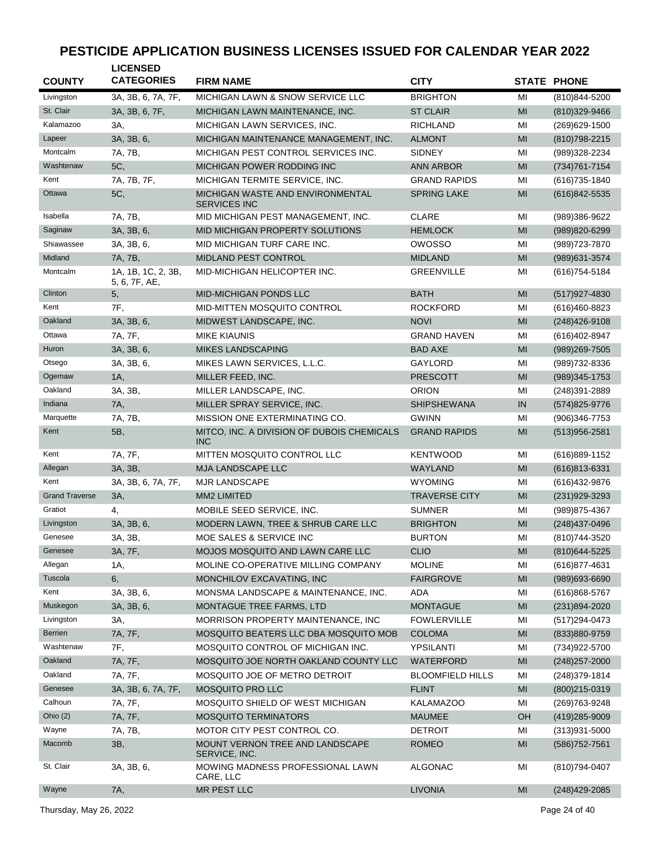| <b>COUNTY</b>         | <b>LICENSED</b><br><b>CATEGORIES</b> | <b>FIRM NAME</b>                                         | <b>CITY</b>             |    | <b>STATE PHONE</b> |
|-----------------------|--------------------------------------|----------------------------------------------------------|-------------------------|----|--------------------|
| Livingston            | 3A, 3B, 6, 7A, 7F,                   | MICHIGAN LAWN & SNOW SERVICE LLC                         | <b>BRIGHTON</b>         | MI | (810) 844-5200     |
| St. Clair             | 3A, 3B, 6, 7F,                       | MICHIGAN LAWN MAINTENANCE, INC.                          | <b>ST CLAIR</b>         | MI | (810)329-9466      |
| Kalamazoo             | 3A,                                  | MICHIGAN LAWN SERVICES, INC.                             | <b>RICHLAND</b>         | MI | (269) 629-1500     |
| Lapeer                | 3A, 3B, 6,                           | MICHIGAN MAINTENANCE MANAGEMENT, INC.                    | <b>ALMONT</b>           | MI | (810) 798-2215     |
| Montcalm              | 7A, 7B,                              | MICHIGAN PEST CONTROL SERVICES INC.                      | <b>SIDNEY</b>           | MI | (989)328-2234      |
| Washtenaw             | 5C,                                  | MICHIGAN POWER RODDING INC                               | <b>ANN ARBOR</b>        | MI | (734) 761-7154     |
| Kent                  | 7A, 7B, 7F,                          | MICHIGAN TERMITE SERVICE, INC.                           | <b>GRAND RAPIDS</b>     | MI | (616) 735-1840     |
| Ottawa                | 5C,                                  | MICHIGAN WASTE AND ENVIRONMENTAL<br><b>SERVICES INC</b>  | <b>SPRING LAKE</b>      | MI | (616)842-5535      |
| Isabella              | 7A, 7B,                              | MID MICHIGAN PEST MANAGEMENT, INC.                       | <b>CLARE</b>            | MI | (989)386-9622      |
| Saginaw               | 3A, 3B, 6,                           | <b>MID MICHIGAN PROPERTY SOLUTIONS</b>                   | <b>HEMLOCK</b>          | MI | (989)820-6299      |
| Shiawassee            | 3A, 3B, 6,                           | MID MICHIGAN TURF CARE INC.                              | OWOSSO                  | MI | (989) 723-7870     |
| Midland               | 7A, 7B,                              | MIDLAND PEST CONTROL                                     | <b>MIDLAND</b>          | MI | (989) 631-3574     |
| Montcalm              | 1A, 1B, 1C, 2, 3B,<br>5, 6, 7F, AE,  | MID-MICHIGAN HELICOPTER INC.                             | <b>GREENVILLE</b>       | MI | (616) 754-5184     |
| Clinton               | 5,                                   | <b>MID-MICHIGAN PONDS LLC</b>                            | <b>BATH</b>             | MI | $(517)927 - 4830$  |
| Kent                  | 7F,                                  | <b>MID-MITTEN MOSQUITO CONTROL</b>                       | <b>ROCKFORD</b>         | MI | (616)460-8823      |
| Oakland               | 3A, 3B, 6,                           | MIDWEST LANDSCAPE, INC.                                  | <b>NOVI</b>             | MI | (248) 426-9108     |
| Ottawa                | 7A, 7F,                              | <b>MIKE KIAUNIS</b>                                      | <b>GRAND HAVEN</b>      | MI | (616)402-8947      |
| Huron                 | 3A, 3B, 6,                           | <b>MIKES LANDSCAPING</b>                                 | <b>BAD AXE</b>          | MI | (989) 269-7505     |
| Otsego                | 3A, 3B, 6,                           | MIKES LAWN SERVICES, L.L.C.                              | <b>GAYLORD</b>          | MI | (989)732-8336      |
| Ogemaw                | 1A,                                  | MILLER FEED, INC.                                        | <b>PRESCOTT</b>         | MI | (989) 345-1753     |
| Oakland               | 3A, 3B,                              | MILLER LANDSCAPE, INC.                                   | <b>ORION</b>            | MI | (248)391-2889      |
| Indiana               | <b>7A</b> ,                          | MILLER SPRAY SERVICE, INC.                               | <b>SHIPSHEWANA</b>      | IN | (574) 825-9776     |
| Marquette             | 7A, 7B,                              | MISSION ONE EXTERMINATING CO.                            | <b>GWINN</b>            | MI | $(906)346 - 7753$  |
| Kent                  | 5B,                                  | MITCO, INC. A DIVISION OF DUBOIS CHEMICALS<br><b>INC</b> | <b>GRAND RAPIDS</b>     | MI | $(513)956 - 2581$  |
| Kent                  | 7A, 7F,                              | <b>MITTEN MOSQUITO CONTROL LLC</b>                       | <b>KENTWOOD</b>         | MI | (616)889-1152      |
| Allegan               | 3A, 3B,                              | <b>MJA LANDSCAPE LLC</b>                                 | WAYLAND                 | MI | $(616)813-6331$    |
| Kent                  | 3A, 3B, 6, 7A, 7F,                   | <b>MJR LANDSCAPE</b>                                     | <b>WYOMING</b>          | MI | (616)432-9876      |
| <b>Grand Traverse</b> | 3A,                                  | MM2 LIMITED                                              | <b>TRAVERSE CITY</b>    | MI | $(231)929-3293$    |
| Gratiot               | 4,                                   | MOBILE SEED SERVICE, INC.                                | <b>SUMNER</b>           | MI | (989) 875-4367     |
| Livingston            | 3A, 3B, 6,                           | MODERN LAWN, TREE & SHRUB CARE LLC                       | <b>BRIGHTON</b>         | MI | (248) 437-0496     |
| Genesee               | 3A, 3B,                              | MOE SALES & SERVICE INC                                  | <b>BURTON</b>           | MI | (810) 744-3520     |
| Genesee               | 3A, 7F,                              | MOJOS MOSQUITO AND LAWN CARE LLC                         | <b>CLIO</b>             | MI | (810) 644-5225     |
| Allegan               | 1A,                                  | MOLINE CO-OPERATIVE MILLING COMPANY                      | <b>MOLINE</b>           | MI | (616) 877-4631     |
| Tuscola               | 6,                                   | MONCHILOV EXCAVATING, INC                                | <b>FAIRGROVE</b>        | MI | (989)693-6690      |
| Kent                  | 3A, 3B, 6,                           | MONSMA LANDSCAPE & MAINTENANCE, INC.                     | ADA                     | MI | (616)868-5767      |
| Muskegon              | 3A, 3B, 6,                           | MONTAGUE TREE FARMS, LTD                                 | <b>MONTAGUE</b>         | MI | (231)894-2020      |
| Livingston            | 3A,                                  | MORRISON PROPERTY MAINTENANCE, INC                       | <b>FOWLERVILLE</b>      | MI | (517) 294-0473     |
| <b>Berrien</b>        | 7A, 7F,                              | MOSQUITO BEATERS LLC DBA MOSQUITO MOB                    | <b>COLOMA</b>           | MI | (833)880-9759      |
| Washtenaw             | 7F,                                  | MOSQUITO CONTROL OF MICHIGAN INC.                        | YPSILANTI               | MI | (734)922-5700      |
| Oakland               | 7A, 7F,                              | MOSQUITO JOE NORTH OAKLAND COUNTY LLC                    | WATERFORD               | MI | $(248)$ 257-2000   |
| Oakland               | 7A, 7F,                              | MOSQUITO JOE OF METRO DETROIT                            | <b>BLOOMFIELD HILLS</b> | MI | (248)379-1814      |
| Genesee               | 3A, 3B, 6, 7A, 7F,                   | MOSQUITO PRO LLC                                         | <b>FLINT</b>            | MI | (800) 215-0319     |
| Calhoun               | 7A, 7F,                              | MOSQUITO SHIELD OF WEST MICHIGAN                         | <b>KALAMAZOO</b>        | MI | (269) 763-9248     |
| Ohio $(2)$            | 7A, 7F,                              | <b>MOSQUITO TERMINATORS</b>                              | <b>MAUMEE</b>           | OH | (419) 285-9009     |
| Wayne                 | 7A, 7B,                              | MOTOR CITY PEST CONTROL CO.                              | <b>DETROIT</b>          | MI | $(313)931 - 5000$  |
| Macomb                | 3B,                                  | MOUNT VERNON TREE AND LANDSCAPE<br>SERVICE, INC.         | <b>ROMEO</b>            | MI | (586) 752-7561     |
| St. Clair             | 3A, 3B, 6,                           | MOWING MADNESS PROFESSIONAL LAWN<br>CARE, LLC            | <b>ALGONAC</b>          | MI | (810) 794-0407     |
| Wayne                 | 7A,                                  | <b>MR PEST LLC</b>                                       | <b>LIVONIA</b>          | MI | (248) 429-2085     |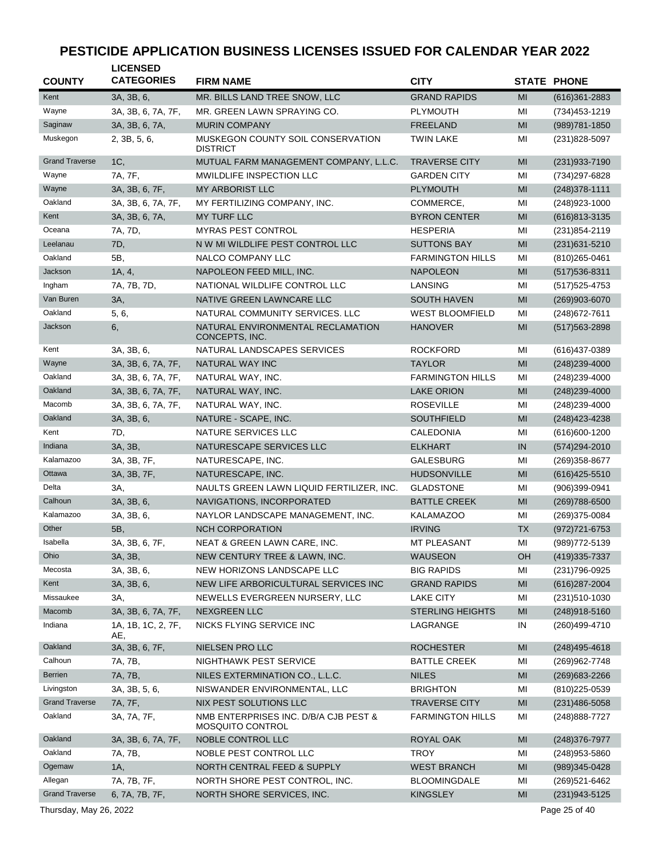| <b>COUNTY</b>          | <b>LICENSED</b><br><b>CATEGORIES</b> | <b>FIRM NAME</b>                                                 | <b>CITY</b>             |                | <b>STATE PHONE</b> |
|------------------------|--------------------------------------|------------------------------------------------------------------|-------------------------|----------------|--------------------|
| Kent                   | 3A, 3B, 6,                           | MR. BILLS LAND TREE SNOW, LLC                                    | <b>GRAND RAPIDS</b>     | MI             | $(616)361 - 2883$  |
| Wayne                  | 3A, 3B, 6, 7A, 7F,                   | MR. GREEN LAWN SPRAYING CO.                                      | <b>PLYMOUTH</b>         | MI             | $(734)453 - 1219$  |
| Saginaw                | 3A, 3B, 6, 7A,                       | <b>MURIN COMPANY</b>                                             | <b>FREELAND</b>         | MI             | (989) 781-1850     |
| Muskegon               | 2, 3B, 5, 6,                         | MUSKEGON COUNTY SOIL CONSERVATION<br><b>DISTRICT</b>             | <b>TWIN LAKE</b>        | MI             | (231) 828-5097     |
| <b>Grand Traverse</b>  | 1C,                                  | MUTUAL FARM MANAGEMENT COMPANY, L.L.C.                           | <b>TRAVERSE CITY</b>    | MI             | (231) 933-7190     |
| Wayne                  | 7A, 7F,                              | MWILDLIFE INSPECTION LLC                                         | <b>GARDEN CITY</b>      | MI             | (734) 297-6828     |
| Wayne                  | 3A, 3B, 6, 7F,                       | <b>MY ARBORIST LLC</b>                                           | <b>PLYMOUTH</b>         | MI             | $(248)378 - 1111$  |
| Oakland                | 3A, 3B, 6, 7A, 7F,                   | MY FERTILIZING COMPANY, INC.                                     | COMMERCE,               | MI             | $(248)923 - 1000$  |
| Kent                   | 3A, 3B, 6, 7A,                       | <b>MY TURF LLC</b>                                               | <b>BYRON CENTER</b>     | MI             | (616) 813-3135     |
| Oceana                 | 7A, 7D,                              | <b>MYRAS PEST CONTROL</b>                                        | <b>HESPERIA</b>         | MI             | $(231)854 - 2119$  |
| Leelanau               | 7D,                                  | N W MI WILDLIFE PEST CONTROL LLC                                 | <b>SUTTONS BAY</b>      | MI             | (231) 631-5210     |
| Oakland                | 5B.                                  | NALCO COMPANY LLC                                                | <b>FARMINGTON HILLS</b> | MI             | (810) 265-0461     |
| Jackson                | 1A, 4,                               | NAPOLEON FEED MILL, INC.                                         | <b>NAPOLEON</b>         | MI             | (517) 536-8311     |
| Ingham                 | 7A, 7B, 7D,                          | NATIONAL WILDLIFE CONTROL LLC                                    | LANSING                 | MI             | $(517)525 - 4753$  |
| Van Buren              | 3A,                                  | NATIVE GREEN LAWNCARE LLC                                        | <b>SOUTH HAVEN</b>      | MI             | (269)903-6070      |
| Oakland                | 5, 6,                                | NATURAL COMMUNITY SERVICES. LLC                                  | <b>WEST BLOOMFIELD</b>  | MI             | (248) 672-7611     |
| Jackson                | 6,                                   | NATURAL ENVIRONMENTAL RECLAMATION<br>CONCEPTS, INC.              | <b>HANOVER</b>          | MI             | (517) 563-2898     |
| Kent                   | 3A, 3B, 6,                           | NATURAL LANDSCAPES SERVICES                                      | <b>ROCKFORD</b>         | MI             | (616) 437-0389     |
| Wayne                  | 3A, 3B, 6, 7A, 7F,                   | NATURAL WAY INC                                                  | <b>TAYLOR</b>           | MI             | (248) 239-4000     |
| Oakland                | 3A, 3B, 6, 7A, 7F,                   | NATURAL WAY, INC.                                                | <b>FARMINGTON HILLS</b> | MI             | (248) 239-4000     |
| Oakland                | 3A, 3B, 6, 7A, 7F,                   | NATURAL WAY, INC.                                                | <b>LAKE ORION</b>       | MI             | $(248)$ 239-4000   |
| Macomb                 | 3A, 3B, 6, 7A, 7F,                   | NATURAL WAY, INC.                                                | <b>ROSEVILLE</b>        | MI             | (248) 239-4000     |
| Oakland                | 3A, 3B, 6,                           | NATURE - SCAPE, INC.                                             | <b>SOUTHFIELD</b>       | MI             | $(248)423-4238$    |
| Kent                   | 7D,                                  | NATURE SERVICES LLC                                              | <b>CALEDONIA</b>        | MI             | (616) 600 - 1200   |
| Indiana                | 3A, 3B,                              | NATURESCAPE SERVICES LLC                                         | <b>ELKHART</b>          | IN             | $(574)294 - 2010$  |
| Kalamazoo              | 3A, 3B, 7F,                          | NATURESCAPE, INC.                                                | <b>GALESBURG</b>        | MI             | (269) 358-8677     |
| Ottawa                 | 3A, 3B, 7F,                          | NATURESCAPE, INC.                                                | <b>HUDSONVILLE</b>      | MI             | (616) 425-5510     |
| Delta                  | 3A,                                  | NAULTS GREEN LAWN LIQUID FERTILIZER, INC.                        | <b>GLADSTONE</b>        | MI             | $(906)399 - 0941$  |
| Calhoun                | 3A, 3B, 6,                           | NAVIGATIONS, INCORPORATED                                        | <b>BATTLE CREEK</b>     | MI             | $(269)788 - 6500$  |
| Kalamazoo              | 3A, 3B, 6,                           | NAYLOR LANDSCAPE MANAGEMENT, INC.                                | <b>KALAMAZOO</b>        | MI             | (269) 375-0084     |
| Other                  | 5B,                                  | <b>NCH CORPORATION</b>                                           | <b>IRVING</b>           | <b>TX</b>      | (972) 721-6753     |
| Isabella               | 3A, 3B, 6, 7F.                       | NEAT & GREEN LAWN CARE, INC.                                     | MT PLEASANT             | ΜI             | (989) 772-5139     |
| Ohio                   | 3A, 3B,                              | NEW CENTURY TREE & LAWN, INC.                                    | <b>WAUSEON</b>          | OН             | (419) 335-7337     |
| Mecosta                | 3A, 3B, 6,                           | NEW HORIZONS LANDSCAPE LLC                                       | <b>BIG RAPIDS</b>       | MI             | (231) 796-0925     |
| Kent                   | 3A, 3B, 6,                           | NEW LIFE ARBORICULTURAL SERVICES INC                             | <b>GRAND RAPIDS</b>     | M <sub>l</sub> | $(616)287 - 2004$  |
| Missaukee              | ЗΑ,                                  | NEWELLS EVERGREEN NURSERY, LLC                                   | <b>LAKE CITY</b>        | ΜI             | (231)510-1030      |
| Macomb                 | 3A, 3B, 6, 7A, 7F,                   | <b>NEXGREEN LLC</b>                                              | <b>STERLING HEIGHTS</b> | MI             | $(248)918-5160$    |
| Indiana                | 1A, 1B, 1C, 2, 7F,<br>AE,            | NICKS FLYING SERVICE INC                                         | LAGRANGE                | IN             | (260)499-4710      |
| Oakland                | 3A, 3B, 6, 7F,                       | NIELSEN PRO LLC                                                  | <b>ROCHESTER</b>        | MI             | $(248)495 - 4618$  |
| Calhoun                | 7A, 7B,                              | NIGHTHAWK PEST SERVICE                                           | <b>BATTLE CREEK</b>     | MI             | (269) 962-7748     |
| Berrien                | 7A, 7B,                              | NILES EXTERMINATION CO., L.L.C.                                  | <b>NILES</b>            | MI             | $(269)683 - 2266$  |
| Livingston             | 3A, 3B, 5, 6,                        | NISWANDER ENVIRONMENTAL, LLC                                     | <b>BRIGHTON</b>         | ΜI             | (810) 225-0539     |
| <b>Grand Traverse</b>  | 7A, 7F,                              | NIX PEST SOLUTIONS LLC                                           | <b>TRAVERSE CITY</b>    | MI             | $(231)486 - 5058$  |
| Oakland                | 3A, 7A, 7F,                          | NMB ENTERPRISES INC. D/B/A CJB PEST &<br><b>MOSQUITO CONTROL</b> | <b>FARMINGTON HILLS</b> | ΜI             | (248) 888-7727     |
| Oakland                | 3A, 3B, 6, 7A, 7F,                   | NOBLE CONTROL LLC                                                | ROYAL OAK               | MI             | (248) 376-7977     |
| Oakland                | 7A, 7B,                              | NOBLE PEST CONTROL LLC                                           | <b>TROY</b>             | ΜI             | (248) 953-5860     |
| Ogemaw                 | 1A,                                  | NORTH CENTRAL FEED & SUPPLY                                      | <b>WEST BRANCH</b>      | MI             | (989)345-0428      |
| Allegan                | 7A, 7B, 7F,                          | NORTH SHORE PEST CONTROL, INC.                                   | <b>BLOOMINGDALE</b>     | ΜI             | (269) 521-6462     |
| <b>Grand Traverse</b>  | 6, 7A, 7B, 7F,                       | NORTH SHORE SERVICES, INC.                                       | <b>KINGSLEY</b>         | MI             | $(231)943 - 5125$  |
| Thursday, May 26, 2022 |                                      |                                                                  |                         |                | Page 25 of 40      |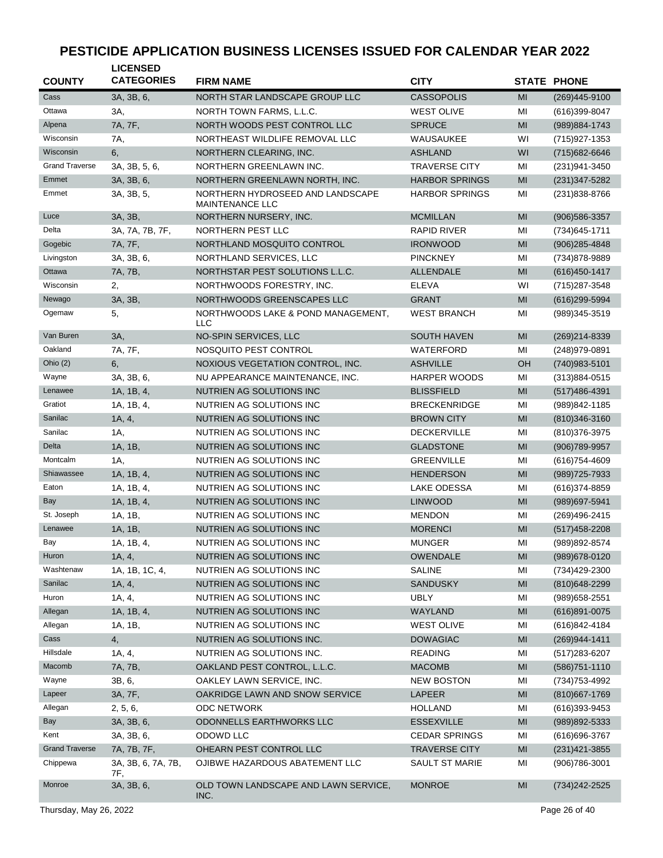| <b>COUNTY</b>         | <b>LICENSED</b><br><b>CATEGORIES</b> | <b>FIRM NAME</b>                                           | <b>CITY</b>           |           | <b>STATE PHONE</b> |
|-----------------------|--------------------------------------|------------------------------------------------------------|-----------------------|-----------|--------------------|
| Cass                  | 3A, 3B, 6,                           | NORTH STAR LANDSCAPE GROUP LLC                             | <b>CASSOPOLIS</b>     | MI        | $(269)445-9100$    |
| Ottawa                | 3A,                                  | NORTH TOWN FARMS, L.L.C.                                   | <b>WEST OLIVE</b>     | MI        | $(616)399-8047$    |
| Alpena                | 7A, 7F,                              | NORTH WOODS PEST CONTROL LLC                               | <b>SPRUCE</b>         | MI        | (989) 884-1743     |
| Wisconsin             | 7A,                                  | NORTHEAST WILDLIFE REMOVAL LLC                             | WAUSAUKEE             | WI        | (715) 927-1353     |
| Wisconsin             | 6,                                   | NORTHERN CLEARING, INC.                                    | <b>ASHLAND</b>        | WI        | (715) 682-6646     |
| <b>Grand Traverse</b> | 3A, 3B, 5, 6,                        | NORTHERN GREENLAWN INC.                                    | <b>TRAVERSE CITY</b>  | MI        | (231) 941-3450     |
| Emmet                 | 3A, 3B, 6,                           | NORTHERN GREENLAWN NORTH, INC.                             | <b>HARBOR SPRINGS</b> | MI        | (231) 347-5282     |
| Emmet                 | 3A, 3B, 5,                           | NORTHERN HYDROSEED AND LANDSCAPE<br><b>MAINTENANCE LLC</b> | <b>HARBOR SPRINGS</b> | MI        | (231) 838-8766     |
| Luce                  | 3A, 3B,                              | NORTHERN NURSERY, INC.                                     | <b>MCMILLAN</b>       | MI        | (906) 586-3357     |
| Delta                 | 3A, 7A, 7B, 7F,                      | NORTHERN PEST LLC                                          | <b>RAPID RIVER</b>    | MI        | (734) 645-1711     |
| Gogebic               | 7A, 7F,                              | NORTHLAND MOSQUITO CONTROL                                 | <b>IRONWOOD</b>       | MI        | $(906)285 - 4848$  |
| Livingston            | 3A, 3B, 6,                           | NORTHLAND SERVICES, LLC                                    | <b>PINCKNEY</b>       | MI        | (734)878-9889      |
| Ottawa                | 7A, 7B,                              | NORTHSTAR PEST SOLUTIONS L.L.C.                            | <b>ALLENDALE</b>      | MI        | $(616)450 - 1417$  |
| Wisconsin             | 2,                                   | NORTHWOODS FORESTRY, INC.                                  | <b>ELEVA</b>          | WI        | (715) 287-3548     |
| Newago                | 3A, 3B,                              | NORTHWOODS GREENSCAPES LLC                                 | <b>GRANT</b>          | MI        | (616) 299-5994     |
| Ogemaw                | 5,                                   | NORTHWOODS LAKE & POND MANAGEMENT,<br><b>LLC</b>           | <b>WEST BRANCH</b>    | MI        | (989)345-3519      |
| Van Buren             | 3A,                                  | NO-SPIN SERVICES, LLC                                      | <b>SOUTH HAVEN</b>    | MI        | (269) 214-8339     |
| Oakland               | 7A, 7F,                              | NOSQUITO PEST CONTROL                                      | WATERFORD             | MI        | (248) 979-0891     |
| Ohio $(2)$            | 6,                                   | NOXIOUS VEGETATION CONTROL, INC.                           | <b>ASHVILLE</b>       | <b>OH</b> | (740) 983-5101     |
| Wayne                 | 3A, 3B, 6,                           | NU APPEARANCE MAINTENANCE, INC.                            | <b>HARPER WOODS</b>   | MI        | $(313)884 - 0515$  |
| Lenawee               | 1A, 1B, 4,                           | NUTRIEN AG SOLUTIONS INC                                   | <b>BLISSFIELD</b>     | MI        | $(517)486 - 4391$  |
| Gratiot               | 1A, 1B, 4,                           | NUTRIEN AG SOLUTIONS INC                                   | <b>BRECKENRIDGE</b>   | MI        | (989)842-1185      |
| Sanilac               | 1A, 4,                               | NUTRIEN AG SOLUTIONS INC                                   | <b>BROWN CITY</b>     | MI        | $(810)346-3160$    |
| Sanilac               | 1A,                                  | NUTRIEN AG SOLUTIONS INC                                   | <b>DECKERVILLE</b>    | MI        | (810) 376-3975     |
| Delta                 | 1A, 1B,                              | NUTRIEN AG SOLUTIONS INC                                   | <b>GLADSTONE</b>      | MI        | $(906)789-9957$    |
| Montcalm              | 1A,                                  | NUTRIEN AG SOLUTIONS INC                                   | <b>GREENVILLE</b>     | MI        | $(616)754 - 4609$  |
| Shiawassee            | 1A, 1B, 4,                           | NUTRIEN AG SOLUTIONS INC                                   | <b>HENDERSON</b>      | MI        | (989) 725-7933     |
| Eaton                 | 1A, 1B, 4,                           | NUTRIEN AG SOLUTIONS INC                                   | LAKE ODESSA           | MI        | (616) 374-8859     |
| Bay                   | 1A, 1B, 4,                           | NUTRIEN AG SOLUTIONS INC                                   | <b>LINWOOD</b>        | MI        | (989) 697-5941     |
| St. Joseph            | 1A, 1B,                              | NUTRIEN AG SOLUTIONS INC                                   | <b>MENDON</b>         | MI        | (269)496-2415      |
| Lenawee               | 1A, 1B,                              | NUTRIEN AG SOLUTIONS INC                                   | <b>MORENCI</b>        | MI        | $(517)458 - 2208$  |
| Bay                   | 1A, 1B, 4,                           | NUTRIEN AG SOLUTIONS INC                                   | <b>MUNGER</b>         | MI        | (989)892-8574      |
| Huron                 | 1A, 4,                               | NUTRIEN AG SOLUTIONS INC                                   | OWENDALE              | MI        | (989) 678-0120     |
| Washtenaw             | 1A, 1B, 1C, 4,                       | NUTRIEN AG SOLUTIONS INC                                   | <b>SALINE</b>         | MI        | (734) 429-2300     |
| Sanilac               | 1A, 4,                               | NUTRIEN AG SOLUTIONS INC                                   | <b>SANDUSKY</b>       | MI        | (810) 648-2299     |
| Huron                 | 1A, 4,                               | NUTRIEN AG SOLUTIONS INC                                   | <b>UBLY</b>           | MI        | (989) 658-2551     |
| Allegan               | 1A, 1B, 4,                           | NUTRIEN AG SOLUTIONS INC                                   | WAYLAND               | MI        | $(616)891 - 0075$  |
| Allegan               | 1A, 1B,                              | NUTRIEN AG SOLUTIONS INC                                   | <b>WEST OLIVE</b>     | MI        | (616)842-4184      |
| Cass                  | 4,                                   | NUTRIEN AG SOLUTIONS INC.                                  | <b>DOWAGIAC</b>       | MI        | (269) 944-1411     |
| Hillsdale             | 1A, 4,                               | NUTRIEN AG SOLUTIONS INC.                                  | <b>READING</b>        | MI        | (517) 283-6207     |
| Macomb                | 7A, 7B,                              | OAKLAND PEST CONTROL, L.L.C.                               | <b>MACOMB</b>         | MI        | $(586)751-1110$    |
| Wayne                 | 3B, 6,                               | OAKLEY LAWN SERVICE, INC.                                  | <b>NEW BOSTON</b>     | MI        | (734) 753-4992     |
| Lapeer                | 3A, 7F,                              | OAKRIDGE LAWN AND SNOW SERVICE                             | <b>LAPEER</b>         | MI        | (810) 667-1769     |
| Allegan               | 2, 5, 6,                             | ODC NETWORK                                                | HOLLAND               | MI        | $(616)393-9453$    |
| <b>Bay</b>            | 3A, 3B, 6,                           | ODONNELLS EARTHWORKS LLC                                   | <b>ESSEXVILLE</b>     | MI        | (989)892-5333      |
| Kent                  | 3A, 3B, 6,                           | ODOWD LLC                                                  | <b>CEDAR SPRINGS</b>  | MI        | (616) 696-3767     |
| <b>Grand Traverse</b> | 7A, 7B, 7F,                          | OHEARN PEST CONTROL LLC                                    | <b>TRAVERSE CITY</b>  | MI        | $(231)421 - 3855$  |
| Chippewa              | 3A, 3B, 6, 7A, 7B,<br>7F,            | OJIBWE HAZARDOUS ABATEMENT LLC                             | <b>SAULT ST MARIE</b> | MI        | (906)786-3001      |
| Monroe                | 3A, 3B, 6,                           | OLD TOWN LANDSCAPE AND LAWN SERVICE,<br>INC.               | <b>MONROE</b>         | MI        | (734) 242-2525     |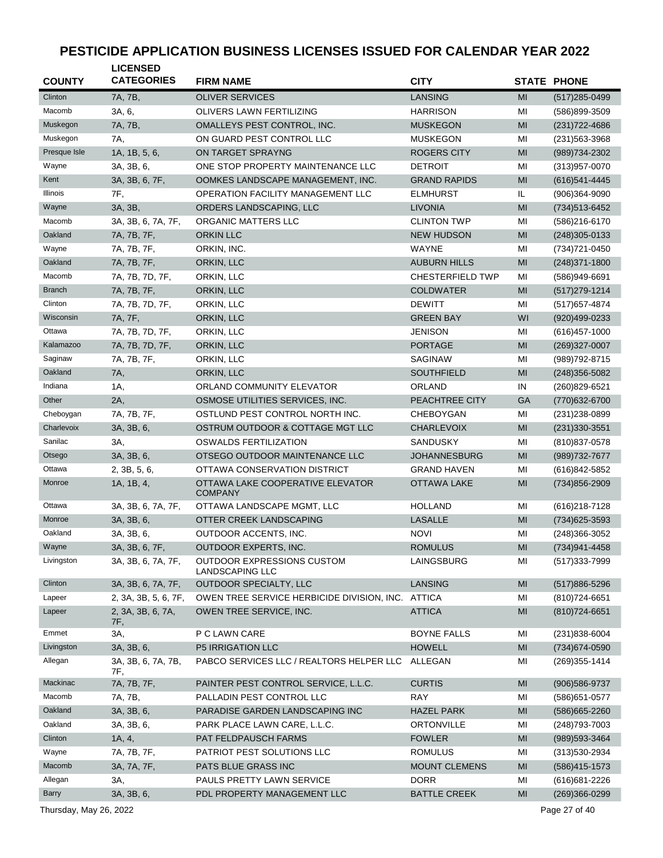| <b>COUNTY</b> | <b>LICENSED</b><br><b>CATEGORIES</b> | <b>FIRM NAME</b>                                     | <b>CITY</b>             |                | <b>STATE PHONE</b> |
|---------------|--------------------------------------|------------------------------------------------------|-------------------------|----------------|--------------------|
| Clinton       | 7A, 7B,                              | <b>OLIVER SERVICES</b>                               | <b>LANSING</b>          | MI             | $(517)285 - 0499$  |
| Macomb        | 3A, 6,                               | OLIVERS LAWN FERTILIZING                             | <b>HARRISON</b>         | MI             | (586)899-3509      |
| Muskegon      | 7A, 7B,                              | OMALLEYS PEST CONTROL, INC.                          | <b>MUSKEGON</b>         | MI             | (231) 722-4686     |
| Muskegon      | 7A,                                  | ON GUARD PEST CONTROL LLC                            | <b>MUSKEGON</b>         | MI             | (231) 563-3968     |
| Presque Isle  | 1A, 1B, 5, 6,                        | ON TARGET SPRAYNG                                    | <b>ROGERS CITY</b>      | MI             | (989) 734-2302     |
| Wayne         | 3A, 3B, 6,                           | ONE STOP PROPERTY MAINTENANCE LLC                    | <b>DETROIT</b>          | MI             | (313) 957-0070     |
| Kent          | 3A, 3B, 6, 7F,                       | OOMKES LANDSCAPE MANAGEMENT, INC.                    | <b>GRAND RAPIDS</b>     | MI             | (616) 541-4445     |
| Illinois      | 7F,                                  | OPERATION FACILITY MANAGEMENT LLC                    | <b>ELMHURST</b>         | IL             | $(906)364 - 9090$  |
| Wayne         | 3A, 3B,                              | ORDERS LANDSCAPING, LLC                              | <b>LIVONIA</b>          | MI             | (734) 513-6452     |
| Macomb        | 3A, 3B, 6, 7A, 7F,                   | ORGANIC MATTERS LLC                                  | <b>CLINTON TWP</b>      | MI             | (586)216-6170      |
| Oakland       | 7A, 7B, 7F,                          | <b>ORKIN LLC</b>                                     | <b>NEW HUDSON</b>       | M <sub>l</sub> | $(248)305-0133$    |
| Wayne         | 7A, 7B, 7F,                          | ORKIN, INC.                                          | WAYNE                   | MI             | (734) 721-0450     |
| Oakland       | 7A, 7B, 7F,                          | ORKIN, LLC                                           | <b>AUBURN HILLS</b>     | MI             | $(248)371 - 1800$  |
| Macomb        | 7A, 7B, 7D, 7F,                      | ORKIN, LLC                                           | <b>CHESTERFIELD TWP</b> | MI             | (586)949-6691      |
| <b>Branch</b> | 7A, 7B, 7F,                          | ORKIN, LLC                                           | <b>COLDWATER</b>        | MI             |                    |
| Clinton       |                                      |                                                      |                         |                | $(517)279-1214$    |
| Wisconsin     | 7A, 7B, 7D, 7F,                      | ORKIN, LLC                                           | <b>DEWITT</b>           | MI             | (517) 657-4874     |
|               | 7A, 7F,                              | ORKIN, LLC                                           | <b>GREEN BAY</b>        | WI             | (920)499-0233      |
| Ottawa        | 7A, 7B, 7D, 7F,                      | ORKIN, LLC                                           | <b>JENISON</b>          | MI             | $(616)457 - 1000$  |
| Kalamazoo     | 7A, 7B, 7D, 7F,                      | ORKIN, LLC                                           | <b>PORTAGE</b>          | M <sub>l</sub> | (269)327-0007      |
| Saginaw       | 7A, 7B, 7F,                          | ORKIN, LLC                                           | <b>SAGINAW</b>          | MI             | (989) 792-8715     |
| Oakland       | 7A,                                  | ORKIN, LLC                                           | <b>SOUTHFIELD</b>       | M <sub>l</sub> | $(248)356 - 5082$  |
| Indiana       | 1A,                                  | ORLAND COMMUNITY ELEVATOR                            | ORLAND                  | IN             | (260)829-6521      |
| Other         | 2A,                                  | OSMOSE UTILITIES SERVICES, INC.                      | PEACHTREE CITY          | GA             | (770) 632-6700     |
| Cheboygan     | 7A, 7B, 7F,                          | OSTLUND PEST CONTROL NORTH INC.                      | <b>CHEBOYGAN</b>        | MI             | (231) 238-0899     |
| Charlevoix    | 3A, 3B, 6,                           | OSTRUM OUTDOOR & COTTAGE MGT LLC                     | <b>CHARLEVOIX</b>       | MI             | $(231)330-3551$    |
| Sanilac       | 3A,                                  | OSWALDS FERTILIZATION                                | <b>SANDUSKY</b>         | MI             | (810) 837-0578     |
| Otsego        | 3A, 3B, 6,                           | OTSEGO OUTDOOR MAINTENANCE LLC                       | <b>JOHANNESBURG</b>     | MI             | (989) 732-7677     |
| Ottawa        | 2, 3B, 5, 6,                         | OTTAWA CONSERVATION DISTRICT                         | <b>GRAND HAVEN</b>      | MI             | (616)842-5852      |
| Monroe        | 1A, 1B, 4,                           | OTTAWA LAKE COOPERATIVE ELEVATOR<br><b>COMPANY</b>   | <b>OTTAWA LAKE</b>      | M <sub>l</sub> | (734) 856-2909     |
| Ottawa        | 3A, 3B, 6, 7A, 7F,                   | OTTAWA LANDSCAPE MGMT, LLC                           | <b>HOLLAND</b>          | MI             | (616) 218-7128     |
| Monroe        | 3A, 3B, 6,                           | OTTER CREEK LANDSCAPING                              | <b>LASALLE</b>          | MI             | (734) 625-3593     |
| Oakland       | 3A, 3B, 6,                           | OUTDOOR ACCENTS, INC.                                | <b>NOVI</b>             | MI             | (248)366-3052      |
| Wayne         | 3A, 3B, 6, 7F,                       | OUTDOOR EXPERTS, INC.                                | <b>ROMULUS</b>          | M <sub>l</sub> | (734)941-4458      |
| Livingston    | 3A, 3B, 6, 7A, 7F,                   | OUTDOOR EXPRESSIONS CUSTOM<br><b>LANDSCAPING LLC</b> | LAINGSBURG              | ΜI             | (517) 333-7999     |
| Clinton       | 3A, 3B, 6, 7A, 7F,                   | OUTDOOR SPECIALTY, LLC                               | LANSING                 | MI             | (517) 886-5296     |
| Lapeer        | 2, 3A, 3B, 5, 6, 7F,                 | OWEN TREE SERVICE HERBICIDE DIVISION, INC.           | ATTICA                  | MI             | (810) 724-6651     |
| Lapeer        | 2, 3A, 3B, 6, 7A,<br>7F,             | OWEN TREE SERVICE, INC.                              | <b>ATTICA</b>           | MI             | (810) 724-6651     |
| Emmet         | 3A,                                  | P C LAWN CARE                                        | <b>BOYNE FALLS</b>      | ΜI             | $(231)838 - 6004$  |
| Livingston    | 3A, 3B, 6,                           | <b>P5 IRRIGATION LLC</b>                             | <b>HOWELL</b>           | M <sub>l</sub> | (734) 674-0590     |
| Allegan       | 3A, 3B, 6, 7A, 7B,<br>7F,            | PABCO SERVICES LLC / REALTORS HELPER LLC             | ALLEGAN                 | ΜI             | (269) 355-1414     |
| Mackinac      | 7A, 7B, 7F,                          | PAINTER PEST CONTROL SERVICE, L.L.C.                 | <b>CURTIS</b>           | MI             | (906) 586-9737     |
| Macomb        | 7A, 7B,                              | PALLADIN PEST CONTROL LLC                            | <b>RAY</b>              | MI             | (586) 651-0577     |
| Oakland       | 3A, 3B, 6,                           | PARADISE GARDEN LANDSCAPING INC                      | <b>HAZEL PARK</b>       | MI             | (586) 665-2260     |
| Oakland       | 3A, 3B, 6,                           | PARK PLACE LAWN CARE, L.L.C.                         | ORTONVILLE              | ΜI             | (248) 793-7003     |
| Clinton       | 1A, 4,                               | PAT FELDPAUSCH FARMS                                 | <b>FOWLER</b>           | MI             | (989) 593-3464     |
| Wayne         | 7A, 7B, 7F,                          | PATRIOT PEST SOLUTIONS LLC                           | <b>ROMULUS</b>          | ΜI             | (313) 530-2934     |
| Macomb        | 3A, 7A, 7F,                          | PATS BLUE GRASS INC                                  | <b>MOUNT CLEMENS</b>    | MI             | (586) 415-1573     |
| Allegan       | 3A,                                  | PAULS PRETTY LAWN SERVICE                            | <b>DORR</b>             | MI             | (616) 681-2226     |
| <b>Barry</b>  | 3A, 3B, 6,                           | PDL PROPERTY MANAGEMENT LLC                          | <b>BATTLE CREEK</b>     | MI             | $(269)366 - 0299$  |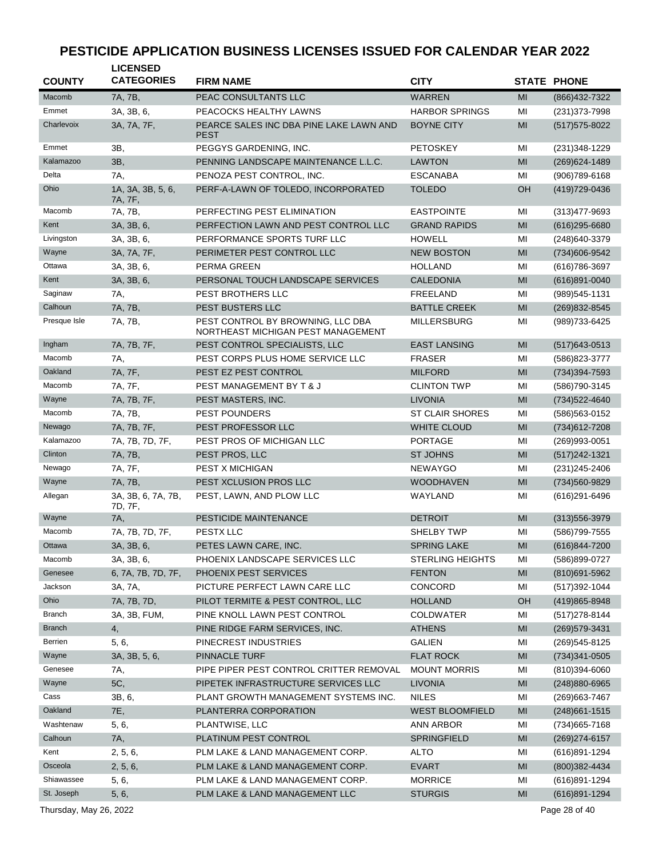| <b>COUNTY</b> | <b>LICENSED</b><br><b>CATEGORIES</b> | <b>FIRM NAME</b>                                                        | <b>CITY</b>             |    | <b>STATE PHONE</b> |
|---------------|--------------------------------------|-------------------------------------------------------------------------|-------------------------|----|--------------------|
| Macomb        | 7A, 7B,                              | PEAC CONSULTANTS LLC                                                    | <b>WARREN</b>           | MI | (866) 432-7322     |
| Emmet         | 3A, 3B, 6,                           | PEACOCKS HEALTHY LAWNS                                                  | <b>HARBOR SPRINGS</b>   | MI | (231) 373-7998     |
| Charlevoix    | 3A, 7A, 7F,                          | PEARCE SALES INC DBA PINE LAKE LAWN AND<br><b>PEST</b>                  | <b>BOYNE CITY</b>       | MI | $(517)$ 575-8022   |
| Emmet         | 3B,                                  | PEGGYS GARDENING, INC.                                                  | <b>PETOSKEY</b>         | MI | (231) 348-1229     |
| Kalamazoo     | 3B,                                  | PENNING LANDSCAPE MAINTENANCE L.L.C.                                    | <b>LAWTON</b>           | MI | (269) 624-1489     |
| Delta         | 7A,                                  | PENOZA PEST CONTROL, INC.                                               | <b>ESCANABA</b>         | MI | (906) 789-6168     |
| Ohio          | 1A, 3A, 3B, 5, 6,<br>7A, 7F,         | PERF-A-LAWN OF TOLEDO, INCORPORATED                                     | <b>TOLEDO</b>           | OH | (419) 729-0436     |
| Macomb        | 7A, 7B,                              | PERFECTING PEST ELIMINATION                                             | <b>EASTPOINTE</b>       | MI | $(313)477 - 9693$  |
| Kent          | 3A, 3B, 6,                           | PERFECTION LAWN AND PEST CONTROL LLC                                    | <b>GRAND RAPIDS</b>     | MI | $(616)$ 295-6680   |
| Livingston    | 3A, 3B, 6,                           | PERFORMANCE SPORTS TURF LLC                                             | <b>HOWELL</b>           | MI | (248) 640-3379     |
| Wayne         | 3A, 7A, 7F,                          | PERIMETER PEST CONTROL LLC                                              | <b>NEW BOSTON</b>       | MI | (734)606-9542      |
| Ottawa        | 3A, 3B, 6,                           | PERMA GREEN                                                             | <b>HOLLAND</b>          | MI | (616) 786-3697     |
| Kent          | 3A, 3B, 6,                           | PERSONAL TOUCH LANDSCAPE SERVICES                                       | <b>CALEDONIA</b>        | MI | (616)891-0040      |
| Saginaw       | 7A,                                  | PEST BROTHERS LLC                                                       | <b>FREELAND</b>         | MI | (989) 545-1131     |
| Calhoun       | 7A, 7B,                              | PEST BUSTERS LLC                                                        | <b>BATTLE CREEK</b>     | MI | (269) 832-8545     |
| Presque Isle  | 7A, 7B,                              | PEST CONTROL BY BROWNING, LLC DBA<br>NORTHEAST MICHIGAN PEST MANAGEMENT | <b>MILLERSBURG</b>      | MI | (989)733-6425      |
| Ingham        | 7A, 7B, 7F,                          | PEST CONTROL SPECIALISTS, LLC                                           | <b>EAST LANSING</b>     | MI | $(517)643-0513$    |
| Macomb        | 7A,                                  | PEST CORPS PLUS HOME SERVICE LLC                                        | <b>FRASER</b>           | MI | (586) 823-3777     |
| Oakland       | 7A, 7F,                              | PEST EZ PEST CONTROL                                                    | <b>MILFORD</b>          | MI | (734) 394-7593     |
| Macomb        | 7A, 7F,                              | PEST MANAGEMENT BY T & J                                                | <b>CLINTON TWP</b>      | MI | (586) 790-3145     |
| Wayne         | 7A, 7B, 7F,                          | PEST MASTERS, INC.                                                      | <b>LIVONIA</b>          | MI | (734) 522-4640     |
| Macomb        | 7A, 7B,                              | <b>PEST POUNDERS</b>                                                    | <b>ST CLAIR SHORES</b>  | ΜI | (586) 563-0152     |
| Newago        | 7A, 7B, 7F,                          | PEST PROFESSOR LLC                                                      | <b>WHITE CLOUD</b>      | MI | (734) 612-7208     |
| Kalamazoo     | 7A, 7B, 7D, 7F,                      | PEST PROS OF MICHIGAN LLC                                               | <b>PORTAGE</b>          | MI | (269)993-0051      |
| Clinton       | 7A, 7B,                              | PEST PROS, LLC                                                          | <b>ST JOHNS</b>         | MI | (517) 242-1321     |
| Newago        | 7A, 7F,                              | <b>PEST X MICHIGAN</b>                                                  | <b>NEWAYGO</b>          | MI | (231) 245-2406     |
| Wayne         | 7A, 7B,                              | PEST XCLUSION PROS LLC                                                  | <b>WOODHAVEN</b>        | MI | (734) 560-9829     |
| Allegan       | 3A, 3B, 6, 7A, 7B,<br>7D, 7F,        | PEST, LAWN, AND PLOW LLC                                                | WAYLAND                 | MI | (616) 291-6496     |
| Wayne         | 7A,                                  | PESTICIDE MAINTENANCE                                                   | <b>DETROIT</b>          | MI | $(313)556 - 3979$  |
| Macomb        | 7A, 7B, 7D, 7F,                      | PESTX LLC                                                               | <b>SHELBY TWP</b>       | MI | (586) 799-7555     |
| Ottawa        | 3A, 3B, 6,                           | PETES LAWN CARE, INC.                                                   | <b>SPRING LAKE</b>      | MI | (616)844-7200      |
| Macomb        | 3A, 3B, 6,                           | PHOENIX LANDSCAPE SERVICES LLC                                          | <b>STERLING HEIGHTS</b> | МI | (586)899-0727      |
| Genesee       | 6, 7A, 7B, 7D, 7F,                   | PHOENIX PEST SERVICES                                                   | <b>FENTON</b>           | MI | (810) 691-5962     |
| Jackson       | 3A, 7A,                              | PICTURE PERFECT LAWN CARE LLC                                           | <b>CONCORD</b>          | MI | (517) 392-1044     |
| Ohio          | 7A, 7B, 7D,                          | PILOT TERMITE & PEST CONTROL, LLC                                       | <b>HOLLAND</b>          | OH | (419) 865-8948     |
| Branch        | 3A, 3B, FUM,                         | PINE KNOLL LAWN PEST CONTROL                                            | <b>COLDWATER</b>        | ΜI | (517) 278-8144     |
| <b>Branch</b> | 4,                                   | PINE RIDGE FARM SERVICES, INC.                                          | <b>ATHENS</b>           | MI | (269) 579-3431     |
| Berrien       | 5, 6,                                | PINECREST INDUSTRIES                                                    | GALIEN                  | ΜI | (269) 545-8125     |
| Wayne         | 3A, 3B, 5, 6,                        | PINNACLE TURF                                                           | <b>FLAT ROCK</b>        | MI | $(734)341 - 0505$  |
| Genesee       | 7A,                                  | PIPE PIPER PEST CONTROL CRITTER REMOVAL                                 | <b>MOUNT MORRIS</b>     | ΜI | $(810)394 - 6060$  |
| Wayne         | 5C,                                  | PIPETEK INFRASTRUCTURE SERVICES LLC                                     | <b>LIVONIA</b>          | MI | (248) 880-6965     |
| Cass          | 3B, 6,                               | PLANT GROWTH MANAGEMENT SYSTEMS INC.                                    | <b>NILES</b>            | MI | (269) 663-7467     |
| Oakland       | 7E,                                  | PLANTERRA CORPORATION                                                   | <b>WEST BLOOMFIELD</b>  | MI | $(248)661 - 1515$  |
| Washtenaw     | 5, 6,                                | PLANTWISE, LLC                                                          | ANN ARBOR               | ΜI | (734)665-7168      |
| Calhoun       | 7A,                                  | PLATINUM PEST CONTROL                                                   | <b>SPRINGFIELD</b>      | MI | $(269)274-6157$    |
| Kent          | 2, 5, 6,                             | PLM LAKE & LAND MANAGEMENT CORP.                                        | <b>ALTO</b>             | ΜI | (616)891-1294      |
| Osceola       | 2, 5, 6,                             | PLM LAKE & LAND MANAGEMENT CORP.                                        | <b>EVART</b>            | MI | (800)382-4434      |
| Shiawassee    | 5, 6,                                | PLM LAKE & LAND MANAGEMENT CORP.                                        | <b>MORRICE</b>          | ΜI | (616)891-1294      |
| St. Joseph    | 5, 6,                                | PLM LAKE & LAND MANAGEMENT LLC                                          | <b>STURGIS</b>          | MI | $(616)891 - 1294$  |
|               |                                      |                                                                         |                         |    |                    |

Thursday, May 26, 2022 2001 2012 20:30 20:30 20:30 20:30 20:30 20:30 20:30 20:30 20:30 20:30 20:30 20:30 20:30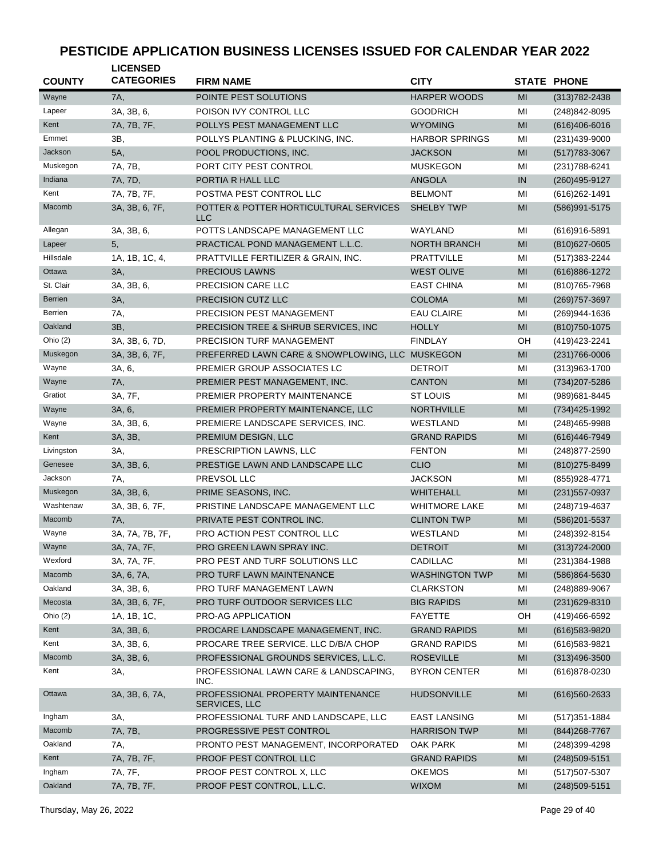| <b>COUNTY</b> | <b>LICENSED</b><br><b>CATEGORIES</b> | <b>FIRM NAME</b>                                     | <b>CITY</b>           |                | <b>STATE PHONE</b> |
|---------------|--------------------------------------|------------------------------------------------------|-----------------------|----------------|--------------------|
| Wayne         | 7A,                                  | POINTE PEST SOLUTIONS                                | <b>HARPER WOODS</b>   | MI             | $(313)782 - 2438$  |
| Lapeer        | 3A, 3B, 6,                           | POISON IVY CONTROL LLC                               | <b>GOODRICH</b>       | MI             | (248) 842-8095     |
| Kent          | 7A, 7B, 7F,                          | POLLYS PEST MANAGEMENT LLC                           | <b>WYOMING</b>        | MI             | $(616)406 - 6016$  |
| Emmet         | ЗΒ,                                  | POLLYS PLANTING & PLUCKING, INC.                     | <b>HARBOR SPRINGS</b> | MI             | (231)439-9000      |
| Jackson       | 5A,                                  | POOL PRODUCTIONS, INC.                               | <b>JACKSON</b>        | MI             | $(517)783 - 3067$  |
| Muskegon      | 7A, 7B,                              | PORT CITY PEST CONTROL                               | <b>MUSKEGON</b>       | MI             | (231) 788-6241     |
| Indiana       | 7A, 7D,                              | PORTIA R HALL LLC                                    | <b>ANGOLA</b>         | IN             | (260) 495-9127     |
| Kent          | 7A, 7B, 7F,                          | POSTMA PEST CONTROL LLC                              | <b>BELMONT</b>        | MI             | (616) 262-1491     |
| Macomb        | 3A, 3B, 6, 7F,                       | POTTER & POTTER HORTICULTURAL SERVICES<br><b>LLC</b> | <b>SHELBY TWP</b>     | MI             | (586)991-5175      |
| Allegan       | 3A, 3B, 6,                           | POTTS LANDSCAPE MANAGEMENT LLC                       | WAYLAND               | MI             | $(616)916 - 5891$  |
| Lapeer        | 5,                                   | PRACTICAL POND MANAGEMENT L.L.C.                     | <b>NORTH BRANCH</b>   | MI             | $(810)627 - 0605$  |
| Hillsdale     | 1A, 1B, 1C, 4,                       | PRATTVILLE FERTILIZER & GRAIN, INC.                  | <b>PRATTVILLE</b>     | MI             | (517) 383-2244     |
| Ottawa        | 3A,                                  | PRECIOUS LAWNS                                       | <b>WEST OLIVE</b>     | MI             | (616)886-1272      |
| St. Clair     | 3A, 3B, 6,                           | PRECISION CARE LLC                                   | <b>EAST CHINA</b>     | MI             | (810) 765-7968     |
| Berrien       | 3A,                                  | PRECISION CUTZ LLC                                   | <b>COLOMA</b>         | MI             | (269) 757-3697     |
| Berrien       | 7A,                                  | PRECISION PEST MANAGEMENT                            | <b>EAU CLAIRE</b>     | MI             | (269)944-1636      |
| Oakland       | 3B,                                  | PRECISION TREE & SHRUB SERVICES, INC.                | <b>HOLLY</b>          | MI             | $(810)750 - 1075$  |
| Ohio (2)      | 3A, 3B, 6, 7D,                       | <b>PRECISION TURF MANAGEMENT</b>                     | <b>FINDLAY</b>        | OН             | (419) 423 - 2241   |
| Muskegon      | 3A, 3B, 6, 7F,                       | PREFERRED LAWN CARE & SNOWPLOWING, LLC MUSKEGON      |                       | MI             | (231) 766-0006     |
| Wayne         | 3A, 6,                               | PREMIER GROUP ASSOCIATES LC                          | <b>DETROIT</b>        | MI             | (313) 963-1700     |
| Wayne         | 7A,                                  | PREMIER PEST MANAGEMENT, INC.                        | <b>CANTON</b>         | MI             | (734) 207-5286     |
| Gratiot       | 3A, 7F,                              | PREMIER PROPERTY MAINTENANCE                         | <b>ST LOUIS</b>       | MI             | (989) 681-8445     |
| Wayne         | 3A, 6,                               | PREMIER PROPERTY MAINTENANCE, LLC                    | <b>NORTHVILLE</b>     | MI             | (734) 425-1992     |
| Wayne         | 3A, 3B, 6,                           | PREMIERE LANDSCAPE SERVICES, INC.                    | WESTLAND              | MI             | (248)465-9988      |
| Kent          | 3A, 3B,                              | PREMIUM DESIGN, LLC                                  | <b>GRAND RAPIDS</b>   | M <sub>l</sub> | (616) 446-7949     |
| Livingston    | 3A,                                  | PRESCRIPTION LAWNS, LLC                              | <b>FENTON</b>         | MI             | (248) 877-2590     |
| Genesee       | 3A, 3B, 6,                           | PRESTIGE LAWN AND LANDSCAPE LLC                      | <b>CLIO</b>           | MI             | (810) 275-8499     |
| Jackson       | 7A,                                  | PREVSOL LLC                                          | <b>JACKSON</b>        | MI             | (855) 928-4771     |
| Muskegon      | 3A, 3B, 6,                           | PRIME SEASONS, INC.                                  | <b>WHITEHALL</b>      | MI             | (231) 557-0937     |
| Washtenaw     | 3A, 3B, 6, 7F,                       | PRISTINE LANDSCAPE MANAGEMENT LLC                    | <b>WHITMORE LAKE</b>  | MI             | (248) 719-4637     |
| Macomb        | 7A,                                  | PRIVATE PEST CONTROL INC.                            | <b>CLINTON TWP</b>    | MI             | (586) 201-5537     |
| Wayne         | 3A, 7A, 7B, 7F,                      | PRO ACTION PEST CONTROL LLC                          | WESTLAND              | MI             | (248) 392-8154     |
| Wayne         | 3A, 7A, 7F,                          | PRO GREEN LAWN SPRAY INC.                            | <b>DETROIT</b>        | $\mathsf{MI}$  | $(313)724 - 2000$  |
| Wexford       | 3A, 7A, 7F,                          | PRO PEST AND TURF SOLUTIONS LLC                      | CADILLAC              | MI             | (231) 384-1988     |
| Macomb        | 3A, 6, 7A,                           | PRO TURF LAWN MAINTENANCE                            | <b>WASHINGTON TWP</b> | MI             | (586)864-5630      |
| Oakland       | 3A, 3B, 6,                           | PRO TURF MANAGEMENT LAWN                             | <b>CLARKSTON</b>      | MI             | (248) 889-9067     |
| Mecosta       | 3A, 3B, 6, 7F,                       | PRO TURF OUTDOOR SERVICES LLC                        | <b>BIG RAPIDS</b>     | M <sub>l</sub> | $(231)629 - 8310$  |
| Ohio $(2)$    | 1A, 1B, 1C,                          | PRO-AG APPLICATION                                   | <b>FAYETTE</b>        | OH             | (419)466-6592      |
| Kent          | 3A, 3B, 6,                           | PROCARE LANDSCAPE MANAGEMENT, INC.                   | <b>GRAND RAPIDS</b>   | MI             | (616) 583-9820     |
| Kent          | 3A, 3B, 6,                           | PROCARE TREE SERVICE. LLC D/B/A CHOP                 | <b>GRAND RAPIDS</b>   | ΜI             | (616) 583-9821     |
| Macomb        | 3A, 3B, 6,                           | PROFESSIONAL GROUNDS SERVICES, L.L.C.                | <b>ROSEVILLE</b>      | MI             | $(313)496 - 3500$  |
| Kent          | 3A,                                  | PROFESSIONAL LAWN CARE & LANDSCAPING,<br>INC.        | <b>BYRON CENTER</b>   | MI             | (616) 878-0230     |
| Ottawa        | 3A, 3B, 6, 7A,                       | PROFESSIONAL PROPERTY MAINTENANCE<br>SERVICES, LLC   | <b>HUDSONVILLE</b>    | M <sub>l</sub> | $(616)560 - 2633$  |
| Ingham        | ЗΑ,                                  | PROFESSIONAL TURF AND LANDSCAPE, LLC                 | <b>EAST LANSING</b>   | MI             | (517) 351-1884     |
| Macomb        | 7A, 7B,                              | PROGRESSIVE PEST CONTROL                             | <b>HARRISON TWP</b>   | MI             | (844) 268-7767     |
| Oakland       | 7A,                                  | PRONTO PEST MANAGEMENT, INCORPORATED                 | OAK PARK              | ΜI             | (248)399-4298      |
| Kent          | 7A, 7B, 7F,                          | PROOF PEST CONTROL LLC                               | <b>GRAND RAPIDS</b>   | MI             | $(248)509 - 5151$  |
| Ingham        | 7A, 7F,                              | PROOF PEST CONTROL X, LLC                            | <b>OKEMOS</b>         | MI             | (517) 507-5307     |
| Oakland       | 7A, 7B, 7F,                          | PROOF PEST CONTROL, L.L.C.                           | <b>WIXOM</b>          | MI             | $(248)509 - 5151$  |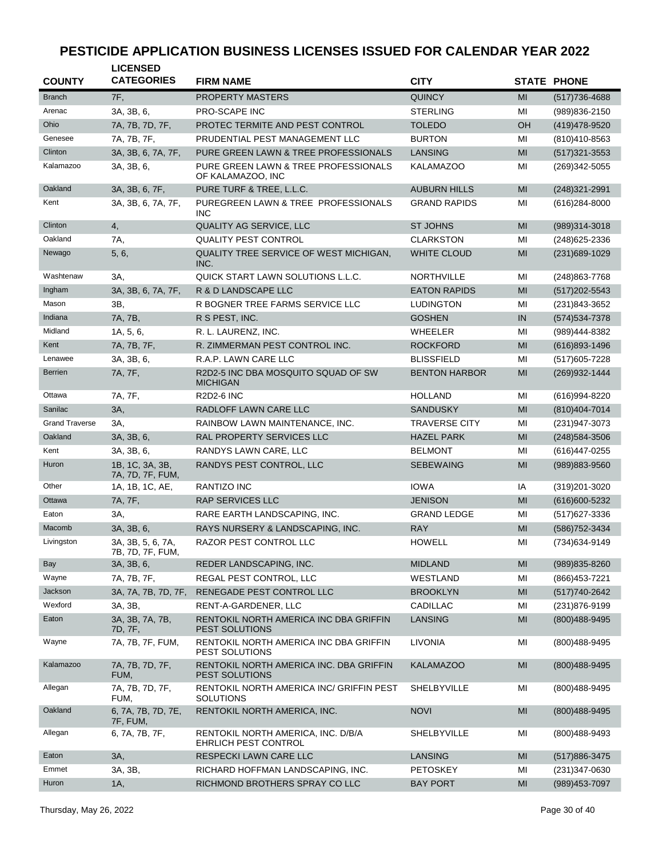| <b>COUNTY</b>         | <b>LICENSED</b><br><b>CATEGORIES</b>  | <b>FIRM NAME</b>                                             | <b>CITY</b>          |    | <b>STATE PHONE</b> |
|-----------------------|---------------------------------------|--------------------------------------------------------------|----------------------|----|--------------------|
| <b>Branch</b>         | 7F,                                   | <b>PROPERTY MASTERS</b>                                      | <b>QUINCY</b>        | MI | (517) 736-4688     |
| Arenac                | 3A, 3B, 6,                            | <b>PRO-SCAPE INC</b>                                         | <b>STERLING</b>      | MI | (989)836-2150      |
| Ohio                  | 7A, 7B, 7D, 7F,                       | PROTEC TERMITE AND PEST CONTROL                              | <b>TOLEDO</b>        | OH | (419) 478-9520     |
| Genesee               | 7A, 7B, 7F,                           | PRUDENTIAL PEST MANAGEMENT LLC                               | <b>BURTON</b>        | MI | (810)410-8563      |
| Clinton               | 3A, 3B, 6, 7A, 7F,                    | PURE GREEN LAWN & TREE PROFESSIONALS                         | LANSING              | MI | $(517)321 - 3553$  |
| Kalamazoo             | 3A, 3B, 6,                            | PURE GREEN LAWN & TREE PROFESSIONALS<br>OF KALAMAZOO, INC    | <b>KALAMAZOO</b>     | MI | $(269)342 - 5055$  |
| Oakland               | 3A, 3B, 6, 7F,                        | PURE TURF & TREE, L.L.C.                                     | <b>AUBURN HILLS</b>  | MI | $(248)321 - 2991$  |
| Kent                  | 3A, 3B, 6, 7A, 7F,                    | PUREGREEN LAWN & TREE PROFESSIONALS<br><b>INC</b>            | <b>GRAND RAPIDS</b>  | MI | (616) 284-8000     |
| Clinton               | 4,                                    | QUALITY AG SERVICE, LLC                                      | <b>ST JOHNS</b>      | MI | (989)314-3018      |
| Oakland               | 7A,                                   | <b>QUALITY PEST CONTROL</b>                                  | <b>CLARKSTON</b>     | MI | $(248)625 - 2336$  |
| Newago                | 5, 6,                                 | QUALITY TREE SERVICE OF WEST MICHIGAN,<br>INC.               | <b>WHITE CLOUD</b>   | MI | (231) 689-1029     |
| Washtenaw             | ЗΑ.                                   | QUICK START LAWN SOLUTIONS L.L.C.                            | <b>NORTHVILLE</b>    | MI | (248) 863-7768     |
| Ingham                | 3A, 3B, 6, 7A, 7F,                    | R & D LANDSCAPE LLC                                          | <b>EATON RAPIDS</b>  | MI | $(517)202 - 5543$  |
| Mason                 | 3B,                                   | R BOGNER TREE FARMS SERVICE LLC                              | <b>LUDINGTON</b>     | MI | (231)843-3652      |
| Indiana               | 7A, 7B,                               | R S PEST, INC.                                               | <b>GOSHEN</b>        | IN | $(574)534-7378$    |
| Midland               | 1A, 5, 6,                             | R. L. LAURENZ, INC.                                          | WHEELER              | MI | (989)444-8382      |
| Kent                  | 7A, 7B, 7F,                           | R. ZIMMERMAN PEST CONTROL INC.                               | <b>ROCKFORD</b>      | MI | $(616)893 - 1496$  |
| Lenawee               | 3A, 3B, 6,                            | R.A.P. LAWN CARE LLC                                         | <b>BLISSFIELD</b>    | MI | (517) 605-7228     |
| <b>Berrien</b>        | 7A, 7F,                               | R2D2-5 INC DBA MOSQUITO SQUAD OF SW<br><b>MICHIGAN</b>       | <b>BENTON HARBOR</b> | MI | (269) 932-1444     |
| Ottawa                | 7A, 7F,                               | <b>R2D2-6 INC</b>                                            | <b>HOLLAND</b>       | MI | (616) 994-8220     |
| Sanilac               | 3A,                                   | RADLOFF LAWN CARE LLC                                        | <b>SANDUSKY</b>      | MI | $(810)404 - 7014$  |
| <b>Grand Traverse</b> | ЗΑ,                                   | RAINBOW LAWN MAINTENANCE, INC.                               | <b>TRAVERSE CITY</b> | MI | (231) 947-3073     |
| Oakland               | 3A, 3B, 6,                            | RAL PROPERTY SERVICES LLC                                    | <b>HAZEL PARK</b>    | MI | (248) 584-3506     |
| Kent                  | 3A, 3B, 6,                            | RANDYS LAWN CARE, LLC                                        | <b>BELMONT</b>       | MI | (616)447-0255      |
| Huron                 | 1B, 1C, 3A, 3B,<br>7A, 7D, 7F, FUM,   | RANDYS PEST CONTROL, LLC                                     | <b>SEBEWAING</b>     | MI | (989) 883-9560     |
| Other                 | 1A, 1B, 1C, AE,                       | RANTIZO INC                                                  | <b>IOWA</b>          | ΙA | (319) 201-3020     |
| Ottawa                | 7A, 7F,                               | <b>RAP SERVICES LLC</b>                                      | <b>JENISON</b>       | MI | (616) 600-5232     |
| Eaton                 | ЗΑ,                                   | RARE EARTH LANDSCAPING, INC.                                 | <b>GRAND LEDGE</b>   | MI | (517) 627-3336     |
| Macomb                | 3A, 3B, 6,                            | RAYS NURSERY & LANDSCAPING, INC.                             | <b>RAY</b>           | MI | (586) 752-3434     |
| Livingston            | 3A, 3B, 5, 6, 7A,<br>7B, 7D, 7F, FUM, | RAZOR PEST CONTROL LLC                                       | <b>HOWELL</b>        | MI | (734) 634-9149     |
| Bay                   | 3A, 3B, 6,                            | REDER LANDSCAPING, INC.                                      | <b>MIDLAND</b>       | MI | (989) 835-8260     |
| Wayne                 | 7A, 7B, 7F,                           | REGAL PEST CONTROL, LLC                                      | WESTLAND             | MI | (866) 453-7221     |
| Jackson               | 3A, 7A, 7B, 7D, 7F,                   | RENEGADE PEST CONTROL LLC                                    | <b>BROOKLYN</b>      | MI | (517) 740-2642     |
| Wexford               | 3A, 3B,                               | RENT-A-GARDENER, LLC                                         | CADILLAC             | MI | (231) 876-9199     |
| Eaton                 | 3A, 3B, 7A, 7B,<br>7D, 7F,            | RENTOKIL NORTH AMERICA INC DBA GRIFFIN<br>PEST SOLUTIONS     | LANSING              | MI | (800) 488-9495     |
| Wayne                 | 7A, 7B, 7F, FUM,                      | RENTOKIL NORTH AMERICA INC DBA GRIFFIN<br>PEST SOLUTIONS     | <b>LIVONIA</b>       | MI | (800)488-9495      |
| Kalamazoo             | 7A, 7B, 7D, 7F,<br>FUM,               | RENTOKIL NORTH AMERICA INC. DBA GRIFFIN<br>PEST SOLUTIONS    | <b>KALAMAZOO</b>     | MI | (800)488-9495      |
| Allegan               | 7A, 7B, 7D, 7F,<br>FUM,               | RENTOKIL NORTH AMERICA INC/ GRIFFIN PEST<br><b>SOLUTIONS</b> | SHELBYVILLE          | ΜI | (800)488-9495      |
| Oakland               | 6, 7A, 7B, 7D, 7E,<br>7F, FUM,        | RENTOKIL NORTH AMERICA, INC.                                 | <b>NOVI</b>          | MI | (800)488-9495      |
| Allegan               | 6, 7A, 7B, 7F,                        | RENTOKIL NORTH AMERICA, INC. D/B/A<br>EHRLICH PEST CONTROL   | SHELBYVILLE          | MI | (800)488-9493      |
| Eaton                 | 3A,                                   | RESPECKI LAWN CARE LLC                                       | <b>LANSING</b>       | MI | (517) 886-3475     |
| Emmet                 | 3A, 3B,                               | RICHARD HOFFMAN LANDSCAPING, INC.                            | <b>PETOSKEY</b>      | MI | $(231)347 - 0630$  |
| Huron                 | 1A,                                   | RICHMOND BROTHERS SPRAY CO LLC                               | <b>BAY PORT</b>      | MI | (989) 453-7097     |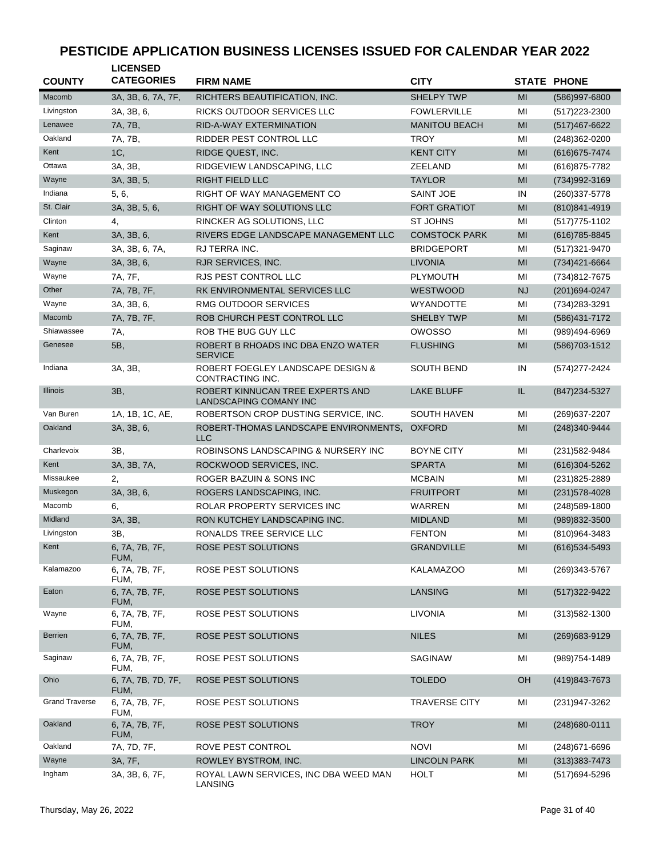| <b>COUNTY</b>         | <b>LICENSED</b><br><b>CATEGORIES</b> | <b>FIRM NAME</b>                                           | <b>CITY</b>          |                | <b>STATE PHONE</b> |
|-----------------------|--------------------------------------|------------------------------------------------------------|----------------------|----------------|--------------------|
| Macomb                | 3A, 3B, 6, 7A, 7F,                   | RICHTERS BEAUTIFICATION, INC.                              | <b>SHELPY TWP</b>    | MI             | (586)997-6800      |
| Livingston            | 3A, 3B, 6,                           | RICKS OUTDOOR SERVICES LLC                                 | <b>FOWLERVILLE</b>   | MI             | (517) 223-2300     |
| Lenawee               | 7A, 7B,                              | RID-A-WAY EXTERMINATION                                    | <b>MANITOU BEACH</b> | MI             | (517) 467-6622     |
| Oakland               | 7A, 7B,                              | <b>RIDDER PEST CONTROL LLC</b>                             | <b>TROY</b>          | MI             | (248) 362-0200     |
| Kent                  | 1C,                                  | RIDGE QUEST, INC.                                          | <b>KENT CITY</b>     | MI             | (616) 675-7474     |
| Ottawa                | 3A, 3B,                              | RIDGEVIEW LANDSCAPING, LLC                                 | ZEELAND              | MI             | (616) 875-7782     |
| Wayne                 | 3A, 3B, 5,                           | <b>RIGHT FIELD LLC</b>                                     | <b>TAYLOR</b>        | MI             | (734) 992-3169     |
| Indiana               | 5, 6,                                | RIGHT OF WAY MANAGEMENT CO                                 | <b>SAINT JOE</b>     | IN             | (260) 337-5778     |
| St. Clair             | 3A, 3B, 5, 6,                        | RIGHT OF WAY SOLUTIONS LLC                                 | <b>FORT GRATIOT</b>  | MI             | (810) 841-4919     |
| Clinton               | 4,                                   | RINCKER AG SOLUTIONS, LLC                                  | <b>ST JOHNS</b>      | MI             | $(517)775 - 1102$  |
| Kent                  | 3A, 3B, 6,                           | RIVERS EDGE LANDSCAPE MANAGEMENT LLC                       | <b>COMSTOCK PARK</b> | MI             | (616) 785-8845     |
| Saginaw               | 3A, 3B, 6, 7A,                       | RJ TERRA INC.                                              | <b>BRIDGEPORT</b>    | MI             | (517) 321-9470     |
| Wayne                 | 3A, 3B, 6,                           | RJR SERVICES, INC.                                         | <b>LIVONIA</b>       | MI             | $(734)421 - 6664$  |
| Wayne                 | 7A, 7F,                              | RJS PEST CONTROL LLC                                       | <b>PLYMOUTH</b>      | MI             | (734)812-7675      |
| Other                 | 7A, 7B, 7F,                          | RK ENVIRONMENTAL SERVICES LLC                              | <b>WESTWOOD</b>      | <b>NJ</b>      | (201) 694-0247     |
| Wayne                 | 3A, 3B, 6,                           | RMG OUTDOOR SERVICES                                       | <b>WYANDOTTE</b>     | MI             | (734) 283-3291     |
| Macomb                | 7A, 7B, 7F,                          | ROB CHURCH PEST CONTROL LLC                                | <b>SHELBY TWP</b>    | MI             | (586) 431-7172     |
| Shiawassee            | 7A,                                  | ROB THE BUG GUY LLC                                        | <b>OWOSSO</b>        | MI             | (989)494-6969      |
| Genesee               | 5B,                                  | ROBERT B RHOADS INC DBA ENZO WATER<br><b>SERVICE</b>       | <b>FLUSHING</b>      | MI             | (586) 703-1512     |
| Indiana               | 3A, 3B,                              | ROBERT FOEGLEY LANDSCAPE DESIGN &<br>CONTRACTING INC.      | <b>SOUTH BEND</b>    | IN             | (574) 277-2424     |
| <b>Illinois</b>       | 3B,                                  | ROBERT KINNUCAN TREE EXPERTS AND<br>LANDSCAPING COMANY INC | <b>LAKE BLUFF</b>    | IL.            | (847) 234-5327     |
| Van Buren             | 1A, 1B, 1C, AE,                      | ROBERTSON CROP DUSTING SERVICE, INC.                       | <b>SOUTH HAVEN</b>   | MI             | (269) 637-2207     |
| Oakland               | 3A, 3B, 6,                           | ROBERT-THOMAS LANDSCAPE ENVIRONMENTS,<br><b>LLC</b>        | <b>OXFORD</b>        | MI             | (248)340-9444      |
| Charlevoix            | ЗΒ,                                  | ROBINSONS LANDSCAPING & NURSERY INC                        | <b>BOYNE CITY</b>    | MI             | (231) 582-9484     |
| Kent                  | 3A, 3B, 7A,                          | ROCKWOOD SERVICES, INC.                                    | <b>SPARTA</b>        | MI             | $(616)304 - 5262$  |
| Missaukee             | 2,                                   | ROGER BAZUIN & SONS INC                                    | <b>MCBAIN</b>        | MI             | $(231)825 - 2889$  |
| Muskegon              | 3A, 3B, 6,                           | ROGERS LANDSCAPING, INC.                                   | <b>FRUITPORT</b>     | MI             | (231) 578-4028     |
| Macomb                | 6,                                   | ROLAR PROPERTY SERVICES INC                                | WARREN               | MI             | (248) 589-1800     |
| Midland               | 3A, 3B,                              | RON KUTCHEY LANDSCAPING INC.                               | <b>MIDLAND</b>       | MI             | (989) 832-3500     |
| Livingston            | 3B,                                  | RONALDS TREE SERVICE LLC                                   | <b>FENTON</b>        | MI             | (810)964-3483      |
| Kent                  | 6, 7A, 7B, 7F,<br>FUM,               | ROSE PEST SOLUTIONS                                        | <b>GRANDVILLE</b>    | M <sub>l</sub> | (616) 534-5493     |
| Kalamazoo             | 6, 7A, 7B, 7F,<br>FUM,               | ROSE PEST SOLUTIONS                                        | <b>KALAMAZOO</b>     | MI             | (269)343-5767      |
| Eaton                 | 6, 7A, 7B, 7F,<br>FUM,               | ROSE PEST SOLUTIONS                                        | <b>LANSING</b>       | MI             | (517) 322-9422     |
| Wayne                 | 6, 7A, 7B, 7F,<br>FUM,               | ROSE PEST SOLUTIONS                                        | LIVONIA              | ΜI             | $(313)582 - 1300$  |
| <b>Berrien</b>        | 6, 7A, 7B, 7F,<br>FUM,               | ROSE PEST SOLUTIONS                                        | <b>NILES</b>         | MI             | (269) 683-9129     |
| Saginaw               | 6, 7A, 7B, 7F,<br>FUM,               | ROSE PEST SOLUTIONS                                        | SAGINAW              | ΜI             | (989) 754-1489     |
| Ohio                  | 6, 7A, 7B, 7D, 7F,<br>FUM,           | ROSE PEST SOLUTIONS                                        | <b>TOLEDO</b>        | OH             | (419) 843-7673     |
| <b>Grand Traverse</b> | 6, 7A, 7B, 7F,<br>FUM,               | ROSE PEST SOLUTIONS                                        | <b>TRAVERSE CITY</b> | ΜI             | (231) 947-3262     |
| Oakland               | 6, 7A, 7B, 7F,<br>FUM,               | ROSE PEST SOLUTIONS                                        | <b>TROY</b>          | MI             | (248) 680-0111     |
| Oakland               | 7A, 7D, 7F,                          | ROVE PEST CONTROL                                          | <b>NOVI</b>          | ΜI             | (248) 671-6696     |
| Wayne                 | 3A, 7F,                              | ROWLEY BYSTROM, INC.                                       | <b>LINCOLN PARK</b>  | MI             | $(313)383 - 7473$  |
| Ingham                | 3A, 3B, 6, 7F,                       | ROYAL LAWN SERVICES, INC DBA WEED MAN<br>LANSING           | <b>HOLT</b>          | MI             | (517) 694-5296     |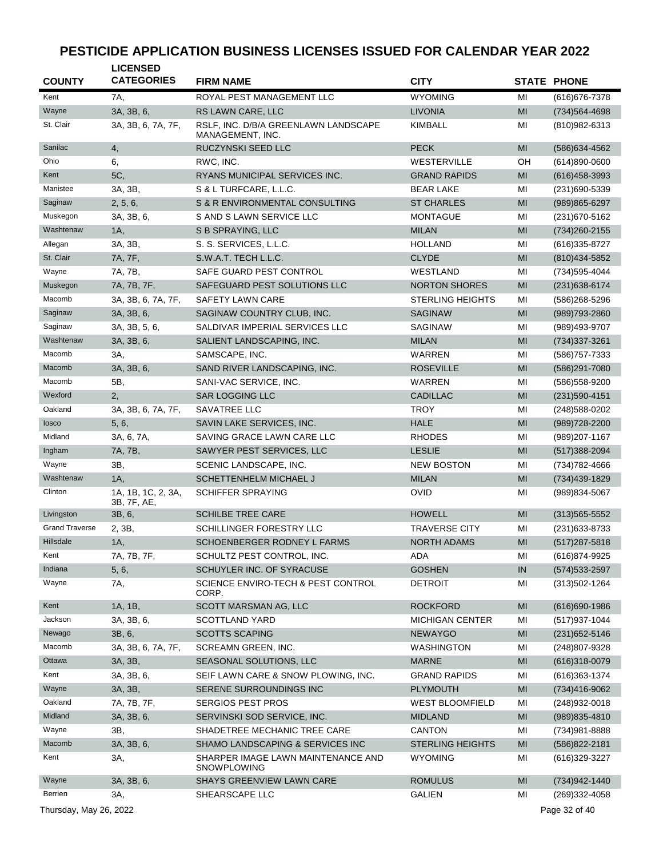| <b>COUNTY</b>          | <b>LICENSED</b><br><b>CATEGORIES</b> | <b>FIRM NAME</b>                                         | <b>CITY</b>             |               | <b>STATE PHONE</b> |
|------------------------|--------------------------------------|----------------------------------------------------------|-------------------------|---------------|--------------------|
| Kent                   | 7A,                                  | ROYAL PEST MANAGEMENT LLC                                | <b>WYOMING</b>          | MI            | (616) 676-7378     |
| Wayne                  | 3A, 3B, 6,                           | RS LAWN CARE, LLC                                        | <b>LIVONIA</b>          | MI            | (734) 564-4698     |
| St. Clair              | 3A, 3B, 6, 7A, 7F,                   | RSLF, INC. D/B/A GREENLAWN LANDSCAPE<br>MANAGEMENT, INC. | <b>KIMBALL</b>          | MI            | (810)982-6313      |
| Sanilac                | 4,                                   | RUCZYNSKI SEED LLC                                       | <b>PECK</b>             | MI            | (586) 634-4562     |
| Ohio                   | 6,                                   | RWC, INC.                                                | <b>WESTERVILLE</b>      | OΗ            | $(614)890 - 0600$  |
| Kent                   | 5C,                                  | RYANS MUNICIPAL SERVICES INC.                            | <b>GRAND RAPIDS</b>     | MI            | $(616)458-3993$    |
| Manistee               | 3A, 3B,                              | S & L TURFCARE, L.L.C.                                   | <b>BEAR LAKE</b>        | MI            | (231)690-5339      |
| Saginaw                | 2, 5, 6,                             | S & R ENVIRONMENTAL CONSULTING                           | <b>ST CHARLES</b>       | MI            | $(989)865 - 6297$  |
| Muskegon               | 3A, 3B, 6,                           | S AND S LAWN SERVICE LLC                                 | <b>MONTAGUE</b>         | MI            | (231) 670-5162     |
| Washtenaw              | 1A,                                  | S B SPRAYING, LLC                                        | <b>MILAN</b>            | MI            | (734) 260-2155     |
| Allegan                | 3A, 3B,                              | S. S. SERVICES, L.L.C.                                   | <b>HOLLAND</b>          | MI            | $(616)335 - 8727$  |
| St. Clair              | 7A, 7F,                              | S.W.A.T. TECH L.L.C.                                     | <b>CLYDE</b>            | MI            | (810) 434-5852     |
| Wayne                  | 7A, 7B,                              | SAFE GUARD PEST CONTROL                                  | WESTLAND                | MI            | (734) 595-4044     |
| Muskegon               | 7A, 7B, 7F,                          | SAFEGUARD PEST SOLUTIONS LLC                             | <b>NORTON SHORES</b>    | MI            | (231) 638-6174     |
| Macomb                 | 3A, 3B, 6, 7A, 7F,                   | <b>SAFETY LAWN CARE</b>                                  | <b>STERLING HEIGHTS</b> | MI            | (586)268-5296      |
| Saginaw                | 3A, 3B, 6,                           | SAGINAW COUNTRY CLUB, INC.                               | <b>SAGINAW</b>          | MI            | (989) 793-2860     |
| Saginaw                | 3A, 3B, 5, 6,                        | SALDIVAR IMPERIAL SERVICES LLC                           | SAGINAW                 | MI            | (989)493-9707      |
| Washtenaw              | 3A, 3B, 6,                           | SALIENT LANDSCAPING, INC.                                | <b>MILAN</b>            | MI            | (734) 337-3261     |
| Macomb                 | 3A,                                  | SAMSCAPE, INC.                                           | WARREN                  | MI            | (586) 757-7333     |
| Macomb                 | 3A, 3B, 6,                           | SAND RIVER LANDSCAPING, INC.                             | <b>ROSEVILLE</b>        | MI            | (586)291-7080      |
| Macomb                 | 5B,                                  | SANI-VAC SERVICE, INC.                                   | WARREN                  | MI            | (586) 558-9200     |
| Wexford                | 2,                                   | <b>SAR LOGGING LLC</b>                                   | <b>CADILLAC</b>         | MI            | $(231)590 - 4151$  |
| Oakland                | 3A, 3B, 6, 7A, 7F,                   | SAVATREE LLC                                             | <b>TROY</b>             | MI            | (248) 588-0202     |
| losco                  | 5, 6,                                | SAVIN LAKE SERVICES, INC.                                | <b>HALE</b>             | MI            | $(989)728 - 2200$  |
| Midland                | 3A, 6, 7A,                           | SAVING GRACE LAWN CARE LLC                               | <b>RHODES</b>           | MI            | (989) 207-1167     |
| Ingham                 | 7A, 7B,                              | SAWYER PEST SERVICES, LLC                                | <b>LESLIE</b>           | MI            | $(517)388 - 2094$  |
| Wayne                  | 3B,                                  | SCENIC LANDSCAPE, INC.                                   | <b>NEW BOSTON</b>       | MI            | (734) 782-4666     |
| Washtenaw              | 1A,                                  | SCHETTENHELM MICHAEL J                                   | <b>MILAN</b>            | MI            | (734) 439-1829     |
| Clinton                | 1A, 1B, 1C, 2, 3A,<br>3B, 7F, AE,    | <b>SCHIFFER SPRAYING</b>                                 | OVID                    | MI            | (989)834-5067      |
| Livingston             | 3B, 6,                               | <b>SCHILBE TREE CARE</b>                                 | <b>HOWELL</b>           | MI            | $(313)565 - 5552$  |
| <b>Grand Traverse</b>  | 2, 3B,                               | SCHILLINGER FORESTRY LLC                                 | <b>TRAVERSE CITY</b>    | MI            | (231) 633-8733     |
| Hillsdale              | 1A,                                  | SCHOENBERGER RODNEY L FARMS                              | <b>NORTH ADAMS</b>      | MI            | $(517)287 - 5818$  |
| Kent                   | 7A, 7B, 7F,                          | SCHULTZ PEST CONTROL, INC.                               | ADA                     | MI            | (616)874-9925      |
| Indiana                | 5, 6,                                | SCHUYLER INC. OF SYRACUSE                                | <b>GOSHEN</b>           | IN            | (574) 533-2597     |
| Wayne                  | 7A,                                  | SCIENCE ENVIRO-TECH & PEST CONTROL<br>CORP.              | <b>DETROIT</b>          | MI            | (313) 502-1264     |
| Kent                   | 1A, 1B,                              | SCOTT MARSMAN AG, LLC                                    | <b>ROCKFORD</b>         | $\mathsf{MI}$ | $(616)690-1986$    |
| Jackson                | 3A, 3B, 6,                           | <b>SCOTTLAND YARD</b>                                    | <b>MICHIGAN CENTER</b>  | MI            | (517) 937-1044     |
| Newago                 | 3B, 6,                               | <b>SCOTTS SCAPING</b>                                    | <b>NEWAYGO</b>          | MI            | $(231)652 - 5146$  |
| Macomb                 | 3A, 3B, 6, 7A, 7F,                   | SCREAMN GREEN, INC.                                      | <b>WASHINGTON</b>       | MI            | (248) 807-9328     |
| Ottawa                 | 3A, 3B,                              | SEASONAL SOLUTIONS, LLC                                  | <b>MARNE</b>            | MI            | $(616)318-0079$    |
| Kent                   | 3A, 3B, 6,                           | SEIF LAWN CARE & SNOW PLOWING, INC.                      | <b>GRAND RAPIDS</b>     | MI            | (616) 363-1374     |
| Wayne                  | 3A, 3B,                              | SERENE SURROUNDINGS INC                                  | <b>PLYMOUTH</b>         | MI            | (734)416-9062      |
| Oakland                | 7A, 7B, 7F,                          | <b>SERGIOS PEST PROS</b>                                 | <b>WEST BLOOMFIELD</b>  | MI            | (248) 932-0018     |
| Midland                | 3A, 3B, 6,                           | SERVINSKI SOD SERVICE, INC.                              | <b>MIDLAND</b>          | MI            | (989) 835-4810     |
| Wayne                  | 3B,                                  | SHADETREE MECHANIC TREE CARE                             | <b>CANTON</b>           | MI            | (734) 981-8888     |
| Macomb                 | 3A, 3B, 6,                           | SHAMO LANDSCAPING & SERVICES INC                         | <b>STERLING HEIGHTS</b> | MI            | (586) 822-2181     |
| Kent                   | 3A,                                  | SHARPER IMAGE LAWN MAINTENANCE AND<br>SNOWPLOWING        | <b>WYOMING</b>          | MI            | (616) 329-3227     |
| Wayne                  | 3A, 3B, 6,                           | SHAYS GREENVIEW LAWN CARE                                | <b>ROMULUS</b>          | MI            | (734) 942-1440     |
| <b>Berrien</b>         | 3A,                                  | SHEARSCAPE LLC                                           | <b>GALIEN</b>           | MI            | (269)332-4058      |
| Thursday, May 26, 2022 |                                      |                                                          |                         |               | Page 32 of 40      |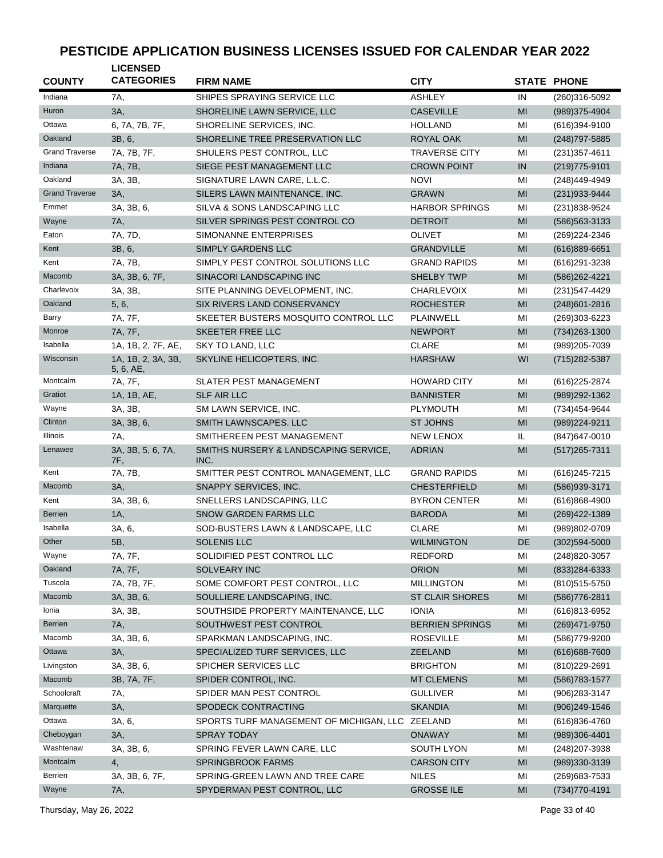| <b>COUNTY</b>         | <b>LICENSED</b><br><b>CATEGORIES</b> | <b>FIRM NAME</b>                        | <b>CITY</b>            |                | <b>STATE PHONE</b> |
|-----------------------|--------------------------------------|-----------------------------------------|------------------------|----------------|--------------------|
| Indiana               | 7A,                                  | SHIPES SPRAYING SERVICE LLC             | <b>ASHLEY</b>          | IN             | (260)316-5092      |
| Huron                 | 3A,                                  | SHORELINE LAWN SERVICE, LLC             | <b>CASEVILLE</b>       | MI             | (989)375-4904      |
| Ottawa                | 6, 7A, 7B, 7F,                       | SHORELINE SERVICES, INC.                | <b>HOLLAND</b>         | MI             | $(616)394-9100$    |
| Oakland               | 3B, 6,                               | SHORELINE TREE PRESERVATION LLC         | <b>ROYAL OAK</b>       | MI             | (248) 797-5885     |
| <b>Grand Traverse</b> | 7A, 7B, 7F,                          | SHULERS PEST CONTROL, LLC               | <b>TRAVERSE CITY</b>   | MI             | (231) 357-4611     |
| Indiana               | 7A, 7B,                              | SIEGE PEST MANAGEMENT LLC               | <b>CROWN POINT</b>     | IN             | $(219)775-9101$    |
| Oakland               | 3A, 3B,                              | SIGNATURE LAWN CARE, L.L.C.             | <b>NOVI</b>            | MI             | (248) 449-4949     |
| <b>Grand Traverse</b> | 3A,                                  | SILERS LAWN MAINTENANCE, INC.           | <b>GRAWN</b>           | MI             | (231) 933-9444     |
| Emmet                 | 3A, 3B, 6,                           | SILVA & SONS LANDSCAPING LLC            | <b>HARBOR SPRINGS</b>  | MI             | (231) 838-9524     |
| Wayne                 | 7A,                                  | SILVER SPRINGS PEST CONTROL CO          | <b>DETROIT</b>         | MI             | (586) 563-3133     |
| Eaton                 | 7A, 7D,                              | SIMONANNE ENTERPRISES                   | <b>OLIVET</b>          | MI             | (269) 224-2346     |
| Kent                  | 3B, 6,                               | SIMPLY GARDENS LLC                      | <b>GRANDVILLE</b>      | MI             | $(616)889-6651$    |
| Kent                  | 7A, 7B,                              | SIMPLY PEST CONTROL SOLUTIONS LLC       | <b>GRAND RAPIDS</b>    | MI             | (616) 291-3238     |
| Macomb                | 3A, 3B, 6, 7F,                       | SINACORI LANDSCAPING INC                | <b>SHELBY TWP</b>      | MI             | (586) 262-4221     |
| Charlevoix            | 3A, 3B,                              | SITE PLANNING DEVELOPMENT, INC.         | <b>CHARLEVOIX</b>      | MI             | (231) 547-4429     |
| Oakland               | 5, 6,                                | SIX RIVERS LAND CONSERVANCY             | <b>ROCHESTER</b>       | MI             | $(248)601 - 2816$  |
| Barry                 | 7A, 7F,                              | SKEETER BUSTERS MOSQUITO CONTROL LLC    | PLAINWELL              | MI             | $(269)303-6223$    |
| Monroe                | 7A, 7F,                              | SKEETER FREE LLC                        | <b>NEWPORT</b>         | MI             | (734) 263-1300     |
| Isabella              | 1A, 1B, 2, 7F, AE,                   | SKY TO LAND, LLC                        | <b>CLARE</b>           | MI             | (989) 205-7039     |
| Wisconsin             | 1A, 1B, 2, 3A, 3B,<br>5, 6, AE,      | SKYLINE HELICOPTERS, INC.               | <b>HARSHAW</b>         | WI             | (715) 282-5387     |
| Montcalm              | 7A, 7F,                              | <b>SLATER PEST MANAGEMENT</b>           | <b>HOWARD CITY</b>     | MI             | (616) 225-2874     |
| Gratiot               | 1A, 1B, AE,                          | <b>SLF AIR LLC</b>                      | <b>BANNISTER</b>       | MI             | (989)292-1362      |
| Wayne                 | 3A, 3B,                              | SM LAWN SERVICE, INC.                   | <b>PLYMOUTH</b>        | MI             | (734)454-9644      |
| Clinton               | 3A, 3B, 6,                           | SMITH LAWNSCAPES. LLC                   | <b>ST JOHNS</b>        | MI             | (989) 224-9211     |
| Illinois              | 7A,                                  | SMITHEREEN PEST MANAGEMENT              | <b>NEW LENOX</b>       | IL             | (847) 647-0010     |
| Lenawee               | 3A, 3B, 5, 6, 7A,                    | SMITHS NURSERY & LANDSCAPING SERVICE,   | <b>ADRIAN</b>          | MI             | $(517)265 - 7311$  |
|                       | 7F,                                  | INC.                                    |                        |                |                    |
| Kent                  | 7A, 7B,                              | SMITTER PEST CONTROL MANAGEMENT, LLC    | <b>GRAND RAPIDS</b>    | MI             | (616) 245-7215     |
| Macomb                | 3A,                                  | SNAPPY SERVICES, INC.                   | <b>CHESTERFIELD</b>    | MI             | (586)939-3171      |
| Kent                  | 3A, 3B, 6,                           | SNELLERS LANDSCAPING, LLC               | <b>BYRON CENTER</b>    | MI             | $(616)868 - 4900$  |
| <b>Berrien</b>        | 1A,                                  | SNOW GARDEN FARMS LLC                   | <b>BARODA</b>          | MI             | (269) 422-1389     |
| Isabella              | 3A, 6,                               | SOD-BUSTERS LAWN & LANDSCAPE, LLC       | <b>CLARE</b>           | MI             | (989)802-0709      |
| Other                 | 5B,                                  | <b>SOLENIS LLC</b>                      | <b>WILMINGTON</b>      | DE             | (302) 594-5000     |
| Wayne                 | 7A, 7F,                              | SOLIDIFIED PEST CONTROL LLC             | <b>REDFORD</b>         | MI             | (248) 820-3057     |
| Oakland               | 7A, 7F,                              | SOLVEARY INC                            | <b>ORION</b>           | MI             | (833) 284-6333     |
| Tuscola               | 7A, 7B, 7F,                          | SOME COMFORT PEST CONTROL, LLC          | <b>MILLINGTON</b>      | MI             | (810) 515-5750     |
| Macomb                | 3A, 3B, 6,                           | SOULLIERE LANDSCAPING, INC.             | <b>ST CLAIR SHORES</b> | M <sub>l</sub> | (586) 776-2811     |
| Ionia                 | 3A, 3B,                              | SOUTHSIDE PROPERTY MAINTENANCE, LLC     | <b>IONIA</b>           | MI             | (616)813-6952      |
| Berrien               | 7A,                                  | SOUTHWEST PEST CONTROL                  | <b>BERRIEN SPRINGS</b> | MI             | (269) 471-9750     |
| Macomb                | 3A, 3B, 6,                           | SPARKMAN LANDSCAPING, INC.              | <b>ROSEVILLE</b>       | MI             | (586) 779-9200     |
| Ottawa                | 3A,                                  | SPECIALIZED TURF SERVICES, LLC          | ZEELAND                | MI             | $(616)688 - 7600$  |
| Livingston            | 3A, 3B, 6,                           | SPICHER SERVICES LLC                    | <b>BRIGHTON</b>        | MI             | (810) 229-2691     |
| Macomb                | 3B, 7A, 7F,                          | SPIDER CONTROL, INC.                    | <b>MT CLEMENS</b>      | MI             | (586) 783-1577     |
| Schoolcraft           | 7A,                                  | SPIDER MAN PEST CONTROL                 | <b>GULLIVER</b>        | MI             | $(906)283 - 3147$  |
| Marquette             | 3A,                                  | SPODECK CONTRACTING                     | <b>SKANDIA</b>         | MI             | (906)249-1546      |
| Ottawa                | 3A, 6,                               | SPORTS TURF MANAGEMENT OF MICHIGAN, LLC | ZEELAND                | MI             | $(616)836 - 4760$  |
| Cheboygan             | 3A,                                  | <b>SPRAY TODAY</b>                      | <b>ONAWAY</b>          | MI             | (989)306-4401      |
| Washtenaw             | 3A, 3B, 6,                           | SPRING FEVER LAWN CARE, LLC             | SOUTH LYON             | MI             | (248) 207-3938     |
| Montcalm              | 4,                                   | <b>SPRINGBROOK FARMS</b>                | <b>CARSON CITY</b>     | MI             | (989)330-3139      |
| Berrien               | 3A, 3B, 6, 7F,                       | SPRING-GREEN LAWN AND TREE CARE         | <b>NILES</b>           | MI             | (269) 683-7533     |
| Wayne                 | 7A,                                  | SPYDERMAN PEST CONTROL, LLC             | <b>GROSSE ILE</b>      | MI             | (734) 770-4191     |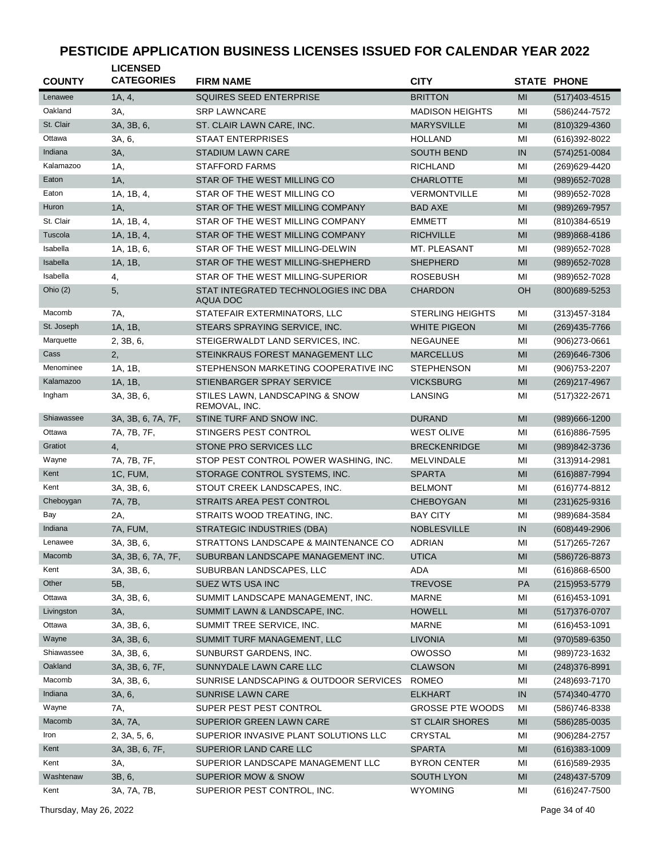| <b>COUNTY</b> | <b>LICENSED</b><br><b>CATEGORIES</b> | <b>FIRM NAME</b>                                 | <b>CITY</b>             |            | <b>STATE PHONE</b> |
|---------------|--------------------------------------|--------------------------------------------------|-------------------------|------------|--------------------|
| Lenawee       | 1A, 4,                               | SQUIRES SEED ENTERPRISE                          | <b>BRITTON</b>          | MI         | $(517)403 - 4515$  |
| Oakland       | 3A,                                  | <b>SRP LAWNCARE</b>                              | <b>MADISON HEIGHTS</b>  | MI         | (586) 244-7572     |
| St. Clair     | 3A, 3B, 6,                           | ST. CLAIR LAWN CARE, INC.                        | <b>MARYSVILLE</b>       | MI         | (810) 329-4360     |
| Ottawa        | 3A, 6,                               | <b>STAAT ENTERPRISES</b>                         | <b>HOLLAND</b>          | MI         | (616) 392-8022     |
| Indiana       | 3A,                                  | <b>STADIUM LAWN CARE</b>                         | <b>SOUTH BEND</b>       | IN         | $(574)251 - 0084$  |
| Kalamazoo     | 1A,                                  | <b>STAFFORD FARMS</b>                            | <b>RICHLAND</b>         | MI         | (269) 629-4420     |
| Eaton         | 1A,                                  | STAR OF THE WEST MILLING CO                      | <b>CHARLOTTE</b>        | MI         | (989) 652-7028     |
| Eaton         | 1A, 1B, 4,                           | STAR OF THE WEST MILLING CO                      | <b>VERMONTVILLE</b>     | MI         | (989) 652-7028     |
| Huron         | 1A,                                  | STAR OF THE WEST MILLING COMPANY                 | <b>BAD AXE</b>          | MI         | (989) 269-7957     |
| St. Clair     | 1A, 1B, 4,                           | STAR OF THE WEST MILLING COMPANY                 | <b>EMMETT</b>           | MI         | (810)384-6519      |
| Tuscola       | 1A, 1B, 4,                           | STAR OF THE WEST MILLING COMPANY                 | <b>RICHVILLE</b>        | MI         | (989)868-4186      |
| Isabella      | 1A, 1B, 6,                           | STAR OF THE WEST MILLING-DELWIN                  | MT. PLEASANT            | MI         | (989) 652-7028     |
| Isabella      | 1A, 1B,                              | STAR OF THE WEST MILLING-SHEPHERD                | <b>SHEPHERD</b>         | MI         | (989) 652-7028     |
| Isabella      | 4,                                   | STAR OF THE WEST MILLING-SUPERIOR                | <b>ROSEBUSH</b>         | MI         | (989) 652-7028     |
| Ohio $(2)$    | 5,                                   | STAT INTEGRATED TECHNOLOGIES INC DBA<br>AQUA DOC | <b>CHARDON</b>          | OH         | (800) 689-5253     |
| Macomb        | 7A,                                  | STATEFAIR EXTERMINATORS, LLC                     | <b>STERLING HEIGHTS</b> | MI         | (313) 457-3184     |
| St. Joseph    | 1A, 1B,                              | STEARS SPRAYING SERVICE, INC.                    | <b>WHITE PIGEON</b>     | MI         | (269) 435-7766     |
| Marquette     | 2, 3B, 6,                            | STEIGERWALDT LAND SERVICES, INC.                 | <b>NEGAUNEE</b>         | MI         | (906)273-0661      |
| Cass          | 2,                                   | STEINKRAUS FOREST MANAGEMENT LLC                 | <b>MARCELLUS</b>        | MI         | (269) 646-7306     |
| Menominee     | 1A, 1B,                              | STEPHENSON MARKETING COOPERATIVE INC             | <b>STEPHENSON</b>       | MI         | (906) 753-2207     |
| Kalamazoo     | 1A, 1B,                              | STIENBARGER SPRAY SERVICE                        | <b>VICKSBURG</b>        | MI         | (269) 217-4967     |
| Ingham        | 3A, 3B, 6,                           | STILES LAWN, LANDSCAPING & SNOW<br>REMOVAL, INC. | LANSING                 | MI         | (517) 322-2671     |
| Shiawassee    | 3A, 3B, 6, 7A, 7F,                   | STINE TURF AND SNOW INC.                         | <b>DURAND</b>           | MI         | (989) 666-1200     |
| Ottawa        | 7A, 7B, 7F,                          | STINGERS PEST CONTROL                            | <b>WEST OLIVE</b>       | ΜI         | (616)886-7595      |
| Gratiot       | 4,                                   | STONE PRO SERVICES LLC                           | <b>BRECKENRIDGE</b>     | MI         | (989)842-3736      |
| Wayne         | 7A, 7B, 7F,                          | STOP PEST CONTROL POWER WASHING, INC.            | <b>MELVINDALE</b>       | MI         | $(313)914 - 2981$  |
| Kent          | 1C, FUM,                             | STORAGE CONTROL SYSTEMS, INC.                    | <b>SPARTA</b>           | MI         | (616) 887-7994     |
| Kent          | 3A, 3B, 6,                           | STOUT CREEK LANDSCAPES, INC.                     | <b>BELMONT</b>          | MI         | (616) 774-8812     |
| Cheboygan     | 7A, 7B,                              | STRAITS AREA PEST CONTROL                        | <b>CHEBOYGAN</b>        | MI         | $(231)625 - 9316$  |
| Bay           | 2A,                                  | STRAITS WOOD TREATING, INC.                      | <b>BAY CITY</b>         | MI         | (989) 684-3584     |
| Indiana       | 7A, FUM,                             | <b>STRATEGIC INDUSTRIES (DBA)</b>                | <b>NOBLESVILLE</b>      | IN         | (608)449-2906      |
| Lenawee       | 3A, 3B, 6,                           | STRATTONS LANDSCAPE & MAINTENANCE CO             | <b>ADRIAN</b>           | ΜI         | (517) 265-7267     |
| Macomb        | 3A, 3B, 6, 7A, 7F,                   | SUBURBAN LANDSCAPE MANAGEMENT INC.               | <b>UTICA</b>            | MI         | (586) 726-8873     |
| Kent          | 3A, 3B, 6,                           | SUBURBAN LANDSCAPES, LLC                         | <b>ADA</b>              | MI         | $(616)868 - 6500$  |
| Other         | 5B,                                  | SUEZ WTS USA INC                                 | <b>TREVOSE</b>          | PA         | $(215)953 - 5779$  |
| Ottawa        | 3A, 3B, 6,                           | SUMMIT LANDSCAPE MANAGEMENT, INC.                | <b>MARNE</b>            | ΜI         | $(616)453 - 1091$  |
| Livingston    | 3A,                                  | SUMMIT LAWN & LANDSCAPE, INC.                    | <b>HOWELL</b>           | MI         | $(517)376-0707$    |
| Ottawa        | 3A, 3B, 6,                           | SUMMIT TREE SERVICE, INC.                        | <b>MARNE</b>            | ΜI         | $(616)453 - 1091$  |
| Wayne         | 3A, 3B, 6,                           | SUMMIT TURF MANAGEMENT, LLC                      | <b>LIVONIA</b>          | MI         | (970) 589-6350     |
| Shiawassee    | 3A, 3B, 6,                           | SUNBURST GARDENS, INC.                           | <b>OWOSSO</b>           | ΜI         | (989) 723-1632     |
| Oakland       | 3A, 3B, 6, 7F,                       | SUNNYDALE LAWN CARE LLC                          | <b>CLAWSON</b>          | MI         | (248) 376-8991     |
| Macomb        | 3A, 3B, 6,                           | SUNRISE LANDSCAPING & OUTDOOR SERVICES           | <b>ROMEO</b>            | ΜI         | (248) 693-7170     |
| Indiana       | 3A, 6,                               | SUNRISE LAWN CARE                                | <b>ELKHART</b>          | ${\sf IN}$ | (574) 340-4770     |
| Wayne         | 7A,                                  | SUPER PEST PEST CONTROL                          | <b>GROSSE PTE WOODS</b> | MI         | (586) 746-8338     |
| Macomb        | 3A, 7A,                              | SUPERIOR GREEN LAWN CARE                         | <b>ST CLAIR SHORES</b>  | MI         | (586) 285-0035     |
| Iron          | 2, 3A, 5, 6,                         | SUPERIOR INVASIVE PLANT SOLUTIONS LLC            | CRYSTAL                 | MI         | (906) 284-2757     |
| Kent          | 3A, 3B, 6, 7F,                       | SUPERIOR LAND CARE LLC                           | <b>SPARTA</b>           | MI         | $(616)383 - 1009$  |
| Kent          | 3A,                                  | SUPERIOR LANDSCAPE MANAGEMENT LLC                | <b>BYRON CENTER</b>     | ΜI         | (616) 589-2935     |
| Washtenaw     | 3B, 6,                               | <b>SUPERIOR MOW &amp; SNOW</b>                   | <b>SOUTH LYON</b>       | MI         | $(248)437 - 5709$  |
| Kent          | 3A, 7A, 7B,                          | SUPERIOR PEST CONTROL, INC.                      | <b>WYOMING</b>          | MI         | (616) 247-7500     |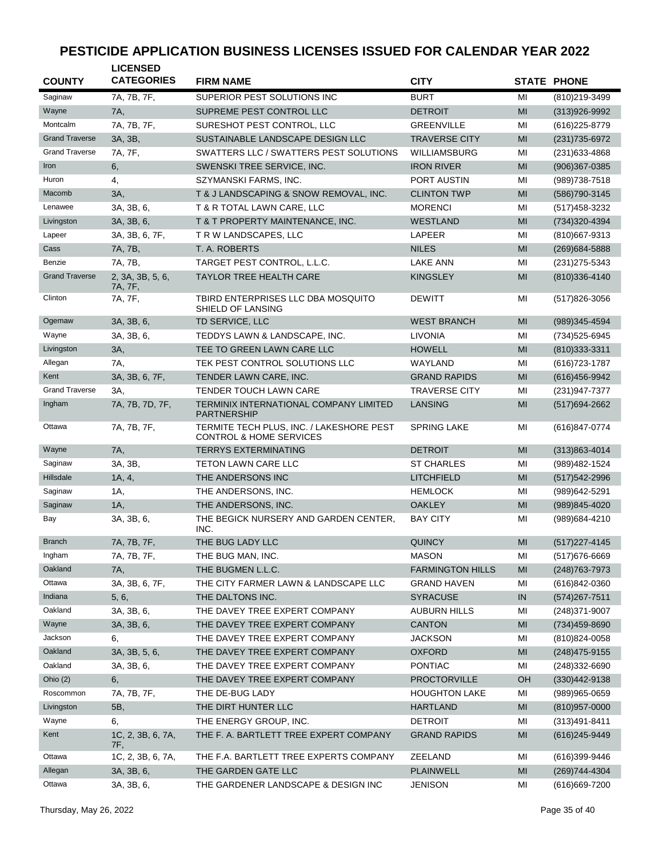| <b>COUNTY</b>         | <b>LICENSED</b><br><b>CATEGORIES</b> | <b>FIRM NAME</b>                                                               | <b>CITY</b>             |                | <b>STATE PHONE</b> |
|-----------------------|--------------------------------------|--------------------------------------------------------------------------------|-------------------------|----------------|--------------------|
| Saginaw               | 7A, 7B, 7F,                          | SUPERIOR PEST SOLUTIONS INC                                                    | <b>BURT</b>             | MI             | (810) 219-3499     |
| Wayne                 | 7A,                                  | SUPREME PEST CONTROL LLC                                                       | <b>DETROIT</b>          | MI             | (313)926-9992      |
| Montcalm              | 7A, 7B, 7F,                          | SURESHOT PEST CONTROL, LLC                                                     | <b>GREENVILLE</b>       | MI             | $(616)$ 225-8779   |
| <b>Grand Traverse</b> | 3A, 3B,                              | SUSTAINABLE LANDSCAPE DESIGN LLC                                               | <b>TRAVERSE CITY</b>    | MI             | (231) 735-6972     |
| <b>Grand Traverse</b> | 7A, 7F,                              | SWATTERS LLC / SWATTERS PEST SOLUTIONS                                         | WILLIAMSBURG            | MI             | $(231)633 - 4868$  |
| Iron                  | 6,                                   | SWENSKI TREE SERVICE, INC.                                                     | <b>IRON RIVER</b>       | MI             | $(906)367 - 0385$  |
| Huron                 | 4,                                   | SZYMANSKI FARMS, INC.                                                          | PORT AUSTIN             | MI             | (989) 738-7518     |
| Macomb                | 3A,                                  | T & J LANDSCAPING & SNOW REMOVAL, INC.                                         | <b>CLINTON TWP</b>      | MI             | (586) 790-3145     |
| Lenawee               | 3A, 3B, 6,                           | T & R TOTAL LAWN CARE, LLC                                                     | <b>MORENCI</b>          | MI             | (517) 458-3232     |
| Livingston            | 3A, 3B, 6,                           | T & T PROPERTY MAINTENANCE, INC.                                               | <b>WESTLAND</b>         | MI             | (734)320-4394      |
| Lapeer                | 3A, 3B, 6, 7F,                       | T R W LANDSCAPES, LLC                                                          | LAPEER                  | MI             | $(810)$ 667-9313   |
| Cass                  | 7A, 7B,                              | T. A. ROBERTS                                                                  | <b>NILES</b>            | MI             | (269) 684-5888     |
| Benzie                | 7A, 7B,                              | TARGET PEST CONTROL, L.L.C.                                                    | <b>LAKE ANN</b>         | MI             | (231) 275-5343     |
| <b>Grand Traverse</b> |                                      | <b>TAYLOR TREE HEALTH CARE</b>                                                 | <b>KINGSLEY</b>         | MI             | (810)336-4140      |
|                       | 2, 3A, 3B, 5, 6,<br>7A, 7F,          |                                                                                |                         |                |                    |
| Clinton               | 7A, 7F,                              | TBIRD ENTERPRISES LLC DBA MOSQUITO<br>SHIELD OF LANSING                        | <b>DEWITT</b>           | MI             | (517) 826-3056     |
| Ogemaw                | 3A, 3B, 6,                           | TD SERVICE, LLC                                                                | <b>WEST BRANCH</b>      | MI             | $(989)345 - 4594$  |
| Wayne                 | 3A, 3B, 6,                           | TEDDYS LAWN & LANDSCAPE, INC.                                                  | LIVONIA                 | MI             | (734) 525-6945     |
| Livingston            | 3A,                                  | TEE TO GREEN LAWN CARE LLC                                                     | <b>HOWELL</b>           | MI             | (810) 333-3311     |
| Allegan               | 7A,                                  | TEK PEST CONTROL SOLUTIONS LLC                                                 | WAYLAND                 | MI             | (616) 723-1787     |
| Kent                  | 3A, 3B, 6, 7F,                       | TENDER LAWN CARE, INC.                                                         | <b>GRAND RAPIDS</b>     | MI             | $(616)456 - 9942$  |
| <b>Grand Traverse</b> | 3A,                                  | <b>TENDER TOUCH LAWN CARE</b>                                                  | <b>TRAVERSE CITY</b>    | MI             | (231) 947-7377     |
| Ingham                | 7A, 7B, 7D, 7F,                      | TERMINIX INTERNATIONAL COMPANY LIMITED<br><b>PARTNERSHIP</b>                   | LANSING                 | MI             | (517) 694-2662     |
| Ottawa                | 7A, 7B, 7F,                          | TERMITE TECH PLUS, INC. / LAKESHORE PEST<br><b>CONTROL &amp; HOME SERVICES</b> | <b>SPRING LAKE</b>      | MI             | (616)847-0774      |
| Wayne                 | 7A,                                  | <b>TERRYS EXTERMINATING</b>                                                    | <b>DETROIT</b>          | MI             | $(313)863 - 4014$  |
| Saginaw               | 3A, 3B,                              | <b>TETON LAWN CARE LLC</b>                                                     | <b>ST CHARLES</b>       | MI             | (989) 482-1524     |
| Hillsdale             | 1A, 4,                               | THE ANDERSONS INC                                                              | LITCHFIELD              | MI             | (517) 542-2996     |
| Saginaw               | 1A,                                  | THE ANDERSONS, INC.                                                            | <b>HEMLOCK</b>          | MI             | (989)642-5291      |
| Saginaw               | 1A,                                  | THE ANDERSONS, INC.                                                            | <b>OAKLEY</b>           | MI             | (989)845-4020      |
| Bay                   | 3A, 3B, 6,                           | THE BEGICK NURSERY AND GARDEN CENTER,<br>INC.                                  | <b>BAY CITY</b>         | MI             | (989) 684-4210     |
| <b>Branch</b>         | 7A, 7B, 7F,                          | THE BUG LADY LLC                                                               | <b>QUINCY</b>           | MI             | $(517)227 - 4145$  |
| Ingham                | 7A, 7B, 7F,                          | THE BUG MAN, INC.                                                              | <b>MASON</b>            | ΜI             | (517) 676-6669     |
| Oakland               | 7A,                                  | THE BUGMEN L.L.C.                                                              | <b>FARMINGTON HILLS</b> | MI             | (248) 763-7973     |
| Ottawa                | 3A, 3B, 6, 7F,                       | THE CITY FARMER LAWN & LANDSCAPE LLC                                           | <b>GRAND HAVEN</b>      | MI             | (616)842-0360      |
| Indiana               | 5, 6,                                | THE DALTONS INC.                                                               | <b>SYRACUSE</b>         | IN             | $(574)267 - 7511$  |
| Oakland               | 3A, 3B, 6,                           | THE DAVEY TREE EXPERT COMPANY                                                  | <b>AUBURN HILLS</b>     | ΜI             | (248) 371-9007     |
| Wayne                 | 3A, 3B, 6,                           | THE DAVEY TREE EXPERT COMPANY                                                  | <b>CANTON</b>           | MI             | (734)459-8690      |
| Jackson               | 6,                                   | THE DAVEY TREE EXPERT COMPANY                                                  | <b>JACKSON</b>          | MI             | (810) 824-0058     |
| Oakland               | 3A, 3B, 5, 6,                        | THE DAVEY TREE EXPERT COMPANY                                                  | <b>OXFORD</b>           | MI             | $(248)475-9155$    |
| Oakland               | 3A, 3B, 6,                           | THE DAVEY TREE EXPERT COMPANY                                                  | <b>PONTIAC</b>          | MI             | (248)332-6690      |
| Ohio $(2)$            | 6,                                   | THE DAVEY TREE EXPERT COMPANY                                                  | PROCTORVILLE            | OH             | $(330)442 - 9138$  |
| Roscommon             | 7A, 7B, 7F,                          | THE DE-BUG LADY                                                                | <b>HOUGHTON LAKE</b>    | MI             |                    |
| Livingston            |                                      |                                                                                |                         |                | $(989)965 - 0659$  |
|                       | 5B,                                  | THE DIRT HUNTER LLC                                                            | <b>HARTLAND</b>         | M <sub>l</sub> | $(810)957 - 0000$  |
| Wayne                 | 6,                                   | THE ENERGY GROUP, INC.                                                         | <b>DETROIT</b>          | MI             | $(313)491 - 8411$  |
| Kent                  | 1C, 2, 3B, 6, 7A,<br>7F,             | THE F. A. BARTLETT TREE EXPERT COMPANY                                         | <b>GRAND RAPIDS</b>     | MI             | (616) 245-9449     |
| Ottawa                | 1C, 2, 3B, 6, 7A,                    | THE F.A. BARTLETT TREE EXPERTS COMPANY                                         | ZEELAND                 | MI             | (616)399-9446      |
| Allegan               | 3A, 3B, 6,                           | THE GARDEN GATE LLC                                                            | <b>PLAINWELL</b>        | MI             | (269) 744-4304     |
| Ottawa                | 3A, 3B, 6,                           | THE GARDENER LANDSCAPE & DESIGN INC                                            | <b>JENISON</b>          | MI             | (616) 669-7200     |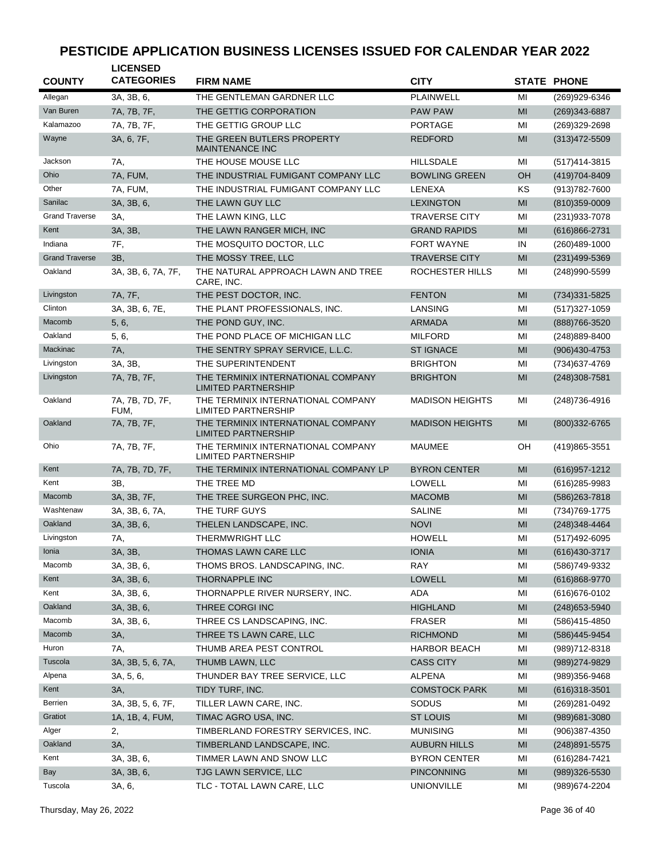| <b>COUNTY</b>         | <b>LICENSED</b><br><b>CATEGORIES</b> | <b>FIRM NAME</b>                                                 | <b>CITY</b>            |                | <b>STATE PHONE</b> |
|-----------------------|--------------------------------------|------------------------------------------------------------------|------------------------|----------------|--------------------|
| Allegan               | 3A, 3B, 6,                           | THE GENTLEMAN GARDNER LLC                                        | <b>PLAINWELL</b>       | MI             | (269)929-6346      |
| Van Buren             | 7A, 7B, 7F,                          | THE GETTIG CORPORATION                                           | <b>PAW PAW</b>         | MI             | (269)343-6887      |
| Kalamazoo             | 7A, 7B, 7F,                          | THE GETTIG GROUP LLC                                             | <b>PORTAGE</b>         | MI             | (269)329-2698      |
| Wayne                 | 3A, 6, 7F,                           | THE GREEN BUTLERS PROPERTY<br><b>MAINTENANCE INC</b>             | <b>REDFORD</b>         | MI             | $(313)472 - 5509$  |
| Jackson               | 7A,                                  | THE HOUSE MOUSE LLC                                              | <b>HILLSDALE</b>       | MI             | (517) 414-3815     |
| Ohio                  | 7A, FUM,                             | THE INDUSTRIAL FUMIGANT COMPANY LLC                              | <b>BOWLING GREEN</b>   | OH             | (419) 704-8409     |
| Other                 | 7A, FUM,                             | THE INDUSTRIAL FUMIGANT COMPANY LLC                              | LENEXA                 | ΚS             | (913) 782-7600     |
| Sanilac               | 3A, 3B, 6,                           | THE LAWN GUY LLC                                                 | <b>LEXINGTON</b>       | MI             | (810)359-0009      |
| <b>Grand Traverse</b> | ЗΑ,                                  | THE LAWN KING, LLC                                               | <b>TRAVERSE CITY</b>   | MI             | (231) 933-7078     |
| Kent                  | 3A, 3B,                              | THE LAWN RANGER MICH, INC                                        | <b>GRAND RAPIDS</b>    | MI             | (616)866-2731      |
| Indiana               | 7F,                                  | THE MOSQUITO DOCTOR, LLC                                         | FORT WAYNE             | IN             | (260)489-1000      |
| <b>Grand Traverse</b> | 3B,                                  | THE MOSSY TREE, LLC                                              | <b>TRAVERSE CITY</b>   | MI             | (231)499-5369      |
| Oakland               | 3A, 3B, 6, 7A, 7F,                   | THE NATURAL APPROACH LAWN AND TREE<br>CARE, INC.                 | ROCHESTER HILLS        | MI             | (248)990-5599      |
| Livingston            | 7A, 7F,                              | THE PEST DOCTOR, INC.                                            | <b>FENTON</b>          | MI             | (734) 331-5825     |
| Clinton               | 3A, 3B, 6, 7E,                       | THE PLANT PROFESSIONALS, INC.                                    | LANSING                | ΜI             | $(517)327 - 1059$  |
| Macomb                | 5, 6,                                | THE POND GUY, INC.                                               | <b>ARMADA</b>          | MI             | (888) 766-3520     |
| Oakland               | 5, 6,                                | THE POND PLACE OF MICHIGAN LLC                                   | <b>MILFORD</b>         | MI             | (248) 889-8400     |
| Mackinac              | 7A,                                  | THE SENTRY SPRAY SERVICE, L.L.C.                                 | <b>ST IGNACE</b>       | MI             | (906)430-4753      |
| Livingston            | 3A, 3B,                              | THE SUPERINTENDENT                                               | <b>BRIGHTON</b>        | MI             | (734) 637-4769     |
| Livingston            | 7A, 7B, 7F,                          | THE TERMINIX INTERNATIONAL COMPANY<br><b>LIMITED PARTNERSHIP</b> | <b>BRIGHTON</b>        | MI             | (248) 308-7581     |
| Oakland               | 7A, 7B, 7D, 7F,<br>FUM,              | THE TERMINIX INTERNATIONAL COMPANY<br><b>LIMITED PARTNERSHIP</b> | <b>MADISON HEIGHTS</b> | MI             | (248) 736-4916     |
| Oakland               | 7A, 7B, 7F,                          | THE TERMINIX INTERNATIONAL COMPANY<br><b>LIMITED PARTNERSHIP</b> | <b>MADISON HEIGHTS</b> | MI             | $(800)332 - 6765$  |
| Ohio                  | 7A, 7B, 7F,                          | THE TERMINIX INTERNATIONAL COMPANY<br><b>LIMITED PARTNERSHIP</b> | <b>MAUMEE</b>          | OН             | (419) 865-3551     |
| Kent                  | 7A, 7B, 7D, 7F,                      | THE TERMINIX INTERNATIONAL COMPANY LP                            | <b>BYRON CENTER</b>    | MI             | $(616)957 - 1212$  |
| Kent                  | ЗΒ.                                  | THE TREE MD                                                      | LOWELL                 | MI             | (616) 285-9983     |
| Macomb                | 3A, 3B, 7F,                          | THE TREE SURGEON PHC, INC.                                       | <b>MACOMB</b>          | MI             | (586) 263-7818     |
| Washtenaw             | 3A, 3B, 6, 7A,                       | THE TURF GUYS                                                    | <b>SALINE</b>          | MI             | (734) 769-1775     |
| Oakland               | 3A, 3B, 6,                           | THELEN LANDSCAPE, INC.                                           | <b>NOVI</b>            | MI             | $(248)348 - 4464$  |
| Livingston            | 7A,                                  | <b>THERMWRIGHT LLC</b>                                           | <b>HOWELL</b>          | MI             | (517)492-6095      |
| Ionia                 | 3A, 3B,                              | THOMAS LAWN CARE LLC                                             | <b>IONIA</b>           | MI             | (616) 430-3717     |
| Macomb                | 3A, 3B, 6,                           | THOMS BROS. LANDSCAPING, INC.                                    | RAY                    | MI             | (586)749-9332      |
| Kent                  | 3A, 3B, 6,                           | THORNAPPLE INC                                                   | LOWELL                 | MI             | $(616)868-9770$    |
| Kent                  | 3A, 3B, 6,                           | THORNAPPLE RIVER NURSERY, INC.                                   | ADA                    | MI             | (616) 676-0102     |
| Oakland               | 3A, 3B, 6,                           | THREE CORGI INC                                                  | <b>HIGHLAND</b>        | MI             | $(248)$ 653-5940   |
| Macomb                | 3A, 3B, 6,                           | THREE CS LANDSCAPING, INC.                                       | FRASER                 | ΜI             | (586)415-4850      |
| Macomb                | 3A,                                  | THREE TS LAWN CARE, LLC                                          | <b>RICHMOND</b>        | MI             | (586)445-9454      |
| Huron                 | 7A,                                  | THUMB AREA PEST CONTROL                                          | <b>HARBOR BEACH</b>    | ΜI             | (989) 712-8318     |
| Tuscola               | 3A, 3B, 5, 6, 7A,                    | THUMB LAWN, LLC                                                  | <b>CASS CITY</b>       | MI             | (989) 274-9829     |
| Alpena                | 3A, 5, 6,                            | THUNDER BAY TREE SERVICE, LLC                                    | <b>ALPENA</b>          | ΜI             | (989)356-9468      |
| Kent                  | 3A,                                  | TIDY TURF, INC.                                                  | <b>COMSTOCK PARK</b>   | MI             | $(616)318-3501$    |
| Berrien               | 3A, 3B, 5, 6, 7F,                    | TILLER LAWN CARE, INC.                                           | SODUS                  | MI             | (269) 281-0492     |
| Gratiot               | 1A, 1B, 4, FUM,                      | TIMAC AGRO USA, INC.                                             | <b>ST LOUIS</b>        | MI             | (989) 681-3080     |
| Alger                 | 2,                                   | TIMBERLAND FORESTRY SERVICES, INC.                               | <b>MUNISING</b>        | ΜI             | (906)387-4350      |
| Oakland               | 3A,                                  | TIMBERLAND LANDSCAPE, INC.                                       | <b>AUBURN HILLS</b>    | MI             | (248) 891-5575     |
| Kent                  | 3A, 3B, 6,                           | TIMMER LAWN AND SNOW LLC                                         | <b>BYRON CENTER</b>    | ΜI             | (616) 284-7421     |
| Bay                   | 3A, 3B, 6,                           | TJG LAWN SERVICE, LLC                                            | <b>PINCONNING</b>      | M <sub>l</sub> | (989)326-5530      |
| Tuscola               | 3A, 6,                               | TLC - TOTAL LAWN CARE, LLC                                       | <b>UNIONVILLE</b>      | ΜI             | (989) 674-2204     |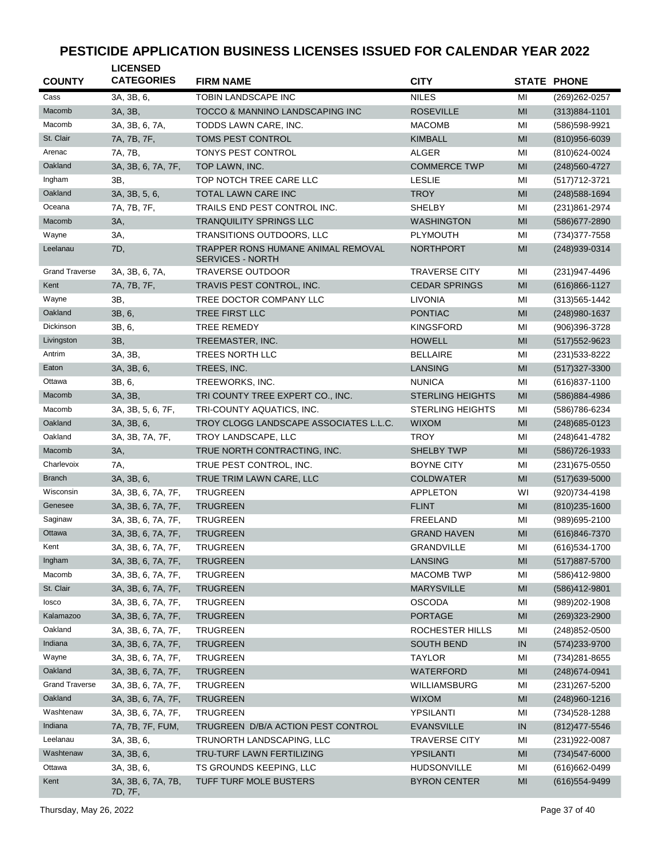| <b>COUNTY</b>         | <b>LICENSED</b><br><b>CATEGORIES</b> | <b>FIRM NAME</b>                                              | <b>CITY</b>             |                | <b>STATE PHONE</b> |
|-----------------------|--------------------------------------|---------------------------------------------------------------|-------------------------|----------------|--------------------|
| Cass                  | 3A, 3B, 6,                           | <b>TOBIN LANDSCAPE INC</b>                                    | <b>NILES</b>            | MI             | (269) 262-0257     |
| Macomb                | 3A, 3B,                              | TOCCO & MANNINO LANDSCAPING INC                               | <b>ROSEVILLE</b>        | MI             | $(313)884 - 1101$  |
| Macomb                | 3A, 3B, 6, 7A,                       | TODDS LAWN CARE, INC.                                         | <b>MACOMB</b>           | MI             | (586) 598-9921     |
| St. Clair             | 7A, 7B, 7F,                          | TOMS PEST CONTROL                                             | <b>KIMBALL</b>          | MI             | (810)956-6039      |
| Arenac                | 7A, 7B,                              | TONYS PEST CONTROL                                            | ALGER                   | MI             | (810) 624-0024     |
| Oakland               | 3A, 3B, 6, 7A, 7F,                   | TOP LAWN, INC.                                                | <b>COMMERCE TWP</b>     | MI             | (248) 560-4727     |
| Ingham                | 3B,                                  | TOP NOTCH TREE CARE LLC                                       | <b>LESLIE</b>           | MI             | (517) 712-3721     |
| Oakland               | 3A, 3B, 5, 6,                        | TOTAL LAWN CARE INC                                           | <b>TROY</b>             | M <sub>l</sub> | (248) 588-1694     |
| Oceana                | 7A, 7B, 7F,                          | TRAILS END PEST CONTROL INC.                                  | <b>SHELBY</b>           | MI             | (231)861-2974      |
| Macomb                | 3A,                                  | <b>TRANQUILITY SPRINGS LLC</b>                                | <b>WASHINGTON</b>       | MI             | (586) 677-2890     |
| Wayne                 | 3A,                                  | TRANSITIONS OUTDOORS, LLC                                     | <b>PLYMOUTH</b>         | MI             | (734) 377-7558     |
| Leelanau              | 7D,                                  | TRAPPER RONS HUMANE ANIMAL REMOVAL<br><b>SERVICES - NORTH</b> | <b>NORTHPORT</b>        | MI             | (248) 939-0314     |
| <b>Grand Traverse</b> | 3A, 3B, 6, 7A,                       | TRAVERSE OUTDOOR                                              | <b>TRAVERSE CITY</b>    | MI             | (231) 947-4496     |
| Kent                  | 7A, 7B, 7F,                          | TRAVIS PEST CONTROL, INC.                                     | <b>CEDAR SPRINGS</b>    | MI             | $(616)866 - 1127$  |
| Wayne                 | 3B,                                  | TREE DOCTOR COMPANY LLC                                       | <b>LIVONIA</b>          | MI             | $(313)565 - 1442$  |
| Oakland               | 3B, 6,                               | <b>TREE FIRST LLC</b>                                         | <b>PONTIAC</b>          | MI             | (248) 980-1637     |
| Dickinson             | 3B, 6,                               | <b>TREE REMEDY</b>                                            | <b>KINGSFORD</b>        | MI             | (906)396-3728      |
| Livingston            | 3B,                                  | TREEMASTER, INC.                                              | <b>HOWELL</b>           | MI             | $(517)552-9623$    |
| Antrim                | 3A, 3B,                              | TREES NORTH LLC                                               | <b>BELLAIRE</b>         | MI             | (231) 533-8222     |
| Eaton                 | 3A, 3B, 6,                           | TREES, INC.                                                   | <b>LANSING</b>          | MI             | $(517)327 - 3300$  |
| Ottawa                | 3B, 6,                               | TREEWORKS, INC.                                               | <b>NUNICA</b>           | MI             | $(616)837 - 1100$  |
| Macomb                | 3A, 3B,                              | TRI COUNTY TREE EXPERT CO., INC.                              | <b>STERLING HEIGHTS</b> | MI             | (586) 884-4986     |
| Macomb                | 3A, 3B, 5, 6, 7F,                    | TRI-COUNTY AQUATICS, INC.                                     | <b>STERLING HEIGHTS</b> | MI             | (586) 786-6234     |
| Oakland               |                                      | TROY CLOGG LANDSCAPE ASSOCIATES L.L.C.                        | <b>WIXOM</b>            | MI             |                    |
| Oakland               | 3A, 3B, 6,                           |                                                               |                         |                | (248) 685-0123     |
| Macomb                | 3A, 3B, 7A, 7F,                      | TROY LANDSCAPE, LLC                                           | <b>TROY</b>             | MI             | (248) 641-4782     |
|                       | 3A,                                  | TRUE NORTH CONTRACTING, INC.                                  | <b>SHELBY TWP</b>       | MI             | (586) 726-1933     |
| Charlevoix            | 7A,                                  | TRUE PEST CONTROL, INC.                                       | <b>BOYNE CITY</b>       | MI             | (231) 675-0550     |
| <b>Branch</b>         | 3A, 3B, 6,                           | TRUE TRIM LAWN CARE, LLC                                      | <b>COLDWATER</b>        | MI             | $(517)639 - 5000$  |
| Wisconsin             | 3A, 3B, 6, 7A, 7F,                   | <b>TRUGREEN</b>                                               | <b>APPLETON</b>         | WI             | (920) 734-4198     |
| Genesee               | 3A, 3B, 6, 7A, 7F,                   | <b>TRUGREEN</b>                                               | <b>FLINT</b>            | MI             | $(810)$ 235-1600   |
| Saginaw               | 3A, 3B, 6, 7A, 7F,                   | <b>TRUGREEN</b>                                               | <b>FREELAND</b>         | MI             | (989) 695-2100     |
| Ottawa                | 3A, 3B, 6, 7A, 7F,                   | <b>TRUGREEN</b>                                               | <b>GRAND HAVEN</b>      | MI             | (616)846-7370      |
| Kent                  | 3A, 3B, 6, 7A, 7F,                   | TRUGREEN                                                      | GRANDVILLE              | MI             | (616) 534-1700     |
| Ingham                | 3A, 3B, 6, 7A, 7F,                   | <b>TRUGREEN</b>                                               | <b>LANSING</b>          | MI             | (517) 887-5700     |
| Macomb                | 3A, 3B, 6, 7A, 7F,                   | <b>TRUGREEN</b>                                               | <b>MACOMB TWP</b>       | MI             | (586)412-9800      |
| St. Clair             | 3A, 3B, 6, 7A, 7F,                   | <b>TRUGREEN</b>                                               | <b>MARYSVILLE</b>       | MI             | (586)412-9801      |
| losco                 | 3A, 3B, 6, 7A, 7F,                   | <b>TRUGREEN</b>                                               | <b>OSCODA</b>           | MI             | (989) 202-1908     |
| Kalamazoo             | 3A, 3B, 6, 7A, 7F,                   | <b>TRUGREEN</b>                                               | <b>PORTAGE</b>          | MI             | (269)323-2900      |
| Oakland               | 3A, 3B, 6, 7A, 7F,                   | <b>TRUGREEN</b>                                               | ROCHESTER HILLS         | MI             | (248) 852-0500     |
| Indiana               | 3A, 3B, 6, 7A, 7F,                   | <b>TRUGREEN</b>                                               | <b>SOUTH BEND</b>       | IN             | (574) 233-9700     |
| Wayne                 | 3A, 3B, 6, 7A, 7F,                   | <b>TRUGREEN</b>                                               | <b>TAYLOR</b>           | MI             | (734) 281-8655     |
| Oakland               | 3A, 3B, 6, 7A, 7F,                   | <b>TRUGREEN</b>                                               | <b>WATERFORD</b>        | MI             | (248) 674-0941     |
| <b>Grand Traverse</b> | 3A, 3B, 6, 7A, 7F,                   | <b>TRUGREEN</b>                                               | WILLIAMSBURG            | MI             | (231) 267-5200     |
| Oakland               | 3A, 3B, 6, 7A, 7F,                   | <b>TRUGREEN</b>                                               | <b>WIXOM</b>            | MI             | $(248)960 - 1216$  |
| Washtenaw             | 3A, 3B, 6, 7A, 7F,                   | <b>TRUGREEN</b>                                               | YPSILANTI               | MI             | (734) 528-1288     |
| Indiana               | 7A, 7B, 7F, FUM,                     | TRUGREEN D/B/A ACTION PEST CONTROL                            | <b>EVANSVILLE</b>       | IN             | (812) 477-5546     |
| Leelanau              | 3A, 3B, 6,                           | TRUNORTH LANDSCAPING, LLC                                     | <b>TRAVERSE CITY</b>    | MI             | (231)922-0087      |
| Washtenaw             | 3A, 3B, 6,                           | TRU-TURF LAWN FERTILIZING                                     | YPSILANTI               | MI             | (734) 547-6000     |
| Ottawa                | 3A, 3B, 6,                           | TS GROUNDS KEEPING, LLC                                       | HUDSONVILLE             | MI             | $(616)662 - 0499$  |
| Kent                  | 3A, 3B, 6, 7A, 7B,<br>7D, 7F,        | TUFF TURF MOLE BUSTERS                                        | <b>BYRON CENTER</b>     | MI             | (616) 554-9499     |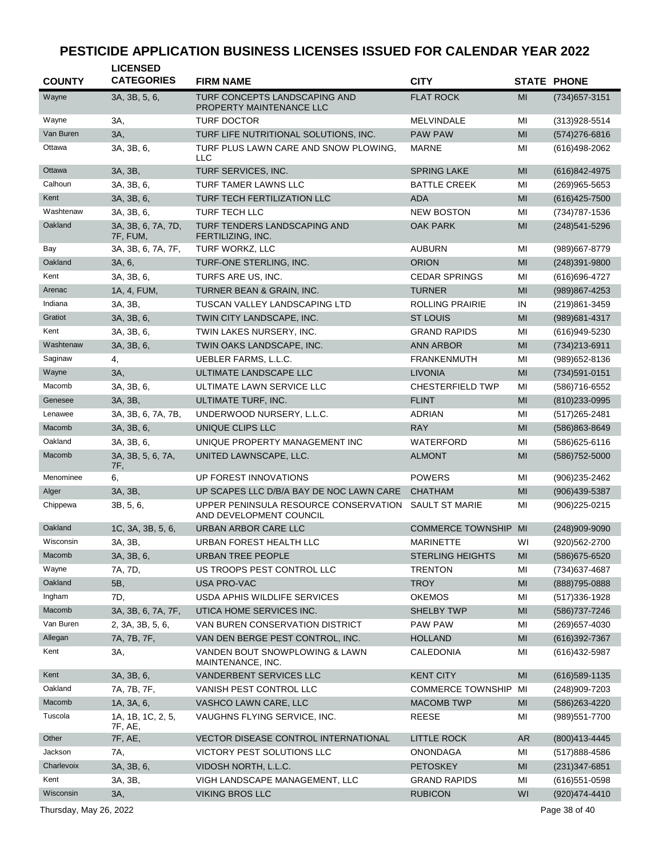| <b>COUNTY</b>          | <b>LICENSED</b><br><b>CATEGORIES</b> | <b>FIRM NAME</b>                                                 | <b>CITY</b>              |                | <b>STATE PHONE</b> |
|------------------------|--------------------------------------|------------------------------------------------------------------|--------------------------|----------------|--------------------|
| Wayne                  | 3A, 3B, 5, 6,                        | TURF CONCEPTS LANDSCAPING AND<br>PROPERTY MAINTENANCE LLC        | <b>FLAT ROCK</b>         | MI             | (734) 657-3151     |
| Wayne                  | 3A,                                  | <b>TURF DOCTOR</b>                                               | <b>MELVINDALE</b>        | MI             | $(313)928 - 5514$  |
| Van Buren              | 3A,                                  | TURF LIFE NUTRITIONAL SOLUTIONS, INC.                            | <b>PAW PAW</b>           | MI             | $(574)276 - 6816$  |
| Ottawa                 | 3A, 3B, 6,                           | TURF PLUS LAWN CARE AND SNOW PLOWING,<br>LLC                     | <b>MARNE</b>             | MI             | $(616)498-2062$    |
| Ottawa                 | 3A, 3B,                              | TURF SERVICES, INC.                                              | <b>SPRING LAKE</b>       | MI             | (616) 842-4975     |
| Calhoun                | 3A, 3B, 6,                           | TURF TAMER LAWNS LLC                                             | <b>BATTLE CREEK</b>      | MI             | $(269)965 - 5653$  |
| Kent                   | 3A, 3B, 6,                           | TURF TECH FERTILIZATION LLC                                      | <b>ADA</b>               | MI             | $(616)425 - 7500$  |
| Washtenaw              | 3A, 3B, 6,                           | <b>TURF TECH LLC</b>                                             | <b>NEW BOSTON</b>        | MI             | (734) 787-1536     |
| Oakland                | 3A, 3B, 6, 7A, 7D,<br>7F, FUM,       | TURF TENDERS LANDSCAPING AND<br>FERTILIZING, INC.                | <b>OAK PARK</b>          | MI             | (248) 541-5296     |
| Bay                    | 3A, 3B, 6, 7A, 7F,                   | TURF WORKZ, LLC                                                  | <b>AUBURN</b>            | MI             | (989)667-8779      |
| Oakland                | 3A, 6,                               | TURF-ONE STERLING, INC.                                          | <b>ORION</b>             | MI             | $(248)391 - 9800$  |
| Kent                   | 3A, 3B, 6,                           | TURFS ARE US, INC.                                               | <b>CEDAR SPRINGS</b>     | MI             | (616) 696-4727     |
| Arenac                 | 1A, 4, FUM,                          | TURNER BEAN & GRAIN, INC.                                        | <b>TURNER</b>            | MI             | (989)867-4253      |
| Indiana                | 3A, 3B,                              | TUSCAN VALLEY LANDSCAPING LTD                                    | <b>ROLLING PRAIRIE</b>   | IN             | (219)861-3459      |
| Gratiot                | 3A, 3B, 6,                           | TWIN CITY LANDSCAPE, INC.                                        | <b>ST LOUIS</b>          | MI             | (989) 681-4317     |
| Kent                   | 3A, 3B, 6,                           | TWIN LAKES NURSERY, INC.                                         | <b>GRAND RAPIDS</b>      | MI             | (616)949-5230      |
| Washtenaw              | 3A, 3B, 6,                           | TWIN OAKS LANDSCAPE, INC.                                        | <b>ANN ARBOR</b>         | MI             | (734) 213-6911     |
| Saginaw                | 4,                                   | UEBLER FARMS, L.L.C.                                             | <b>FRANKENMUTH</b>       | MI             | (989) 652-8136     |
| Wayne                  | 3A,                                  | ULTIMATE LANDSCAPE LLC                                           | <b>LIVONIA</b>           | MI             | $(734)591 - 0151$  |
| Macomb                 | 3A, 3B, 6,                           | ULTIMATE LAWN SERVICE LLC                                        | <b>CHESTERFIELD TWP</b>  | MI             | (586)716-6552      |
| Genesee                | 3A, 3B,                              | ULTIMATE TURF, INC.                                              | <b>FLINT</b>             | MI             | (810) 233-0995     |
| Lenawee                | 3A, 3B, 6, 7A, 7B,                   | UNDERWOOD NURSERY, L.L.C.                                        | <b>ADRIAN</b>            | MI             | (517) 265-2481     |
| Macomb                 | 3A, 3B, 6,                           | UNIQUE CLIPS LLC                                                 | <b>RAY</b>               | MI             | (586)863-8649      |
| Oakland                | 3A, 3B, 6,                           | UNIQUE PROPERTY MANAGEMENT INC                                   | WATERFORD                | MI             | $(586)625 - 6116$  |
| Macomb                 | 3A, 3B, 5, 6, 7A,<br>7F,             | UNITED LAWNSCAPE, LLC.                                           | <b>ALMONT</b>            | MI             | (586) 752-5000     |
| Menominee              | 6,                                   | UP FOREST INNOVATIONS                                            | <b>POWERS</b>            | MI             | $(906)$ 235-2462   |
| Alger                  | 3A, 3B,                              | UP SCAPES LLC D/B/A BAY DE NOC LAWN CARE                         | <b>CHATHAM</b>           | MI             | $(906)439 - 5387$  |
| Chippewa               | 3B, 5, 6,                            | UPPER PENINSULA RESOURCE CONSERVATION<br>AND DEVELOPMENT COUNCIL | <b>SAULT ST MARIE</b>    | MI             | $(906)225 - 0215$  |
| Oakland                | 1C, 3A, 3B, 5, 6,                    | URBAN ARBOR CARE LLC                                             | <b>COMMERCE TOWNSHIP</b> | MI             | (248)909-9090      |
| Wisconsin              | 3A, 3B,                              | URBAN FOREST HEALTH LLC                                          | <b>MARINETTE</b>         | WI             | (920)562-2700      |
| Macomb                 | 3A, 3B, 6,                           | URBAN TREE PEOPLE                                                | STERLING HEIGHTS         | MI             | (586) 675-6520     |
| Wayne                  | 7A, 7D,                              | US TROOPS PEST CONTROL LLC                                       | <b>TRENTON</b>           | MI             | (734) 637-4687     |
| Oakland                | 5B,                                  | USA PRO-VAC                                                      | <b>TROY</b>              | M <sub>l</sub> | (888) 795-0888     |
| Ingham                 | 7D,                                  | USDA APHIS WILDLIFE SERVICES                                     | <b>OKEMOS</b>            | MI             | (517) 336-1928     |
| Macomb                 | 3A, 3B, 6, 7A, 7F,                   | UTICA HOME SERVICES INC.                                         | <b>SHELBY TWP</b>        | MI             | (586) 737-7246     |
| Van Buren              | 2, 3A, 3B, 5, 6,                     | VAN BUREN CONSERVATION DISTRICT                                  | PAW PAW                  | MI             | (269) 657-4030     |
| Allegan                | 7A, 7B, 7F,                          | VAN DEN BERGE PEST CONTROL, INC.                                 | <b>HOLLAND</b>           | M <sub>l</sub> | (616) 392-7367     |
| Kent                   | 3A,                                  | VANDEN BOUT SNOWPLOWING & LAWN<br>MAINTENANCE, INC.              | CALEDONIA                | MI             | (616) 432-5987     |
| Kent                   | 3A, 3B, 6,                           | VANDERBENT SERVICES LLC                                          | <b>KENT CITY</b>         | MI             | $(616)$ 589-1135   |
| Oakland                | 7A, 7B, 7F,                          | VANISH PEST CONTROL LLC                                          | <b>COMMERCE TOWNSHIP</b> | MI             | (248)909-7203      |
| Macomb                 | 1A, 3A, 6,                           | VASHCO LAWN CARE, LLC                                            | <b>MACOMB TWP</b>        | MI             | (586) 263-4220     |
| Tuscola                | 1A, 1B, 1C, 2, 5,<br>7F, AE,         | VAUGHNS FLYING SERVICE, INC.                                     | <b>REESE</b>             | MI             | (989) 551-7700     |
| Other                  | 7F, AE,                              | VECTOR DISEASE CONTROL INTERNATIONAL                             | <b>LITTLE ROCK</b>       | <b>AR</b>      | (800)413-4445      |
| Jackson                | 7A,                                  | VICTORY PEST SOLUTIONS LLC                                       | <b>ONONDAGA</b>          | MI             | (517)888-4586      |
| Charlevoix             | 3A, 3B, 6,                           | VIDOSH NORTH, L.L.C.                                             | <b>PETOSKEY</b>          | MI             | $(231)347 - 6851$  |
| Kent                   | 3A, 3B,                              | VIGH LANDSCAPE MANAGEMENT, LLC                                   | <b>GRAND RAPIDS</b>      | MI             | $(616)551-0598$    |
| Wisconsin              | 3A,                                  | <b>VIKING BROS LLC</b>                                           | <b>RUBICON</b>           | WI             | (920)474-4410      |
| Thursday, May 26, 2022 |                                      |                                                                  |                          |                | Page 38 of 40      |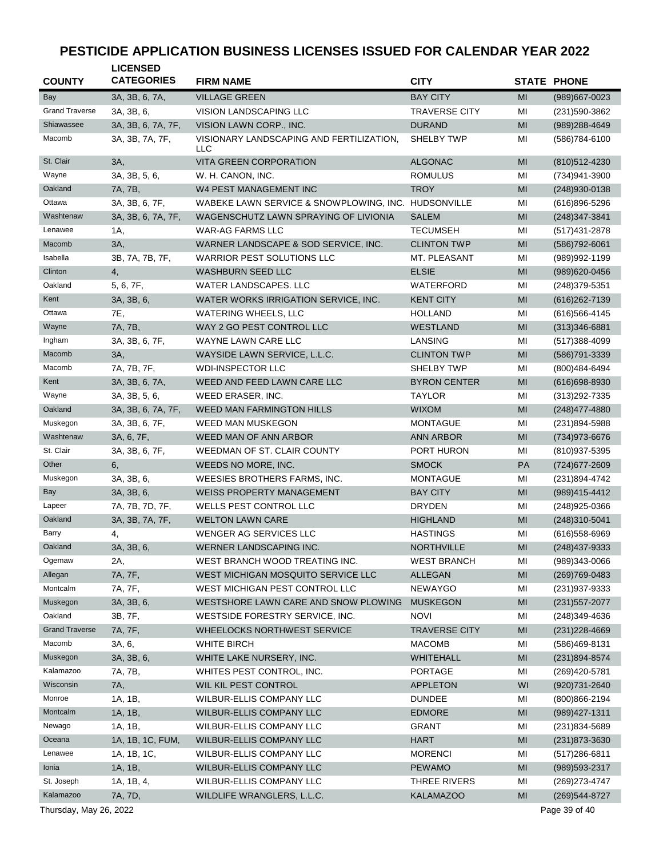| <b>COUNTY</b>          | <b>LICENSED</b><br><b>CATEGORIES</b> | <b>FIRM NAME</b>                                    | <b>CITY</b>          |                | <b>STATE PHONE</b> |
|------------------------|--------------------------------------|-----------------------------------------------------|----------------------|----------------|--------------------|
| Bay                    | 3A, 3B, 6, 7A,                       | <b>VILLAGE GREEN</b>                                | <b>BAY CITY</b>      | MI             | (989)667-0023      |
| <b>Grand Traverse</b>  | 3A, 3B, 6,                           | VISION LANDSCAPING LLC                              | <b>TRAVERSE CITY</b> | MI             | (231) 590-3862     |
| Shiawassee             | 3A, 3B, 6, 7A, 7F,                   | VISION LAWN CORP., INC.                             | <b>DURAND</b>        | MI             | (989) 288-4649     |
| Macomb                 | 3A, 3B, 7A, 7F,                      | VISIONARY LANDSCAPING AND FERTILIZATION,<br>LLC     | SHELBY TWP           | MI             | (586)784-6100      |
| St. Clair              | 3A,                                  | <b>VITA GREEN CORPORATION</b>                       | <b>ALGONAC</b>       | MI             | (810) 512-4230     |
| Wayne                  | 3A, 3B, 5, 6,                        | W. H. CANON, INC.                                   | <b>ROMULUS</b>       | MI             | (734)941-3900      |
| Oakland                | 7A, 7B,                              | W4 PEST MANAGEMENT INC                              | <b>TROY</b>          | MI             | (248) 930-0138     |
| Ottawa                 | 3A, 3B, 6, 7F,                       | WABEKE LAWN SERVICE & SNOWPLOWING, INC. HUDSONVILLE |                      | MI             | $(616)896 - 5296$  |
| Washtenaw              | 3A, 3B, 6, 7A, 7F,                   | WAGENSCHUTZ LAWN SPRAYING OF LIVIONIA               | <b>SALEM</b>         | M <sub>l</sub> | (248) 347-3841     |
| Lenawee                | 1A,                                  | <b>WAR-AG FARMS LLC</b>                             | <b>TECUMSEH</b>      | MI             | (517) 431-2878     |
| Macomb                 | 3A,                                  | WARNER LANDSCAPE & SOD SERVICE, INC.                | <b>CLINTON TWP</b>   | MI             | (586) 792-6061     |
| Isabella               | 3B, 7A, 7B, 7F,                      | <b>WARRIOR PEST SOLUTIONS LLC</b>                   | MT. PLEASANT         | MI             | (989) 992-1199     |
| Clinton                | 4,                                   | <b>WASHBURN SEED LLC</b>                            | <b>ELSIE</b>         | MI             | (989)620-0456      |
| Oakland                | 5, 6, 7F,                            | <b>WATER LANDSCAPES, LLC</b>                        | WATERFORD            | MI             | (248) 379-5351     |
| Kent                   | 3A, 3B, 6,                           | WATER WORKS IRRIGATION SERVICE, INC.                | <b>KENT CITY</b>     | MI             | (616) 262-7139     |
| Ottawa                 | 7E,                                  | <b>WATERING WHEELS, LLC</b>                         | <b>HOLLAND</b>       | MI             | (616) 566-4145     |
| Wayne                  | 7A, 7B,                              | WAY 2 GO PEST CONTROL LLC                           | <b>WESTLAND</b>      | MI             | $(313)346-6881$    |
| Ingham                 | 3A, 3B, 6, 7F,                       | WAYNE LAWN CARE LLC                                 | LANSING              | MI             | $(517)388-4099$    |
| Macomb                 | 3A,                                  | WAYSIDE LAWN SERVICE, L.L.C.                        | <b>CLINTON TWP</b>   | MI             | (586) 791-3339     |
| Macomb                 | 7A, 7B, 7F,                          | <b>WDI-INSPECTOR LLC</b>                            | SHELBY TWP           | MI             | (800) 484-6494     |
| Kent                   | 3A, 3B, 6, 7A,                       | WEED AND FEED LAWN CARE LLC                         | <b>BYRON CENTER</b>  | MI             | $(616)698 - 8930$  |
| Wayne                  | 3A, 3B, 5, 6,                        | WEED ERASER, INC.                                   | TAYLOR               | MI             | $(313)292 - 7335$  |
| Oakland                | 3A, 3B, 6, 7A, 7F,                   | <b>WEED MAN FARMINGTON HILLS</b>                    | <b>WIXOM</b>         | MI             | $(248)477 - 4880$  |
| Muskegon               | 3A, 3B, 6, 7F,                       | <b>WEED MAN MUSKEGON</b>                            | <b>MONTAGUE</b>      | MI             | (231)894-5988      |
| Washtenaw              | 3A, 6, 7F,                           | WEED MAN OF ANN ARBOR                               | <b>ANN ARBOR</b>     | MI             | (734) 973-6676     |
| St. Clair              | 3A, 3B, 6, 7F,                       | WEEDMAN OF ST. CLAIR COUNTY                         | PORT HURON           | MI             | (810) 937-5395     |
| Other                  | 6,                                   | WEEDS NO MORE, INC.                                 | <b>SMOCK</b>         | PA             | (724) 677-2609     |
| Muskegon               | 3A, 3B, 6,                           | WEESIES BROTHERS FARMS, INC.                        | <b>MONTAGUE</b>      | MI             | (231)894-4742      |
| <b>Bay</b>             | 3A, 3B, 6,                           | <b>WEISS PROPERTY MANAGEMENT</b>                    | <b>BAY CITY</b>      | MI             | (989)415-4412      |
| Lapeer                 | 7A, 7B, 7D, 7F,                      | WELLS PEST CONTROL LLC                              | <b>DRYDEN</b>        | MI             | (248) 925-0366     |
| Oakland                | 3A, 3B, 7A, 7F,                      | <b>WELTON LAWN CARE</b>                             | <b>HIGHLAND</b>      | MI             | (248) 310-5041     |
| Barry                  | 4,                                   | WENGER AG SERVICES LLC                              | <b>HASTINGS</b>      | MI             | (616) 558-6969     |
| Oakland                | 3A, 3B, 6,                           | WERNER LANDSCAPING INC.                             | NORTHVILLE           | M <sub>l</sub> | (248) 437-9333     |
| Ogemaw                 | 2A,                                  | WEST BRANCH WOOD TREATING INC.                      | <b>WEST BRANCH</b>   | MI             | (989)343-0066      |
| Allegan                | 7A, 7F,                              | WEST MICHIGAN MOSQUITO SERVICE LLC                  | <b>ALLEGAN</b>       | MI             | (269) 769-0483     |
| Montcalm               | 7A, 7F,                              | WEST MICHIGAN PEST CONTROL LLC                      | <b>NEWAYGO</b>       | MI             | (231) 937-9333     |
| Muskegon               | 3A, 3B, 6,                           | WESTSHORE LAWN CARE AND SNOW PLOWING                | <b>MUSKEGON</b>      | M <sub>l</sub> | $(231)557 - 2077$  |
| Oakland                | 3B, 7F,                              | WESTSIDE FORESTRY SERVICE, INC.                     | <b>NOVI</b>          | MI             | (248)349-4636      |
| <b>Grand Traverse</b>  | 7A, 7F,                              | WHEELOCKS NORTHWEST SERVICE                         | <b>TRAVERSE CITY</b> | MI             | (231) 228-4669     |
| Macomb                 | 3A, 6,                               | WHITE BIRCH                                         | <b>MACOMB</b>        | MI             | (586)469-8131      |
| Muskegon               | 3A, 3B, 6,                           | WHITE LAKE NURSERY, INC.                            | WHITEHALL            | MI             | (231)894-8574      |
| Kalamazoo              | 7A, 7B,                              | WHITES PEST CONTROL, INC.                           | PORTAGE              | MI             | (269)420-5781      |
| Wisconsin              | 7A,                                  | WIL KIL PEST CONTROL                                | <b>APPLETON</b>      | WI             | (920) 731-2640     |
| Monroe                 | 1A, 1B,                              | WILBUR-ELLIS COMPANY LLC                            | <b>DUNDEE</b>        | ΜI             | (800) 866-2194     |
| Montcalm               | 1A, 1B,                              | WILBUR-ELLIS COMPANY LLC                            | <b>EDMORE</b>        | MI             | (989) 427-1311     |
| Newago                 | 1A, 1B,                              | WILBUR-ELLIS COMPANY LLC                            | <b>GRANT</b>         | ΜI             | (231)834-5689      |
| Oceana                 | 1A, 1B, 1C, FUM,                     | WILBUR-ELLIS COMPANY LLC                            | <b>HART</b>          | MI             | $(231)873 - 3630$  |
| Lenawee                | 1A, 1B, 1C,                          | WILBUR-ELLIS COMPANY LLC                            | <b>MORENCI</b>       | ΜI             | $(517)286-6811$    |
| Ionia                  | 1A, 1B,                              | WILBUR-ELLIS COMPANY LLC                            | <b>PEWAMO</b>        | MI             | (989) 593-2317     |
| St. Joseph             | 1A, 1B, 4,                           | WILBUR-ELLIS COMPANY LLC                            | THREE RIVERS         | MI             | (269) 273-4747     |
| Kalamazoo              | 7A, 7D,                              | WILDLIFE WRANGLERS, L.L.C.                          | <b>KALAMAZOO</b>     | MI             | (269) 544-8727     |
| Thursday, May 26, 2022 |                                      |                                                     |                      |                | Page 39 of 40      |